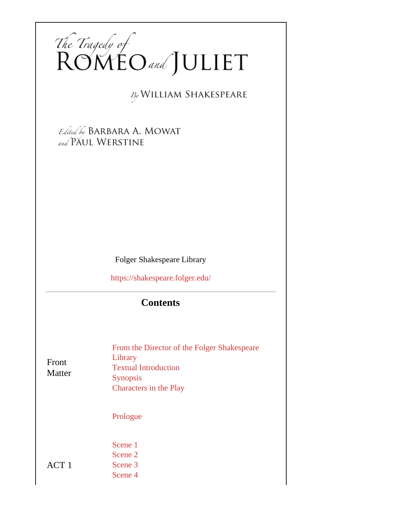

**By WILLIAM SHAKESPEARE** 

Edited by BARBARA A. MOWAT and PAUL WERSTINE

Folger Shakespeare Library

<https://shakespeare.folger.edu/>

## **Contents**

| Front<br>Matter | From the Director of the Folger Shakespeare<br>Library<br><b>Textual Introduction</b><br><b>Synopsis</b><br><b>Characters in the Play</b> |  |  |
|-----------------|-------------------------------------------------------------------------------------------------------------------------------------------|--|--|
|                 | Prologue                                                                                                                                  |  |  |
| ACT 1           | Scene 1<br>Scene 2<br>Scene 3<br>Scene 4                                                                                                  |  |  |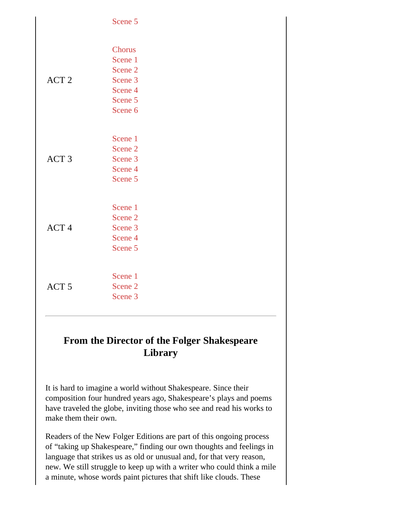|                  | Scene 5                                                                                               |
|------------------|-------------------------------------------------------------------------------------------------------|
| ACT <sub>2</sub> | <b>Chorus</b><br>Scene 1<br>Scene <sub>2</sub><br>Scene 3<br>Scene 4<br>Scene 5<br>Scene <sub>6</sub> |
| ACT <sub>3</sub> | Scene 1<br>Scene <sub>2</sub><br>Scene <sub>3</sub><br>Scene 4<br>Scene 5                             |
| ACT <sub>4</sub> | Scene 1<br>Scene <sub>2</sub><br>Scene <sub>3</sub><br>Scene 4<br>Scene 5                             |
| ACT <sub>5</sub> | Scene 1<br>Scene <sub>2</sub><br>Scene <sub>3</sub>                                                   |

## **From the Director of the Folger Shakespeare Library**

It is hard to imagine a world without Shakespeare. Since their composition four hundred years ago, Shakespeare's plays and poems have traveled the globe, inviting those who see and read his works to make them their own.

Readers of the New Folger Editions are part of this ongoing process of "taking up Shakespeare," finding our own thoughts and feelings in language that strikes us as old or unusual and, for that very reason, new. We still struggle to keep up with a writer who could think a mile a minute, whose words paint pictures that shift like clouds. These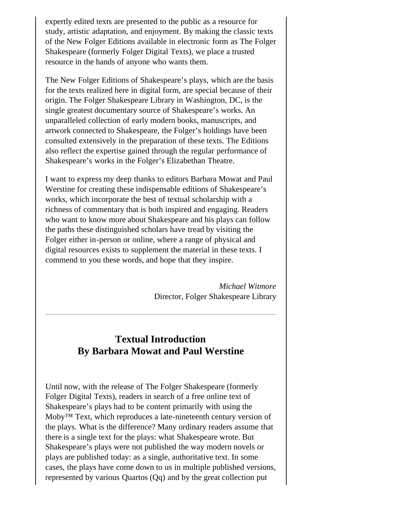<span id="page-2-0"></span>expertly edited texts are presented to the public as a resource for study, artistic adaptation, and enjoyment. By making the classic texts of the New Folger Editions available in electronic form as The Folger Shakespeare (formerly Folger Digital Texts), we place a trusted resource in the hands of anyone who wants them.

The New Folger Editions of Shakespeare's plays, which are the basis for the texts realized here in digital form, are special because of their origin. The Folger Shakespeare Library in Washington, DC, is the single greatest documentary source of Shakespeare's works. An unparalleled collection of early modern books, manuscripts, and artwork connected to Shakespeare, the Folger's holdings have been consulted extensively in the preparation of these texts. The Editions also reflect the expertise gained through the regular performance of Shakespeare's works in the Folger's Elizabethan Theatre.

I want to express my deep thanks to editors Barbara Mowat and Paul Werstine for creating these indispensable editions of Shakespeare's works, which incorporate the best of textual scholarship with a richness of commentary that is both inspired and engaging. Readers who want to know more about Shakespeare and his plays can follow the paths these distinguished scholars have tread by visiting the Folger either in-person or online, where a range of physical and digital resources exists to supplement the material in these texts. I commend to you these words, and hope that they inspire.

> *Michael Witmore* Director, Folger Shakespeare Library

## **Textual Introduction By Barbara Mowat and Paul Werstine**

Until now, with the release of The Folger Shakespeare (formerly Folger Digital Texts), readers in search of a free online text of Shakespeare's plays had to be content primarily with using the Moby™ Text, which reproduces a late-nineteenth century version of the plays. What is the difference? Many ordinary readers assume that there is a single text for the plays: what Shakespeare wrote. But Shakespeare's plays were not published the way modern novels or plays are published today: as a single, authoritative text. In some cases, the plays have come down to us in multiple published versions, represented by various Quartos (Qq) and by the great collection put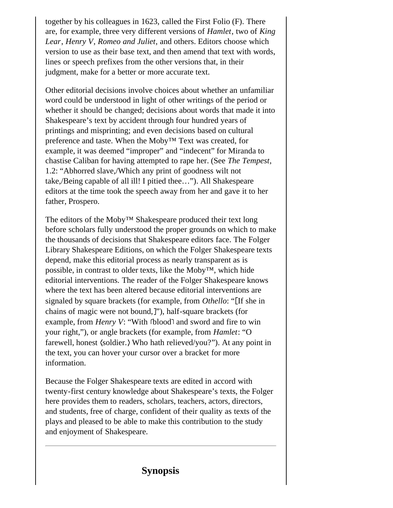<span id="page-3-0"></span>together by his colleagues in 1623, called the First Folio (F). There are, for example, three very different versions of *Hamlet*, two of *King Lear*, *Henry V*, *Romeo and Juliet*, and others. Editors choose which version to use as their base text, and then amend that text with words, lines or speech prefixes from the other versions that, in their judgment, make for a better or more accurate text.

Other editorial decisions involve choices about whether an unfamiliar word could be understood in light of other writings of the period or whether it should be changed; decisions about words that made it into Shakespeare's text by accident through four hundred years of printings and misprinting; and even decisions based on cultural preference and taste. When the Moby™ Text was created, for example, it was deemed "improper" and "indecent" for Miranda to chastise Caliban for having attempted to rape her. (See *The Tempest*, 1.2: "Abhorred slave,/Which any print of goodness wilt not take,/Being capable of all ill! I pitied thee…"). All Shakespeare editors at the time took the speech away from her and gave it to her father, Prospero.

The editors of the Moby™ Shakespeare produced their text long before scholars fully understood the proper grounds on which to make the thousands of decisions that Shakespeare editors face. The Folger Library Shakespeare Editions, on which the Folger Shakespeare texts depend, make this editorial process as nearly transparent as is possible, in contrast to older texts, like the Moby™, which hide editorial interventions. The reader of the Folger Shakespeare knows where the text has been altered because editorial interventions are signaled by square brackets (for example, from *Othello*: " If she in chains of magic were not bound, "), half-square brackets (for example, from *Henry V*: "With **blood** and sword and fire to win your right,"), or angle brackets (for example, from *Hamlet*: "O farewell, honest (soldier.) Who hath relieved/you?"). At any point in the text, you can hover your cursor over a bracket for more information.

Because the Folger Shakespeare texts are edited in accord with twenty-first century knowledge about Shakespeare's texts, the Folger here provides them to readers, scholars, teachers, actors, directors, and students, free of charge, confident of their quality as texts of the plays and pleased to be able to make this contribution to the study and enjoyment of Shakespeare.

#### **Synopsis**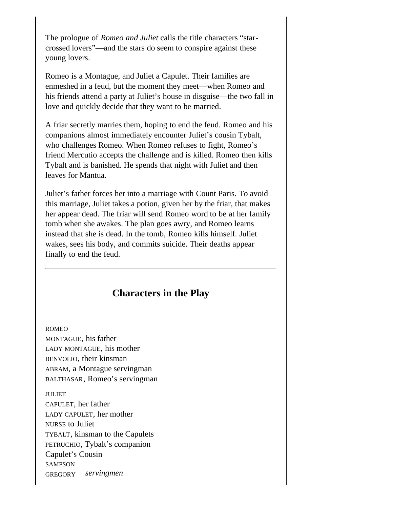<span id="page-4-0"></span>The prologue of *Romeo and Juliet* calls the title characters "starcrossed lovers"—and the stars do seem to conspire against these young lovers.

Romeo is a Montague, and Juliet a Capulet. Their families are enmeshed in a feud, but the moment they meet—when Romeo and his friends attend a party at Juliet's house in disguise—the two fall in love and quickly decide that they want to be married.

A friar secretly marries them, hoping to end the feud. Romeo and his companions almost immediately encounter Juliet's cousin Tybalt, who challenges Romeo. When Romeo refuses to fight, Romeo's friend Mercutio accepts the challenge and is killed. Romeo then kills Tybalt and is banished. He spends that night with Juliet and then leaves for Mantua.

Juliet's father forces her into a marriage with Count Paris. To avoid this marriage, Juliet takes a potion, given her by the friar, that makes her appear dead. The friar will send Romeo word to be at her family tomb when she awakes. The plan goes awry, and Romeo learns instead that she is dead. In the tomb, Romeo kills himself. Juliet wakes, sees his body, and commits suicide. Their deaths appear finally to end the feud.

#### **Characters in the Play**

ROMEO MONTAGUE, his father LADY MONTAGUE, his mother BENVOLIO, their kinsman ABRAM, a Montague servingman BALTHASAR, Romeo's servingman

JULIET CAPULET, her father LADY CAPULET, her mother NURSE to Juliet TYBALT, kinsman to the Capulets PETRUCHIO, Tybalt's companion Capulet's Cousin *servingmen* **SAMPSON** GREGORY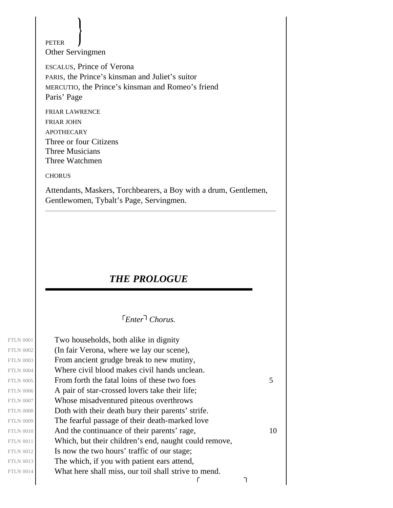<span id="page-5-0"></span>Other Servingmen PETER

ESCALUS, Prince of Verona PARIS, the Prince's kinsman and Juliet's suitor MERCUTIO, the Prince's kinsman and Romeo's friend Paris' Page

FRIAR LAWRENCE FRIAR JOHN **APOTHECARY** Three or four Citizens Three Musicians Three Watchmen

**CHORUS** 

<span id="page-5-1"></span>Attendants, Maskers, Torchbearers, a Boy with a drum, Gentlemen, Gentlewomen, Tybalt's Page, Servingmen.

#### *THE PROLOGUE*

*Enter Chorus.*

Two households, both alike in dignity (In fair Verona, where we lay our scene), From ancient grudge break to new mutiny, Where civil blood makes civil hands unclean. FTLN 0005 From forth the fatal loins of these two foes  $5 \frac{1}{2}$ A pair of star-crossed lovers take their life; Whose misadventured piteous overthrows Doth with their death bury their parents' strife. The fearful passage of their death-marked love FTLN 0010  $\vert$  And the continuance of their parents' rage,  $\vert$  10 Which, but their children's end, naught could remove, Is now the two hours' traffic of our stage; The which, if you with patient ears attend, What here shall miss, our toil shall strive to mend.  $\Gamma$ ٦

FTLN 0001 FTLN 0002 FTLN 0003 FTLN 0004 FTLN 0006 FTLN 0007 FTLN 0008 FTLN 0009 FTLN 0011 FTLN 0012 FTLN 0013 FTLN 0014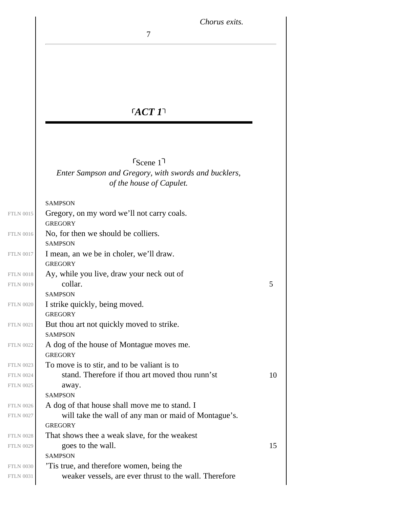*Chorus exits.*

# *ACT 1*

7

<span id="page-6-0"></span>*Enter Sampson and Gregory, with swords and bucklers, of the house of Capulet.*  $s_{\text{Cene 1}}$ 

#### SAMPSON

| <b>FTLN 0015</b> | Gregory, on my word we'll not carry coals.             |    |
|------------------|--------------------------------------------------------|----|
|                  | <b>GREGORY</b>                                         |    |
| <b>FTLN 0016</b> | No, for then we should be colliers.                    |    |
|                  | <b>SAMPSON</b>                                         |    |
| <b>FTLN 0017</b> | I mean, an we be in choler, we'll draw.                |    |
|                  | <b>GREGORY</b>                                         |    |
| <b>FTLN 0018</b> | Ay, while you live, draw your neck out of              |    |
| <b>FTLN 0019</b> | collar.                                                | 5  |
|                  | <b>SAMPSON</b>                                         |    |
| <b>FTLN 0020</b> | I strike quickly, being moved.                         |    |
|                  | <b>GREGORY</b>                                         |    |
| <b>FTLN 0021</b> | But thou art not quickly moved to strike.              |    |
|                  | <b>SAMPSON</b>                                         |    |
| <b>FTLN 0022</b> | A dog of the house of Montague moves me.               |    |
|                  | <b>GREGORY</b>                                         |    |
| <b>FTLN 0023</b> | To move is to stir, and to be valiant is to            |    |
| <b>FTLN 0024</b> | stand. Therefore if thou art moved thou runn'st        | 10 |
| <b>FTLN 0025</b> | away.                                                  |    |
|                  | <b>SAMPSON</b>                                         |    |
| <b>FTLN 0026</b> | A dog of that house shall move me to stand. I          |    |
| <b>FTLN 0027</b> | will take the wall of any man or maid of Montague's.   |    |
|                  | <b>GREGORY</b>                                         |    |
| <b>FTLN 0028</b> | That shows thee a weak slave, for the weakest          |    |
| <b>FTLN 0029</b> | goes to the wall.                                      | 15 |
|                  | <b>SAMPSON</b>                                         |    |
| <b>FTLN 0030</b> | This true, and therefore women, being the              |    |
| <b>FTLN 0031</b> | weaker vessels, are ever thrust to the wall. Therefore |    |
|                  |                                                        |    |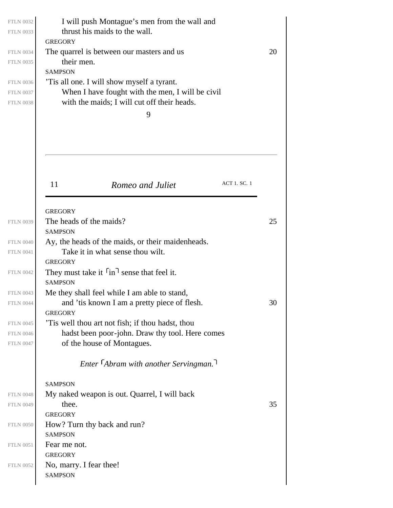|                                           | I will push Montague's men from the wall and<br>thrust his maids to the wall.                   |              |    |
|-------------------------------------------|-------------------------------------------------------------------------------------------------|--------------|----|
| <b>GREGORY</b>                            |                                                                                                 |              |    |
|                                           | The quarrel is between our masters and us                                                       |              | 20 |
| their men.                                |                                                                                                 |              |    |
| <b>SAMPSON</b>                            |                                                                                                 |              |    |
|                                           | This all one. I will show myself a tyrant.                                                      |              |    |
|                                           | When I have fought with the men, I will be civil<br>with the maids; I will cut off their heads. |              |    |
|                                           | 9                                                                                               |              |    |
|                                           |                                                                                                 |              |    |
|                                           |                                                                                                 |              |    |
| 11                                        | Romeo and Juliet                                                                                | ACT 1. SC. 1 |    |
|                                           |                                                                                                 |              |    |
| <b>GREGORY</b>                            |                                                                                                 |              |    |
| The heads of the maids?                   |                                                                                                 |              | 25 |
| <b>SAMPSON</b>                            |                                                                                                 |              |    |
|                                           | Ay, the heads of the maids, or their maidenheads.                                               |              |    |
| <b>GREGORY</b>                            | Take it in what sense thou wilt.                                                                |              |    |
|                                           | They must take it $\lceil \text{in} \rceil$ sense that feel it.                                 |              |    |
| <b>SAMPSON</b>                            |                                                                                                 |              |    |
|                                           | Me they shall feel while I am able to stand,                                                    |              |    |
|                                           | and 'tis known I am a pretty piece of flesh.                                                    |              | 30 |
| <b>GREGORY</b>                            |                                                                                                 |              |    |
|                                           | This well thou art not fish; if thou hadst, thou                                                |              |    |
|                                           | hadst been poor-john. Draw thy tool. Here comes                                                 |              |    |
|                                           | of the house of Montagues.                                                                      |              |    |
|                                           |                                                                                                 |              |    |
|                                           | Enter <sup>F</sup> Abram with another Servingman.                                               |              |    |
| <b>SAMPSON</b>                            |                                                                                                 |              |    |
|                                           | My naked weapon is out. Quarrel, I will back                                                    |              |    |
| thee.                                     |                                                                                                 |              |    |
| <b>GREGORY</b>                            |                                                                                                 |              |    |
|                                           | How? Turn thy back and run?                                                                     |              |    |
| <b>SAMPSON</b>                            |                                                                                                 |              |    |
| Fear me not.                              |                                                                                                 |              | 35 |
| <b>GREGORY</b><br>No, marry. I fear thee! |                                                                                                 |              |    |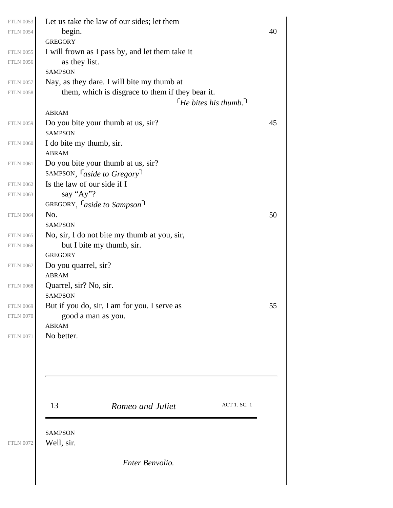| <b>FTLN 0053</b><br><b>FTLN 0054</b> | Let us take the law of our sides; let them<br>begin. |                                                  |                            | 40 |
|--------------------------------------|------------------------------------------------------|--------------------------------------------------|----------------------------|----|
|                                      | <b>GREGORY</b>                                       |                                                  |                            |    |
| <b>FTLN 0055</b><br><b>FTLN 0056</b> | as they list.                                        | I will frown as I pass by, and let them take it  |                            |    |
|                                      | <b>SAMPSON</b>                                       |                                                  |                            |    |
| <b>FTLN 0057</b>                     |                                                      | Nay, as they dare. I will bite my thumb at       |                            |    |
| <b>FTLN 0058</b>                     |                                                      | them, which is disgrace to them if they bear it. |                            |    |
|                                      |                                                      |                                                  | $\int$ He bites his thumb. |    |
|                                      | <b>ABRAM</b>                                         |                                                  |                            |    |
| <b>FTLN 0059</b>                     | Do you bite your thumb at us, sir?<br><b>SAMPSON</b> |                                                  |                            | 45 |
| <b>FTLN 0060</b>                     | I do bite my thumb, sir.                             |                                                  |                            |    |
|                                      | <b>ABRAM</b>                                         |                                                  |                            |    |
| <b>FTLN 0061</b>                     | Do you bite your thumb at us, sir?                   |                                                  |                            |    |
|                                      | SAMPSON, <i>Caside to Gregory</i>                    |                                                  |                            |    |
| <b>FTLN 0062</b>                     | Is the law of our side if I                          |                                                  |                            |    |
| <b>FTLN 0063</b>                     | say "Ay"?                                            |                                                  |                            |    |
|                                      | GREGORY, <i>Caside to Sampson</i>                    |                                                  |                            |    |
| <b>FTLN 0064</b>                     | No.                                                  |                                                  |                            | 50 |
|                                      | <b>SAMPSON</b>                                       |                                                  |                            |    |
| <b>FTLN 0065</b><br><b>FTLN 0066</b> | but I bite my thumb, sir.                            | No, sir, I do not bite my thumb at you, sir,     |                            |    |
|                                      | <b>GREGORY</b>                                       |                                                  |                            |    |
| <b>FTLN 0067</b>                     | Do you quarrel, sir?                                 |                                                  |                            |    |
|                                      | <b>ABRAM</b>                                         |                                                  |                            |    |
| <b>FTLN 0068</b>                     | Quarrel, sir? No, sir.                               |                                                  |                            |    |
|                                      | <b>SAMPSON</b>                                       |                                                  |                            |    |
| <b>FTLN 0069</b>                     |                                                      | But if you do, sir, I am for you. I serve as     |                            | 55 |
| <b>FTLN 0070</b>                     | good a man as you.                                   |                                                  |                            |    |
| <b>FTLN 0071</b>                     | <b>ABRAM</b><br>No better.                           |                                                  |                            |    |
|                                      |                                                      |                                                  |                            |    |
|                                      |                                                      |                                                  |                            |    |
|                                      |                                                      |                                                  |                            |    |
|                                      | 13                                                   | Romeo and Juliet                                 | <b>ACT 1. SC. 1</b>        |    |
|                                      | <b>SAMPSON</b>                                       |                                                  |                            |    |
| <b>FTLN 0072</b>                     | Well, sir.                                           |                                                  |                            |    |
|                                      |                                                      | Enter Benvolio.                                  |                            |    |
|                                      |                                                      |                                                  |                            |    |
|                                      |                                                      |                                                  |                            |    |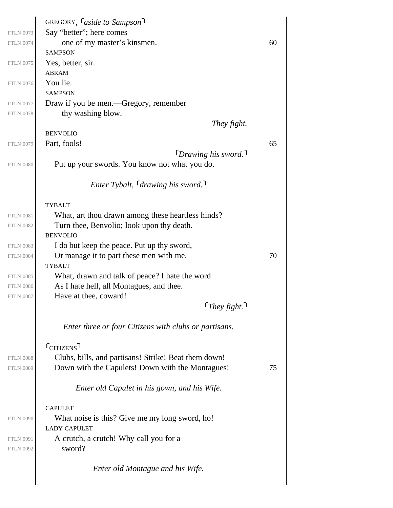| <b>FTLN 0073</b><br><b>FTLN 0074</b> | GREGORY, <i>Caside to Sampson</i><br>Say "better"; here comes<br>one of my master's kinsmen.<br><b>SAMPSON</b> | 60 |
|--------------------------------------|----------------------------------------------------------------------------------------------------------------|----|
| <b>FTLN 0075</b>                     | Yes, better, sir.                                                                                              |    |
|                                      | <b>ABRAM</b>                                                                                                   |    |
| <b>FTLN 0076</b>                     | You lie.<br><b>SAMPSON</b>                                                                                     |    |
| <b>FTLN 0077</b>                     | Draw if you be men.—Gregory, remember                                                                          |    |
| <b>FTLN 0078</b>                     | thy washing blow.                                                                                              |    |
|                                      | They fight.<br><b>BENVOLIO</b>                                                                                 |    |
| <b>FTLN 0079</b>                     | Part, fools!                                                                                                   | 65 |
| <b>FTLN 0080</b>                     | $\lceil$ Drawing his sword.<br>Put up your swords. You know not what you do.                                   |    |
|                                      | <i>Enter Tybalt,</i> $\lceil$ <i>drawing his sword.</i>                                                        |    |
|                                      | <b>TYBALT</b>                                                                                                  |    |
| <b>FTLN 0081</b>                     | What, art thou drawn among these heartless hinds?                                                              |    |
| <b>FTLN 0082</b>                     | Turn thee, Benvolio; look upon thy death.                                                                      |    |
|                                      | <b>BENVOLIO</b>                                                                                                |    |
| <b>FTLN 0083</b><br><b>FTLN 0084</b> | I do but keep the peace. Put up thy sword,<br>Or manage it to part these men with me.                          | 70 |
|                                      | <b>TYBALT</b>                                                                                                  |    |
| <b>FTLN 0085</b>                     | What, drawn and talk of peace? I hate the word                                                                 |    |
| <b>FTLN 0086</b>                     | As I hate hell, all Montagues, and thee.                                                                       |    |
| <b>FTLN 0087</b>                     | Have at thee, coward!                                                                                          |    |
|                                      | $\lceil$ They fight.                                                                                           |    |
|                                      | Enter three or four Citizens with clubs or partisans.                                                          |    |
|                                      | $r_{\text{CITIZENS}}$                                                                                          |    |
| <b>FTLN 0088</b>                     | Clubs, bills, and partisans! Strike! Beat them down!                                                           |    |
| <b>FTLN 0089</b>                     | Down with the Capulets! Down with the Montagues!                                                               | 75 |
|                                      | Enter old Capulet in his gown, and his Wife.                                                                   |    |
|                                      | <b>CAPULET</b>                                                                                                 |    |
| <b>FTLN 0090</b>                     | What noise is this? Give me my long sword, ho!<br><b>LADY CAPULET</b>                                          |    |
| <b>FTLN 0091</b><br><b>FTLN 0092</b> | A crutch, a crutch! Why call you for a<br>sword?                                                               |    |
|                                      | Enter old Montague and his Wife.                                                                               |    |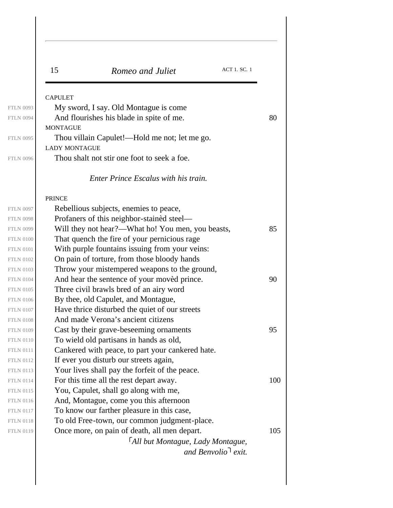| <b>CAPULET</b><br>My sword, I say. Old Montague is come<br>And flourishes his blade in spite of me.<br><b>MONTAGUE</b><br>Thou villain Capulet!—Hold me not; let me go.<br><b>LADY MONTAGUE</b><br>Thou shalt not stir one foot to seek a foe.<br>Enter Prince Escalus with his train.<br><b>PRINCE</b><br>Rebellious subjects, enemies to peace,<br>Profaners of this neighbor-stained steel—<br>Will they not hear?—What ho! You men, you beasts,<br>That quench the fire of your pernicious rage<br>With purple fountains issuing from your veins:<br>On pain of torture, from those bloody hands<br>Throw your mistempered weapons to the ground,<br>And hear the sentence of your moved prince.<br>Three civil brawls bred of an airy word<br>By thee, old Capulet, and Montague,<br>Have thrice disturbed the quiet of our streets<br>And made Verona's ancient citizens<br>Cast by their grave-beseeming ornaments<br>To wield old partisans in hands as old,<br>Cankered with peace, to part your cankered hate.<br>If ever you disturb our streets again,<br>Your lives shall pay the forfeit of the peace.<br>For this time all the rest depart away.<br>You, Capulet, shall go along with me,<br>And, Montague, come you this afternoon<br>To know our farther pleasure in this case,<br>To old Free-town, our common judgment-place.<br>Once more, on pain of death, all men depart.<br>FAll but Montague, Lady Montague, | 15 | ACT 1. SC. 1<br>Romeo and Juliet |     |
|---------------------------------------------------------------------------------------------------------------------------------------------------------------------------------------------------------------------------------------------------------------------------------------------------------------------------------------------------------------------------------------------------------------------------------------------------------------------------------------------------------------------------------------------------------------------------------------------------------------------------------------------------------------------------------------------------------------------------------------------------------------------------------------------------------------------------------------------------------------------------------------------------------------------------------------------------------------------------------------------------------------------------------------------------------------------------------------------------------------------------------------------------------------------------------------------------------------------------------------------------------------------------------------------------------------------------------------------------------------------------------------------------------------------------------------|----|----------------------------------|-----|
|                                                                                                                                                                                                                                                                                                                                                                                                                                                                                                                                                                                                                                                                                                                                                                                                                                                                                                                                                                                                                                                                                                                                                                                                                                                                                                                                                                                                                                       |    |                                  |     |
|                                                                                                                                                                                                                                                                                                                                                                                                                                                                                                                                                                                                                                                                                                                                                                                                                                                                                                                                                                                                                                                                                                                                                                                                                                                                                                                                                                                                                                       |    |                                  |     |
|                                                                                                                                                                                                                                                                                                                                                                                                                                                                                                                                                                                                                                                                                                                                                                                                                                                                                                                                                                                                                                                                                                                                                                                                                                                                                                                                                                                                                                       |    |                                  | 80  |
|                                                                                                                                                                                                                                                                                                                                                                                                                                                                                                                                                                                                                                                                                                                                                                                                                                                                                                                                                                                                                                                                                                                                                                                                                                                                                                                                                                                                                                       |    |                                  |     |
|                                                                                                                                                                                                                                                                                                                                                                                                                                                                                                                                                                                                                                                                                                                                                                                                                                                                                                                                                                                                                                                                                                                                                                                                                                                                                                                                                                                                                                       |    |                                  |     |
|                                                                                                                                                                                                                                                                                                                                                                                                                                                                                                                                                                                                                                                                                                                                                                                                                                                                                                                                                                                                                                                                                                                                                                                                                                                                                                                                                                                                                                       |    |                                  |     |
|                                                                                                                                                                                                                                                                                                                                                                                                                                                                                                                                                                                                                                                                                                                                                                                                                                                                                                                                                                                                                                                                                                                                                                                                                                                                                                                                                                                                                                       |    |                                  |     |
|                                                                                                                                                                                                                                                                                                                                                                                                                                                                                                                                                                                                                                                                                                                                                                                                                                                                                                                                                                                                                                                                                                                                                                                                                                                                                                                                                                                                                                       |    |                                  |     |
|                                                                                                                                                                                                                                                                                                                                                                                                                                                                                                                                                                                                                                                                                                                                                                                                                                                                                                                                                                                                                                                                                                                                                                                                                                                                                                                                                                                                                                       |    |                                  |     |
|                                                                                                                                                                                                                                                                                                                                                                                                                                                                                                                                                                                                                                                                                                                                                                                                                                                                                                                                                                                                                                                                                                                                                                                                                                                                                                                                                                                                                                       |    |                                  |     |
|                                                                                                                                                                                                                                                                                                                                                                                                                                                                                                                                                                                                                                                                                                                                                                                                                                                                                                                                                                                                                                                                                                                                                                                                                                                                                                                                                                                                                                       |    |                                  |     |
|                                                                                                                                                                                                                                                                                                                                                                                                                                                                                                                                                                                                                                                                                                                                                                                                                                                                                                                                                                                                                                                                                                                                                                                                                                                                                                                                                                                                                                       |    |                                  | 85  |
|                                                                                                                                                                                                                                                                                                                                                                                                                                                                                                                                                                                                                                                                                                                                                                                                                                                                                                                                                                                                                                                                                                                                                                                                                                                                                                                                                                                                                                       |    |                                  |     |
|                                                                                                                                                                                                                                                                                                                                                                                                                                                                                                                                                                                                                                                                                                                                                                                                                                                                                                                                                                                                                                                                                                                                                                                                                                                                                                                                                                                                                                       |    |                                  |     |
|                                                                                                                                                                                                                                                                                                                                                                                                                                                                                                                                                                                                                                                                                                                                                                                                                                                                                                                                                                                                                                                                                                                                                                                                                                                                                                                                                                                                                                       |    |                                  |     |
|                                                                                                                                                                                                                                                                                                                                                                                                                                                                                                                                                                                                                                                                                                                                                                                                                                                                                                                                                                                                                                                                                                                                                                                                                                                                                                                                                                                                                                       |    |                                  |     |
|                                                                                                                                                                                                                                                                                                                                                                                                                                                                                                                                                                                                                                                                                                                                                                                                                                                                                                                                                                                                                                                                                                                                                                                                                                                                                                                                                                                                                                       |    |                                  | 90  |
|                                                                                                                                                                                                                                                                                                                                                                                                                                                                                                                                                                                                                                                                                                                                                                                                                                                                                                                                                                                                                                                                                                                                                                                                                                                                                                                                                                                                                                       |    |                                  |     |
|                                                                                                                                                                                                                                                                                                                                                                                                                                                                                                                                                                                                                                                                                                                                                                                                                                                                                                                                                                                                                                                                                                                                                                                                                                                                                                                                                                                                                                       |    |                                  |     |
|                                                                                                                                                                                                                                                                                                                                                                                                                                                                                                                                                                                                                                                                                                                                                                                                                                                                                                                                                                                                                                                                                                                                                                                                                                                                                                                                                                                                                                       |    |                                  |     |
|                                                                                                                                                                                                                                                                                                                                                                                                                                                                                                                                                                                                                                                                                                                                                                                                                                                                                                                                                                                                                                                                                                                                                                                                                                                                                                                                                                                                                                       |    |                                  |     |
|                                                                                                                                                                                                                                                                                                                                                                                                                                                                                                                                                                                                                                                                                                                                                                                                                                                                                                                                                                                                                                                                                                                                                                                                                                                                                                                                                                                                                                       |    |                                  | 95  |
|                                                                                                                                                                                                                                                                                                                                                                                                                                                                                                                                                                                                                                                                                                                                                                                                                                                                                                                                                                                                                                                                                                                                                                                                                                                                                                                                                                                                                                       |    |                                  |     |
|                                                                                                                                                                                                                                                                                                                                                                                                                                                                                                                                                                                                                                                                                                                                                                                                                                                                                                                                                                                                                                                                                                                                                                                                                                                                                                                                                                                                                                       |    |                                  |     |
|                                                                                                                                                                                                                                                                                                                                                                                                                                                                                                                                                                                                                                                                                                                                                                                                                                                                                                                                                                                                                                                                                                                                                                                                                                                                                                                                                                                                                                       |    |                                  |     |
|                                                                                                                                                                                                                                                                                                                                                                                                                                                                                                                                                                                                                                                                                                                                                                                                                                                                                                                                                                                                                                                                                                                                                                                                                                                                                                                                                                                                                                       |    |                                  |     |
|                                                                                                                                                                                                                                                                                                                                                                                                                                                                                                                                                                                                                                                                                                                                                                                                                                                                                                                                                                                                                                                                                                                                                                                                                                                                                                                                                                                                                                       |    |                                  | 100 |
|                                                                                                                                                                                                                                                                                                                                                                                                                                                                                                                                                                                                                                                                                                                                                                                                                                                                                                                                                                                                                                                                                                                                                                                                                                                                                                                                                                                                                                       |    |                                  |     |
|                                                                                                                                                                                                                                                                                                                                                                                                                                                                                                                                                                                                                                                                                                                                                                                                                                                                                                                                                                                                                                                                                                                                                                                                                                                                                                                                                                                                                                       |    |                                  |     |
|                                                                                                                                                                                                                                                                                                                                                                                                                                                                                                                                                                                                                                                                                                                                                                                                                                                                                                                                                                                                                                                                                                                                                                                                                                                                                                                                                                                                                                       |    |                                  |     |
|                                                                                                                                                                                                                                                                                                                                                                                                                                                                                                                                                                                                                                                                                                                                                                                                                                                                                                                                                                                                                                                                                                                                                                                                                                                                                                                                                                                                                                       |    |                                  |     |
|                                                                                                                                                                                                                                                                                                                                                                                                                                                                                                                                                                                                                                                                                                                                                                                                                                                                                                                                                                                                                                                                                                                                                                                                                                                                                                                                                                                                                                       |    |                                  | 105 |
|                                                                                                                                                                                                                                                                                                                                                                                                                                                                                                                                                                                                                                                                                                                                                                                                                                                                                                                                                                                                                                                                                                                                                                                                                                                                                                                                                                                                                                       |    |                                  |     |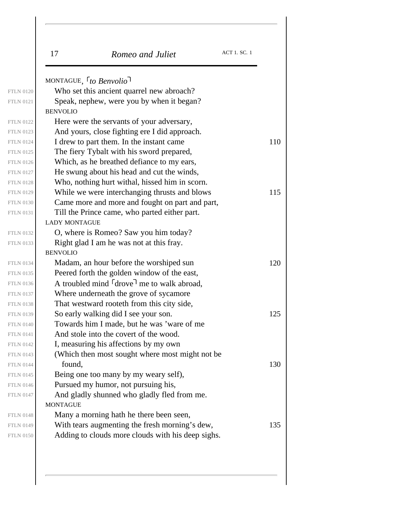|                  | <b>ACT 1. SC. 1</b><br>17<br>Romeo and Juliet                      |
|------------------|--------------------------------------------------------------------|
|                  | MONTAGUE, <sup>r</sup> to Benvolio                                 |
| <b>FTLN 0120</b> | Who set this ancient quarrel new abroach?                          |
| <b>FTLN 0121</b> | Speak, nephew, were you by when it began?                          |
|                  | <b>BENVOLIO</b>                                                    |
| <b>FTLN 0122</b> | Here were the servants of your adversary,                          |
| <b>FTLN 0123</b> | And yours, close fighting ere I did approach.                      |
|                  | I drew to part them. In the instant came                           |
|                  | The fiery Tybalt with his sword prepared,                          |
|                  | Which, as he breathed defiance to my ears,                         |
|                  | He swung about his head and cut the winds,                         |
|                  | Who, nothing hurt withal, hissed him in scorn.                     |
|                  | While we were interchanging thrusts and blows                      |
|                  | Came more and more and fought on part and part,                    |
|                  | Till the Prince came, who parted either part.                      |
|                  | <b>LADY MONTAGUE</b>                                               |
|                  | O, where is Romeo? Saw you him today?                              |
|                  | Right glad I am he was not at this fray.                           |
|                  | <b>BENVOLIO</b>                                                    |
| <b>FTLN 0134</b> | Madam, an hour before the worshiped sun                            |
| <b>FTLN 0135</b> | Peered forth the golden window of the east,                        |
|                  | A troubled mind <sup>r</sup> drove <sup>1</sup> me to walk abroad, |
|                  | Where underneath the grove of sycamore                             |
|                  | That westward rooteth from this city side,                         |
|                  | So early walking did I see your son.                               |
|                  | Towards him I made, but he was 'ware of me                         |
|                  | And stole into the covert of the wood.                             |
|                  | I, measuring his affections by my own                              |
| <b>FTLN 0143</b> | (Which then most sought where most might not be                    |
|                  | found,                                                             |
|                  | Being one too many by my weary self),                              |
|                  | Pursued my humor, not pursuing his,                                |
| <b>FTLN 0147</b> | And gladly shunned who gladly fled from me.                        |
|                  | <b>MONTAGUE</b>                                                    |
|                  | Many a morning hath he there been seen,                            |
| <b>FTLN 0149</b> | With tears augmenting the fresh morning's dew,                     |
|                  | Adding to clouds more clouds with his deep sighs.                  |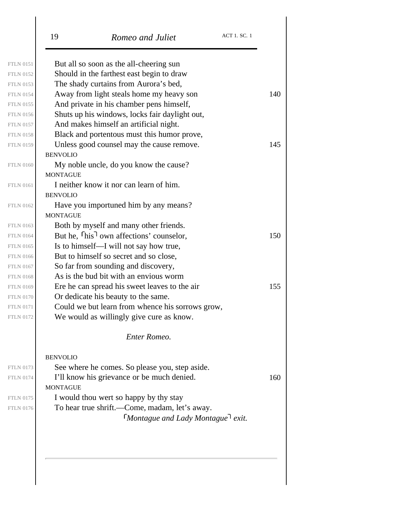|                  | <b>ACT 1. SC. 1</b><br>19<br>Romeo and Juliet                    |
|------------------|------------------------------------------------------------------|
| <b>FTLN 0151</b> | But all so soon as the all-cheering sun                          |
| <b>FTLN 0152</b> | Should in the farthest east begin to draw                        |
| <b>FTLN 0153</b> | The shady curtains from Aurora's bed,                            |
| <b>FTLN 0154</b> | Away from light steals home my heavy son                         |
| <b>FTLN 0155</b> | And private in his chamber pens himself,                         |
| <b>FTLN 0156</b> | Shuts up his windows, locks fair daylight out,                   |
| <b>FTLN 0157</b> | And makes himself an artificial night.                           |
| <b>FTLN 0158</b> | Black and portentous must this humor prove,                      |
| <b>FTLN 0159</b> | Unless good counsel may the cause remove.                        |
|                  | <b>BENVOLIO</b>                                                  |
| <b>FTLN 0160</b> | My noble uncle, do you know the cause?                           |
|                  | <b>MONTAGUE</b>                                                  |
| <b>FTLN 0161</b> | I neither know it nor can learn of him.                          |
|                  | <b>BENVOLIO</b>                                                  |
| <b>FTLN 0162</b> | Have you importuned him by any means?                            |
|                  | <b>MONTAGUE</b>                                                  |
| <b>FTLN 0163</b> | Both by myself and many other friends.                           |
| <b>FTLN 0164</b> | But he, <sup>r</sup> his <sup>1</sup> own affections' counselor, |
| <b>FTLN 0165</b> | Is to himself—I will not say how true,                           |
| <b>FTLN 0166</b> | But to himself so secret and so close,                           |
| <b>FTLN 0167</b> | So far from sounding and discovery,                              |
| <b>FTLN 0168</b> | As is the bud bit with an envious worm                           |
| <b>FTLN 0169</b> | Ere he can spread his sweet leaves to the air                    |
| <b>FTLN 0170</b> | Or dedicate his beauty to the same.                              |
| <b>FTLN 0171</b> | Could we but learn from whence his sorrows grow,                 |
| <b>FTLN 0172</b> | We would as willingly give cure as know.                         |
|                  | Enter Romeo.                                                     |
|                  | <b>BENVOLIO</b>                                                  |
| <b>FTLN 0173</b> | See where he comes. So please you, step aside.                   |
| <b>FTLN 0174</b> | I'll know his grievance or be much denied.                       |
|                  | <b>MONTAGUE</b>                                                  |
| <b>FTLN 0175</b> | I would thou wert so happy by thy stay                           |
| <b>FTLN 0176</b> | To hear true shrift.—Come, madam, let's away.                    |
|                  | $\lceil$ Montague and Lady Montague $\lceil$ exit.               |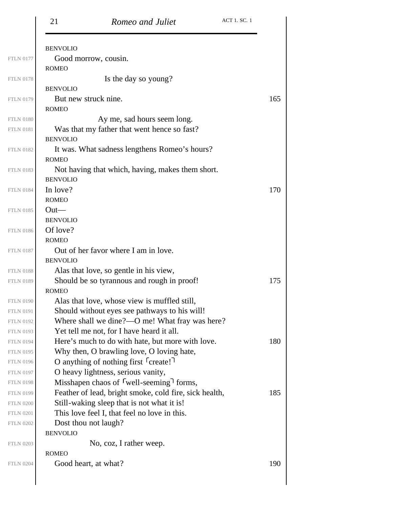| 21              | Romeo and Juliet                                                 | ACT 1. SC. 1 |
|-----------------|------------------------------------------------------------------|--------------|
| <b>BENVOLIO</b> |                                                                  |              |
|                 | Good morrow, cousin.                                             |              |
| <b>ROMEO</b>    |                                                                  |              |
|                 | Is the day so young?                                             |              |
| <b>BENVOLIO</b> |                                                                  |              |
|                 | But new struck nine.                                             | 165          |
| <b>ROMEO</b>    |                                                                  |              |
|                 | Ay me, sad hours seem long.                                      |              |
|                 | Was that my father that went hence so fast?                      |              |
| <b>BENVOLIO</b> |                                                                  |              |
|                 | It was. What sadness lengthens Romeo's hours?                    |              |
| <b>ROMEO</b>    |                                                                  |              |
|                 | Not having that which, having, makes them short.                 |              |
| <b>BENVOLIO</b> |                                                                  |              |
| In love?        |                                                                  | 170          |
| <b>ROMEO</b>    |                                                                  |              |
| $Out-$          |                                                                  |              |
| <b>BENVOLIO</b> |                                                                  |              |
| Of love?        |                                                                  |              |
| <b>ROMEO</b>    |                                                                  |              |
|                 | Out of her favor where I am in love.                             |              |
| <b>BENVOLIO</b> |                                                                  |              |
|                 | Alas that love, so gentle in his view,                           |              |
|                 | Should be so tyrannous and rough in proof!                       | 175          |
| <b>ROMEO</b>    |                                                                  |              |
|                 | Alas that love, whose view is muffled still,                     |              |
|                 | Should without eyes see pathways to his will!                    |              |
|                 | Where shall we dine?—O me! What fray was here?                   |              |
|                 | Yet tell me not, for I have heard it all.                        |              |
|                 | Here's much to do with hate, but more with love.                 | 180          |
|                 | Why then, O brawling love, O loving hate,                        |              |
|                 | O anything of nothing first $\lceil$ create!                     |              |
|                 | O heavy lightness, serious vanity,                               |              |
|                 | Misshapen chaos of <sup>r</sup> well-seeming <sup>1</sup> forms, |              |
|                 | Feather of lead, bright smoke, cold fire, sick health,           | 185          |
|                 | Still-waking sleep that is not what it is!                       |              |
|                 | This love feel I, that feel no love in this.                     |              |
|                 | Dost thou not laugh?                                             |              |
| <b>BENVOLIO</b> |                                                                  |              |
|                 | No, coz, I rather weep.                                          |              |
|                 |                                                                  |              |
| <b>ROMEO</b>    |                                                                  |              |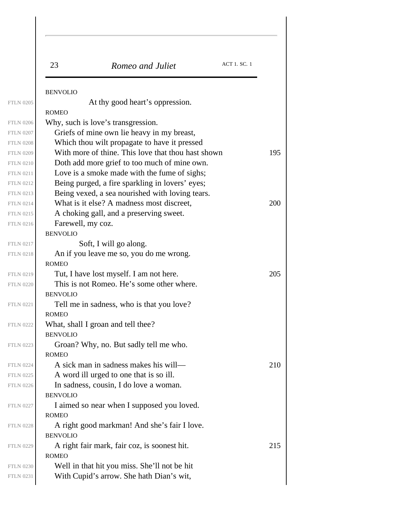| 23                | Romeo and Juliet                                   | <b>ACT 1. SC. 1</b> |
|-------------------|----------------------------------------------------|---------------------|
| <b>BENVOLIO</b>   |                                                    |                     |
|                   | At thy good heart's oppression.                    |                     |
| <b>ROMEO</b>      |                                                    |                     |
|                   | Why, such is love's transgression.                 |                     |
|                   | Griefs of mine own lie heavy in my breast,         |                     |
|                   | Which thou wilt propagate to have it pressed       |                     |
|                   | With more of thine. This love that thou hast shown |                     |
|                   | Doth add more grief to too much of mine own.       |                     |
|                   | Love is a smoke made with the fume of sighs;       |                     |
|                   | Being purged, a fire sparkling in lovers' eyes;    |                     |
|                   | Being vexed, a sea nourished with loving tears.    |                     |
|                   | What is it else? A madness most discreet,          |                     |
| Farewell, my coz. | A choking gall, and a preserving sweet.            |                     |
| <b>BENVOLIO</b>   |                                                    |                     |
|                   | Soft, I will go along.                             |                     |
|                   | An if you leave me so, you do me wrong.            |                     |
| <b>ROMEO</b>      |                                                    |                     |
|                   | Tut, I have lost myself. I am not here.            |                     |
|                   | This is not Romeo. He's some other where.          |                     |
| <b>BENVOLIO</b>   |                                                    |                     |
|                   | Tell me in sadness, who is that you love?          |                     |
| <b>ROMEO</b>      |                                                    |                     |
|                   | What, shall I groan and tell thee?                 |                     |
| <b>BENVOLIO</b>   |                                                    |                     |
|                   | Groan? Why, no. But sadly tell me who.             |                     |
| <b>ROMEO</b>      |                                                    |                     |
|                   | A sick man in sadness makes his will—              |                     |
|                   | A word ill urged to one that is so ill.            |                     |
|                   | In sadness, cousin, I do love a woman.             |                     |
| <b>BENVOLIO</b>   |                                                    |                     |
|                   | I aimed so near when I supposed you loved.         |                     |
| <b>ROMEO</b>      |                                                    |                     |
|                   | A right good markman! And she's fair I love.       |                     |
| <b>BENVOLIO</b>   |                                                    |                     |
|                   | A right fair mark, fair coz, is soonest hit.       |                     |
| <b>ROMEO</b>      | Well in that hit you miss. She'll not be hit       |                     |
|                   |                                                    |                     |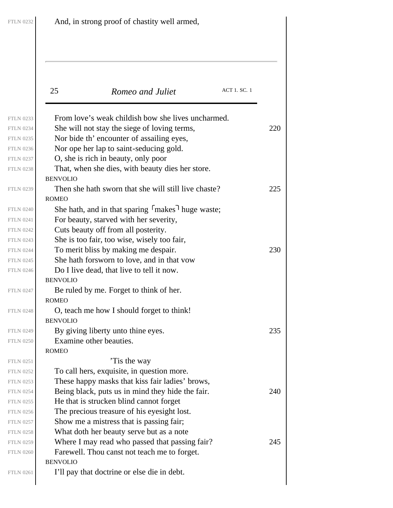| <b>FTLN 0232</b>                     | And, in strong proof of chastity well armed,                                                       |     |  |
|--------------------------------------|----------------------------------------------------------------------------------------------------|-----|--|
|                                      |                                                                                                    |     |  |
|                                      | ACT 1. SC. 1<br>25<br>Romeo and Juliet                                                             |     |  |
| <b>FTLN 0233</b><br><b>FTLN 0234</b> | From love's weak childish bow she lives uncharmed.<br>She will not stay the siege of loving terms, | 220 |  |
| <b>FTLN 0235</b>                     | Nor bide th' encounter of assailing eyes,                                                          |     |  |
| <b>FTLN 0236</b>                     | Nor ope her lap to saint-seducing gold.                                                            |     |  |
| <b>FTLN 0237</b>                     | O, she is rich in beauty, only poor                                                                |     |  |
| <b>FTLN 0238</b>                     | That, when she dies, with beauty dies her store.                                                   |     |  |
|                                      | <b>BENVOLIO</b>                                                                                    |     |  |
| <b>FTLN 0239</b>                     | Then she hath sworn that she will still live chaste?                                               | 225 |  |
|                                      | <b>ROMEO</b>                                                                                       |     |  |
| <b>FTLN 0240</b>                     | She hath, and in that sparing $\lceil$ makes $\rceil$ huge waste;                                  |     |  |
| <b>FTLN 0241</b>                     | For beauty, starved with her severity,                                                             |     |  |
| <b>FTLN 0242</b>                     | Cuts beauty off from all posterity.                                                                |     |  |
| <b>FTLN 0243</b>                     | She is too fair, too wise, wisely too fair,                                                        |     |  |
| <b>FTLN 0244</b>                     | To merit bliss by making me despair.                                                               | 230 |  |
| <b>FTLN 0245</b>                     | She hath for sworn to love, and in that vow                                                        |     |  |
| <b>FTLN 0246</b>                     | Do I live dead, that live to tell it now.                                                          |     |  |
|                                      | <b>BENVOLIO</b>                                                                                    |     |  |
| <b>FTLN 0247</b>                     | Be ruled by me. Forget to think of her.                                                            |     |  |
|                                      | <b>ROMEO</b>                                                                                       |     |  |
| <b>FTLN 0248</b>                     | O, teach me how I should forget to think!                                                          |     |  |
|                                      | <b>BENVOLIO</b>                                                                                    |     |  |
| <b>FTLN 0249</b>                     | By giving liberty unto thine eyes.<br>Examine other beauties.                                      | 235 |  |
| <b>FTLN 0250</b>                     | <b>ROMEO</b>                                                                                       |     |  |
| <b>FTLN 0251</b>                     | Tis the way                                                                                        |     |  |
| <b>FTLN 0252</b>                     | To call hers, exquisite, in question more.                                                         |     |  |
| <b>FTLN 0253</b>                     | These happy masks that kiss fair ladies' brows,                                                    |     |  |
| <b>FTLN 0254</b>                     | Being black, puts us in mind they hide the fair.                                                   | 240 |  |
| <b>FTLN 0255</b>                     | He that is strucken blind cannot forget                                                            |     |  |
| <b>FTLN 0256</b>                     | The precious treasure of his eyesight lost.                                                        |     |  |
| <b>FTLN 0257</b>                     | Show me a mistress that is passing fair;                                                           |     |  |
| <b>FTLN 0258</b>                     | What doth her beauty serve but as a note                                                           |     |  |
| <b>FTLN 0259</b>                     | Where I may read who passed that passing fair?                                                     | 245 |  |
| <b>FTLN 0260</b>                     | Farewell. Thou canst not teach me to forget.                                                       |     |  |
|                                      | <b>BENVOLIO</b>                                                                                    |     |  |
| <b>FTLN 0261</b>                     | I'll pay that doctrine or else die in debt.                                                        |     |  |
|                                      |                                                                                                    |     |  |

 $FTLN$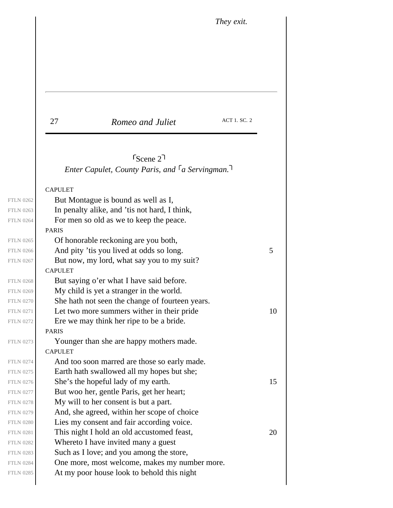*They exit.*

| 27 | Romeo and Juliet | ACT 1. SC. 2 |
|----|------------------|--------------|
|    |                  |              |

*Enter Capulet, County Paris, and <sup>* $\lceil a \rceil$  *Servingman.*</sup> Scene 2

#### CAPULET

<span id="page-16-0"></span>PARIS CAPULET PARIS CAPULET But Montague is bound as well as I, In penalty alike, and 'tis not hard, I think, For men so old as we to keep the peace. Of honorable reckoning are you both, FTLN 0266  $\vert$  And pity 'tis you lived at odds so long.  $5 \vert$ But now, my lord, what say you to my suit? But saying o'er what I have said before. My child is yet a stranger in the world. She hath not seen the change of fourteen years. FTLN 0271  $\vert$  Let two more summers wither in their pride 10 Ere we may think her ripe to be a bride. Younger than she are happy mothers made. And too soon marred are those so early made. Earth hath swallowed all my hopes but she; FTLN 0276  $\vert$  She's the hopeful lady of my earth. 15 But woo her, gentle Paris, get her heart; My will to her consent is but a part. And, she agreed, within her scope of choice Lies my consent and fair according voice. FTLN 0281  $\vert$  This night I hold an old accustomed feast, 20 Whereto I have invited many a guest Such as I love; and you among the store, One more, most welcome, makes my number more. At my poor house look to behold this night FTLN 0262 FTLN 0263

FTLN 0264 FTLN 0265

FTLN 0267

FTLN 0268 FTLN 0269 FTLN 0270 FTLN 0272

FTLN 0273

FTLN 0274 FTLN 0275 FTLN 0277 FTLN 0278 FTLN 0279 FTLN 0280 FTLN 0282 FTLN 0283 FTLN 0284 FTLN 0285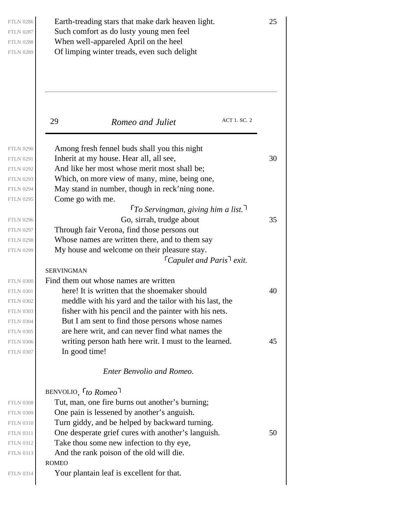| $\begin{aligned} & {\rm FTLN}\ 0286\\ & {\rm FTLN}\ 0287\\ & {\rm FTLN}\ 0288\\ & {\rm FTLN}\ 0289 \end{aligned}$ |  |
|-------------------------------------------------------------------------------------------------------------------|--|
|                                                                                                                   |  |
|                                                                                                                   |  |

FTLN 0286 **Earth-treading stars that make dark heaven light.** 25 Such comfort as do lusty young men feel When well-appareled April on the heel Of limping winter treads, even such delight

29 *Romeo and Juliet* ACT 1. SC. 2 *To Servingman, giving him a list. Capulet and Paris exit.* SERVINGMAN BENVOLIO *, to Romeo* ROMEO Among fresh fennel buds shall you this night FTLN 0291 Inherit at my house. Hear all, all see,  $30$ And like her most whose merit most shall be; Which, on more view of many, mine, being one, May stand in number, though in reck'ning none. Come go with me. FTLN 0296  $\vert$  Go, sirrah, trudge about 35 Through fair Verona, find those persons out Whose names are written there, and to them say My house and welcome on their pleasure stay. Find them out whose names are written FTLN 0301 **here!** It is written that the shoemaker should  $\frac{40}{100}$ meddle with his yard and the tailor with his last, the fisher with his pencil and the painter with his nets. But I am sent to find those persons whose names are here writ, and can never find what names the FTLN 0306 writing person hath here writ. I must to the learned.  $45$ In good time! *Enter Benvolio and Romeo.* Tut, man, one fire burns out another's burning; One pain is lessened by another's anguish. Turn giddy, and be helped by backward turning. FTLN 0311  $\vert$  One desperate grief cures with another's languish. 50 Take thou some new infection to thy eye, And the rank poison of the old will die. Your plantain leaf is excellent for that. FTLN 0290

FTLN 0292 FTLN 0293 FTLN 0294 FTLN 0295

FTLN 0297 FTLN 0298 FTLN 0299

FTLN 0300 FTLN 0302 FTLN 0303 FTLN 0304 FTLN 0305 FTLN 0307

FTLN 0308 FTLN 0309 FTLN 0310 FTLN 0312 FTLN 0313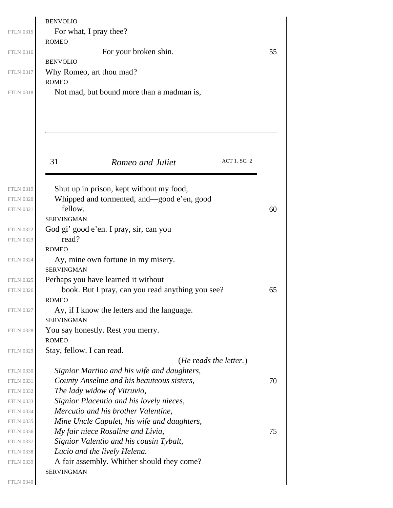|                  | <b>BENVOLIO</b>                                  |    |
|------------------|--------------------------------------------------|----|
| <b>FTLN 0315</b> | For what, I pray thee?                           |    |
|                  | <b>ROMEO</b>                                     |    |
| <b>FTLN 0316</b> | For your broken shin.                            | 55 |
|                  | <b>BENVOLIO</b>                                  |    |
| <b>FTLN 0317</b> | Why Romeo, art thou mad?                         |    |
|                  | <b>ROMEO</b>                                     |    |
| <b>FTLN 0318</b> | Not mad, but bound more than a madman is,        |    |
|                  |                                                  |    |
|                  |                                                  |    |
|                  |                                                  |    |
|                  |                                                  |    |
|                  |                                                  |    |
|                  | <b>ACT 1. SC. 2</b><br>31<br>Romeo and Juliet    |    |
|                  |                                                  |    |
|                  |                                                  |    |
| <b>FTLN 0319</b> | Shut up in prison, kept without my food,         |    |
| <b>FTLN 0320</b> | Whipped and tormented, and-good e'en, good       |    |
| <b>FTLN 0321</b> | fellow.                                          | 60 |
|                  | <b>SERVINGMAN</b>                                |    |
| <b>FTLN 0322</b> | God gi' good e'en. I pray, sir, can you          |    |
| <b>FTLN 0323</b> | read?                                            |    |
|                  | <b>ROMEO</b>                                     |    |
| <b>FTLN 0324</b> | Ay, mine own fortune in my misery.               |    |
|                  | <b>SERVINGMAN</b>                                |    |
| <b>FTLN 0325</b> | Perhaps you have learned it without              |    |
| <b>FTLN 0326</b> | book. But I pray, can you read anything you see? | 65 |
|                  | <b>ROMEO</b>                                     |    |
| <b>FTLN 0327</b> | Ay, if I know the letters and the language.      |    |
|                  | <b>SERVINGMAN</b>                                |    |
| <b>FTLN 0328</b> | You say honestly. Rest you merry.                |    |
|                  | <b>ROMEO</b>                                     |    |
| <b>FTLN 0329</b> | Stay, fellow. I can read.                        |    |
|                  | ( <i>He reads the letter.</i> )                  |    |
| <b>FTLN 0330</b> | Signior Martino and his wife and daughters,      |    |
| <b>FTLN 0331</b> | County Anselme and his beauteous sisters,        | 70 |
| <b>FTLN 0332</b> | The lady widow of Vitruvio,                      |    |
| <b>FTLN 0333</b> | Signior Placentio and his lovely nieces,         |    |
| <b>FTLN 0334</b> | Mercutio and his brother Valentine,              |    |
| <b>FTLN 0335</b> | Mine Uncle Capulet, his wife and daughters,      |    |
| <b>FTLN 0336</b> | My fair niece Rosaline and Livia,                | 75 |
| <b>FTLN 0337</b> | Signior Valentio and his cousin Tybalt,          |    |
| <b>FTLN 0338</b> | Lucio and the lively Helena.                     |    |
| <b>FTLN 0339</b> | A fair assembly. Whither should they come?       |    |
|                  | SERVINGMAN                                       |    |
|                  |                                                  |    |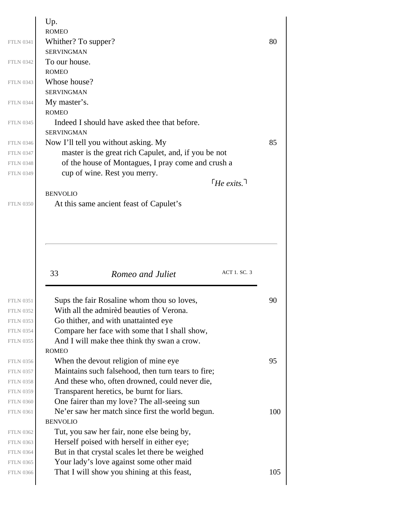|                  | Up.<br><b>ROMEO</b>                                                                     |     |
|------------------|-----------------------------------------------------------------------------------------|-----|
| <b>FTLN 0341</b> | Whither? To supper?                                                                     | 80  |
|                  | <b>SERVINGMAN</b>                                                                       |     |
| <b>FTLN 0342</b> | To our house.                                                                           |     |
|                  | <b>ROMEO</b>                                                                            |     |
| <b>FTLN 0343</b> | Whose house?                                                                            |     |
|                  | <b>SERVINGMAN</b>                                                                       |     |
| <b>FTLN 0344</b> | My master's.                                                                            |     |
|                  | <b>ROMEO</b>                                                                            |     |
| <b>FTLN 0345</b> | Indeed I should have asked thee that before.<br><b>SERVINGMAN</b>                       |     |
| <b>FTLN 0346</b> | Now I'll tell you without asking. My                                                    | 85  |
| <b>FTLN 0347</b> | master is the great rich Capulet, and, if you be not                                    |     |
| <b>FTLN 0348</b> | of the house of Montagues, I pray come and crush a                                      |     |
| <b>FTLN 0349</b> | cup of wine. Rest you merry.                                                            |     |
|                  | $\lceil$ FHe exits. $\lceil$                                                            |     |
|                  | <b>BENVOLIO</b>                                                                         |     |
|                  | At this same ancient feast of Capulet's                                                 |     |
|                  | ACT 1. SC. 3<br>33<br>Romeo and Juliet                                                  |     |
| <b>FTLN 0351</b> | Sups the fair Rosaline whom thou so loves,                                              | 90  |
| <b>FTLN 0352</b> | With all the admired beauties of Verona.                                                |     |
| <b>FTLN 0353</b> | Go thither, and with unattainted eye                                                    |     |
| <b>FTLN 0354</b> | Compare her face with some that I shall show,                                           |     |
|                  | And I will make thee think thy swan a crow.                                             |     |
|                  | <b>ROMEO</b>                                                                            |     |
| <b>FTLN 0356</b> | When the devout religion of mine eye.                                                   | 95  |
|                  | Maintains such falsehood, then turn tears to fire;                                      |     |
|                  | And these who, often drowned, could never die,                                          |     |
| <b>FTLN 0359</b> | Transparent heretics, be burnt for liars.                                               |     |
| <b>FTLN 0360</b> | One fairer than my love? The all-seeing sun                                             |     |
| <b>FTLN 0361</b> | Ne'er saw her match since first the world begun.                                        | 100 |
|                  | <b>BENVOLIO</b>                                                                         |     |
| <b>FTLN 0362</b> |                                                                                         |     |
| <b>FTLN 0363</b> | Tut, you saw her fair, none else being by,                                              |     |
|                  | Herself poised with herself in either eye;                                              |     |
|                  | But in that crystal scales let there be weighed                                         |     |
|                  | Your lady's love against some other maid<br>That I will show you shining at this feast, |     |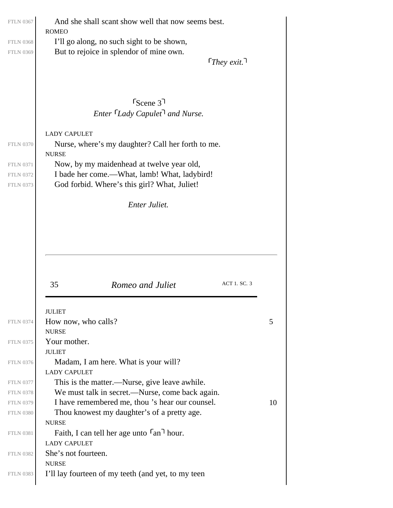<span id="page-20-0"></span>

| <b>ROMEO</b>                                                                                    |    |
|-------------------------------------------------------------------------------------------------|----|
| I'll go along, no such sight to be shown,                                                       |    |
| But to rejoice in splendor of mine own.                                                         |    |
| $\lceil$ They exit. $\lceil$                                                                    |    |
|                                                                                                 |    |
|                                                                                                 |    |
| $S_{\text{Cene}}$ 3 <sup>1</sup>                                                                |    |
| Enter Lady Capulet <sup>1</sup> and Nurse.                                                      |    |
|                                                                                                 |    |
| <b>LADY CAPULET</b><br>Nurse, where's my daughter? Call her forth to me.                        |    |
| <b>NURSE</b>                                                                                    |    |
| Now, by my maidenhead at twelve year old,                                                       |    |
| I bade her come.—What, lamb! What, ladybird!                                                    |    |
| God forbid. Where's this girl? What, Juliet!                                                    |    |
| <b>Enter Juliet.</b>                                                                            |    |
|                                                                                                 |    |
|                                                                                                 |    |
| ACT 1. SC. 3<br>35<br>Romeo and Juliet                                                          |    |
|                                                                                                 |    |
| <b>JULIET</b><br>How now, who calls?                                                            | 5  |
| <b>NURSE</b>                                                                                    |    |
| Your mother.                                                                                    |    |
| <b>JULIET</b>                                                                                   |    |
| Madam, I am here. What is your will?<br><b>LADY CAPULET</b>                                     |    |
| This is the matter.—Nurse, give leave awhile.                                                   |    |
| We must talk in secret.—Nurse, come back again.                                                 |    |
| I have remembered me, thou 's hear our counsel.                                                 | 10 |
| Thou knowest my daughter's of a pretty age.                                                     |    |
| <b>NURSE</b><br>Faith, I can tell her age unto $\lceil$ an <sup><math>\rceil</math></sup> hour. |    |
| <b>LADY CAPULET</b>                                                                             |    |
| She's not fourteen.                                                                             |    |
| <b>NURSE</b><br>I'll lay fourteen of my teeth (and yet, to my teen                              |    |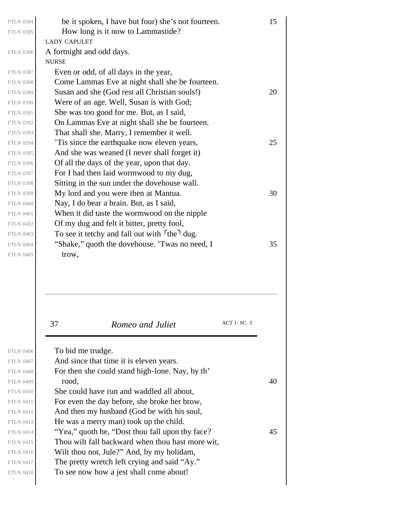| <b>FTLN 0384</b> | be it spoken, I have but four) she's not fourteen.                    | 15 |
|------------------|-----------------------------------------------------------------------|----|
| <b>FTLN 0385</b> | How long is it now to Lammastide?                                     |    |
|                  | <b>LADY CAPULET</b>                                                   |    |
| <b>FTLN 0386</b> | A fortnight and odd days.                                             |    |
|                  | <b>NURSE</b>                                                          |    |
| <b>FTLN 0387</b> | Even or odd, of all days in the year,                                 |    |
| <b>FTLN 0388</b> | Come Lammas Eve at night shall she be fourteen.                       |    |
| <b>FTLN 0389</b> | Susan and she (God rest all Christian souls!)                         | 20 |
| <b>FTLN 0390</b> | Were of an age. Well, Susan is with God;                              |    |
| <b>FTLN 0391</b> | She was too good for me. But, as I said,                              |    |
| <b>FTLN 0392</b> | On Lammas Eve at night shall she be fourteen.                         |    |
| <b>FTLN 0393</b> | That shall she. Marry, I remember it well.                            |    |
| <b>FTLN 0394</b> | Tis since the earthquake now eleven years,                            | 25 |
| <b>FTLN 0395</b> | And she was weaned (I never shall forget it)                          |    |
| <b>FTLN 0396</b> | Of all the days of the year, upon that day.                           |    |
| <b>FTLN 0397</b> | For I had then laid wormwood to my dug,                               |    |
| <b>FTLN 0398</b> | Sitting in the sun under the dovehouse wall.                          |    |
| <b>FTLN 0399</b> | My lord and you were then at Mantua.                                  | 30 |
| <b>FTLN 0400</b> | Nay, I do bear a brain. But, as I said,                               |    |
| <b>FTLN 0401</b> | When it did taste the wormwood on the nipple                          |    |
| <b>FTLN 0402</b> | Of my dug and felt it bitter, pretty fool,                            |    |
| <b>FTLN 0403</b> | To see it tetchy and fall out with <sup>r</sup> the <sup>1</sup> dug. |    |
| <b>FTLN 0404</b> | "Shake," quoth the dovehouse. 'Twas no need, I                        | 35 |
| <b>FTLN 0405</b> | trow,                                                                 |    |
|                  |                                                                       |    |
|                  | ACT 1. SC. 3<br>37<br>Romeo and Juliet                                |    |
| <b>FTLN 0406</b> | To bid me trudge.                                                     |    |
| <b>FTLN 0407</b> | And since that time it is eleven years.                               |    |
| <b>FTLN 0408</b> | For then she could stand high-lone. Nay, by th'                       |    |
| <b>FTLN 0409</b> | rood,                                                                 | 40 |
| <b>FTLN 0410</b> | She could have run and waddled all about,                             |    |
| <b>FTLN 0411</b> | For even the day before, she broke her brow,                          |    |
| <b>FTLN 0412</b> | And then my husband (God be with his soul,                            |    |
| <b>FTLN 0413</b> | He was a merry man) took up the child.                                |    |
| <b>FTLN 0414</b> | "Yea," quoth he, "Dost thou fall upon thy face?"                      | 45 |
| <b>FTLN 0415</b> | Thou wilt fall backward when thou hast more wit,                      |    |

Wilt thou not, Jule?" And, by my holidam, The pretty wretch left crying and said "Ay."

To see now how a jest shall come about!

FTLN 0416 FTLN 0417 FTLN 0418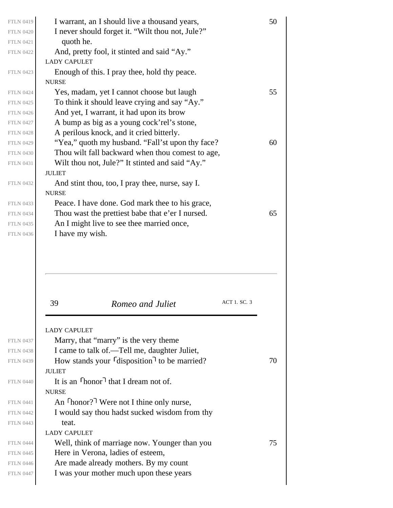| <b>FTLN 0419</b> | I warrant, an I should live a thousand years,                 | 50 |
|------------------|---------------------------------------------------------------|----|
| <b>FTLN 0420</b> | I never should forget it. "Wilt thou not, Jule?"              |    |
| <b>FTLN 0421</b> | quoth he.                                                     |    |
| <b>FTLN 0422</b> | And, pretty fool, it stinted and said "Ay."                   |    |
|                  | <b>LADY CAPULET</b>                                           |    |
| <b>FTLN 0423</b> | Enough of this. I pray thee, hold thy peace.                  |    |
|                  | <b>NURSE</b>                                                  |    |
| <b>FTLN 0424</b> | Yes, madam, yet I cannot choose but laugh                     | 55 |
| <b>FTLN 0425</b> | To think it should leave crying and say "Ay."                 |    |
| <b>FTLN 0426</b> | And yet, I warrant, it had upon its brow                      |    |
| <b>FTLN 0427</b> | A bump as big as a young cock'rel's stone,                    |    |
| <b>FTLN 0428</b> | A perilous knock, and it cried bitterly.                      |    |
| <b>FTLN 0429</b> | "Yea," quoth my husband. "Fall'st upon thy face?"             | 60 |
| <b>FTLN 0430</b> | Thou wilt fall backward when thou comest to age,              |    |
| <b>FTLN 0431</b> | Wilt thou not, Jule?" It stinted and said "Ay."               |    |
|                  | <b>JULIET</b>                                                 |    |
| <b>FTLN 0432</b> | And stint thou, too, I pray thee, nurse, say I.               |    |
|                  | <b>NURSE</b>                                                  |    |
| <b>FTLN 0433</b> | Peace. I have done. God mark thee to his grace,               |    |
| <b>FTLN 0434</b> | Thou wast the prettiest babe that e'er I nursed.              | 65 |
| <b>FTLN 0435</b> | An I might live to see thee married once,                     |    |
| <b>FTLN 0436</b> | I have my wish.                                               |    |
|                  |                                                               |    |
|                  | 39<br>ACT 1. SC. 3<br>Romeo and Juliet                        |    |
|                  | <b>LADY CAPULET</b>                                           |    |
| <b>FTLN 0437</b> | Marry, that "marry" is the very theme                         |    |
| <b>FTLN 0438</b> | I came to talk of .— Tell me, daughter Juliet,                |    |
| <b>FTLN 0439</b> | How stands your <i>disposition<sup>1</sup></i> to be married? | 70 |
|                  | <b>JULIET</b>                                                 |    |
| <b>FTLN 0440</b> | It is an $\lceil \text{honor} \rceil$ that I dream not of.    |    |
|                  | <b>NURSE</b>                                                  |    |
| <b>FTLN 0441</b> | An $\lceil \text{honor?} \rceil$ Were not I thine only nurse, |    |
| <b>FTLN 0442</b> | I would say thou hadst sucked wisdom from thy                 |    |
| <b>FTLN 0443</b> | teat.                                                         |    |
|                  | <b>LADY CAPULET</b>                                           |    |
| <b>FTLN 0444</b> | Well, think of marriage now. Younger than you                 | 75 |
| <b>FTLN 0445</b> | Here in Verona, ladies of esteem,                             |    |
| <b>FTLN 0446</b> | Are made already mothers. By my count                         |    |
|                  |                                                               |    |
| <b>FTLN 0447</b> | I was your mother much upon these years                       |    |

 $\overline{\phantom{a}}$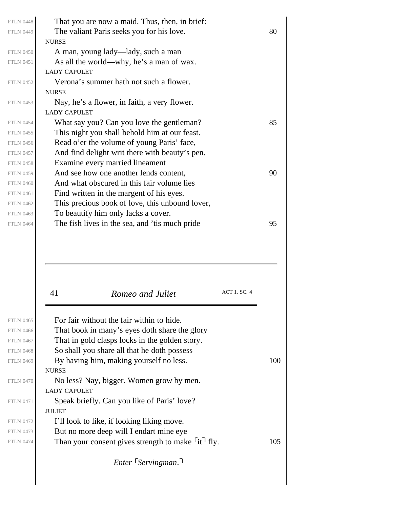| <b>FTLN 0448</b> | That you are now a maid. Thus, then, in brief:  |    |
|------------------|-------------------------------------------------|----|
| <b>FTLN 0449</b> | The valiant Paris seeks you for his love.       | 80 |
|                  | <b>NURSE</b>                                    |    |
| <b>FTLN 0450</b> | A man, young lady—lady, such a man              |    |
| <b>FTLN 0451</b> | As all the world—why, he's a man of wax.        |    |
|                  | <b>LADY CAPULET</b>                             |    |
| <b>FTLN 0452</b> | Verona's summer hath not such a flower.         |    |
|                  | <b>NURSE</b>                                    |    |
| <b>FTLN 0453</b> | Nay, he's a flower, in faith, a very flower.    |    |
|                  | <b>LADY CAPULET</b>                             |    |
| <b>FTLN 0454</b> | What say you? Can you love the gentleman?       | 85 |
| <b>FTLN 0455</b> | This night you shall behold him at our feast.   |    |
| <b>FTLN 0456</b> | Read o'er the volume of young Paris' face,      |    |
| <b>FTLN 0457</b> | And find delight writ there with beauty's pen.  |    |
| <b>FTLN 0458</b> | Examine every married lineament                 |    |
| <b>FTLN 0459</b> | And see how one another lends content,          | 90 |
| <b>FTLN 0460</b> | And what obscured in this fair volume lies      |    |
| <b>FTLN 0461</b> | Find written in the margent of his eyes.        |    |
| <b>FTLN 0462</b> | This precious book of love, this unbound lover, |    |
| <b>FTLN 0463</b> | To beautify him only lacks a cover.             |    |
| <b>FTLN 0464</b> | The fish lives in the sea, and 'tis much pride  | 95 |
|                  |                                                 |    |
|                  |                                                 |    |
|                  |                                                 |    |

|                  | 41<br>Romeo and Juliet                                                  | <b>ACT 1. SC. 4</b> |     |
|------------------|-------------------------------------------------------------------------|---------------------|-----|
|                  |                                                                         |                     |     |
| <b>FTLN 0465</b> | For fair without the fair within to hide.                               |                     |     |
| <b>FTLN 0466</b> | That book in many's eyes doth share the glory                           |                     |     |
| <b>FTLN 0467</b> | That in gold clasps locks in the golden story.                          |                     |     |
| <b>FTLN 0468</b> | So shall you share all that he doth possess                             |                     |     |
| <b>FTLN 0469</b> | By having him, making yourself no less.                                 |                     | 100 |
|                  | <b>NURSE</b>                                                            |                     |     |
| <b>FTLN 0470</b> | No less? Nay, bigger. Women grow by men.                                |                     |     |
|                  | <b>LADY CAPULET</b>                                                     |                     |     |
| <b>FTLN 0471</b> | Speak briefly. Can you like of Paris' love?                             |                     |     |
|                  | <b>JULIET</b>                                                           |                     |     |
| <b>FTLN 0472</b> | I'll look to like, if looking liking move.                              |                     |     |
| <b>FTLN 0473</b> | But no more deep will I endart mine eye                                 |                     |     |
| <b>FTLN 0474</b> | Than your consent gives strength to make $\lceil \text{it} \rceil$ fly. |                     | 105 |
|                  |                                                                         |                     |     |

*Enter Servingman.*

FTLN 0465 FTLN 0466 FTLN 0467 FTLN 0468 FTLN 0470 FTLN 0471 FTLN 0472 FTLN 0473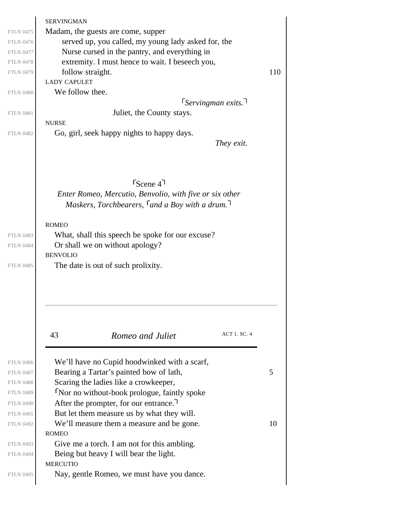<span id="page-24-0"></span>

|                  | <b>SERVINGMAN</b>                                       |     |
|------------------|---------------------------------------------------------|-----|
| <b>FTLN 0475</b> | Madam, the guests are come, supper                      |     |
| <b>FTLN 0476</b> | served up, you called, my young lady asked for, the     |     |
| <b>FTLN 0477</b> | Nurse cursed in the pantry, and everything in           |     |
| <b>FTLN 0478</b> | extremity. I must hence to wait. I beseech you,         |     |
| <b>FTLN 0479</b> | follow straight.                                        | 110 |
|                  | <b>LADY CAPULET</b>                                     |     |
| <b>FTLN 0480</b> | We follow thee.                                         |     |
|                  | $5$ <i>ervingman exits</i> .                            |     |
| <b>FTLN 0481</b> | Juliet, the County stays.                               |     |
|                  | <b>NURSE</b>                                            |     |
| <b>FTLN 0482</b> | Go, girl, seek happy nights to happy days.              |     |
|                  | They exit.                                              |     |
|                  |                                                         |     |
|                  |                                                         |     |
|                  |                                                         |     |
|                  | $S_{\text{Cene}}$ 47                                    |     |
|                  | Enter Romeo, Mercutio, Benvolio, with five or six other |     |
|                  | Maskers, Torchbearers, $\lceil$ and a Boy with a drum.  |     |
|                  |                                                         |     |
|                  | <b>ROMEO</b>                                            |     |
| <b>FTLN 0483</b> | What, shall this speech be spoke for our excuse?        |     |
| <b>FTLN 0484</b> | Or shall we on without apology?                         |     |
|                  | <b>BENVOLIO</b>                                         |     |
| <b>FTLN 0485</b> | The date is out of such prolixity.                      |     |
|                  |                                                         |     |
|                  |                                                         |     |
|                  |                                                         |     |
|                  |                                                         |     |
|                  |                                                         |     |
|                  | <b>ACT 1. SC. 4</b><br>43<br>Romeo and Juliet           |     |
|                  |                                                         |     |
|                  |                                                         |     |
| <b>FTLN 0486</b> | We'll have no Cupid hoodwinked with a scarf,            |     |
| <b>FTLN 0487</b> | Bearing a Tartar's painted bow of lath,                 | 5   |
| <b>FTLN 0488</b> | Scaring the ladies like a crowkeeper,                   |     |
| <b>FTLN 0489</b> | Nor no without-book prologue, faintly spoke             |     |
| <b>FTLN 0490</b> | After the prompter, for our entrance.                   |     |
| <b>FTLN 0491</b> | But let them measure us by what they will.              |     |
| <b>FTLN 0492</b> | We'll measure them a measure and be gone.               | 10  |
|                  | <b>ROMEO</b>                                            |     |
| <b>FTLN 0493</b> | Give me a torch. I am not for this ambling.             |     |
| <b>FTLN 0494</b> | Being but heavy I will bear the light.                  |     |
|                  | <b>MERCUTIO</b>                                         |     |
| <b>FTLN 0495</b> | Nay, gentle Romeo, we must have you dance.              |     |
|                  |                                                         |     |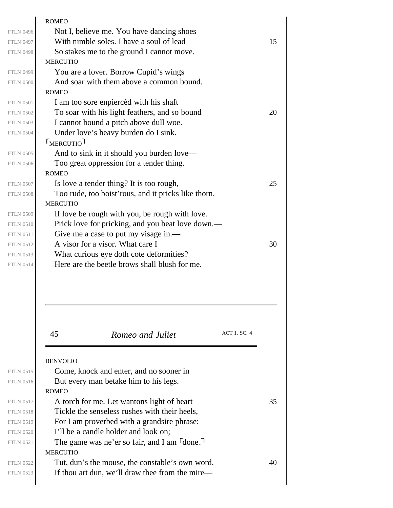|                  | <b>ROMEO</b>                                           |    |
|------------------|--------------------------------------------------------|----|
| <b>FTLN 0496</b> | Not I, believe me. You have dancing shoes              |    |
| <b>FTLN 0497</b> | With nimble soles. I have a soul of lead               | 15 |
| <b>FTLN 0498</b> | So stakes me to the ground I cannot move.              |    |
|                  | <b>MERCUTIO</b>                                        |    |
| <b>FTLN 0499</b> | You are a lover. Borrow Cupid's wings                  |    |
| <b>FTLN 0500</b> | And soar with them above a common bound.               |    |
|                  | <b>ROMEO</b>                                           |    |
| <b>FTLN 0501</b> | I am too sore enpierced with his shaft                 |    |
| <b>FTLN 0502</b> | To soar with his light feathers, and so bound          | 20 |
| <b>FTLN 0503</b> | I cannot bound a pitch above dull woe.                 |    |
| <b>FTLN 0504</b> | Under love's heavy burden do I sink.                   |    |
|                  | $L$ FMERCUTIO                                          |    |
| <b>FTLN 0505</b> | And to sink in it should you burden love—              |    |
| <b>FTLN 0506</b> | Too great oppression for a tender thing.               |    |
|                  | <b>ROMEO</b>                                           |    |
| <b>FTLN 0507</b> | Is love a tender thing? It is too rough,               | 25 |
| <b>FTLN 0508</b> | Too rude, too boist' rous, and it pricks like thorn.   |    |
|                  | <b>MERCUTIO</b>                                        |    |
| <b>FTLN 0509</b> | If love be rough with you, be rough with love.         |    |
| <b>FTLN 0510</b> | Prick love for pricking, and you beat love down.—      |    |
| <b>FTLN 0511</b> | Give me a case to put my visage in.-                   |    |
| <b>FTLN 0512</b> | A visor for a visor. What care I                       | 30 |
| <b>FTLN 0513</b> | What curious eye doth cote deformities?                |    |
| <b>FTLN 0514</b> | Here are the beetle brows shall blush for me.          |    |
|                  |                                                        |    |
|                  |                                                        |    |
|                  |                                                        |    |
|                  |                                                        |    |
|                  | ACT 1. SC. 4<br>45<br>Romeo and Juliet                 |    |
|                  |                                                        |    |
|                  |                                                        |    |
|                  | <b>BENVOLIO</b>                                        |    |
| <b>FTLN 0515</b> | Come, knock and enter, and no sooner in                |    |
| <b>FTLN 0516</b> | But every man betake him to his legs.                  |    |
|                  | <b>ROMEO</b>                                           |    |
| <b>FTLN 0517</b> | A torch for me. Let wantons light of heart             | 35 |
| <b>FTLN 0518</b> | Tickle the senseless rushes with their heels,          |    |
| <b>FTLN 0519</b> | For I am proverbed with a grandsire phrase:            |    |
| <b>FTLN 0520</b> | I'll be a candle holder and look on;                   |    |
| <b>FTLN 0521</b> | The game was ne'er so fair, and I am <sup>[done]</sup> |    |
|                  | <b>MERCUTIO</b>                                        |    |
| <b>FTLN 0522</b> | Tut, dun's the mouse, the constable's own word.        | 40 |
| <b>FTLN 0523</b> | If thou art dun, we'll draw thee from the mire—        |    |
|                  |                                                        |    |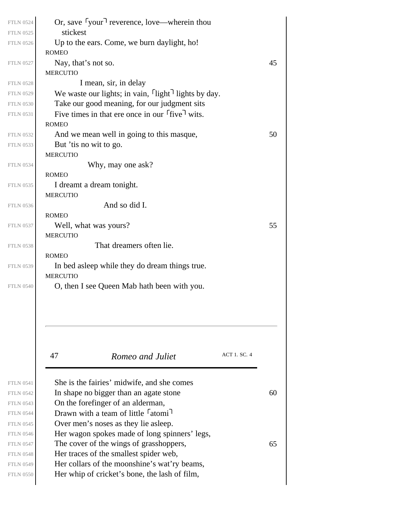| <b>FTLN 0524</b> | Or, save $\lceil$ your $\rceil$ reverence, love—wherein thou    |    |
|------------------|-----------------------------------------------------------------|----|
| <b>FTLN 0525</b> | stickest                                                        |    |
| <b>FTLN 0526</b> | Up to the ears. Come, we burn daylight, ho!                     |    |
|                  | <b>ROMEO</b>                                                    |    |
| <b>FTLN 0527</b> | Nay, that's not so.                                             | 45 |
|                  | <b>MERCUTIO</b>                                                 |    |
| <b>FTLN 0528</b> | I mean, sir, in delay                                           |    |
| <b>FTLN 0529</b> | We waste our lights; in vain, light <sup>1</sup> lights by day. |    |
| <b>FTLN 0530</b> | Take our good meaning, for our judgment sits                    |    |
| <b>FTLN 0531</b> | Five times in that ere once in our five wits.                   |    |
|                  | <b>ROMEO</b>                                                    |    |
| <b>FTLN 0532</b> | And we mean well in going to this masque,                       | 50 |
| <b>FTLN 0533</b> | But 'tis no wit to go.                                          |    |
|                  | <b>MERCUTIO</b>                                                 |    |
| <b>FTLN 0534</b> | Why, may one ask?                                               |    |
|                  | <b>ROMEO</b>                                                    |    |
| <b>FTLN 0535</b> | I dreamt a dream tonight.                                       |    |
|                  | <b>MERCUTIO</b>                                                 |    |
| <b>FTLN 0536</b> | And so did I.                                                   |    |
|                  | <b>ROMEO</b>                                                    |    |
| <b>FTLN 0537</b> | Well, what was yours?                                           | 55 |
|                  | <b>MERCUTIO</b>                                                 |    |
| <b>FTLN 0538</b> | That dreamers often lie.                                        |    |
|                  | <b>ROMEO</b>                                                    |    |
| <b>FTLN 0539</b> | In bed as leep while they do dream things true.                 |    |
|                  | <b>MERCUTIO</b>                                                 |    |
| <b>FTLN 0540</b> | O, then I see Queen Mab hath been with you.                     |    |
|                  |                                                                 |    |
|                  | ACT 1. SC. 4<br>47<br>Romeo and Juliet                          |    |
|                  |                                                                 |    |
| <b>FTLN 0541</b> | She is the fairies' midwife, and she comes                      |    |
| <b>FTLN 0542</b> | In shape no bigger than an agate stone                          | 60 |
| <b>FTLN 0543</b> | On the forefinger of an alderman,                               |    |
| <b>FTLN 0544</b> | Drawn with a team of little <sup>r</sup> atomi <sup>1</sup>     |    |
| <b>FTLN 0545</b> | Over men's noses as they lie as leep.                           |    |
| <b>FTLN 0546</b> | Her wagon spokes made of long spinners' legs,                   |    |
| <b>FTLN 0547</b> | The cover of the wings of grasshoppers,                         | 65 |
| <b>FTLN 0548</b> | Her traces of the smallest spider web,                          |    |
| <b>FTLN 0549</b> | Her collars of the moonshine's wat'ry beams,                    |    |
| <b>FTLN 0550</b> | Her whip of cricket's bone, the lash of film,                   |    |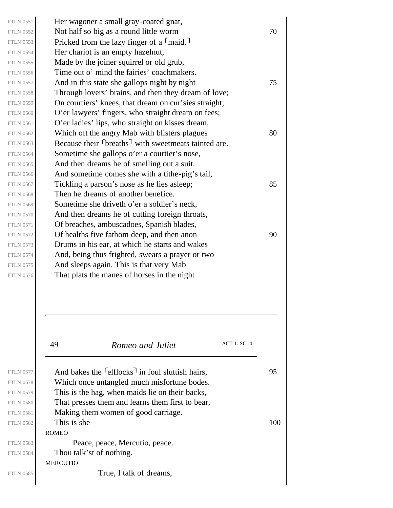49 *Romeo and Juliet* ACT 1. SC. 4 ROMEO MERCUTIO Her wagoner a small gray-coated gnat, FTLN 0552 Not half so big as a round little worm  $\begin{array}{c} 70 \\ 70 \end{array}$ Pricked from the lazy finger of a  $\lceil$  maid. Her chariot is an empty hazelnut, Made by the joiner squirrel or old grub, Time out o' mind the fairies' coachmakers. FTLN 0557  $\vert$  And in this state she gallops night by night  $\vert$  75 Through lovers' brains, and then they dream of love; On courtiers' knees, that dream on cur'sies straight; O'er lawyers' fingers, who straight dream on fees; O'er ladies' lips, who straight on kisses dream, FTLN 0562 Which oft the angry Mab with blisters plagues  $80$ Because their  $\lceil \frac{\text{breaks}}{\text{width}} \rceil$  with sweetmeats tainted are. Sometime she gallops o'er a courtier's nose, And then dreams he of smelling out a suit. And sometime comes she with a tithe-pig's tail, FTLN 0567 Tickling a parson's nose as he lies as leep;  $85$ Then he dreams of another benefice. Sometime she driveth o'er a soldier's neck, And then dreams he of cutting foreign throats, Of breaches, ambuscadoes, Spanish blades, FTLN 0572  $\vert$  Of healths five fathom deep, and then anon 90 Drums in his ear, at which he starts and wakes And, being thus frighted, swears a prayer or two And sleeps again. This is that very Mab That plats the manes of horses in the night FTLN 0577 And bakes the  $\lceil$  elflocks<sup>1</sup> in foul sluttish hairs, 95 Which once untangled much misfortune bodes. This is the hag, when maids lie on their backs, That presses them and learns them first to bear, Making them women of good carriage. FTLN 0582 This is she— $100$ Peace, peace, Mercutio, peace. Thou talk'st of nothing. True, I talk of dreams, FTLN 0551 FTLN 0553 FTLN 0554 FTLN 0555 FTLN 0556 FTLN 0558 FTLN 0559 FTLN 0560 FTLN 0561 FTLN 0563 FTLN 0564 FTLN 0565 FTLN 0566 FTLN 0568 FTLN 0569 FTLN 0570 FTLN 0571 FTLN 0573 FTLN 0574 FTLN 0575 FTLN 0576 FTLN 0578 FTLN 0579 FTLN 0580 FTLN 0581 FTLN 0583 FTLN 0584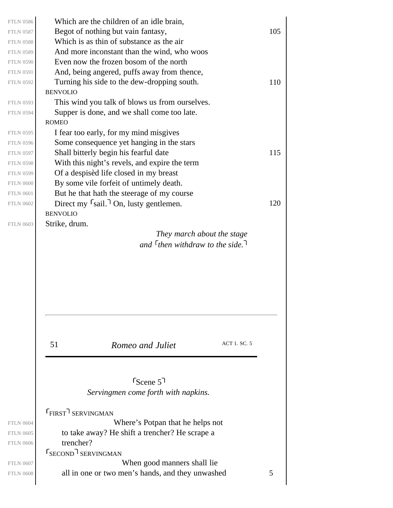<span id="page-28-0"></span>

| <b>FTLN 0586</b><br><b>FTLN 0587</b><br><b>FTLN 0588</b><br><b>FTLN 0589</b><br><b>FTLN 0590</b><br><b>FTLN 0591</b> | Which are the children of an idle brain,<br>Begot of nothing but vain fantasy,<br>Which is as thin of substance as the air<br>And more inconstant than the wind, who woos<br>Even now the frozen bosom of the north<br>And, being angered, puffs away from thence,     | 105 |
|----------------------------------------------------------------------------------------------------------------------|------------------------------------------------------------------------------------------------------------------------------------------------------------------------------------------------------------------------------------------------------------------------|-----|
| <b>FTLN 0592</b><br><b>FTLN 0593</b><br><b>FTLN 0594</b><br><b>FTLN 0595</b>                                         | Turning his side to the dew-dropping south.<br><b>BENVOLIO</b><br>This wind you talk of blows us from ourselves.<br>Supper is done, and we shall come too late.<br><b>ROMEO</b><br>I fear too early, for my mind misgives                                              | 110 |
| <b>FTLN 0596</b><br><b>FTLN 0597</b><br><b>FTLN 0598</b><br><b>FTLN 0599</b><br><b>FTLN 0600</b><br><b>FTLN 0601</b> | Some consequence yet hanging in the stars<br>Shall bitterly begin his fearful date<br>With this night's revels, and expire the term<br>Of a despised life closed in my breast<br>By some vile forfeit of untimely death.<br>But he that hath the steerage of my course | 115 |
| <b>FTLN 0602</b><br><b>FTLN 0603</b>                                                                                 | Direct my $\lceil$ sail. $\rceil$ On, lusty gentlemen.<br><b>BENVOLIO</b><br>Strike, drum.<br>They march about the stage<br>and $\lceil$ then withdraw to the side.                                                                                                    | 120 |
| <b>FTLN 0604</b><br><b>FTLN 0605</b><br><b>FTLN 0606</b>                                                             | ACT 1. SC. 5<br>51<br>Romeo and Juliet<br>$S_{\text{Cene}}$ 5<br>Servingmen come forth with napkins.<br><b>FIRST</b> SERVINGMAN<br>Where's Potpan that he helps not<br>to take away? He shift a trencher? He scrape a<br>trencher?<br><b>SECOND</b> SERVINGMAN         |     |
| <b>FTLN 0607</b><br><b>FTLN 0608</b>                                                                                 | When good manners shall lie.<br>all in one or two men's hands, and they unwashed                                                                                                                                                                                       | 5   |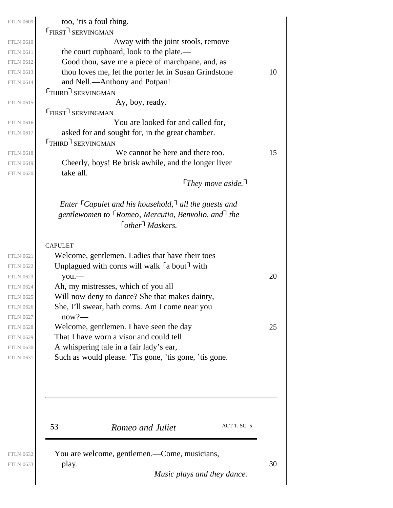| <b>FTLN 0609</b> | too, 'tis a foul thing.                                                                                                                                                                  |    |
|------------------|------------------------------------------------------------------------------------------------------------------------------------------------------------------------------------------|----|
| <b>FTLN 0610</b> | <b>FIRST</b> SERVINGMAN<br>Away with the joint stools, remove                                                                                                                            |    |
| <b>FTLN 0611</b> | the court cupboard, look to the plate.—                                                                                                                                                  |    |
| <b>FTLN 0612</b> | Good thou, save me a piece of marchpane, and, as                                                                                                                                         |    |
| <b>FTLN 0613</b> | thou loves me, let the porter let in Susan Grindstone                                                                                                                                    | 10 |
| <b>FTLN 0614</b> | and Nell.-Anthony and Potpan!                                                                                                                                                            |    |
|                  | <b>THIRD</b> SERVINGMAN                                                                                                                                                                  |    |
|                  |                                                                                                                                                                                          |    |
| <b>FTLN 0615</b> | Ay, boy, ready.                                                                                                                                                                          |    |
|                  | <b>FIRST</b> SERVINGMAN                                                                                                                                                                  |    |
| <b>FTLN 0616</b> | You are looked for and called for,                                                                                                                                                       |    |
| <b>FTLN 0617</b> | asked for and sought for, in the great chamber.                                                                                                                                          |    |
|                  | THIRD <sup>1</sup> SERVINGMAN                                                                                                                                                            |    |
| <b>FTLN 0618</b> | We cannot be here and there too.                                                                                                                                                         | 15 |
| <b>FTLN 0619</b> | Cheerly, boys! Be brisk awhile, and the longer liver                                                                                                                                     |    |
| <b>FTLN 0620</b> | take all.<br>They move aside. $\lceil$                                                                                                                                                   |    |
|                  | Enter $\lceil$ Capulet and his household, $\lceil$ all the guests and<br>gentlewomen to <sup>F</sup> Romeo, Mercutio, Benvolio, and <sup>T</sup> the<br>$\lceil$ other $\lceil$ Maskers. |    |
|                  | <b>CAPULET</b>                                                                                                                                                                           |    |
| <b>FTLN 0621</b> | Welcome, gentlemen. Ladies that have their toes                                                                                                                                          |    |
| <b>FTLN 0622</b> | Unplagued with corns will walk $\lceil a \text{ bout} \rceil$ with                                                                                                                       |    |
| <b>FTLN 0623</b> | $you$ .                                                                                                                                                                                  | 20 |
| <b>FTLN 0624</b> | Ah, my mistresses, which of you all                                                                                                                                                      |    |
| <b>FTLN 0625</b> | Will now deny to dance? She that makes dainty,                                                                                                                                           |    |
| <b>FTLN 0626</b> | She, I'll swear, hath corns. Am I come near you                                                                                                                                          |    |
| <b>FTLN 0627</b> | $now?$ —                                                                                                                                                                                 |    |
| <b>FTLN 0628</b> | Welcome, gentlemen. I have seen the day                                                                                                                                                  | 25 |
| <b>FTLN 0629</b> | That I have worn a visor and could tell                                                                                                                                                  |    |
| <b>FTLN 0630</b> | A whispering tale in a fair lady's ear,                                                                                                                                                  |    |
| <b>FTLN 0631</b> | Such as would please. 'Tis gone, 'tis gone, 'tis gone.                                                                                                                                   |    |
|                  |                                                                                                                                                                                          |    |
|                  |                                                                                                                                                                                          |    |
|                  | ACT 1. SC. 5<br>53<br>Romeo and Juliet                                                                                                                                                   |    |
|                  |                                                                                                                                                                                          |    |
| <b>FTLN 0632</b> | You are welcome, gentlemen.—Come, musicians,                                                                                                                                             |    |
| <b>FTLN 0633</b> | play.                                                                                                                                                                                    | 30 |

*Music plays and they dance.*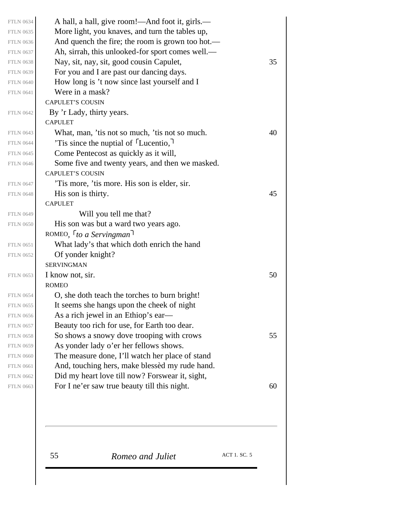| <b>FTLN 0634</b>                     | A hall, a hall, give room!—And foot it, girls.—                                                   |    |
|--------------------------------------|---------------------------------------------------------------------------------------------------|----|
| <b>FTLN 0635</b>                     | More light, you knaves, and turn the tables up,                                                   |    |
| <b>FTLN 0636</b>                     | And quench the fire; the room is grown too hot.—                                                  |    |
| <b>FTLN 0637</b>                     | Ah, sirrah, this unlooked-for sport comes well.—                                                  |    |
| <b>FTLN 0638</b>                     | Nay, sit, nay, sit, good cousin Capulet,                                                          | 35 |
| <b>FTLN 0639</b>                     | For you and I are past our dancing days.                                                          |    |
| <b>FTLN 0640</b>                     | How long is 't now since last yourself and I                                                      |    |
| <b>FTLN 0641</b>                     | Were in a mask?                                                                                   |    |
|                                      | <b>CAPULET'S COUSIN</b>                                                                           |    |
| <b>FTLN 0642</b>                     | By 'r Lady, thirty years.                                                                         |    |
|                                      | <b>CAPULET</b>                                                                                    |    |
| <b>FTLN 0643</b>                     | What, man, 'tis not so much, 'tis not so much.                                                    | 40 |
| <b>FTLN 0644</b>                     | Tis since the nuptial of [Lucentio,]                                                              |    |
| <b>FTLN 0645</b>                     | Come Pentecost as quickly as it will,                                                             |    |
| <b>FTLN 0646</b>                     | Some five and twenty years, and then we masked.                                                   |    |
|                                      | <b>CAPULET'S COUSIN</b>                                                                           |    |
| <b>FTLN 0647</b>                     | 'Tis more, 'tis more. His son is elder, sir.                                                      |    |
| <b>FTLN 0648</b>                     | His son is thirty.                                                                                | 45 |
|                                      | <b>CAPULET</b>                                                                                    |    |
| <b>FTLN 0649</b>                     | Will you tell me that?                                                                            |    |
| <b>FTLN 0650</b>                     | His son was but a ward two years ago.                                                             |    |
|                                      | ROMEO, $\lceil$ to a Servingman <sup>1</sup>                                                      |    |
| <b>FTLN 0651</b>                     | What lady's that which doth enrich the hand                                                       |    |
| <b>FTLN 0652</b>                     | Of yonder knight?                                                                                 |    |
|                                      | <b>SERVINGMAN</b>                                                                                 |    |
| <b>FTLN 0653</b>                     | I know not, sir.                                                                                  | 50 |
|                                      | <b>ROMEO</b>                                                                                      |    |
| <b>FTLN 0654</b>                     | O, she doth teach the torches to burn bright!                                                     |    |
| <b>FTLN 0655</b>                     | It seems she hangs upon the cheek of night                                                        |    |
| <b>FTLN 0656</b>                     | As a rich jewel in an Ethiop's ear-                                                               |    |
| <b>FTLN 0657</b>                     | Beauty too rich for use, for Earth too dear.                                                      |    |
| <b>FTLN 0658</b>                     | So shows a snowy dove trooping with crows                                                         | 55 |
| <b>FTLN 0659</b>                     | As yonder lady o'er her fellows shows.                                                            |    |
| <b>FTLN 0660</b><br><b>FTLN 0661</b> | The measure done, I'll watch her place of stand<br>And, touching hers, make blessed my rude hand. |    |
| <b>FTLN 0662</b>                     | Did my heart love till now? For swear it, sight,                                                  |    |
| <b>FTLN 0663</b>                     |                                                                                                   | 60 |
|                                      | For I ne'er saw true beauty till this night.                                                      |    |
|                                      |                                                                                                   |    |
|                                      |                                                                                                   |    |
|                                      |                                                                                                   |    |
|                                      |                                                                                                   |    |
|                                      |                                                                                                   |    |

55 *Romeo and Juliet* ACT 1. SC. 5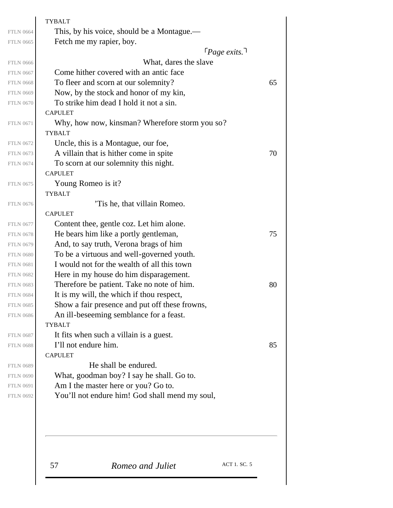|                  | <b>TYBALT</b>                                  |    |
|------------------|------------------------------------------------|----|
| <b>FTLN 0664</b> | This, by his voice, should be a Montague.—     |    |
| <b>FTLN 0665</b> | Fetch me my rapier, boy.                       |    |
|                  | $\lceil \textit{Page exists.} \rceil$          |    |
| <b>FTLN 0666</b> | What, dares the slave                          |    |
| <b>FTLN 0667</b> | Come hither covered with an antic face         |    |
| <b>FTLN 0668</b> | To fleer and scorn at our solemnity?           | 65 |
| <b>FTLN 0669</b> | Now, by the stock and honor of my kin,         |    |
| <b>FTLN 0670</b> | To strike him dead I hold it not a sin.        |    |
|                  | <b>CAPULET</b>                                 |    |
| <b>FTLN 0671</b> | Why, how now, kinsman? Wherefore storm you so? |    |
|                  | <b>TYBALT</b>                                  |    |
| <b>FTLN 0672</b> | Uncle, this is a Montague, our foe,            |    |
| <b>FTLN 0673</b> | A villain that is hither come in spite         | 70 |
| <b>FTLN 0674</b> | To scorn at our solemnity this night.          |    |
|                  | <b>CAPULET</b>                                 |    |
| <b>FTLN 0675</b> | Young Romeo is it?                             |    |
|                  | <b>TYBALT</b>                                  |    |
| <b>FTLN 0676</b> | Tis he, that villain Romeo.                    |    |
|                  | <b>CAPULET</b>                                 |    |
| <b>FTLN 0677</b> | Content thee, gentle coz. Let him alone.       |    |
| <b>FTLN 0678</b> | He bears him like a portly gentleman,          | 75 |
| <b>FTLN 0679</b> | And, to say truth, Verona brags of him         |    |
| <b>FTLN 0680</b> | To be a virtuous and well-governed youth.      |    |
| <b>FTLN 0681</b> | I would not for the wealth of all this town    |    |
| <b>FTLN 0682</b> | Here in my house do him disparagement.         |    |
| <b>FTLN 0683</b> | Therefore be patient. Take no note of him.     | 80 |
| <b>FTLN 0684</b> | It is my will, the which if thou respect,      |    |
| <b>FTLN 0685</b> | Show a fair presence and put off these frowns, |    |
| <b>FTLN 0686</b> | An ill-beseeming semblance for a feast.        |    |
|                  | <b>TYBALT</b>                                  |    |
| <b>FTLN 0687</b> | It fits when such a villain is a guest.        |    |
| <b>FTLN 0688</b> | I'll not endure him.                           | 85 |
|                  | <b>CAPULET</b>                                 |    |
| <b>FTLN 0689</b> | He shall be endured.                           |    |
| <b>FTLN 0690</b> | What, goodman boy? I say he shall. Go to.      |    |
| <b>FTLN 0691</b> | Am I the master here or you? Go to.            |    |
| <b>FTLN 0692</b> | You'll not endure him! God shall mend my soul, |    |
|                  |                                                |    |
|                  |                                                |    |
|                  |                                                |    |
|                  |                                                |    |
|                  |                                                |    |
|                  | <b>ACT 1. SC. 5</b>                            |    |
|                  | 57<br>Romeo and Juliet                         |    |
|                  |                                                |    |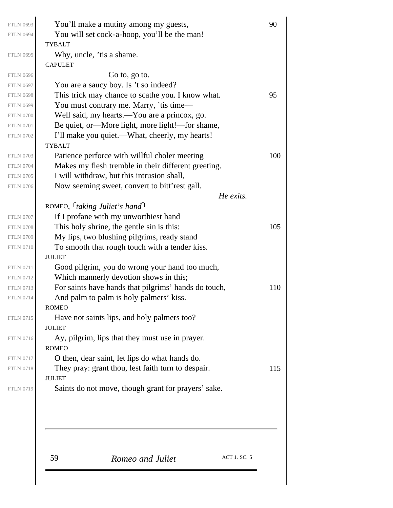|                                      | ACT 1. SC. 5<br>59<br>Romeo and Juliet                                                          |     |
|--------------------------------------|-------------------------------------------------------------------------------------------------|-----|
|                                      |                                                                                                 |     |
|                                      |                                                                                                 |     |
| <b>FTLN 0719</b>                     | <b>JULIET</b><br>Saints do not move, though grant for prayers' sake.                            |     |
| <b>FTLN 0718</b>                     | They pray: grant thou, lest faith turn to despair.                                              | 115 |
| <b>FTLN 0717</b>                     | O then, dear saint, let lips do what hands do.                                                  |     |
|                                      | <b>ROMEO</b>                                                                                    |     |
| <b>FTLN 0716</b>                     | Ay, pilgrim, lips that they must use in prayer.                                                 |     |
|                                      | <b>JULIET</b>                                                                                   |     |
| <b>FTLN 0715</b>                     | Have not saints lips, and holy palmers too?                                                     |     |
|                                      | <b>ROMEO</b>                                                                                    |     |
| <b>FTLN 0713</b><br><b>FTLN 0714</b> | For saints have hands that pilgrims' hands do touch,<br>And palm to palm is holy palmers' kiss. | 110 |
| <b>FTLN 0712</b>                     | Which mannerly devotion shows in this;                                                          |     |
| <b>FTLN 0711</b>                     | Good pilgrim, you do wrong your hand too much,                                                  |     |
|                                      | <b>JULIET</b>                                                                                   |     |
| <b>FTLN 0710</b>                     | To smooth that rough touch with a tender kiss.                                                  |     |
| <b>FTLN 0709</b>                     | My lips, two blushing pilgrims, ready stand                                                     |     |
| <b>FTLN 0708</b>                     | This holy shrine, the gentle sin is this:                                                       | 105 |
| <b>FTLN 0707</b>                     | If I profane with my unworthiest hand                                                           |     |
|                                      | ROMEO, $\lceil$ taking Juliet's hand                                                            |     |
|                                      | He exits.                                                                                       |     |
| <b>FTLN 0706</b>                     | Now seeming sweet, convert to bitt'rest gall.                                                   |     |
| <b>FTLN 0705</b>                     | I will withdraw, but this intrusion shall,                                                      |     |
| <b>FTLN 0704</b>                     | Makes my flesh tremble in their different greeting.                                             |     |
| <b>FTLN 0703</b>                     | Patience perforce with willful choler meeting                                                   | 100 |
| <b>FTLN 0702</b>                     | I'll make you quiet.—What, cheerly, my hearts!<br><b>TYBALT</b>                                 |     |
| <b>FTLN 0701</b>                     | Be quiet, or—More light, more light!—for shame,                                                 |     |
| <b>FTLN 0700</b>                     | Well said, my hearts.—You are a princox, go.                                                    |     |
| <b>FTLN 0699</b>                     | You must contrary me. Marry, 'tis time—                                                         |     |
| <b>FTLN 0698</b>                     | This trick may chance to scathe you. I know what.                                               | 95  |
| <b>FTLN 0697</b>                     | You are a saucy boy. Is 't so indeed?                                                           |     |
| <b>FTLN 0696</b>                     | Go to, go to.                                                                                   |     |
|                                      | <b>CAPULET</b>                                                                                  |     |
| <b>FTLN 0695</b>                     | Why, uncle, 'tis a shame.                                                                       |     |
| <b>FTLN 0694</b>                     | You will set cock-a-hoop, you'll be the man!<br><b>TYBALT</b>                                   |     |
|                                      |                                                                                                 |     |

 $\begin{array}{c} \end{array}$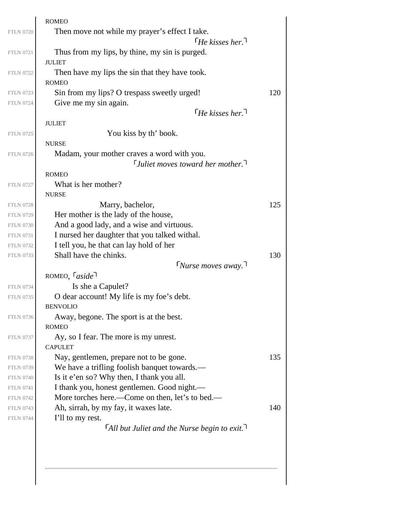|                                      | <b>ROMEO</b>                                                                      |     |
|--------------------------------------|-----------------------------------------------------------------------------------|-----|
| <b>FTLN 0720</b>                     | Then move not while my prayer's effect I take.                                    |     |
|                                      | $\lceil$ He kisses her. $\lceil$                                                  |     |
| <b>FTLN 0721</b>                     | Thus from my lips, by thine, my sin is purged.                                    |     |
|                                      | <b>JULIET</b>                                                                     |     |
| <b>FTLN 0722</b>                     | Then have my lips the sin that they have took.                                    |     |
|                                      | <b>ROMEO</b>                                                                      |     |
| <b>FTLN 0723</b>                     | Sin from my lips? O trespass sweetly urged!                                       | 120 |
| <b>FTLN 0724</b>                     | Give me my sin again.                                                             |     |
|                                      | $\lceil$ He kisses her.                                                           |     |
|                                      | <b>JULIET</b>                                                                     |     |
| <b>FTLN 0725</b>                     | You kiss by th' book.                                                             |     |
|                                      | <b>NURSE</b>                                                                      |     |
| <b>FTLN 0726</b>                     | Madam, your mother craves a word with you.                                        |     |
|                                      | $\lceil$ Juliet moves toward her mother.                                          |     |
|                                      | <b>ROMEO</b>                                                                      |     |
| <b>FTLN 0727</b>                     | What is her mother?                                                               |     |
|                                      | <b>NURSE</b>                                                                      |     |
| <b>FTLN 0728</b>                     | Marry, bachelor,                                                                  | 125 |
| <b>FTLN 0729</b><br><b>FTLN 0730</b> | Her mother is the lady of the house,<br>And a good lady, and a wise and virtuous. |     |
| <b>FTLN 0731</b>                     | I nursed her daughter that you talked withal.                                     |     |
| <b>FTLN 0732</b>                     | I tell you, he that can lay hold of her                                           |     |
| <b>FTLN 0733</b>                     | Shall have the chinks.                                                            | 130 |
|                                      | $\lceil$ Nurse moves away. $\lceil$                                               |     |
|                                      | ROMEO, $\lceil \text{aside} \rceil$                                               |     |
| <b>FTLN 0734</b>                     | Is she a Capulet?                                                                 |     |
| <b>FTLN 0735</b>                     | O dear account! My life is my foe's debt.                                         |     |
|                                      | <b>BENVOLIO</b>                                                                   |     |
| <b>FTLN 0736</b>                     | Away, begone. The sport is at the best.                                           |     |
|                                      | <b>ROMEO</b>                                                                      |     |
| <b>FTLN 0737</b>                     | Ay, so I fear. The more is my unrest.                                             |     |
|                                      | <b>CAPULET</b>                                                                    |     |
| <b>FTLN 0738</b>                     | Nay, gentlemen, prepare not to be gone.                                           | 135 |
| <b>FTLN 0739</b>                     | We have a trifling foolish banquet towards.-                                      |     |
| <b>FTLN 0740</b>                     | Is it e'en so? Why then, I thank you all.                                         |     |
| <b>FTLN 0741</b>                     | I thank you, honest gentlemen. Good night.-                                       |     |
| <b>FTLN 0742</b>                     | More torches here.—Come on then, let's to bed.—                                   |     |
| <b>FTLN 0743</b>                     | Ah, sirrah, by my fay, it waxes late.                                             | 140 |
| <b>FTLN 0744</b>                     | I'll to my rest.                                                                  |     |
|                                      | $\lceil$ All but Juliet and the Nurse begin to exit.                              |     |
|                                      |                                                                                   |     |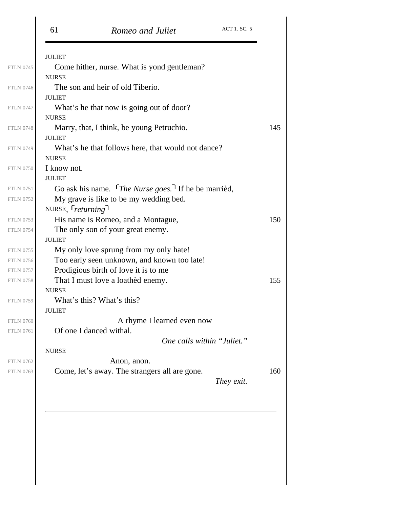| 61                      | Romeo and Juliet                                                | ACT 1. SC. 5               |
|-------------------------|-----------------------------------------------------------------|----------------------------|
| <b>JULIET</b>           |                                                                 |                            |
|                         | Come hither, nurse. What is yond gentleman?                     |                            |
| <b>NURSE</b>            |                                                                 |                            |
|                         | The son and heir of old Tiberio.                                |                            |
| <b>JULIET</b>           |                                                                 |                            |
|                         | What's he that now is going out of door?                        |                            |
| <b>NURSE</b>            |                                                                 |                            |
| <b>JULIET</b>           | Marry, that, I think, be young Petruchio.                       |                            |
|                         | What's he that follows here, that would not dance?              |                            |
| <b>NURSE</b>            |                                                                 |                            |
| I know not.             |                                                                 |                            |
| <b>JULIET</b>           |                                                                 |                            |
|                         | Go ask his name. The Nurse goes. <sup>7</sup> If he be married, |                            |
|                         | My grave is like to be my wedding bed.                          |                            |
| NURSE, <i>returning</i> |                                                                 |                            |
|                         | His name is Romeo, and a Montague,                              |                            |
|                         | The only son of your great enemy.                               |                            |
| <b>JULIET</b>           |                                                                 |                            |
|                         | My only love sprung from my only hate!                          |                            |
|                         | Too early seen unknown, and known too late!                     |                            |
|                         | Prodigious birth of love it is to me                            |                            |
| <b>NURSE</b>            | That I must love a loathed enemy.                               |                            |
|                         | What's this? What's this?                                       |                            |
| <b>JULIET</b>           |                                                                 |                            |
|                         | A rhyme I learned even now                                      |                            |
| Of one I danced withal. |                                                                 |                            |
|                         |                                                                 | One calls within "Juliet." |
| <b>NURSE</b>            |                                                                 |                            |
|                         | Anon, anon.                                                     |                            |
|                         | Come, let's away. The strangers all are gone.                   |                            |
|                         |                                                                 | They exit.                 |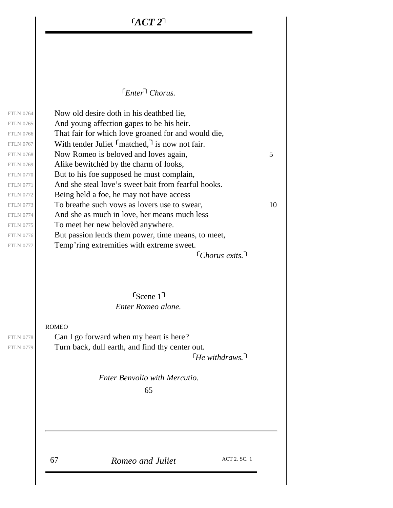$ACT$   $2^1$ 

#### *Enter Chorus.*

<span id="page-35-0"></span>*Chorus exits.* Now old desire doth in his deathbed lie, And young affection gapes to be his heir. That fair for which love groaned for and would die, With tender Juliet  $\lceil$  matched,  $\rceil$  is now not fair. FTLN 0768  $\vert$  Now Romeo is beloved and loves again, 5 Alike bewitchèd by the charm of looks, But to his foe supposed he must complain, And she steal love's sweet bait from fearful hooks. Being held a foe, he may not have access FTLN 0773 To breathe such vows as lovers use to swear,  $10$ And she as much in love, her means much less To meet her new belovèd anywhere. But passion lends them power, time means, to meet, Temp'ring extremities with extreme sweet.

> *Enter Romeo alone.* Scene 1

ROMEO

*He withdraws.* Can I go forward when my heart is here? Turn back, dull earth, and find thy center out.

> *Enter Benvolio with Mercutio.* 65

<span id="page-35-1"></span>FTLN 0778 FTLN 0779

FTLN 0764 FTLN 0765 FTLN 0766 FTLN 0767

FTLN 0769 FTLN 0770 FTLN 0771 FTLN 0772

FTLN 0774 FTLN 0775 FTLN 0776 FTLN 0777

67 *Romeo and Juliet* ACT 2. SC. 1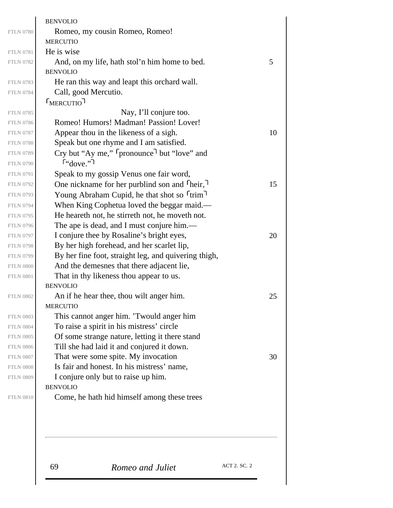|                                      | 69<br>Romeo and Juliet                                                                        | ACT 2. SC. 2 |    |
|--------------------------------------|-----------------------------------------------------------------------------------------------|--------------|----|
|                                      |                                                                                               |              |    |
|                                      |                                                                                               |              |    |
| <b>FTLN 0810</b>                     | Come, he hath hid himself among these trees                                                   |              |    |
|                                      | <b>BENVOLIO</b>                                                                               |              |    |
| <b>FTLN 0809</b>                     | I conjure only but to raise up him.                                                           |              |    |
| <b>FTLN 0808</b>                     | Is fair and honest. In his mistress' name,                                                    |              |    |
| <b>FTLN 0807</b>                     | That were some spite. My invocation                                                           |              | 30 |
| <b>FTLN 0806</b>                     | Till she had laid it and conjured it down.                                                    |              |    |
| <b>FTLN 0805</b>                     | Of some strange nature, letting it there stand                                                |              |    |
| <b>FTLN 0804</b>                     | To raise a spirit in his mistress' circle                                                     |              |    |
| <b>FTLN 0803</b>                     | This cannot anger him. 'Twould anger him                                                      |              |    |
| <b>FTLN 0802</b>                     | An if he hear thee, thou wilt anger him.<br><b>MERCUTIO</b>                                   |              | 25 |
|                                      | <b>BENVOLIO</b>                                                                               |              |    |
| <b>FTLN 0801</b>                     | That in thy likeness thou appear to us.                                                       |              |    |
| <b>FTLN 0800</b>                     | And the demesnes that there adjacent lie,                                                     |              |    |
| <b>FTLN 0799</b>                     | By her fine foot, straight leg, and quivering thigh,                                          |              |    |
| <b>FTLN 0798</b>                     | By her high forehead, and her scarlet lip,                                                    |              |    |
| <b>FTLN 0797</b>                     | I conjure thee by Rosaline's bright eyes,                                                     |              | 20 |
| <b>FTLN 0796</b>                     | The ape is dead, and I must conjure him.—                                                     |              |    |
| <b>FTLN 0794</b><br><b>FTLN 0795</b> | When King Cophetua loved the beggar maid.—<br>He heareth not, he stirreth not, he moveth not. |              |    |
| <b>FTLN 0793</b>                     | Young Abraham Cupid, he that shot so <sup>r</sup> trim <sup>1</sup>                           |              |    |
| <b>FTLN 0792</b>                     | One nickname for her purblind son and <sup>T</sup> heir,                                      |              | 15 |
| <b>FTLN 0791</b>                     | Speak to my gossip Venus one fair word,                                                       |              |    |
| <b>FTLN 0790</b>                     | $f''$ <sub>dove.</sub> "                                                                      |              |    |
| <b>FTLN 0789</b>                     | Cry but "Ay me," [pronounce] but "love" and                                                   |              |    |
| <b>FTLN 0788</b>                     | Speak but one rhyme and I am satisfied.                                                       |              |    |
| <b>FTLN 0787</b>                     | Appear thou in the likeness of a sigh.                                                        |              | 10 |
| <b>FTLN 0786</b>                     | Romeo! Humors! Madman! Passion! Lover!                                                        |              |    |
| <b>FTLN 0785</b>                     | Nay, I'll conjure too.                                                                        |              |    |
|                                      | <b>FMERCUTIO</b>                                                                              |              |    |
| <b>FTLN 0784</b>                     | Call, good Mercutio.                                                                          |              |    |
| <b>FTLN 0783</b>                     | He ran this way and leapt this orchard wall.                                                  |              |    |
|                                      | <b>BENVOLIO</b>                                                                               |              |    |
| <b>FTLN 0782</b>                     | And, on my life, hath stol'n him home to bed.                                                 |              | 5  |
| <b>FTLN 0781</b>                     | <b>MERCUTIO</b><br>He is wise                                                                 |              |    |
| <b>FTLN 0780</b>                     | Romeo, my cousin Romeo, Romeo!                                                                |              |    |
|                                      | <b>BENVOLIO</b>                                                                               |              |    |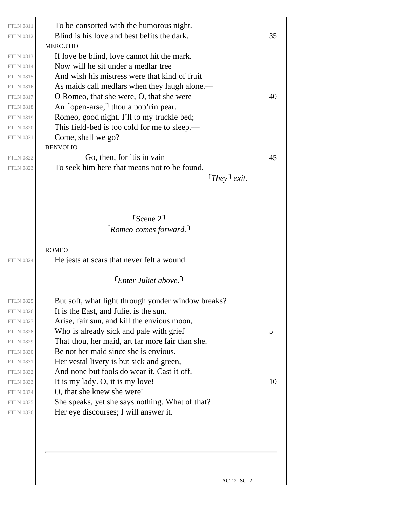| <b>FTLN 0811</b> | To be consorted with the humorous night.                 |    |
|------------------|----------------------------------------------------------|----|
| <b>FTLN 0812</b> | Blind is his love and best befits the dark.              | 35 |
|                  | <b>MERCUTIO</b>                                          |    |
| <b>FTLN 0813</b> | If love be blind, love cannot hit the mark.              |    |
| <b>FTLN 0814</b> | Now will he sit under a medlar tree                      |    |
| <b>FTLN 0815</b> | And wish his mistress were that kind of fruit            |    |
| <b>FTLN 0816</b> | As maids call medlars when they laugh alone.—            |    |
| <b>FTLN 0817</b> | O Romeo, that she were, O, that she were                 | 40 |
| <b>FTLN 0818</b> | An $\lceil \text{open-arse} \rceil$ thou a pop'rin pear. |    |
| <b>FTLN 0819</b> | Romeo, good night. I'll to my truckle bed;               |    |
| <b>FTLN 0820</b> | This field-bed is too cold for me to sleep.—             |    |
| <b>FTLN 0821</b> | Come, shall we go?                                       |    |
|                  | <b>BENVOLIO</b>                                          |    |
| <b>FTLN 0822</b> | Go, then, for 'tis in vain                               | 45 |
| <b>FTLN 0823</b> | To seek him here that means not to be found.             |    |
|                  | $[They]$ exit.                                           |    |
|                  |                                                          |    |
|                  |                                                          |    |
|                  | $r_{\text{Scene}}$ 2                                     |    |
|                  | $\lceil$ Romeo comes forward.                            |    |
|                  |                                                          |    |
|                  | <b>ROMEO</b>                                             |    |
| <b>FTLN 0824</b> | He jests at scars that never felt a wound.               |    |
|                  | $[Enter\,$ Juliet above. $]$                             |    |
|                  |                                                          |    |
| <b>FTLN 0825</b> | But soft, what light through yonder window breaks?       |    |
| <b>FTLN 0826</b> | It is the East, and Juliet is the sun.                   |    |
| <b>FTLN 0827</b> | Arise, fair sun, and kill the envious moon,              |    |
| <b>FTLN 0828</b> | Who is already sick and pale with grief                  | 5  |
| <b>FTLN 0829</b> | That thou, her maid, art far more fair than she.         |    |
| <b>FTLN 0830</b> | Be not her maid since she is envious.                    |    |
| <b>FTLN 0831</b> | Her vestal livery is but sick and green,                 |    |
| <b>FTLN 0832</b> | And none but fools do wear it. Cast it off.              |    |
| <b>FTLN 0833</b> | It is my lady. O, it is my love!                         | 10 |
| <b>FTLN 0834</b> | O, that she knew she were!                               |    |
| <b>FTLN 0835</b> | She speaks, yet she says nothing. What of that?          |    |
| <b>FTLN 0836</b> | Her eye discourses; I will answer it.                    |    |
|                  |                                                          |    |
|                  |                                                          |    |
|                  |                                                          |    |
|                  |                                                          |    |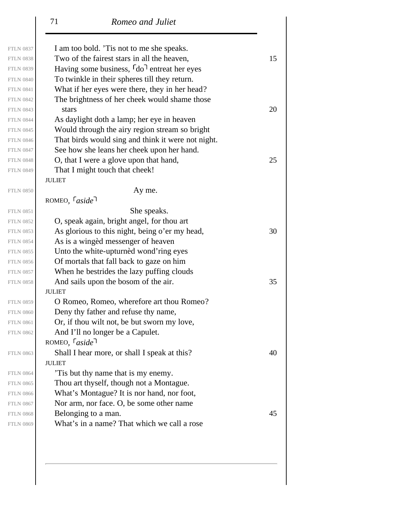| I am too bold. 'Tis not to me she speaks.<br>Two of the fairest stars in all the heaven, |                                                                                                                                                                                                                                                                                                                                                                                                                                                                                                                |
|------------------------------------------------------------------------------------------|----------------------------------------------------------------------------------------------------------------------------------------------------------------------------------------------------------------------------------------------------------------------------------------------------------------------------------------------------------------------------------------------------------------------------------------------------------------------------------------------------------------|
|                                                                                          |                                                                                                                                                                                                                                                                                                                                                                                                                                                                                                                |
|                                                                                          | 15                                                                                                                                                                                                                                                                                                                                                                                                                                                                                                             |
| Having some business, <sup>[do]</sup> entreat her eyes                                   |                                                                                                                                                                                                                                                                                                                                                                                                                                                                                                                |
| To twinkle in their spheres till they return.                                            |                                                                                                                                                                                                                                                                                                                                                                                                                                                                                                                |
| What if her eyes were there, they in her head?                                           |                                                                                                                                                                                                                                                                                                                                                                                                                                                                                                                |
| The brightness of her cheek would shame those                                            |                                                                                                                                                                                                                                                                                                                                                                                                                                                                                                                |
| stars                                                                                    | 20                                                                                                                                                                                                                                                                                                                                                                                                                                                                                                             |
| As daylight doth a lamp; her eye in heaven                                               |                                                                                                                                                                                                                                                                                                                                                                                                                                                                                                                |
| Would through the airy region stream so bright                                           |                                                                                                                                                                                                                                                                                                                                                                                                                                                                                                                |
| That birds would sing and think it were not night.                                       |                                                                                                                                                                                                                                                                                                                                                                                                                                                                                                                |
| See how she leans her cheek upon her hand.                                               |                                                                                                                                                                                                                                                                                                                                                                                                                                                                                                                |
| O, that I were a glove upon that hand,                                                   | 25                                                                                                                                                                                                                                                                                                                                                                                                                                                                                                             |
| That I might touch that cheek!                                                           |                                                                                                                                                                                                                                                                                                                                                                                                                                                                                                                |
| <b>JULIET</b>                                                                            |                                                                                                                                                                                                                                                                                                                                                                                                                                                                                                                |
| Ay me.                                                                                   |                                                                                                                                                                                                                                                                                                                                                                                                                                                                                                                |
| ROMEO, $\lceil \text{aside} \rceil$                                                      |                                                                                                                                                                                                                                                                                                                                                                                                                                                                                                                |
| She speaks.                                                                              |                                                                                                                                                                                                                                                                                                                                                                                                                                                                                                                |
| O, speak again, bright angel, for thou art                                               |                                                                                                                                                                                                                                                                                                                                                                                                                                                                                                                |
| As glorious to this night, being o'er my head,                                           | 30                                                                                                                                                                                                                                                                                                                                                                                                                                                                                                             |
| As is a winged messenger of heaven                                                       |                                                                                                                                                                                                                                                                                                                                                                                                                                                                                                                |
| Unto the white-upturned wond'ring eyes                                                   |                                                                                                                                                                                                                                                                                                                                                                                                                                                                                                                |
| Of mortals that fall back to gaze on him                                                 |                                                                                                                                                                                                                                                                                                                                                                                                                                                                                                                |
| When he bestrides the lazy puffing clouds                                                |                                                                                                                                                                                                                                                                                                                                                                                                                                                                                                                |
| And sails upon the bosom of the air.                                                     | 35                                                                                                                                                                                                                                                                                                                                                                                                                                                                                                             |
| <b>JULIET</b>                                                                            |                                                                                                                                                                                                                                                                                                                                                                                                                                                                                                                |
|                                                                                          |                                                                                                                                                                                                                                                                                                                                                                                                                                                                                                                |
|                                                                                          |                                                                                                                                                                                                                                                                                                                                                                                                                                                                                                                |
|                                                                                          |                                                                                                                                                                                                                                                                                                                                                                                                                                                                                                                |
|                                                                                          |                                                                                                                                                                                                                                                                                                                                                                                                                                                                                                                |
|                                                                                          |                                                                                                                                                                                                                                                                                                                                                                                                                                                                                                                |
|                                                                                          | 40                                                                                                                                                                                                                                                                                                                                                                                                                                                                                                             |
| <b>JULIET</b>                                                                            |                                                                                                                                                                                                                                                                                                                                                                                                                                                                                                                |
|                                                                                          |                                                                                                                                                                                                                                                                                                                                                                                                                                                                                                                |
|                                                                                          |                                                                                                                                                                                                                                                                                                                                                                                                                                                                                                                |
|                                                                                          |                                                                                                                                                                                                                                                                                                                                                                                                                                                                                                                |
|                                                                                          |                                                                                                                                                                                                                                                                                                                                                                                                                                                                                                                |
|                                                                                          | 45                                                                                                                                                                                                                                                                                                                                                                                                                                                                                                             |
|                                                                                          |                                                                                                                                                                                                                                                                                                                                                                                                                                                                                                                |
|                                                                                          | O Romeo, Romeo, wherefore art thou Romeo?<br>Deny thy father and refuse thy name,<br>Or, if thou wilt not, be but sworn my love,<br>And I'll no longer be a Capulet.<br>ROMEO, $\lceil \text{aside} \rceil$<br>Shall I hear more, or shall I speak at this?<br>This but thy name that is my enemy.<br>Thou art thyself, though not a Montague.<br>What's Montague? It is nor hand, nor foot,<br>Nor arm, nor face. O, be some other name<br>Belonging to a man.<br>What's in a name? That which we call a rose |

FTLN 0837

FTLN 0839 FTLN 0840 FTLN 0841 FTLN 0842

FTLN 0844 FTLN 0845 FTLN 0846 FTLN 0847

FTLN 0850

FTLN 0851 FTLN 0852

FTLN 0854 FTLN 0855 FTLN 0856 FTLN 0857

FTLN 0859 FTLN 0860 FTLN 0861 FTLN 0862

FTLN 0864 FTLN 0865 FTLN 0866 FTLN 0867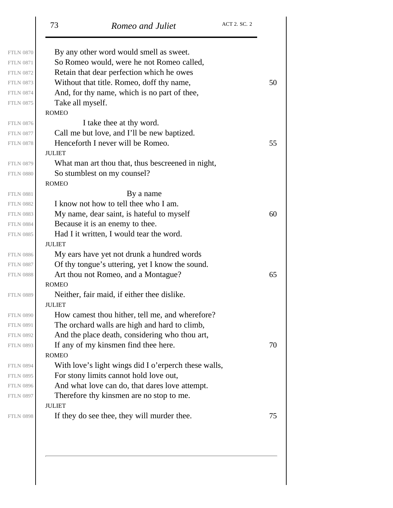| <b>FTLN 0870</b> | By any other word would smell as sweet.              |    |
|------------------|------------------------------------------------------|----|
| <b>FTLN 0871</b> | So Romeo would, were he not Romeo called,            |    |
| <b>FTLN 0872</b> | Retain that dear perfection which he owes            |    |
| <b>FTLN 0873</b> | Without that title. Romeo, doff thy name,            | 50 |
| <b>FTLN 0874</b> | And, for thy name, which is no part of thee,         |    |
| <b>FTLN 0875</b> | Take all myself.                                     |    |
|                  | <b>ROMEO</b>                                         |    |
| <b>FTLN 0876</b> | I take thee at thy word.                             |    |
| <b>FTLN 0877</b> | Call me but love, and I'll be new baptized.          |    |
| <b>FTLN 0878</b> | Henceforth I never will be Romeo.                    | 55 |
|                  | <b>JULIET</b>                                        |    |
| <b>FTLN 0879</b> | What man art thou that, thus bescreened in night,    |    |
| <b>FTLN 0880</b> | So stumblest on my counsel?                          |    |
|                  | <b>ROMEO</b>                                         |    |
| <b>FTLN 0881</b> | By a name                                            |    |
| <b>FTLN 0882</b> | I know not how to tell thee who I am.                |    |
| <b>FTLN 0883</b> | My name, dear saint, is hateful to myself            | 60 |
| <b>FTLN 0884</b> | Because it is an enemy to thee.                      |    |
| <b>FTLN 0885</b> | Had I it written, I would tear the word.             |    |
|                  | <b>JULIET</b>                                        |    |
| <b>FTLN 0886</b> | My ears have yet not drunk a hundred words           |    |
| <b>FTLN 0887</b> | Of thy tongue's uttering, yet I know the sound.      |    |
| <b>FTLN 0888</b> | Art thou not Romeo, and a Montague?                  | 65 |
|                  | <b>ROMEO</b>                                         |    |
| <b>FTLN 0889</b> | Neither, fair maid, if either thee dislike.          |    |
|                  | <b>JULIET</b>                                        |    |
| <b>FTLN 0890</b> | How camest thou hither, tell me, and wherefore?      |    |
| <b>FTLN 0891</b> | The orchard walls are high and hard to climb,        |    |
| <b>FTLN 0892</b> | And the place death, considering who thou art,       |    |
| <b>FTLN 0893</b> | If any of my kinsmen find thee here.                 | 70 |
|                  | <b>ROMEO</b>                                         |    |
| <b>FTLN 0894</b> | With love's light wings did I o'erperch these walls, |    |
| <b>FTLN 0895</b> | For stony limits cannot hold love out,               |    |
| <b>FTLN 0896</b> | And what love can do, that dares love attempt.       |    |
| <b>FTLN 0897</b> | Therefore thy kinsmen are no stop to me.             |    |
|                  | <b>JULIET</b>                                        |    |
| <b>FTLN 0898</b> | If they do see thee, they will murder thee.          | 75 |

FTLN 0870 FTLN 0871 FTLN 0872

FTLN 0874 FTLN 0875

FTLN 0876 FTLN 0877

FTLN 0879 FTLN 0880

FTLN 0881 FTLN 0882

FTLN 0884 FTLN 0885

FTLN 0886 FTLN 0887

FTLN 0889

FTLN 0890 FTLN 0891 FTLN 0892

FTLN 0894 FTLN 0895 FTLN 0896 FTLN 0897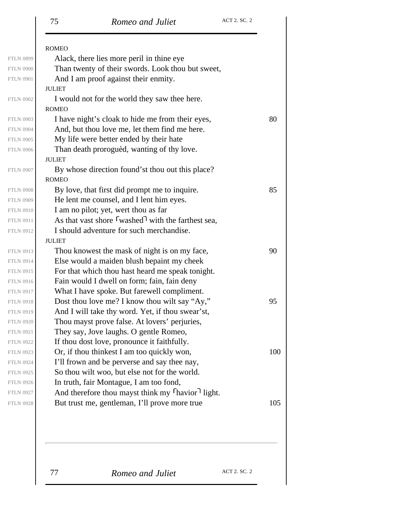|                  | <b>ROMEO</b>                                                 |     |
|------------------|--------------------------------------------------------------|-----|
| <b>FTLN 0899</b> | Alack, there lies more peril in thine eye                    |     |
| <b>FTLN 0900</b> | Than twenty of their swords. Look thou but sweet,            |     |
| <b>FTLN 0901</b> | And I am proof against their enmity.                         |     |
|                  | <b>JULIET</b>                                                |     |
| <b>FTLN 0902</b> | I would not for the world they saw thee here.                |     |
|                  | <b>ROMEO</b>                                                 |     |
| <b>FTLN 0903</b> | I have night's cloak to hide me from their eyes,             | 80  |
| <b>FTLN 0904</b> | And, but thou love me, let them find me here.                |     |
| <b>FTLN 0905</b> | My life were better ended by their hate                      |     |
| <b>FTLN 0906</b> | Than death prorogued, wanting of thy love.                   |     |
|                  | <b>JULIET</b>                                                |     |
| <b>FTLN 0907</b> | By whose direction found'st thou out this place?             |     |
|                  | <b>ROMEO</b>                                                 |     |
| <b>FTLN 0908</b> | By love, that first did prompt me to inquire.                | 85  |
| <b>FTLN 0909</b> | He lent me counsel, and I lent him eyes.                     |     |
| <b>FTLN 0910</b> | I am no pilot; yet, wert thou as far                         |     |
| <b>FTLN 0911</b> | As that vast shore $\lceil$ washed with the farthest sea,    |     |
| <b>FTLN 0912</b> | I should adventure for such merchandise.                     |     |
|                  | <b>JULIET</b>                                                |     |
| <b>FTLN 0913</b> | Thou knowest the mask of night is on my face,                | 90  |
| <b>FTLN 0914</b> | Else would a maiden blush bepaint my cheek                   |     |
| <b>FTLN 0915</b> | For that which thou hast heard me speak tonight.             |     |
| <b>FTLN 0916</b> | Fain would I dwell on form; fain, fain deny                  |     |
| <b>FTLN 0917</b> | What I have spoke. But farewell compliment.                  |     |
| <b>FTLN 0918</b> | Dost thou love me? I know thou wilt say "Ay,"                | 95  |
| <b>FTLN 0919</b> | And I will take thy word. Yet, if thou swear'st,             |     |
| <b>FTLN 0920</b> | Thou mayst prove false. At lovers' perjuries,                |     |
| <b>FTLN 0921</b> | They say, Jove laughs. O gentle Romeo,                       |     |
| <b>FTLN 0922</b> | If thou dost love, pronounce it faithfully.                  |     |
| <b>FTLN 0923</b> | Or, if thou thinkest I am too quickly won,                   | 100 |
| <b>FTLN 0924</b> | I'll frown and be perverse and say thee nay,                 |     |
| <b>FTLN 0925</b> | So thou wilt woo, but else not for the world.                |     |
| <b>FTLN 0926</b> | In truth, fair Montague, I am too fond,                      |     |
| <b>FTLN 0927</b> | And therefore thou mayst think my <sup>[havior]</sup> light. |     |
| <b>FTLN 0928</b> | But trust me, gentleman, I'll prove more true                | 105 |
|                  |                                                              |     |

77 **Romeo and Juliet** ACT 2. SC. 2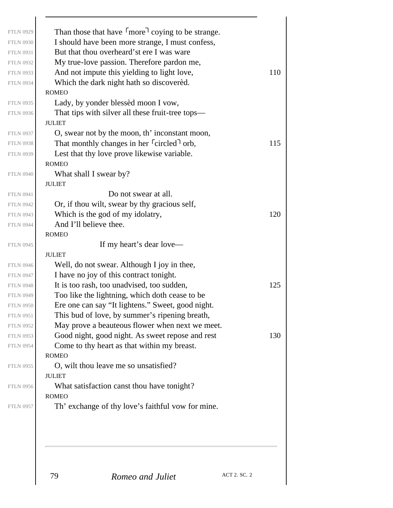| <b>FTLN 0929</b> | Than those that have fmore coying to be strange.                   |     |
|------------------|--------------------------------------------------------------------|-----|
| <b>FTLN 0930</b> | I should have been more strange, I must confess,                   |     |
| <b>FTLN 0931</b> | But that thou overheard'st ere I was ware                          |     |
| <b>FTLN 0932</b> | My true-love passion. Therefore pardon me,                         |     |
| <b>FTLN 0933</b> | And not impute this yielding to light love,                        | 110 |
| <b>FTLN 0934</b> | Which the dark night hath so discovered.                           |     |
|                  | <b>ROMEO</b>                                                       |     |
| <b>FTLN 0935</b> | Lady, by yonder blessed moon I vow,                                |     |
| <b>FTLN 0936</b> | That tips with silver all these fruit-tree tops—                   |     |
|                  | <b>JULIET</b>                                                      |     |
| <b>FTLN 0937</b> | O, swear not by the moon, th' inconstant moon,                     |     |
| <b>FTLN 0938</b> | That monthly changes in her <sup>r</sup> circled <sup>1</sup> orb, | 115 |
| <b>FTLN 0939</b> | Lest that thy love prove likewise variable.                        |     |
|                  | <b>ROMEO</b>                                                       |     |
| <b>FTLN 0940</b> | What shall I swear by?                                             |     |
|                  | <b>JULIET</b>                                                      |     |
| <b>FTLN 0941</b> | Do not swear at all.                                               |     |
| <b>FTLN 0942</b> | Or, if thou wilt, swear by thy gracious self,                      |     |
| <b>FTLN 0943</b> | Which is the god of my idolatry,                                   | 120 |
| <b>FTLN 0944</b> | And I'll believe thee.                                             |     |
|                  | <b>ROMEO</b>                                                       |     |
| <b>FTLN 0945</b> | If my heart's dear love—                                           |     |
|                  | <b>JULIET</b>                                                      |     |
| <b>FTLN 0946</b> | Well, do not swear. Although I joy in thee,                        |     |
| <b>FTLN 0947</b> | I have no joy of this contract tonight.                            |     |
| <b>FTLN 0948</b> | It is too rash, too unadvised, too sudden,                         | 125 |
| <b>FTLN 0949</b> | Too like the lightning, which doth cease to be                     |     |
| <b>FTLN 0950</b> | Ere one can say "It lightens." Sweet, good night.                  |     |
| <b>FTLN 0951</b> | This bud of love, by summer's ripening breath,                     |     |
| <b>FTLN 0952</b> | May prove a beauteous flower when next we meet.                    |     |
| <b>FTLN 0953</b> | Good night, good night. As sweet repose and rest                   | 130 |
| <b>FTLN 0954</b> | Come to thy heart as that within my breast.                        |     |
|                  | <b>ROMEO</b>                                                       |     |
| <b>FTLN 0955</b> | O, wilt thou leave me so unsatisfied?<br><b>JULIET</b>             |     |
|                  |                                                                    |     |
| <b>FTLN 0956</b> | What satisfaction canst thou have tonight?<br><b>ROMEO</b>         |     |
|                  |                                                                    |     |
| <b>FTLN 0957</b> | Th' exchange of thy love's faithful vow for mine.                  |     |
|                  |                                                                    |     |
|                  |                                                                    |     |
|                  |                                                                    |     |
|                  |                                                                    |     |

 $\overline{\phantom{a}}$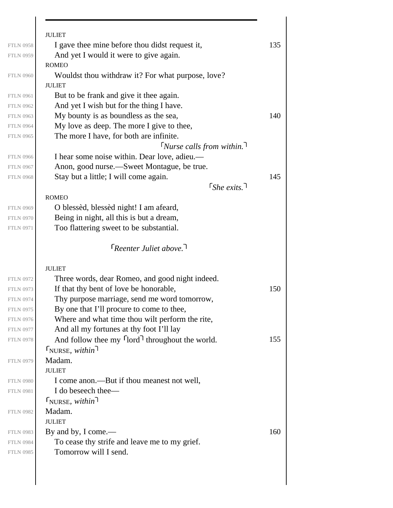|                                                                                                                                                                                                                                                                                      | <b>JULIET</b>                                                          |     |
|--------------------------------------------------------------------------------------------------------------------------------------------------------------------------------------------------------------------------------------------------------------------------------------|------------------------------------------------------------------------|-----|
| <b>FTLN 0958</b>                                                                                                                                                                                                                                                                     | I gave thee mine before thou didst request it,                         | 135 |
| <b>FTLN 0959</b>                                                                                                                                                                                                                                                                     | And yet I would it were to give again.                                 |     |
|                                                                                                                                                                                                                                                                                      | <b>ROMEO</b>                                                           |     |
| <b>FTLN 0960</b>                                                                                                                                                                                                                                                                     | Wouldst thou withdraw it? For what purpose, love?                      |     |
|                                                                                                                                                                                                                                                                                      | <b>JULIET</b>                                                          |     |
| <b>FTLN 0961</b>                                                                                                                                                                                                                                                                     | But to be frank and give it thee again.                                |     |
| <b>FTLN 0962</b>                                                                                                                                                                                                                                                                     | And yet I wish but for the thing I have.                               |     |
| <b>FTLN 0963</b>                                                                                                                                                                                                                                                                     | My bounty is as boundless as the sea,                                  | 140 |
| <b>FTLN 0964</b>                                                                                                                                                                                                                                                                     | My love as deep. The more I give to thee,                              |     |
| <b>FTLN 0965</b>                                                                                                                                                                                                                                                                     | The more I have, for both are infinite.                                |     |
|                                                                                                                                                                                                                                                                                      | $\lceil$ Nurse calls from within.                                      |     |
| <b>FTLN 0966</b>                                                                                                                                                                                                                                                                     | I hear some noise within. Dear love, adieu.—                           |     |
| <b>FTLN 0967</b>                                                                                                                                                                                                                                                                     | Anon, good nurse.—Sweet Montague, be true.                             |     |
| <b>FTLN 0968</b>                                                                                                                                                                                                                                                                     | Stay but a little; I will come again.                                  | 145 |
|                                                                                                                                                                                                                                                                                      | $\lceil$ She exits.                                                    |     |
|                                                                                                                                                                                                                                                                                      | <b>ROMEO</b>                                                           |     |
| <b>FTLN 0969</b>                                                                                                                                                                                                                                                                     | O blessèd, blessèd night! I am afeard,                                 |     |
| <b>FTLN 0970</b>                                                                                                                                                                                                                                                                     | Being in night, all this is but a dream,                               |     |
| <b>FTLN 0971</b>                                                                                                                                                                                                                                                                     | Too flattering sweet to be substantial.                                |     |
|                                                                                                                                                                                                                                                                                      |                                                                        |     |
|                                                                                                                                                                                                                                                                                      | $\lceil$ Reenter Juliet above.                                         |     |
|                                                                                                                                                                                                                                                                                      |                                                                        |     |
|                                                                                                                                                                                                                                                                                      |                                                                        |     |
|                                                                                                                                                                                                                                                                                      | <b>JULIET</b>                                                          |     |
|                                                                                                                                                                                                                                                                                      | Three words, dear Romeo, and good night indeed.                        |     |
|                                                                                                                                                                                                                                                                                      | If that thy bent of love be honorable,                                 | 150 |
|                                                                                                                                                                                                                                                                                      | Thy purpose marriage, send me word tomorrow,                           |     |
|                                                                                                                                                                                                                                                                                      | By one that I'll procure to come to thee,                              |     |
|                                                                                                                                                                                                                                                                                      | Where and what time thou wilt perform the rite,                        |     |
|                                                                                                                                                                                                                                                                                      | And all my fortunes at thy foot I'll lay                               |     |
|                                                                                                                                                                                                                                                                                      | And follow thee my flord throughout the world.                         | 155 |
|                                                                                                                                                                                                                                                                                      | $\Gamma_{\text{NURSE}, with in}$                                       |     |
|                                                                                                                                                                                                                                                                                      | Madam.                                                                 |     |
|                                                                                                                                                                                                                                                                                      | <b>JULIET</b>                                                          |     |
|                                                                                                                                                                                                                                                                                      | I come anon.—But if thou meanest not well,                             |     |
|                                                                                                                                                                                                                                                                                      | I do beseech thee—                                                     |     |
|                                                                                                                                                                                                                                                                                      |                                                                        |     |
|                                                                                                                                                                                                                                                                                      | <b>TNURSE</b> , within<br>Madam.                                       |     |
|                                                                                                                                                                                                                                                                                      | <b>JULIET</b>                                                          |     |
|                                                                                                                                                                                                                                                                                      |                                                                        |     |
|                                                                                                                                                                                                                                                                                      | By and by, I come.—                                                    | 160 |
| <b>FTLN 0972</b><br><b>FTLN 0973</b><br><b>FTLN 0974</b><br><b>FTLN 0975</b><br><b>FTLN 0976</b><br><b>FTLN 0977</b><br><b>FTLN 0978</b><br><b>FTLN 0979</b><br><b>FTLN 0980</b><br><b>FTLN 0981</b><br><b>FTLN 0982</b><br><b>FTLN 0983</b><br><b>FTLN 0984</b><br><b>FTLN 0985</b> | To cease thy strife and leave me to my grief.<br>Tomorrow will I send. |     |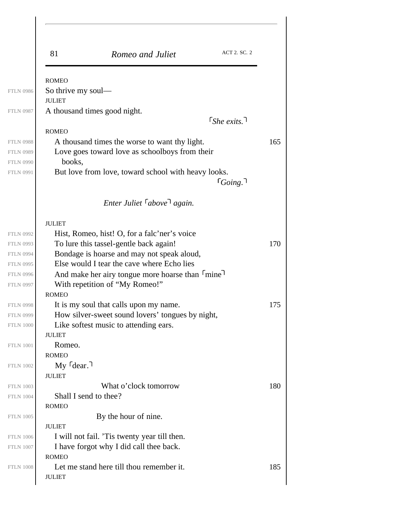| 81                           | Romeo and Juliet                                                                          | ACT 2. SC. 2                 |
|------------------------------|-------------------------------------------------------------------------------------------|------------------------------|
| <b>ROMEO</b>                 |                                                                                           |                              |
| So thrive my soul—           |                                                                                           |                              |
| <b>JULIET</b>                |                                                                                           |                              |
| A thousand times good night. |                                                                                           |                              |
|                              |                                                                                           | $\lceil$ She exits. $\lceil$ |
| <b>ROMEO</b>                 |                                                                                           |                              |
|                              | A thousand times the worse to want thy light.                                             |                              |
|                              | Love goes toward love as schoolboys from their                                            |                              |
| books,                       |                                                                                           |                              |
|                              | But love from love, toward school with heavy looks.                                       |                              |
|                              |                                                                                           | $\lceil_{Going.}\rceil$      |
|                              | Enter Juliet $\lceil above \rceil$ again.                                                 |                              |
| <b>JULIET</b>                |                                                                                           |                              |
|                              | Hist, Romeo, hist! O, for a falc'ner's voice                                              |                              |
|                              | To lure this tassel-gentle back again!                                                    |                              |
|                              | Bondage is hoarse and may not speak aloud,                                                |                              |
|                              | Else would I tear the cave where Echo lies                                                |                              |
|                              | And make her airy tongue more hoarse than Imine                                           |                              |
|                              | With repetition of "My Romeo!"                                                            |                              |
| <b>ROMEO</b>                 |                                                                                           |                              |
|                              | It is my soul that calls upon my name.                                                    |                              |
|                              | How silver-sweet sound lovers' tongues by night,<br>Like softest music to attending ears. |                              |
| <b>JULIET</b>                |                                                                                           |                              |
| Romeo.                       |                                                                                           |                              |
| <b>ROMEO</b>                 |                                                                                           |                              |
| $My$ $\lceil$ dear. $\lceil$ |                                                                                           |                              |
| <b>JULIET</b>                |                                                                                           |                              |
|                              | What o'clock tomorrow                                                                     |                              |
| Shall I send to thee?        |                                                                                           |                              |
| <b>ROMEO</b>                 |                                                                                           |                              |
|                              | By the hour of nine.                                                                      |                              |
| <b>JULIET</b>                |                                                                                           |                              |
|                              | I will not fail. 'Tis twenty year till then.                                              |                              |
|                              | I have forgot why I did call thee back.                                                   |                              |
| <b>ROMEO</b>                 | Let me stand here till thou remember it.                                                  |                              |
|                              |                                                                                           |                              |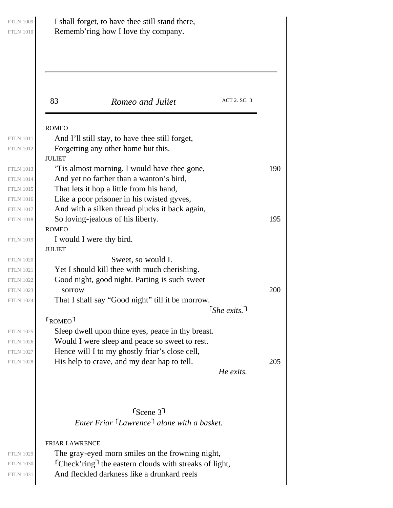| 83                      | Romeo and Juliet                                                                                 | ACT 2. SC. 3                 |     |
|-------------------------|--------------------------------------------------------------------------------------------------|------------------------------|-----|
| <b>ROMEO</b>            |                                                                                                  |                              |     |
|                         | And I'll still stay, to have thee still forget,<br>Forgetting any other home but this.           |                              |     |
| <b>JULIET</b>           |                                                                                                  |                              |     |
|                         | Tis almost morning. I would have thee gone,                                                      |                              | 190 |
|                         | And yet no farther than a wanton's bird,<br>That lets it hop a little from his hand,             |                              |     |
|                         | Like a poor prisoner in his twisted gyves,                                                       |                              |     |
|                         | And with a silken thread plucks it back again,                                                   |                              |     |
| <b>ROMEO</b>            | So loving-jealous of his liberty.                                                                |                              | 195 |
|                         | I would I were thy bird.                                                                         |                              |     |
| <b>JULIET</b>           |                                                                                                  |                              |     |
|                         | Sweet, so would I.<br>Yet I should kill thee with much cherishing.                               |                              |     |
|                         | Good night, good night. Parting is such sweet                                                    |                              |     |
| sorrow                  |                                                                                                  |                              | 200 |
|                         | That I shall say "Good night" till it be morrow.                                                 | $\lceil$ She exits. $\lceil$ |     |
| $\Gamma_{\text{ROMEO}}$ |                                                                                                  |                              |     |
|                         | Sleep dwell upon thine eyes, peace in thy breast.                                                |                              |     |
|                         | Would I were sleep and peace so sweet to rest.<br>Hence will I to my ghostly friar's close cell, |                              |     |
|                         | His help to crave, and my dear hap to tell.                                                      |                              | 205 |
|                         |                                                                                                  | He exits.                    |     |
|                         |                                                                                                  |                              |     |
|                         |                                                                                                  |                              |     |
|                         | $r_{\text{Scene}}$ 3 <sup>1</sup><br>Enter Friar Lawrence <sup>1</sup> alone with a basket.      |                              |     |
|                         |                                                                                                  |                              |     |
| <b>FRIAR LAWRENCE</b>   |                                                                                                  |                              |     |
|                         | The gray-eyed morn smiles on the frowning night,                                                 |                              |     |
|                         | $\lceil$ Check' ring $\lceil$ the eastern clouds with streaks of light,                          |                              |     |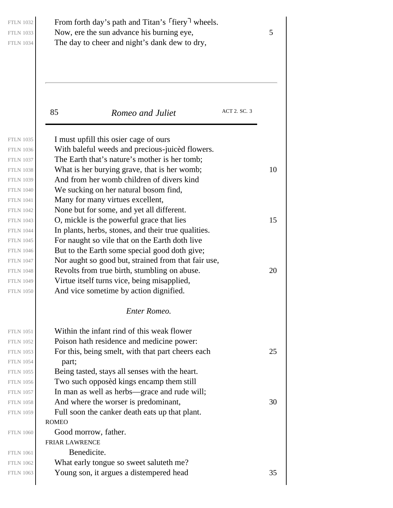FTLN 1032 FTLN 1034

FTLN 1035

## From forth day's path and Titan's  $\lceil \text{fiery} \rceil$  wheels. FTLN 1033 Now, ere the sun advance his burning eye,  $5 \frac{1}{2}$ The day to cheer and night's dank dew to dry,

85 **Romeo and Juliet** ACT 2. SC. 3

I must upfill this osier cage of ours

With baleful weeds and precious-juicèd flowers. The Earth that's nature's mother is her tomb;

And from her womb children of divers kind

We sucking on her natural bosom find,

None but for some, and yet all different.

Many for many virtues excellent,

FTLN 1038 What is her burying grave, that is her womb;  $10$ FTLN 1043  $\vert$  O, mickle is the powerful grace that lies 15 FTLN 1036 FTLN 1037 FTLN 1039 FTLN 1040 FTLN 1041 FTLN 1042 FTLN 1044 FTLN 1045 FTLN 1046 FTLN 1047 FTLN 1049 FTLN 1050 FTLN 1051 FTLN 1052 FTLN 1054

ROMEO FRIAR LAWRENCE In plants, herbs, stones, and their true qualities. For naught so vile that on the Earth doth live But to the Earth some special good doth give; Nor aught so good but, strained from that fair use, FTLN 1048 Revolts from true birth, stumbling on abuse.  $20$ Virtue itself turns vice, being misapplied, And vice sometime by action dignified. *Enter Romeo.* Within the infant rind of this weak flower Poison hath residence and medicine power: FTLN 1053 For this, being smelt, with that part cheers each  $25$ part; Being tasted, stays all senses with the heart. Two such opposèd kings encamp them still In man as well as herbs—grace and rude will; FTLN 1058  $\vert$  And where the worser is predominant, 30 Full soon the canker death eats up that plant. Good morrow, father. Benedicite. What early tongue so sweet saluteth me? FTLN 1063  $\vert$  Young son, it argues a distempered head 35

FTLN 1061 FTLN 1062

FTLN 1055 FTLN 1056 FTLN 1057

FTLN 1059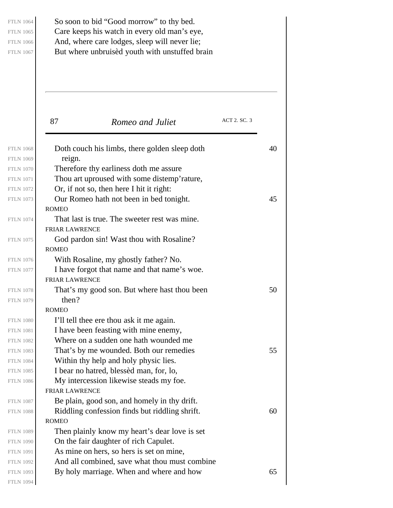FTLN 1064 FTLN 1065 FTLN 1066 FTLN 1067

FTLN 1069

FTLN 1071

FTLN 1079

FTLN 1082

FTLN 1084

So soon to bid "Good morrow" to thy bed. Care keeps his watch in every old man's eye, And, where care lodges, sleep will never lie; But where unbruisèd youth with unstuffed brain

87 **Romeo and Juliet** ACT 2. SC. 3 ROMEO FRIAR LAWRENCE ROMEO FRIAR LAWRENCE ROMEO FRIAR LAWRENCE ROMEO FTLN 1068 Doth couch his limbs, there golden sleep doth  $40$ reign. Therefore thy earliness doth me assure Thou art uproused with some distemp'rature, Or, if not so, then here I hit it right: FTLN 1073  $\vert$  Our Romeo hath not been in bed tonight. 45 That last is true. The sweeter rest was mine. God pardon sin! Wast thou with Rosaline? With Rosaline, my ghostly father? No. I have forgot that name and that name's woe. FTLN 1078  $\vert$  That's my good son. But where hast thou been 50 then? I'll tell thee ere thou ask it me again. I have been feasting with mine enemy, Where on a sudden one hath wounded me FTLN 1083 That's by me wounded. Both our remedies  $55$ Within thy help and holy physic lies. I bear no hatred, blessèd man, for, lo, My intercession likewise steads my foe. Be plain, good son, and homely in thy drift. FTLN 1088  $\vert$  Riddling confession finds but riddling shrift. 60 Then plainly know my heart's dear love is set On the fair daughter of rich Capulet. As mine on hers, so hers is set on mine, And all combined, save what thou must combine FTLN 1093 By holy marriage. When and where and how  $65$ FTLN 1070 FTLN 1072 FTLN 1074 FTLN 1075 FTLN 1076 FTLN 1077 FTLN 1080 FTLN 1081

FTLN 1085 FTLN 1086 FTLN 1087 FTLN 1089 FTLN 1090

FTLN 1092 FTLN 1094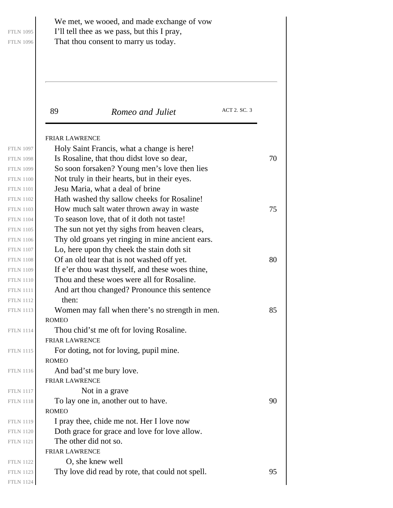| <b>FTLN 1095</b> |  |
|------------------|--|
| <b>FTLN 1096</b> |  |

### We met, we wooed, and made exchange of vow I'll tell thee as we pass, but this I pray, That thou consent to marry us today.

89 **Romeo and Juliet** ACT 2. SC. 3

|                  | <b>FRIAR LAWRENCE</b>                            |    |
|------------------|--------------------------------------------------|----|
| <b>FTLN 1097</b> | Holy Saint Francis, what a change is here!       |    |
| <b>FTLN 1098</b> | Is Rosaline, that thou didst love so dear,       | 70 |
| <b>FTLN 1099</b> | So soon forsaken? Young men's love then lies     |    |
| <b>FTLN 1100</b> | Not truly in their hearts, but in their eyes.    |    |
| <b>FTLN 1101</b> | Jesu Maria, what a deal of brine                 |    |
| <b>FTLN 1102</b> | Hath washed thy sallow cheeks for Rosaline!      |    |
| <b>FTLN 1103</b> | How much salt water thrown away in waste         | 75 |
| <b>FTLN 1104</b> | To season love, that of it doth not taste!       |    |
| <b>FTLN 1105</b> | The sun not yet thy sighs from heaven clears,    |    |
| <b>FTLN 1106</b> | Thy old groans yet ringing in mine ancient ears. |    |
| <b>FTLN 1107</b> | Lo, here upon thy cheek the stain doth sit       |    |
| <b>FTLN 1108</b> | Of an old tear that is not washed off yet.       | 80 |
| <b>FTLN 1109</b> | If e'er thou wast thyself, and these woes thine, |    |
| <b>FTLN 1110</b> | Thou and these woes were all for Rosaline.       |    |
| <b>FTLN 1111</b> | And art thou changed? Pronounce this sentence    |    |
| <b>FTLN 1112</b> | then:                                            |    |
| <b>FTLN 1113</b> | Women may fall when there's no strength in men.  | 85 |
|                  | <b>ROMEO</b>                                     |    |
| <b>FTLN 1114</b> | Thou chid'st me oft for loving Rosaline.         |    |
|                  | <b>FRIAR LAWRENCE</b>                            |    |
| <b>FTLN 1115</b> | For doting, not for loving, pupil mine.          |    |
|                  | <b>ROMEO</b>                                     |    |
| <b>FTLN 1116</b> | And bad'st me bury love.                         |    |
|                  | <b>FRIAR LAWRENCE</b>                            |    |
| <b>FTLN 1117</b> | Not in a grave                                   |    |
| <b>FTLN 1118</b> | To lay one in, another out to have.              | 90 |
|                  | <b>ROMEO</b>                                     |    |
| <b>FTLN 1119</b> | I pray thee, chide me not. Her I love now        |    |
| <b>FTLN 1120</b> | Doth grace for grace and love for love allow.    |    |
| <b>FTLN 1121</b> | The other did not so.                            |    |
|                  | <b>FRIAR LAWRENCE</b>                            |    |
| <b>FTLN 1122</b> | O, she knew well                                 |    |
| <b>FTLN 1123</b> | Thy love did read by rote, that could not spell. | 95 |
|                  |                                                  |    |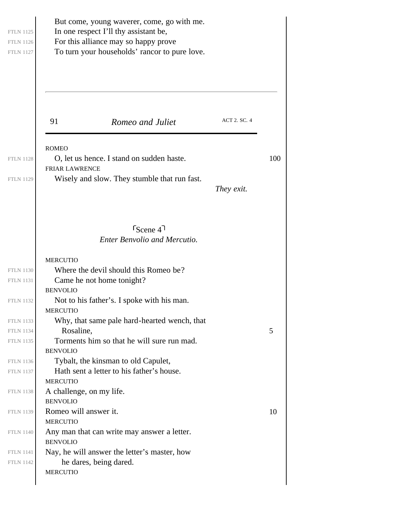|                                          | But come, young waverer, come, go with me.<br>In one respect I'll thy assistant be,<br>For this alliance may so happy prove<br>To turn your households' rancor to pure love. |              |     |
|------------------------------------------|------------------------------------------------------------------------------------------------------------------------------------------------------------------------------|--------------|-----|
| 91                                       | Romeo and Juliet                                                                                                                                                             | ACT 2. SC. 4 |     |
| <b>ROMEO</b>                             | O, let us hence. I stand on sudden haste.                                                                                                                                    |              | 100 |
| <b>FRIAR LAWRENCE</b>                    |                                                                                                                                                                              |              |     |
|                                          | Wisely and slow. They stumble that run fast.                                                                                                                                 | They exit.   |     |
|                                          | $S_{\text{Cene}}$ 4 <sup>1</sup><br><b>Enter Benvolio and Mercutio.</b>                                                                                                      |              |     |
| <b>MERCUTIO</b>                          |                                                                                                                                                                              |              |     |
|                                          | Where the devil should this Romeo be?<br>Came he not home tonight?                                                                                                           |              |     |
| <b>BENVOLIO</b><br><b>MERCUTIO</b>       | Not to his father's. I spoke with his man.                                                                                                                                   |              |     |
|                                          | Why, that same pale hard-hearted wench, that                                                                                                                                 |              |     |
| Rosaline,                                |                                                                                                                                                                              |              | 5   |
| <b>BENVOLIO</b>                          | Torments him so that he will sure run mad.                                                                                                                                   |              |     |
|                                          | Tybalt, the kinsman to old Capulet,                                                                                                                                          |              |     |
| <b>MERCUTIO</b>                          | Hath sent a letter to his father's house.                                                                                                                                    |              |     |
| A challenge, on my life.                 |                                                                                                                                                                              |              |     |
| <b>BENVOLIO</b><br>Romeo will answer it. |                                                                                                                                                                              |              | 10  |
| <b>MERCUTIO</b><br><b>BENVOLIO</b>       | Any man that can write may answer a letter.                                                                                                                                  |              |     |
|                                          | Nay, he will answer the letter's master, how                                                                                                                                 |              |     |
| <b>MERCUTIO</b>                          | he dares, being dared.                                                                                                                                                       |              |     |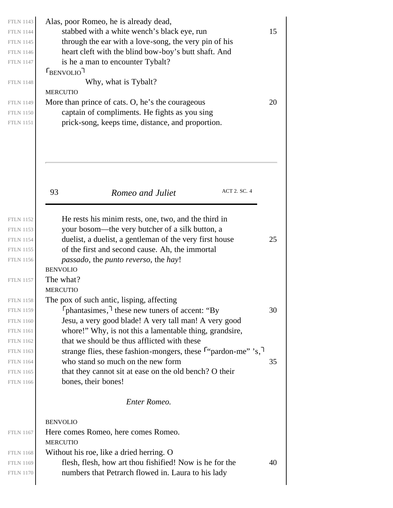| Alas, poor Romeo, he is already dead,                                                                      |    |
|------------------------------------------------------------------------------------------------------------|----|
| stabbed with a white wench's black eye, run                                                                | 15 |
| through the ear with a love-song, the very pin of his                                                      |    |
| heart cleft with the blind bow-boy's butt shaft. And                                                       |    |
| is he a man to encounter Tybalt?                                                                           |    |
| $F_{\text{BENVOLIO}}$                                                                                      |    |
| Why, what is Tybalt?                                                                                       |    |
| <b>MERCUTIO</b>                                                                                            |    |
| More than prince of cats. O, he's the courageous                                                           | 20 |
| captain of compliments. He fights as you sing<br>prick-song, keeps time, distance, and proportion.         |    |
|                                                                                                            |    |
| 93<br>ACT 2. SC. 4<br>Romeo and Juliet                                                                     |    |
| He rests his minim rests, one, two, and the third in                                                       |    |
| your bosom—the very butcher of a silk button, a                                                            | 25 |
| duelist, a duelist, a gentleman of the very first house<br>of the first and second cause. Ah, the immortal |    |
| <i>passado</i> , the <i>punto reverso</i> , the <i>hay!</i>                                                |    |
| <b>BENVOLIO</b>                                                                                            |    |
| The what?                                                                                                  |    |
| <b>MERCUTIO</b>                                                                                            |    |
| The pox of such antic, lisping, affecting                                                                  |    |
| $\lceil$ phantasimes, $\lceil$ these new tuners of accent: "By                                             | 30 |
| Jesu, a very good blade! A very tall man! A very good                                                      |    |
| whore!" Why, is not this a lamentable thing, grandsire,                                                    |    |
|                                                                                                            |    |
| that we should be thus afflicted with these                                                                |    |
| strange flies, these fashion-mongers, these <sup>r</sup> "pardon-me" 's,                                   |    |
| who stand so much on the new form                                                                          |    |
| that they cannot sit at ease on the old bench? O their                                                     |    |
| bones, their bones!                                                                                        |    |
| Enter Romeo.                                                                                               |    |
| <b>BENVOLIO</b>                                                                                            |    |
| Here comes Romeo, here comes Romeo.<br><b>MERCUTIO</b>                                                     |    |
| Without his roe, like a dried herring. O                                                                   | 35 |
| flesh, flesh, how art thou fishified! Now is he for the                                                    | 40 |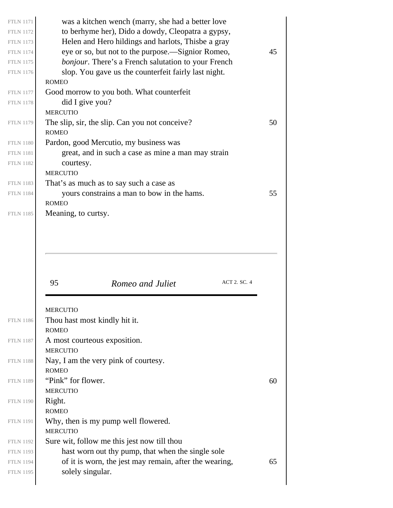| <b>FTLN 1171</b>                     | was a kitchen wench (marry, she had a better love                          |    |
|--------------------------------------|----------------------------------------------------------------------------|----|
| <b>FTLN 1172</b>                     | to berhyme her), Dido a dowdy, Cleopatra a gypsy,                          |    |
| <b>FTLN 1173</b>                     | Helen and Hero hildings and harlots, Thisbe a gray                         |    |
| <b>FTLN 1174</b>                     | eye or so, but not to the purpose.—Signior Romeo,                          | 45 |
| <b>FTLN 1175</b>                     | bonjour. There's a French salutation to your French                        |    |
| <b>FTLN 1176</b>                     | slop. You gave us the counterfeit fairly last night.                       |    |
|                                      | <b>ROMEO</b>                                                               |    |
| <b>FTLN 1177</b>                     | Good morrow to you both. What counterfeit                                  |    |
| <b>FTLN 1178</b>                     | did I give you?                                                            |    |
|                                      | <b>MERCUTIO</b>                                                            |    |
| <b>FTLN 1179</b>                     | The slip, sir, the slip. Can you not conceive?                             | 50 |
|                                      | <b>ROMEO</b>                                                               |    |
| <b>FTLN 1180</b>                     | Pardon, good Mercutio, my business was                                     |    |
| <b>FTLN 1181</b>                     | great, and in such a case as mine a man may strain                         |    |
| <b>FTLN 1182</b>                     | courtesy.                                                                  |    |
|                                      | <b>MERCUTIO</b>                                                            |    |
| <b>FTLN 1183</b>                     | That's as much as to say such a case as                                    |    |
| <b>FTLN 1184</b>                     | yours constrains a man to bow in the hams.                                 | 55 |
|                                      | <b>ROMEO</b>                                                               |    |
| <b>FTLN 1185</b>                     | Meaning, to curtsy.                                                        |    |
|                                      |                                                                            |    |
|                                      | ACT 2. SC. 4<br>95<br>Romeo and Juliet                                     |    |
|                                      |                                                                            |    |
|                                      | <b>MERCUTIO</b>                                                            |    |
| <b>FTLN 1186</b>                     | Thou hast most kindly hit it.                                              |    |
|                                      | <b>ROMEO</b>                                                               |    |
| <b>FTLN 1187</b>                     | A most courteous exposition.                                               |    |
|                                      | <b>MERCUTIO</b>                                                            |    |
| <b>FTLN 1188</b>                     | Nay, I am the very pink of courtesy.                                       |    |
|                                      | <b>ROMEO</b>                                                               |    |
| <b>FTLN 1189</b>                     | "Pink" for flower.                                                         | 60 |
|                                      | <b>MERCUTIO</b>                                                            |    |
| <b>FTLN 1190</b>                     | Right.                                                                     |    |
|                                      | <b>ROMEO</b>                                                               |    |
| <b>FTLN 1191</b>                     | Why, then is my pump well flowered.                                        |    |
|                                      | <b>MERCUTIO</b>                                                            |    |
| <b>FTLN 1192</b>                     | Sure wit, follow me this jest now till thou                                |    |
| <b>FTLN 1193</b><br><b>FTLN 1194</b> | hast worn out thy pump, that when the single sole                          |    |
| <b>FTLN 1195</b>                     | of it is worn, the jest may remain, after the wearing,<br>solely singular. | 65 |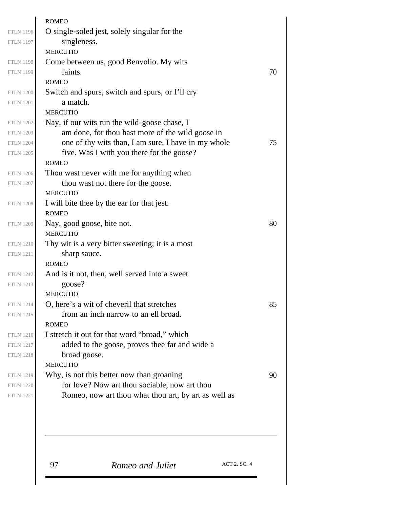| <b>ROMEO</b>    |                                                                                 |
|-----------------|---------------------------------------------------------------------------------|
|                 | O single-soled jest, solely singular for the                                    |
|                 | singleness.                                                                     |
| <b>MERCUTIO</b> |                                                                                 |
|                 | Come between us, good Benvolio. My wits                                         |
|                 | faints.                                                                         |
| <b>ROMEO</b>    |                                                                                 |
|                 | Switch and spurs, switch and spurs, or I'll cry                                 |
|                 | a match.                                                                        |
| <b>MERCUTIO</b> |                                                                                 |
|                 | Nay, if our wits run the wild-goose chase, I                                    |
|                 | am done, for thou hast more of the wild goose in                                |
|                 | one of thy wits than, I am sure, I have in my whole                             |
|                 | five. Was I with you there for the goose?                                       |
| <b>ROMEO</b>    |                                                                                 |
|                 | Thou wast never with me for anything when<br>thou wast not there for the goose. |
| <b>MERCUTIO</b> |                                                                                 |
|                 | I will bite thee by the ear for that jest.                                      |
| <b>ROMEO</b>    |                                                                                 |
|                 | Nay, good goose, bite not.                                                      |
| <b>MERCUTIO</b> |                                                                                 |
|                 | Thy wit is a very bitter sweeting; it is a most                                 |
|                 | sharp sauce.                                                                    |
| <b>ROMEO</b>    |                                                                                 |
|                 | And is it not, then, well served into a sweet                                   |
|                 | goose?                                                                          |
| <b>MERCUTIO</b> |                                                                                 |
|                 | O, here's a wit of cheveril that stretches                                      |
|                 | from an inch narrow to an ell broad.                                            |
| <b>ROMEO</b>    |                                                                                 |
|                 | I stretch it out for that word "broad," which                                   |
|                 | added to the goose, proves thee far and wide a                                  |
|                 | broad goose.                                                                    |
| <b>MERCUTIO</b> |                                                                                 |
|                 | Why, is not this better now than groaning                                       |
|                 | for love? Now art thou sociable, now art thou                                   |
|                 | Romeo, now art thou what thou art, by art as well as                            |
|                 |                                                                                 |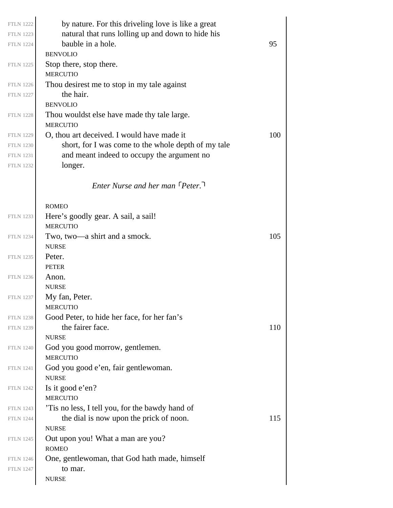| <b>FTLN 1222</b><br><b>FTLN 1223</b> | by nature. For this driveling love is like a great<br>natural that runs lolling up and down to hide his |     |
|--------------------------------------|---------------------------------------------------------------------------------------------------------|-----|
| <b>FTLN 1224</b>                     | bauble in a hole.                                                                                       | 95  |
| <b>FTLN 1225</b>                     | <b>BENVOLIO</b><br>Stop there, stop there.                                                              |     |
|                                      | <b>MERCUTIO</b>                                                                                         |     |
| <b>FTLN 1226</b>                     | Thou desirest me to stop in my tale against                                                             |     |
| <b>FTLN 1227</b>                     | the hair.                                                                                               |     |
|                                      | <b>BENVOLIO</b>                                                                                         |     |
| <b>FTLN 1228</b>                     | Thou wouldst else have made thy tale large.<br><b>MERCUTIO</b>                                          |     |
| <b>FTLN 1229</b>                     | O, thou art deceived. I would have made it                                                              | 100 |
| <b>FTLN 1230</b>                     | short, for I was come to the whole depth of my tale                                                     |     |
| <b>FTLN 1231</b>                     | and meant indeed to occupy the argument no                                                              |     |
| <b>FTLN 1232</b>                     | longer.                                                                                                 |     |
|                                      | Enter Nurse and her man [Peter.]                                                                        |     |
|                                      | <b>ROMEO</b>                                                                                            |     |
| <b>FTLN 1233</b>                     | Here's goodly gear. A sail, a sail!                                                                     |     |
|                                      | <b>MERCUTIO</b>                                                                                         |     |
| <b>FTLN 1234</b>                     | Two, two—a shirt and a smock.                                                                           | 105 |
|                                      | <b>NURSE</b>                                                                                            |     |
| <b>FTLN 1235</b>                     | Peter.                                                                                                  |     |
|                                      | <b>PETER</b>                                                                                            |     |
| <b>FTLN 1236</b>                     | Anon.                                                                                                   |     |
|                                      | <b>NURSE</b>                                                                                            |     |
| <b>FTLN 1237</b>                     | My fan, Peter.                                                                                          |     |
|                                      | <b>MERCUTIO</b>                                                                                         |     |
| <b>FTLN 1238</b>                     | Good Peter, to hide her face, for her fan's                                                             |     |
| <b>FTLN 1239</b>                     | the fairer face.<br><b>NURSE</b>                                                                        | 110 |
| <b>FTLN 1240</b>                     | God you good morrow, gentlemen.                                                                         |     |
|                                      | <b>MERCUTIO</b>                                                                                         |     |
| <b>FTLN 1241</b>                     | God you good e'en, fair gentlewoman.<br><b>NURSE</b>                                                    |     |
| <b>FTLN 1242</b>                     | Is it good e'en?                                                                                        |     |
|                                      | <b>MERCUTIO</b>                                                                                         |     |
| <b>FTLN 1243</b>                     | Tis no less, I tell you, for the bawdy hand of                                                          |     |
| <b>FTLN 1244</b>                     | the dial is now upon the prick of noon.                                                                 | 115 |
|                                      | <b>NURSE</b>                                                                                            |     |
| <b>FTLN 1245</b>                     | Out upon you! What a man are you?                                                                       |     |
|                                      | <b>ROMEO</b>                                                                                            |     |
| <b>FTLN 1246</b>                     | One, gentlewoman, that God hath made, himself                                                           |     |
| <b>FTLN 1247</b>                     | to mar.                                                                                                 |     |
|                                      | <b>NURSE</b>                                                                                            |     |
|                                      |                                                                                                         |     |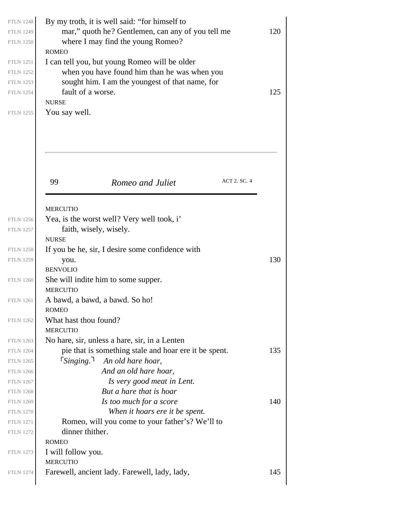|    | By my troth, it is well said: "for himself to          |     |
|----|--------------------------------------------------------|-----|
|    | mar," quoth he? Gentlemen, can any of you tell me      | 120 |
|    | where I may find the young Romeo?<br><b>ROMEO</b>      |     |
|    | I can tell you, but young Romeo will be older          |     |
|    | when you have found him than he was when you           |     |
|    | sought him. I am the youngest of that name, for        |     |
|    | fault of a worse.                                      | 125 |
|    | <b>NURSE</b>                                           |     |
|    | You say well.                                          |     |
| 99 | ACT 2. SC. 4<br>Romeo and Juliet                       |     |
|    | <b>MERCUTIO</b>                                        |     |
|    | Yea, is the worst well? Very well took, i'             |     |
|    | faith, wisely, wisely.                                 |     |
|    | <b>NURSE</b>                                           |     |
|    | If you be he, sir, I desire some confidence with       |     |
|    | you.                                                   | 130 |
|    | <b>BENVOLIO</b>                                        |     |
|    | She will indite him to some supper.<br><b>MERCUTIO</b> |     |
|    | A bawd, a bawd, a bawd. So ho!                         |     |
|    | <b>ROMEO</b>                                           |     |
|    | What hast thou found?                                  |     |
|    | <b>MERCUTIO</b>                                        |     |
|    | No hare, sir, unless a hare, sir, in a Lenten          |     |
|    | pie that is something stale and hoar ere it be spent.  | 135 |
|    |                                                        |     |
|    | $5$ inging.<br>An old hare hoar,                       |     |
|    | And an old hare hoar,                                  |     |
|    | Is very good meat in Lent.                             |     |
|    | But a hare that is hoar                                |     |
|    | Is too much for a score                                |     |
|    | When it hoars ere it be spent.                         |     |
|    | Romeo, will you come to your father's? We'll to        |     |
|    | dinner thither.                                        |     |
|    | <b>ROMEO</b>                                           |     |
|    | I will follow you.                                     |     |
|    | <b>MERCUTIO</b>                                        | 140 |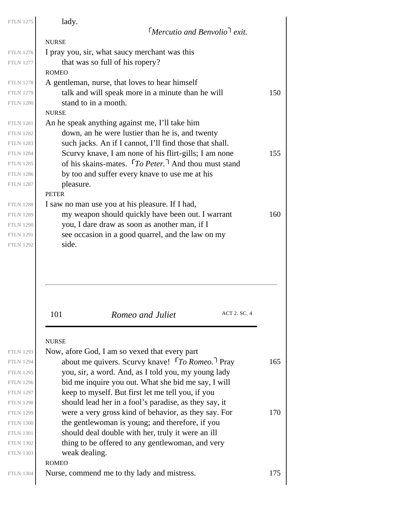| <b>FTLN 1275</b>                                                                                                                                                                                     | lady.                                                                                                                                                                                                                                                                                                                                                                                                                                                                                                         |            |
|------------------------------------------------------------------------------------------------------------------------------------------------------------------------------------------------------|---------------------------------------------------------------------------------------------------------------------------------------------------------------------------------------------------------------------------------------------------------------------------------------------------------------------------------------------------------------------------------------------------------------------------------------------------------------------------------------------------------------|------------|
|                                                                                                                                                                                                      | <b>Mercutio and Benvolio<sup>1</sup></b> exit.                                                                                                                                                                                                                                                                                                                                                                                                                                                                |            |
|                                                                                                                                                                                                      | <b>NURSE</b>                                                                                                                                                                                                                                                                                                                                                                                                                                                                                                  |            |
| <b>FTLN 1276</b>                                                                                                                                                                                     | I pray you, sir, what saucy merchant was this                                                                                                                                                                                                                                                                                                                                                                                                                                                                 |            |
| <b>FTLN 1277</b>                                                                                                                                                                                     | that was so full of his ropery?<br><b>ROMEO</b>                                                                                                                                                                                                                                                                                                                                                                                                                                                               |            |
| <b>FTLN 1278</b>                                                                                                                                                                                     | A gentleman, nurse, that loves to hear himself                                                                                                                                                                                                                                                                                                                                                                                                                                                                |            |
| <b>FTLN 1279</b>                                                                                                                                                                                     | talk and will speak more in a minute than he will                                                                                                                                                                                                                                                                                                                                                                                                                                                             | 150        |
| <b>FTLN 1280</b>                                                                                                                                                                                     | stand to in a month.                                                                                                                                                                                                                                                                                                                                                                                                                                                                                          |            |
|                                                                                                                                                                                                      | <b>NURSE</b>                                                                                                                                                                                                                                                                                                                                                                                                                                                                                                  |            |
| <b>FTLN 1281</b>                                                                                                                                                                                     | An he speak anything against me, I'll take him                                                                                                                                                                                                                                                                                                                                                                                                                                                                |            |
| <b>FTLN 1282</b>                                                                                                                                                                                     | down, an he were lustier than he is, and twenty                                                                                                                                                                                                                                                                                                                                                                                                                                                               |            |
| <b>FTLN 1283</b>                                                                                                                                                                                     | such jacks. An if I cannot, I'll find those that shall.                                                                                                                                                                                                                                                                                                                                                                                                                                                       |            |
| <b>FTLN 1284</b>                                                                                                                                                                                     | Scurvy knave, I am none of his flirt-gills; I am none                                                                                                                                                                                                                                                                                                                                                                                                                                                         | 155        |
| <b>FTLN 1285</b>                                                                                                                                                                                     | of his skains-mates. $\lceil To \text{Peter.} \rceil$ And thou must stand                                                                                                                                                                                                                                                                                                                                                                                                                                     |            |
| <b>FTLN 1286</b>                                                                                                                                                                                     | by too and suffer every knave to use me at his                                                                                                                                                                                                                                                                                                                                                                                                                                                                |            |
| <b>FTLN 1287</b>                                                                                                                                                                                     | pleasure.                                                                                                                                                                                                                                                                                                                                                                                                                                                                                                     |            |
|                                                                                                                                                                                                      | <b>PETER</b>                                                                                                                                                                                                                                                                                                                                                                                                                                                                                                  |            |
| <b>FTLN 1288</b>                                                                                                                                                                                     | I saw no man use you at his pleasure. If I had,                                                                                                                                                                                                                                                                                                                                                                                                                                                               |            |
| <b>FTLN 1289</b>                                                                                                                                                                                     | my weapon should quickly have been out. I warrant                                                                                                                                                                                                                                                                                                                                                                                                                                                             | 160        |
| <b>FTLN 1290</b>                                                                                                                                                                                     | you, I dare draw as soon as another man, if I                                                                                                                                                                                                                                                                                                                                                                                                                                                                 |            |
| <b>FTLN 1291</b><br><b>FTLN 1292</b>                                                                                                                                                                 | see occasion in a good quarrel, and the law on my<br>side.                                                                                                                                                                                                                                                                                                                                                                                                                                                    |            |
|                                                                                                                                                                                                      |                                                                                                                                                                                                                                                                                                                                                                                                                                                                                                               |            |
|                                                                                                                                                                                                      | <b>ACT 2. SC. 4</b><br>101<br>Romeo and Juliet                                                                                                                                                                                                                                                                                                                                                                                                                                                                |            |
| <b>FTLN 1293</b><br><b>FTLN 1294</b><br><b>FTLN 1295</b><br><b>FTLN 1296</b><br><b>FTLN 1297</b><br><b>FTLN 1298</b><br><b>FTLN 1299</b><br><b>FTLN 1300</b><br><b>FTLN 1301</b><br><b>FTLN 1302</b> | <b>NURSE</b><br>Now, afore God, I am so vexed that every part<br>about me quivers. Scurvy knave! [To Romeo.] Pray<br>you, sir, a word. And, as I told you, my young lady<br>bid me inquire you out. What she bid me say, I will<br>keep to myself. But first let me tell you, if you<br>should lead her in a fool's paradise, as they say, it<br>were a very gross kind of behavior, as they say. For<br>the gentlewoman is young; and therefore, if you<br>should deal double with her, truly it were an ill | 165<br>170 |
| <b>FTLN 1303</b>                                                                                                                                                                                     | thing to be offered to any gentlewoman, and very<br>weak dealing.                                                                                                                                                                                                                                                                                                                                                                                                                                             |            |
| <b>FTLN 1304</b>                                                                                                                                                                                     | <b>ROMEO</b><br>Nurse, commend me to thy lady and mistress.                                                                                                                                                                                                                                                                                                                                                                                                                                                   | 175        |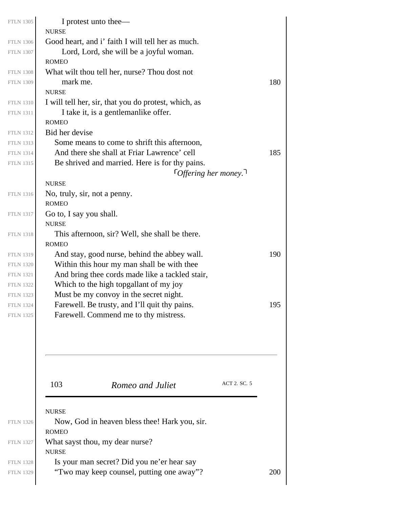| <b>FTLN 1305</b>                     | I protest unto thee—<br><b>NURSE</b>            |                                                                                         |                              |     |
|--------------------------------------|-------------------------------------------------|-----------------------------------------------------------------------------------------|------------------------------|-----|
| <b>FTLN 1306</b>                     |                                                 | Good heart, and i' faith I will tell her as much.                                       |                              |     |
| <b>FTLN 1307</b>                     |                                                 | Lord, Lord, she will be a joyful woman.                                                 |                              |     |
|                                      | <b>ROMEO</b>                                    |                                                                                         |                              |     |
| <b>FTLN 1308</b>                     |                                                 | What wilt thou tell her, nurse? Thou dost not                                           |                              |     |
| <b>FTLN 1309</b>                     | mark me.                                        |                                                                                         |                              | 180 |
|                                      | <b>NURSE</b>                                    |                                                                                         |                              |     |
| <b>FTLN 1310</b>                     |                                                 | I will tell her, sir, that you do protest, which, as                                    |                              |     |
| <b>FTLN 1311</b>                     |                                                 | I take it, is a gentlemanlike offer.                                                    |                              |     |
|                                      | <b>ROMEO</b>                                    |                                                                                         |                              |     |
| <b>FTLN 1312</b>                     | Bid her devise                                  |                                                                                         |                              |     |
| <b>FTLN 1313</b>                     |                                                 | Some means to come to shrift this afternoon,                                            |                              |     |
| <b>FTLN 1314</b>                     |                                                 | And there she shall at Friar Lawrence' cell                                             |                              | 185 |
| <b>FTLN 1315</b>                     |                                                 | Be shrived and married. Here is for thy pains.                                          |                              |     |
|                                      |                                                 |                                                                                         | $\lceil$ Offering her money. |     |
|                                      | <b>NURSE</b>                                    |                                                                                         |                              |     |
| <b>FTLN 1316</b>                     | No, truly, sir, not a penny.                    |                                                                                         |                              |     |
|                                      | <b>ROMEO</b>                                    |                                                                                         |                              |     |
| <b>FTLN 1317</b>                     | Go to, I say you shall.                         |                                                                                         |                              |     |
|                                      | <b>NURSE</b>                                    |                                                                                         |                              |     |
| <b>FTLN 1318</b>                     |                                                 | This afternoon, sir? Well, she shall be there.                                          |                              |     |
|                                      | <b>ROMEO</b>                                    |                                                                                         |                              |     |
| <b>FTLN 1319</b>                     |                                                 | And stay, good nurse, behind the abbey wall.                                            |                              | 190 |
| <b>FTLN 1320</b>                     |                                                 | Within this hour my man shall be with thee                                              |                              |     |
| <b>FTLN 1321</b>                     |                                                 | And bring thee cords made like a tackled stair,                                         |                              |     |
| <b>FTLN 1322</b>                     |                                                 | Which to the high topgallant of my joy                                                  |                              |     |
| <b>FTLN 1323</b><br><b>FTLN 1324</b> |                                                 | Must be my convoy in the secret night.<br>Farewell. Be trusty, and I'll quit thy pains. |                              |     |
| <b>FTLN 1325</b>                     |                                                 | Farewell. Commend me to thy mistress.                                                   |                              | 195 |
|                                      |                                                 |                                                                                         |                              |     |
|                                      | 103                                             | Romeo and Juliet                                                                        | ACT 2. SC. 5                 |     |
|                                      | <b>NURSE</b>                                    |                                                                                         |                              |     |
| <b>FTLN 1326</b>                     |                                                 | Now, God in heaven bless thee! Hark you, sir.                                           |                              |     |
|                                      | <b>ROMEO</b>                                    |                                                                                         |                              |     |
| <b>FTLN 1327</b>                     | What sayst thou, my dear nurse?<br><b>NURSE</b> |                                                                                         |                              |     |
| <b>FTLN 1328</b>                     |                                                 | Is your man secret? Did you ne'er hear say                                              |                              |     |
| <b>FTLN 1329</b>                     |                                                 | "Two may keep counsel, putting one away"?                                               |                              | 200 |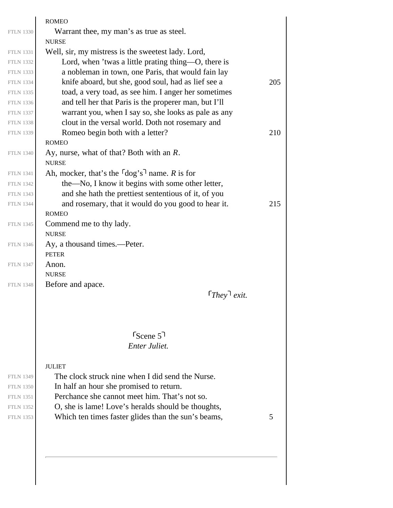|                  | <b>ROMEO</b>                                                 |     |
|------------------|--------------------------------------------------------------|-----|
| <b>FTLN 1330</b> | Warrant thee, my man's as true as steel.                     |     |
|                  | <b>NURSE</b>                                                 |     |
| <b>FTLN 1331</b> | Well, sir, my mistress is the sweetest lady. Lord,           |     |
| <b>FTLN 1332</b> | Lord, when 'twas a little prating thing—O, there is          |     |
| <b>FTLN 1333</b> | a nobleman in town, one Paris, that would fain lay           |     |
| <b>FTLN 1334</b> | knife aboard, but she, good soul, had as lief see a          | 205 |
| <b>FTLN 1335</b> | toad, a very toad, as see him. I anger her sometimes         |     |
| <b>FTLN 1336</b> | and tell her that Paris is the properer man, but I'll        |     |
| <b>FTLN 1337</b> | warrant you, when I say so, she looks as pale as any         |     |
| <b>FTLN 1338</b> | clout in the versal world. Doth not rosemary and             |     |
| <b>FTLN 1339</b> | Romeo begin both with a letter?                              | 210 |
|                  | <b>ROMEO</b>                                                 |     |
| <b>FTLN 1340</b> | Ay, nurse, what of that? Both with an R.<br><b>NURSE</b>     |     |
| <b>FTLN 1341</b> | Ah, mocker, that's the $\lceil \log s \rceil$ name. R is for |     |
| <b>FTLN 1342</b> | the—No, I know it begins with some other letter,             |     |
| <b>FTLN 1343</b> | and she hath the prettiest sententious of it, of you         |     |
| <b>FTLN 1344</b> | and rosemary, that it would do you good to hear it.          | 215 |
|                  | <b>ROMEO</b>                                                 |     |
| <b>FTLN 1345</b> | Commend me to thy lady.                                      |     |
|                  | <b>NURSE</b>                                                 |     |
| <b>FTLN 1346</b> | Ay, a thousand times.—Peter.                                 |     |
|                  | <b>PETER</b>                                                 |     |
| <b>FTLN 1347</b> | Anon.                                                        |     |
|                  | <b>NURSE</b>                                                 |     |
| <b>FTLN 1348</b> | Before and apace.                                            |     |
|                  | $[They]$ exit.                                               |     |
|                  |                                                              |     |
|                  | $S_{\text{Cene}}$ 5 <sup>1</sup>                             |     |
|                  | Enter Juliet.                                                |     |
|                  |                                                              |     |
|                  | <b>JULIET</b>                                                |     |
| <b>FTLN 1349</b> | The clock struck nine when I did send the Nurse.             |     |
| <b>FTLN 1350</b> | In half an hour she promised to return.                      |     |
| <b>FTLN 1351</b> | Perchance she cannot meet him. That's not so.                |     |
| <b>FTLN 1352</b> | O, she is lame! Love's heralds should be thoughts,           |     |
| <b>FTLN 1353</b> | Which ten times faster glides than the sun's beams,          | 5   |
|                  |                                                              |     |
|                  |                                                              |     |
|                  |                                                              |     |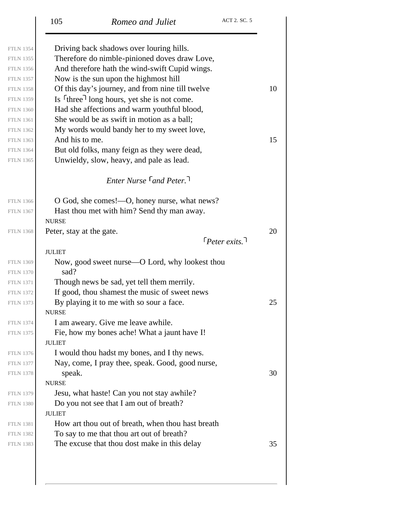|                  | 105                      | Romeo and Juliet                                                    | ACT 2. SC. 5          |    |
|------------------|--------------------------|---------------------------------------------------------------------|-----------------------|----|
| <b>FTLN 1354</b> |                          | Driving back shadows over louring hills.                            |                       |    |
| <b>FTLN 1355</b> |                          | Therefore do nimble-pinioned doves draw Love,                       |                       |    |
| <b>FTLN 1356</b> |                          | And therefore hath the wind-swift Cupid wings.                      |                       |    |
| <b>FTLN 1357</b> |                          | Now is the sun upon the highmost hill                               |                       |    |
| <b>FTLN 1358</b> |                          | Of this day's journey, and from nine till twelve                    |                       | 10 |
| <b>FTLN 1359</b> |                          | Is <sup>r</sup> three <sup>1</sup> long hours, yet she is not come. |                       |    |
| <b>FTLN 1360</b> |                          | Had she affections and warm youthful blood,                         |                       |    |
| <b>FTLN 1361</b> |                          | She would be as swift in motion as a ball;                          |                       |    |
| <b>FTLN 1362</b> |                          | My words would bandy her to my sweet love,                          |                       |    |
| <b>FTLN 1363</b> | And his to me.           |                                                                     |                       | 15 |
| <b>FTLN 1364</b> |                          | But old folks, many feign as they were dead,                        |                       |    |
| <b>FTLN 1365</b> |                          | Unwieldy, slow, heavy, and pale as lead.                            |                       |    |
|                  |                          | <b>Enter Nurse <math>\lceil</math> and Peter.</b>                   |                       |    |
| <b>FTLN 1366</b> |                          | O God, she comes!—O, honey nurse, what news?                        |                       |    |
| <b>FTLN 1367</b> |                          | Hast thou met with him? Send thy man away.                          |                       |    |
|                  | <b>NURSE</b>             |                                                                     |                       |    |
| <b>FTLN 1368</b> | Peter, stay at the gate. |                                                                     |                       | 20 |
|                  |                          |                                                                     | $\lceil$ Peter exits. |    |
|                  | <b>JULIET</b>            |                                                                     |                       |    |
| <b>FTLN 1369</b> |                          | Now, good sweet nurse—O Lord, why lookest thou                      |                       |    |
| <b>FTLN 1370</b> | sad?                     |                                                                     |                       |    |
| <b>FTLN 1371</b> |                          | Though news be sad, yet tell them merrily.                          |                       |    |
| <b>FTLN 1372</b> |                          | If good, thou shamest the music of sweet news                       |                       |    |
| <b>FTLN 1373</b> | <b>NURSE</b>             | By playing it to me with so sour a face.                            |                       | 25 |
| <b>FTLN 1374</b> |                          | I am aweary. Give me leave awhile.                                  |                       |    |
| <b>FTLN 1375</b> |                          | Fie, how my bones ache! What a jaunt have I!                        |                       |    |
|                  | <b>JULIET</b>            |                                                                     |                       |    |
| <b>FTLN 1376</b> |                          | I would thou hadst my bones, and I thy news.                        |                       |    |
| <b>FTLN 1377</b> |                          | Nay, come, I pray thee, speak. Good, good nurse,                    |                       |    |
| <b>FTLN 1378</b> | speak.                   |                                                                     |                       | 30 |
|                  | <b>NURSE</b>             |                                                                     |                       |    |
| <b>FTLN 1379</b> |                          | Jesu, what haste! Can you not stay awhile?                          |                       |    |
| <b>FTLN 1380</b> |                          | Do you not see that I am out of breath?                             |                       |    |
|                  | <b>JULIET</b>            |                                                                     |                       |    |
| <b>FTLN 1381</b> |                          | How art thou out of breath, when thou hast breath                   |                       |    |
| <b>FTLN 1382</b> |                          | To say to me that thou art out of breath?                           |                       |    |
| <b>FTLN 1383</b> |                          | The excuse that thou dost make in this delay                        |                       | 35 |
|                  |                          |                                                                     |                       |    |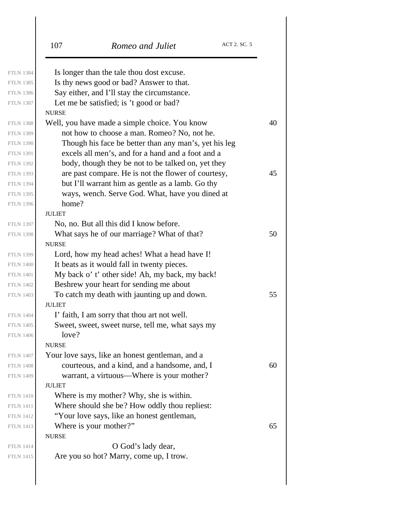|                  | ACT 2. SC. 5<br>107<br>Romeo and Juliet               |
|------------------|-------------------------------------------------------|
| <b>FTLN 1384</b> | Is longer than the tale thou dost excuse.             |
| <b>FTLN 1385</b> | Is thy news good or bad? Answer to that.              |
| <b>FTLN 1386</b> | Say either, and I'll stay the circumstance.           |
| <b>FTLN 1387</b> | Let me be satisfied; is 't good or bad?               |
|                  | <b>NURSE</b>                                          |
| <b>FTLN 1388</b> | Well, you have made a simple choice. You know         |
| <b>FTLN 1389</b> | not how to choose a man. Romeo? No, not he.           |
| <b>FTLN 1390</b> | Though his face be better than any man's, yet his leg |
| <b>FTLN 1391</b> | excels all men's, and for a hand and a foot and a     |
| <b>FTLN 1392</b> | body, though they be not to be talked on, yet they    |
| <b>FTLN 1393</b> | are past compare. He is not the flower of courtesy,   |
| <b>FTLN 1394</b> | but I'll warrant him as gentle as a lamb. Go thy      |
| <b>FTLN 1395</b> | ways, wench. Serve God. What, have you dined at       |
| <b>FTLN 1396</b> | home?                                                 |
|                  | <b>JULIET</b>                                         |
| <b>FTLN 1397</b> | No, no. But all this did I know before.               |
| <b>FTLN 1398</b> | What says he of our marriage? What of that?           |
|                  | <b>NURSE</b>                                          |
| <b>FTLN 1399</b> | Lord, how my head aches! What a head have I!          |
| <b>FTLN 1400</b> | It beats as it would fall in twenty pieces.           |
| <b>FTLN 1401</b> | My back o' t' other side! Ah, my back, my back!       |
| <b>FTLN 1402</b> | Beshrew your heart for sending me about               |
| <b>FTLN 1403</b> | To catch my death with jaunting up and down.          |
|                  | <b>JULIET</b>                                         |
| <b>FTLN 1404</b> | I' faith, I am sorry that thou art not well.          |
| <b>FTLN 1405</b> | Sweet, sweet, sweet nurse, tell me, what says my      |
| <b>FTLN 1406</b> | love?                                                 |
|                  | <b>NURSE</b>                                          |
| <b>FTLN 1407</b> | Your love says, like an honest gentleman, and a       |
| <b>FTLN 1408</b> | courteous, and a kind, and a handsome, and, I         |
| <b>FTLN 1409</b> | warrant, a virtuous—Where is your mother?             |
|                  | <b>JULIET</b>                                         |
| <b>FTLN 1410</b> | Where is my mother? Why, she is within.               |
| <b>FTLN 1411</b> | Where should she be? How oddly thou repliest:         |
| <b>FTLN 1412</b> | "Your love says, like an honest gentleman,            |
| <b>FTLN 1413</b> | Where is your mother?"                                |
|                  | <b>NURSE</b>                                          |
| <b>FTLN 1414</b> | O God's lady dear,                                    |
| <b>FTLN 1415</b> | Are you so hot? Marry, come up, I trow.               |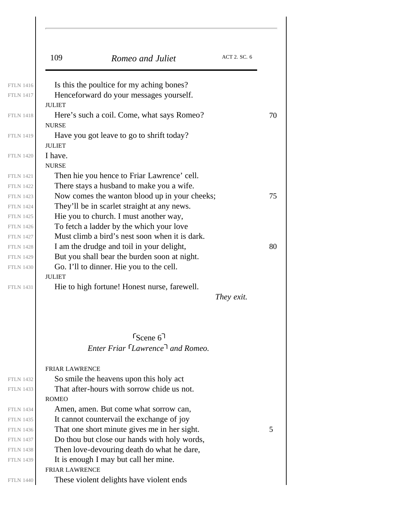|                  | ACT 2. SC. 6<br>109<br>Romeo and Juliet                        |  |
|------------------|----------------------------------------------------------------|--|
| <b>FTLN 1416</b> | Is this the poultice for my aching bones?                      |  |
| <b>FTLN 1417</b> | Henceforward do your messages yourself.                        |  |
|                  | <b>JULIET</b>                                                  |  |
| <b>FTLN 1418</b> | Here's such a coil. Come, what says Romeo?                     |  |
|                  | <b>NURSE</b>                                                   |  |
| <b>FTLN 1419</b> | Have you got leave to go to shrift today?                      |  |
|                  | <b>JULIET</b>                                                  |  |
| <b>FTLN 1420</b> | I have.                                                        |  |
|                  | <b>NURSE</b>                                                   |  |
| <b>FTLN 1421</b> | Then hie you hence to Friar Lawrence' cell.                    |  |
| <b>FTLN 1422</b> | There stays a husband to make you a wife.                      |  |
| <b>FTLN 1423</b> | Now comes the wanton blood up in your cheeks;                  |  |
| <b>FTLN 1424</b> | They'll be in scarlet straight at any news.                    |  |
| <b>FTLN 1425</b> | Hie you to church. I must another way,                         |  |
| <b>FTLN 1426</b> | To fetch a ladder by the which your love                       |  |
| <b>FTLN 1427</b> | Must climb a bird's nest soon when it is dark.                 |  |
| <b>FTLN 1428</b> | I am the drudge and toil in your delight,                      |  |
| <b>FTLN 1429</b> | But you shall bear the burden soon at night.                   |  |
| <b>FTLN 1430</b> | Go. I'll to dinner. Hie you to the cell.                       |  |
|                  | <b>JULIET</b>                                                  |  |
| <b>FTLN 1431</b> | Hie to high fortune! Honest nurse, farewell.                   |  |
|                  | They exit.                                                     |  |
|                  |                                                                |  |
|                  | $s_{\text{Cene}}$ 6                                            |  |
|                  | Enter Friar Lawrence <sup>1</sup> and Romeo.                   |  |
|                  |                                                                |  |
|                  | <b>FRIAR LAWRENCE</b>                                          |  |
| <b>FTLN 1432</b> | So smile the heavens upon this holy act                        |  |
| <b>FTLN 1433</b> | That after-hours with sorrow chide us not.                     |  |
|                  | <b>ROMEO</b>                                                   |  |
| <b>FTLN 1434</b> | Amen, amen. But come what sorrow can,                          |  |
| <b>FTLN 1435</b> | It cannot countervail the exchange of joy                      |  |
| <b>FTLN 1436</b> | That one short minute gives me in her sight.                   |  |
| <b>FTLN 1437</b> | Do thou but close our hands with holy words,                   |  |
| <b>FTLN 1438</b> | Then love-devouring death do what he dare,                     |  |
| <b>FTLN 1439</b> |                                                                |  |
|                  |                                                                |  |
|                  | It is enough I may but call her mine.<br><b>FRIAR LAWRENCE</b> |  |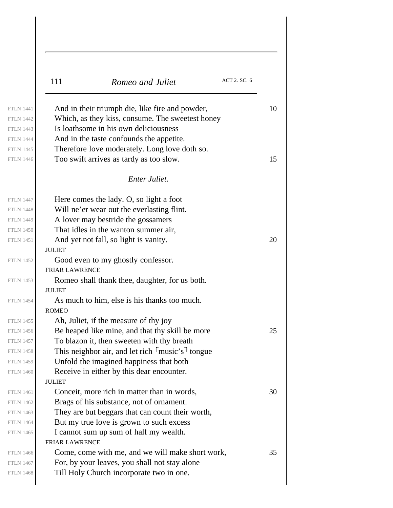| 111                   | Romeo and Juliet                                                      | ACT 2. SC. 6 |
|-----------------------|-----------------------------------------------------------------------|--------------|
|                       | And in their triumph die, like fire and powder,                       |              |
|                       | Which, as they kiss, consume. The sweetest honey                      |              |
|                       | Is loathsome in his own deliciousness                                 |              |
|                       | And in the taste confounds the appetite.                              |              |
|                       | Therefore love moderately. Long love doth so.                         |              |
|                       | Too swift arrives as tardy as too slow.                               |              |
|                       | <b>Enter Juliet.</b>                                                  |              |
|                       | Here comes the lady. O, so light a foot                               |              |
|                       | Will ne'er wear out the everlasting flint.                            |              |
|                       | A lover may be stride the gossamers                                   |              |
|                       | That idles in the wanton summer air,                                  |              |
|                       | And yet not fall, so light is vanity.                                 |              |
| <b>JULIET</b>         |                                                                       |              |
|                       | Good even to my ghostly confessor.                                    |              |
| <b>FRIAR LAWRENCE</b> |                                                                       |              |
| <b>JULIET</b>         | Romeo shall thank thee, daughter, for us both.                        |              |
|                       | As much to him, else is his thanks too much.                          |              |
| <b>ROMEO</b>          |                                                                       |              |
|                       | Ah, Juliet, if the measure of thy joy                                 |              |
|                       | Be heaped like mine, and that thy skill be more                       |              |
|                       | To blazon it, then sweeten with thy breath                            |              |
|                       | This neighbor air, and let rich $\lceil \text{music's} \rceil$ tongue |              |
|                       | Unfold the imagined happiness that both                               |              |
|                       | Receive in either by this dear encounter.                             |              |
| <b>JULIET</b>         |                                                                       |              |
|                       | Conceit, more rich in matter than in words,                           |              |
|                       | Brags of his substance, not of ornament.                              |              |
|                       | They are but beggars that can count their worth,                      |              |
|                       | But my true love is grown to such excess                              |              |
|                       | I cannot sum up sum of half my wealth.                                |              |
| <b>FRIAR LAWRENCE</b> |                                                                       |              |
|                       | Come, come with me, and we will make short work,                      |              |
|                       | For, by your leaves, you shall not stay alone                         |              |
|                       | Till Holy Church incorporate two in one.                              |              |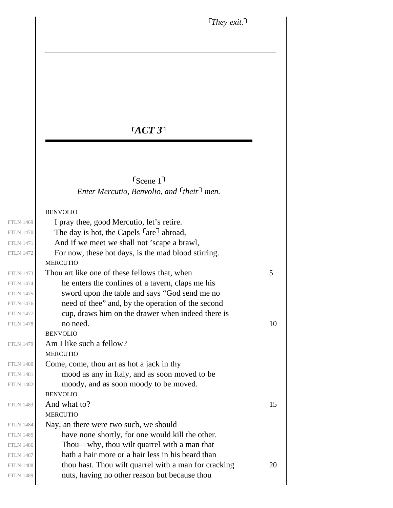# *ACT 3*

*Enter Mercutio, Benvolio, and their men.* Scene 1

### BENVOLIO

| <b>FTLN 1469</b> | I pray thee, good Mercutio, let's retire.                        |    |
|------------------|------------------------------------------------------------------|----|
| <b>FTLN 1470</b> | The day is hot, the Capels <sup>r</sup> are <sup>1</sup> abroad, |    |
| <b>FTLN 1471</b> | And if we meet we shall not 'scape a brawl,                      |    |
| <b>FTLN 1472</b> | For now, these hot days, is the mad blood stirring.              |    |
|                  | <b>MERCUTIO</b>                                                  |    |
| <b>FTLN 1473</b> | Thou art like one of these fellows that, when                    | 5  |
| <b>FTLN 1474</b> | he enters the confines of a tavern, claps me his                 |    |
| <b>FTLN 1475</b> | sword upon the table and says "God send me no                    |    |
| <b>FTLN 1476</b> | need of thee" and, by the operation of the second                |    |
| <b>FTLN 1477</b> | cup, draws him on the drawer when indeed there is                |    |
| <b>FTLN 1478</b> | no need.                                                         | 10 |
|                  | <b>BENVOLIO</b>                                                  |    |
| <b>FTLN 1479</b> | Am I like such a fellow?                                         |    |
|                  | <b>MERCUTIO</b>                                                  |    |
| <b>FTLN 1480</b> | Come, come, thou art as hot a jack in thy                        |    |
| <b>FTLN 1481</b> | mood as any in Italy, and as soon moved to be                    |    |
| <b>FTLN 1482</b> | moody, and as soon moody to be moved.                            |    |
|                  | <b>BENVOLIO</b>                                                  |    |
| <b>FTLN 1483</b> | And what to?                                                     | 15 |
|                  | <b>MERCUTIO</b>                                                  |    |
| <b>FTLN 1484</b> | Nay, an there were two such, we should                           |    |
| <b>FTLN 1485</b> | have none shortly, for one would kill the other.                 |    |
| <b>FTLN 1486</b> | Thou—why, thou wilt quarrel with a man that                      |    |
| <b>FTLN 1487</b> | hath a hair more or a hair less in his beard than                |    |
| <b>FTLN 1488</b> | thou hast. Thou wilt quarrel with a man for cracking             | 20 |
| <b>FTLN 1489</b> | nuts, having no other reason but because thou                    |    |
|                  |                                                                  |    |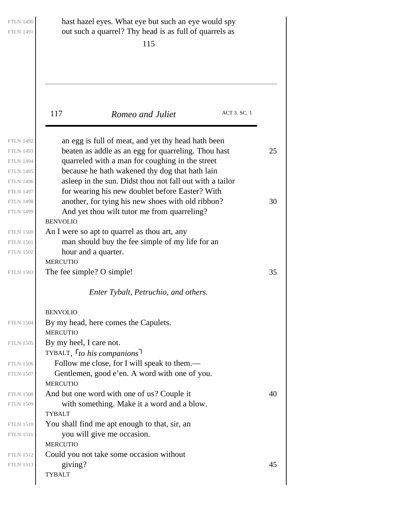| <b>FTLN 1490</b><br><b>FTLN 1491</b>                                                            | hast hazel eyes. What eye but such an eye would spy<br>out such a quarrel? Thy head is as full of quarrels as<br>115                                                                                            |              |  |
|-------------------------------------------------------------------------------------------------|-----------------------------------------------------------------------------------------------------------------------------------------------------------------------------------------------------------------|--------------|--|
| 117                                                                                             | Romeo and Juliet                                                                                                                                                                                                | ACT 3. SC. 1 |  |
| <b>FTLN 1492</b><br><b>FTLN 1493</b><br><b>FTLN 1494</b><br><b>FTLN 1495</b>                    | an egg is full of meat, and yet thy head hath been<br>beaten as addle as an egg for quarreling. Thou hast<br>quarreled with a man for coughing in the street<br>because he hath wakened thy dog that hath lain  | 25           |  |
| <b>FTLN 1496</b><br><b>FTLN 1497</b><br><b>FTLN 1498</b><br><b>FTLN 1499</b><br><b>BENVOLIO</b> | asleep in the sun. Didst thou not fall out with a tailor<br>for wearing his new doublet before Easter? With<br>another, for tying his new shoes with old ribbon?<br>And yet thou wilt tutor me from quarreling? | 30           |  |
| <b>FTLN 1500</b><br><b>FTLN 1501</b><br><b>FTLN 1502</b><br><b>MERCUTIO</b>                     | An I were so apt to quarrel as thou art, any<br>man should buy the fee simple of my life for an<br>hour and a quarter.                                                                                          |              |  |
| <b>FTLN 1503</b>                                                                                | The fee simple? O simple!<br>Enter Tybalt, Petruchio, and others.                                                                                                                                               | 35           |  |
| <b>BENVOLIO</b><br><b>FTLN 1504</b><br><b>MERCUTIO</b>                                          | By my head, here comes the Capulets.                                                                                                                                                                            |              |  |
| <b>FTLN 1505</b><br><b>FTLN 1506</b>                                                            | By my heel, I care not.<br>TYBALT, $\lceil$ to his companions <sup>1</sup><br>Follow me close, for I will speak to them.-                                                                                       |              |  |
| <b>FTLN 1507</b><br><b>MERCUTIO</b><br><b>FTLN 1508</b>                                         | Gentlemen, good e'en. A word with one of you.<br>And but one word with one of us? Couple it                                                                                                                     | 40           |  |
| <b>FTLN 1509</b><br><b>TYBALT</b><br><b>FTLN 1510</b>                                           | with something. Make it a word and a blow.<br>You shall find me apt enough to that, sir, an                                                                                                                     |              |  |
| <b>FTLN 1511</b><br><b>MERCUTIO</b><br><b>FTLN 1512</b>                                         | you will give me occasion.<br>Could you not take some occasion without                                                                                                                                          |              |  |
| giving?<br><b>FTLN 1513</b><br><b>TYBALT</b>                                                    |                                                                                                                                                                                                                 | 45           |  |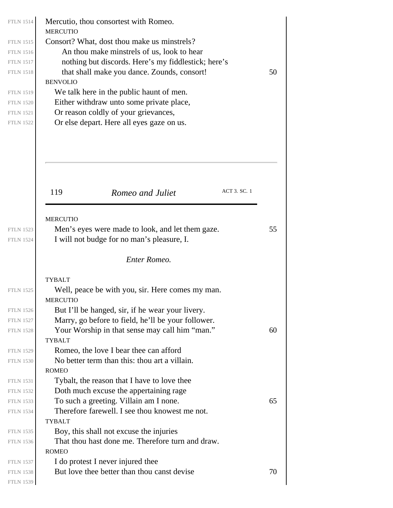| <b>FTLN 1514</b> | Mercutio, thou consortest with Romeo.                                                     |    |
|------------------|-------------------------------------------------------------------------------------------|----|
| <b>FTLN 1515</b> | <b>MERCUTIO</b>                                                                           |    |
| <b>FTLN 1516</b> | Consort? What, dost thou make us minstrels?<br>An thou make minstrels of us, look to hear |    |
| <b>FTLN 1517</b> | nothing but discords. Here's my fiddlestick; here's                                       |    |
| <b>FTLN 1518</b> | that shall make you dance. Zounds, consort!                                               | 50 |
|                  | <b>BENVOLIO</b>                                                                           |    |
| <b>FTLN 1519</b> | We talk here in the public haunt of men.                                                  |    |
| <b>FTLN 1520</b> | Either withdraw unto some private place,                                                  |    |
| <b>FTLN 1521</b> | Or reason coldly of your grievances,                                                      |    |
| <b>FTLN 1522</b> | Or else depart. Here all eyes gaze on us.                                                 |    |
|                  |                                                                                           |    |
|                  |                                                                                           |    |
|                  |                                                                                           |    |
|                  |                                                                                           |    |
|                  |                                                                                           |    |
|                  |                                                                                           |    |
|                  | ACT 3. SC. 1<br>119<br>Romeo and Juliet                                                   |    |
|                  |                                                                                           |    |
|                  |                                                                                           |    |
|                  | <b>MERCUTIO</b>                                                                           |    |
| <b>FTLN 1523</b> | Men's eyes were made to look, and let them gaze.                                          | 55 |
| <b>FTLN 1524</b> | I will not budge for no man's pleasure, I.                                                |    |
|                  | Enter Romeo.                                                                              |    |
|                  |                                                                                           |    |
|                  | <b>TYBALT</b>                                                                             |    |
| <b>FTLN 1525</b> | Well, peace be with you, sir. Here comes my man.                                          |    |
|                  | MERCUTIO                                                                                  |    |
| <b>FTLN 1526</b> | But I'll be hanged, sir, if he wear your livery.                                          |    |
| <b>FTLN 1527</b> | Marry, go before to field, he'll be your follower.                                        |    |
| <b>FTLN 1528</b> | Your Worship in that sense may call him "man."                                            | 60 |
|                  | <b>TYBALT</b>                                                                             |    |
| <b>FTLN 1529</b> | Romeo, the love I bear thee can afford                                                    |    |
| <b>FTLN 1530</b> | No better term than this: thou art a villain.                                             |    |
|                  | <b>ROMEO</b>                                                                              |    |
| <b>FTLN 1531</b> | Tybalt, the reason that I have to love thee                                               |    |
| <b>FTLN 1532</b> | Doth much excuse the appertaining rage                                                    |    |
| <b>FTLN 1533</b> | To such a greeting. Villain am I none.                                                    | 65 |
| <b>FTLN 1534</b> | Therefore farewell. I see thou knowest me not.                                            |    |
|                  | <b>TYBALT</b>                                                                             |    |
| <b>FTLN 1535</b> | Boy, this shall not excuse the injuries                                                   |    |
| <b>FTLN 1536</b> | That thou hast done me. Therefore turn and draw.                                          |    |
|                  | <b>ROMEO</b>                                                                              |    |
| <b>FTLN 1537</b> | I do protest I never injured thee                                                         |    |
| <b>FTLN 1538</b> | But love thee better than thou canst devise                                               | 70 |
| <b>FTLN 1539</b> |                                                                                           |    |
|                  |                                                                                           |    |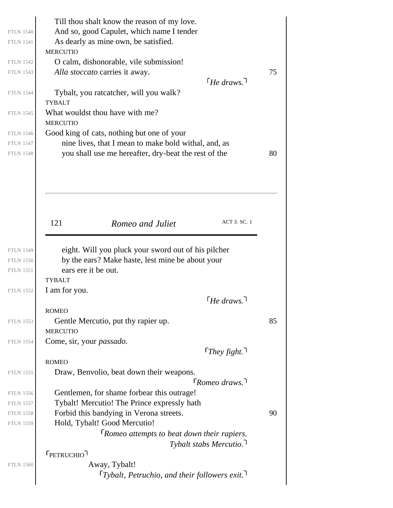| <b>FTLN 1540</b><br><b>FTLN 1541</b><br><b>FTLN 1542</b><br><b>FTLN 1543</b> | Till thou shalt know the reason of my love.<br>And so, good Capulet, which name I tender<br>As dearly as mine own, be satisfied.<br><b>MERCUTIO</b><br>O calm, dishonorable, vile submission!<br>Alla stoccato carries it away. |                                | 75 |
|------------------------------------------------------------------------------|---------------------------------------------------------------------------------------------------------------------------------------------------------------------------------------------------------------------------------|--------------------------------|----|
| <b>FTLN 1544</b><br><b>FTLN 1545</b>                                         | Tybalt, you rateatcher, will you walk?<br><b>TYBALT</b><br>What wouldst thou have with me?                                                                                                                                      | $\lceil$ He draws.             |    |
|                                                                              | <b>MERCUTIO</b>                                                                                                                                                                                                                 |                                |    |
| <b>FTLN 1546</b>                                                             | Good king of cats, nothing but one of your                                                                                                                                                                                      |                                |    |
| <b>FTLN 1547</b>                                                             | nine lives, that I mean to make bold withal, and, as                                                                                                                                                                            |                                |    |
| <b>FTLN 1548</b>                                                             | you shall use me hereafter, dry-beat the rest of the                                                                                                                                                                            |                                | 80 |
|                                                                              |                                                                                                                                                                                                                                 |                                |    |
|                                                                              | 121<br>Romeo and Juliet                                                                                                                                                                                                         | ACT 3. SC. 1                   |    |
|                                                                              |                                                                                                                                                                                                                                 |                                |    |
| <b>FTLN 1549</b>                                                             | eight. Will you pluck your sword out of his pilcher                                                                                                                                                                             |                                |    |
|                                                                              |                                                                                                                                                                                                                                 |                                |    |
| <b>FTLN 1550</b>                                                             | by the ears? Make haste, lest mine be about your                                                                                                                                                                                |                                |    |
| <b>FTLN 1551</b>                                                             | ears ere it be out.                                                                                                                                                                                                             |                                |    |
|                                                                              | <b>TYBALT</b>                                                                                                                                                                                                                   |                                |    |
| <b>FTLN 1552</b>                                                             | I am for you.                                                                                                                                                                                                                   |                                |    |
|                                                                              |                                                                                                                                                                                                                                 | $\lceil$ He draws. $\lceil$    |    |
|                                                                              | <b>ROMEO</b>                                                                                                                                                                                                                    |                                |    |
| <b>FTLN 1553</b>                                                             | Gentle Mercutio, put thy rapier up.                                                                                                                                                                                             |                                | 85 |
|                                                                              | <b>MERCUTIO</b>                                                                                                                                                                                                                 |                                |    |
| <b>FTLN 1554</b>                                                             | Come, sir, your <i>passado</i> .                                                                                                                                                                                                |                                |    |
|                                                                              |                                                                                                                                                                                                                                 | $[They\, fight.]$              |    |
| <b>FTLN 1555</b>                                                             | <b>ROMEO</b><br>Draw, Benvolio, beat down their weapons.                                                                                                                                                                        |                                |    |
|                                                                              |                                                                                                                                                                                                                                 | $\lceil$ Romeo draws. $\rceil$ |    |
| <b>FTLN 1556</b>                                                             | Gentlemen, for shame forbear this outrage!                                                                                                                                                                                      |                                |    |
| <b>FTLN 1557</b>                                                             | Tybalt! Mercutio! The Prince expressly hath                                                                                                                                                                                     |                                |    |
| <b>FTLN 1558</b>                                                             | Forbid this bandying in Verona streets.                                                                                                                                                                                         |                                | 90 |
| <b>FTLN 1559</b>                                                             | Hold, Tybalt! Good Mercutio!                                                                                                                                                                                                    |                                |    |
|                                                                              | FRomeo attempts to beat down their rapiers.                                                                                                                                                                                     |                                |    |
|                                                                              | Tybalt stabs Mercutio. $\overline{\ }$                                                                                                                                                                                          |                                |    |
|                                                                              | <b>FPETRUCHIO</b>                                                                                                                                                                                                               |                                |    |
| <b>FTLN 1560</b>                                                             | Away, Tybalt!<br>$\lceil Tybalt, Petruchio, and their follows exist.$ <sup>1</sup>                                                                                                                                              |                                |    |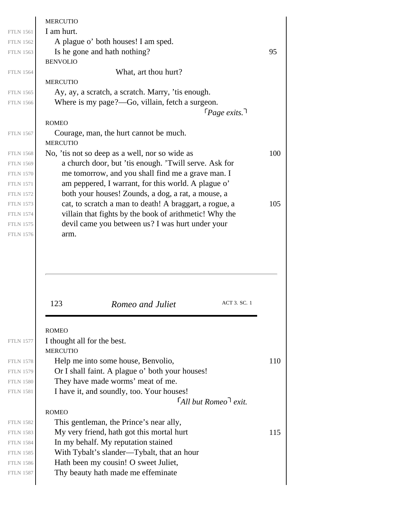|                                                                                                  | <b>MERCUTIO</b>                                        |     |
|--------------------------------------------------------------------------------------------------|--------------------------------------------------------|-----|
| <b>FTLN 1561</b>                                                                                 | I am hurt.                                             |     |
| <b>FTLN 1562</b>                                                                                 | A plague o' both houses! I am sped.                    |     |
| <b>FTLN 1563</b>                                                                                 | Is he gone and hath nothing?                           | 95  |
|                                                                                                  | <b>BENVOLIO</b>                                        |     |
| <b>FTLN 1564</b>                                                                                 | What, art thou hurt?                                   |     |
|                                                                                                  | <b>MERCUTIO</b>                                        |     |
| <b>FTLN 1565</b>                                                                                 | Ay, ay, a scratch, a scratch. Marry, 'tis enough.      |     |
| <b>FTLN 1566</b>                                                                                 | Where is my page?—Go, villain, fetch a surgeon.        |     |
|                                                                                                  | $\lceil \textit{Page exists.} \rceil$                  |     |
|                                                                                                  | <b>ROMEO</b>                                           |     |
| <b>FTLN 1567</b>                                                                                 | Courage, man, the hurt cannot be much.                 |     |
|                                                                                                  | <b>MERCUTIO</b>                                        |     |
| <b>FTLN 1568</b>                                                                                 | No, 'tis not so deep as a well, nor so wide as         | 100 |
| <b>FTLN 1569</b>                                                                                 | a church door, but 'tis enough. 'Twill serve. Ask for  |     |
| <b>FTLN 1570</b>                                                                                 | me tomorrow, and you shall find me a grave man. I      |     |
| <b>FTLN 1571</b>                                                                                 | am peppered, I warrant, for this world. A plague o'    |     |
| <b>FTLN 1572</b>                                                                                 | both your houses! Zounds, a dog, a rat, a mouse, a     |     |
| <b>FTLN 1573</b>                                                                                 | cat, to scratch a man to death! A braggart, a rogue, a | 105 |
| <b>FTLN 1574</b>                                                                                 | villain that fights by the book of arithmetic! Why the |     |
| <b>FTLN 1575</b>                                                                                 | devil came you between us? I was hurt under your       |     |
| <b>FTLN 1576</b>                                                                                 | arm.                                                   |     |
|                                                                                                  | 123<br>ACT 3. SC. 1<br>Romeo and Juliet                |     |
|                                                                                                  |                                                        |     |
|                                                                                                  | <b>ROMEO</b>                                           |     |
| <b>FTLN 1577</b>                                                                                 | I thought all for the best.                            |     |
|                                                                                                  | <b>MERCUTIO</b>                                        |     |
| <b>FTLN 1578</b>                                                                                 | Help me into some house, Benvolio,                     | 110 |
| <b>FTLN 1579</b>                                                                                 | Or I shall faint. A plague o' both your houses!        |     |
| <b>FTLN 1580</b>                                                                                 | They have made worms' meat of me.                      |     |
| <b>FTLN 1581</b>                                                                                 | I have it, and soundly, too. Your houses!              |     |
|                                                                                                  | $\lceil$ All but Romeo $\lceil$ exit.                  |     |
|                                                                                                  | <b>ROMEO</b>                                           |     |
| <b>FTLN 1582</b>                                                                                 |                                                        |     |
|                                                                                                  | This gentleman, the Prince's near ally,                |     |
|                                                                                                  | My very friend, hath got this mortal hurt              | 115 |
|                                                                                                  | In my behalf. My reputation stained                    |     |
|                                                                                                  | With Tybalt's slander—Tybalt, that an hour             |     |
|                                                                                                  | Hath been my cousin! O sweet Juliet,                   |     |
| <b>FTLN 1583</b><br><b>FTLN 1584</b><br><b>FTLN 1585</b><br><b>FTLN 1586</b><br><b>FTLN 1587</b> | Thy beauty hath made me effeminate                     |     |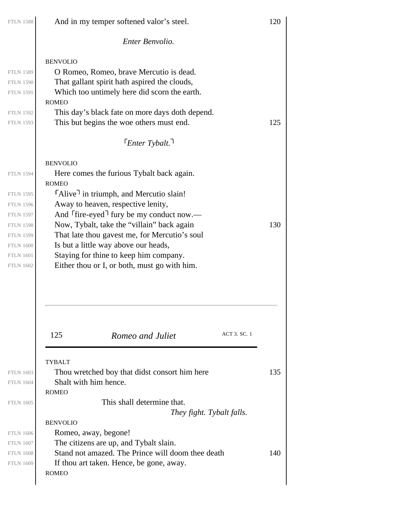| <b>FTLN 1588</b> | And in my temper softened valor's steel.          | 120 |
|------------------|---------------------------------------------------|-----|
|                  | Enter Benvolio.                                   |     |
|                  | <b>BENVOLIO</b>                                   |     |
| <b>FTLN 1589</b> | O Romeo, Romeo, brave Mercutio is dead.           |     |
| <b>FTLN 1590</b> | That gallant spirit hath aspired the clouds,      |     |
| <b>FTLN 1591</b> | Which too untimely here did scorn the earth.      |     |
|                  | <b>ROMEO</b>                                      |     |
| <b>FTLN 1592</b> | This day's black fate on more days doth depend.   |     |
| <b>FTLN 1593</b> | This but begins the woe others must end.          | 125 |
|                  | $\lceil$ FEnter Tybalt.                           |     |
|                  | <b>BENVOLIO</b>                                   |     |
| <b>FTLN 1594</b> | Here comes the furious Tybalt back again.         |     |
|                  | <b>ROMEO</b>                                      |     |
| <b>FTLN 1595</b> | "Alive" in triumph, and Mercutio slain!           |     |
| <b>FTLN 1596</b> | Away to heaven, respective lenity,                |     |
| <b>FTLN 1597</b> | And $[$ fire-eyed $]$ fury be my conduct now.—    |     |
| <b>FTLN 1598</b> | Now, Tybalt, take the "villain" back again        | 130 |
| <b>FTLN 1599</b> | That late thou gavest me, for Mercutio's soul     |     |
| <b>FTLN 1600</b> | Is but a little way above our heads,              |     |
| <b>FTLN 1601</b> | Staying for thine to keep him company.            |     |
| <b>FTLN 1602</b> | Either thou or I, or both, must go with him.      |     |
|                  | ACT 3. SC. 1<br>125<br>Romeo and Juliet           |     |
|                  | <b>TYBALT</b>                                     |     |
| <b>FTLN 1603</b> | Thou wretched boy that didst consort him here     | 135 |
| <b>FTLN 1604</b> | Shalt with him hence.                             |     |
|                  | <b>ROMEO</b>                                      |     |
| <b>FTLN 1605</b> | This shall determine that.                        |     |
|                  | They fight. Tybalt falls.                         |     |
|                  | <b>BENVOLIO</b>                                   |     |
| <b>FTLN 1606</b> | Romeo, away, begone!                              |     |
| <b>FTLN 1607</b> | The citizens are up, and Tybalt slain.            |     |
| <b>FTLN 1608</b> | Stand not amazed. The Prince will doom thee death | 140 |
| <b>FTLN 1609</b> | If thou art taken. Hence, be gone, away.          |     |
|                  | <b>ROMEO</b>                                      |     |
|                  |                                                   |     |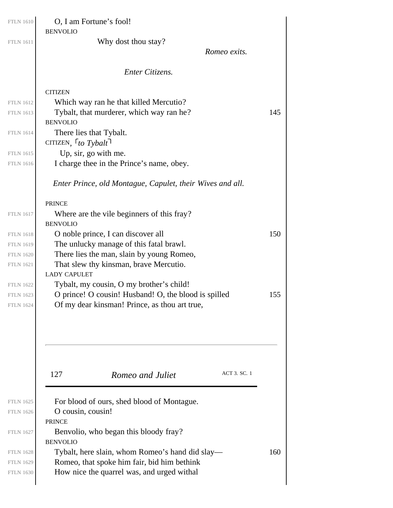| O, I am Fortune's fool!<br><b>BENVOLIO</b>                |     |
|-----------------------------------------------------------|-----|
| Why dost thou stay?                                       |     |
| Romeo exits.                                              |     |
| Enter Citizens.                                           |     |
| <b>CITIZEN</b>                                            |     |
| Which way ran he that killed Mercutio?                    |     |
| Tybalt, that murderer, which way ran he?                  | 145 |
| <b>BENVOLIO</b>                                           |     |
| There lies that Tybalt.                                   |     |
| CITIZEN, $\lceil t \cdot g \rceil$                        |     |
| Up, sir, go with me.                                      |     |
| I charge thee in the Prince's name, obey.                 |     |
| Enter Prince, old Montague, Capulet, their Wives and all. |     |
| <b>PRINCE</b>                                             |     |
| Where are the vile beginners of this fray?                |     |
| <b>BENVOLIO</b>                                           |     |
| O noble prince, I can discover all                        | 150 |
| The unlucky manage of this fatal brawl.                   |     |
| There lies the man, slain by young Romeo,                 |     |
| That slew thy kinsman, brave Mercutio.                    |     |
| <b>LADY CAPULET</b>                                       |     |
| Tybalt, my cousin, O my brother's child!                  |     |
| O prince! O cousin! Husband! O, the blood is spilled      | 155 |
| Of my dear kinsman! Prince, as thou art true,             |     |
| ACT 3. SC. 1<br>127<br>Romeo and Juliet                   |     |
|                                                           |     |
| For blood of ours, shed blood of Montague.                |     |
| O cousin, cousin!                                         |     |
| <b>PRINCE</b>                                             |     |
| Benvolio, who began this bloody fray?                     |     |
| <b>BENVOLIO</b>                                           |     |
| Tybalt, here slain, whom Romeo's hand did slay—           | 160 |
|                                                           |     |
| Romeo, that spoke him fair, bid him bethink               |     |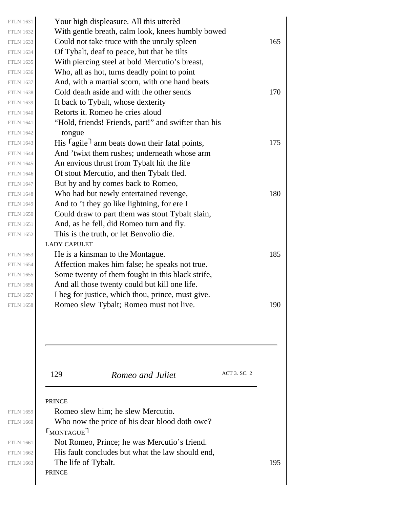| <b>FTLN 1659</b><br><b>FTLN 1660</b><br><b>FTLN 1661</b> | Romeo slew him; he slew Mercutio.<br>Who now the price of his dear blood doth owe?<br>$\Gamma_{\text{MONTAGUE}}$<br>Not Romeo, Prince; he was Mercutio's friend.<br>His fault concludes but what the law should end, |  |
|----------------------------------------------------------|----------------------------------------------------------------------------------------------------------------------------------------------------------------------------------------------------------------------|--|
|                                                          | ACT 3. SC. 2<br>129<br>Romeo and Juliet<br><b>PRINCE</b>                                                                                                                                                             |  |
|                                                          |                                                                                                                                                                                                                      |  |
| <b>FTLN 1658</b>                                         | Romeo slew Tybalt; Romeo must not live.                                                                                                                                                                              |  |
| <b>FTLN 1657</b>                                         | And all those twenty could but kill one life.<br>I beg for justice, which thou, prince, must give.                                                                                                                   |  |
| <b>FTLN 1655</b><br><b>FTLN 1656</b>                     | Some twenty of them fought in this black strife,                                                                                                                                                                     |  |
| <b>FTLN 1654</b>                                         | Affection makes him false; he speaks not true.                                                                                                                                                                       |  |
| <b>FTLN 1653</b>                                         | He is a kinsman to the Montague.                                                                                                                                                                                     |  |
|                                                          | <b>LADY CAPULET</b>                                                                                                                                                                                                  |  |
| <b>FTLN 1652</b>                                         | This is the truth, or let Benvolio die.                                                                                                                                                                              |  |
| <b>FTLN 1651</b>                                         | And, as he fell, did Romeo turn and fly.                                                                                                                                                                             |  |
| <b>FTLN 1650</b>                                         | Could draw to part them was stout Tybalt slain,                                                                                                                                                                      |  |
| <b>FTLN 1649</b>                                         | And to 't they go like lightning, for ere I                                                                                                                                                                          |  |
| <b>FTLN 1647</b><br><b>FTLN 1648</b>                     | But by and by comes back to Romeo,<br>Who had but newly entertained revenge,                                                                                                                                         |  |
| <b>FTLN 1646</b>                                         | Of stout Mercutio, and then Tybalt fled.                                                                                                                                                                             |  |
| <b>FTLN 1645</b>                                         | An envious thrust from Tybalt hit the life                                                                                                                                                                           |  |
| <b>FTLN 1644</b>                                         | And 'twixt them rushes; underneath whose arm                                                                                                                                                                         |  |
| <b>FTLN 1643</b>                                         | His $\lceil \text{agile} \rceil$ arm beats down their fatal points,                                                                                                                                                  |  |
| <b>FTLN 1642</b>                                         | tongue                                                                                                                                                                                                               |  |
| <b>FTLN 1641</b>                                         | "Hold, friends! Friends, part!" and swifter than his                                                                                                                                                                 |  |
| <b>FTLN 1640</b>                                         | Retorts it. Romeo he cries aloud                                                                                                                                                                                     |  |
| <b>FTLN 1639</b>                                         | It back to Tybalt, whose dexterity                                                                                                                                                                                   |  |
| <b>FTLN 1638</b>                                         | Cold death aside and with the other sends                                                                                                                                                                            |  |
| <b>FTLN 1637</b>                                         | And, with a martial scorn, with one hand beats                                                                                                                                                                       |  |
| <b>FTLN 1635</b><br><b>FTLN 1636</b>                     | With piercing steel at bold Mercutio's breast,<br>Who, all as hot, turns deadly point to point                                                                                                                       |  |
| <b>FTLN 1634</b>                                         | Of Tybalt, deaf to peace, but that he tilts                                                                                                                                                                          |  |
| <b>FTLN 1633</b>                                         | Could not take truce with the unruly spleen                                                                                                                                                                          |  |
| <b>FTLN 1632</b>                                         | With gentle breath, calm look, knees humbly bowed                                                                                                                                                                    |  |
| <b>FTLN 1631</b>                                         |                                                                                                                                                                                                                      |  |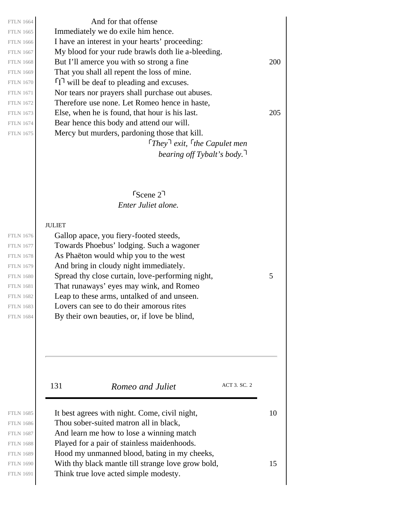*They exit, the Capulet men* And for that offense Immediately we do exile him hence. I have an interest in your hearts' proceeding: My blood for your rude brawls doth lie a-bleeding. FTLN 1668 But I'll amerce you with so strong a fine  $200$ That you shall all repent the loss of mine.  $\Pi$  will be deaf to pleading and excuses. Nor tears nor prayers shall purchase out abuses. Therefore use none. Let Romeo hence in haste, FTLN 1673 Else, when he is found, that hour is his last.  $205$ Bear hence this body and attend our will. Mercy but murders, pardoning those that kill.

*bearing off Tybalt's body.*

*Enter Juliet alone.* Scene 2

### JULIET

Gallop apace, you fiery-footed steeds, Towards Phoebus' lodging. Such a wagoner As Phaëton would whip you to the west And bring in cloudy night immediately. FTLN 1680  $\vert$  Spread thy close curtain, love-performing night, 5 That runaways' eyes may wink, and Romeo Leap to these arms, untalked of and unseen. Lovers can see to do their amorous rites By their own beauties, or, if love be blind,

131 *Romeo and Juliet* ACT 3. SC. 2

| <b>FTLN 1685</b> | It best agrees with night. Come, civil night,      | 10 |
|------------------|----------------------------------------------------|----|
| <b>FTLN 1686</b> | Thou sober-suited matron all in black,             |    |
| <b>FTLN 1687</b> | And learn me how to lose a winning match           |    |
| <b>FTLN 1688</b> | Played for a pair of stainless maidenhoods.        |    |
| <b>FTLN 1689</b> | Hood my unmanned blood, bating in my cheeks,       |    |
| <b>FTLN 1690</b> | With thy black mantle till strange love grow bold, | 15 |
| <b>FTLN 1691</b> | Think true love acted simple modesty.              |    |
|                  |                                                    |    |

FTLN 1676 FTLN 1677 FTLN 1678 FTLN 1679 FTLN 1681 FTLN 1682 FTLN 1683 FTLN 1684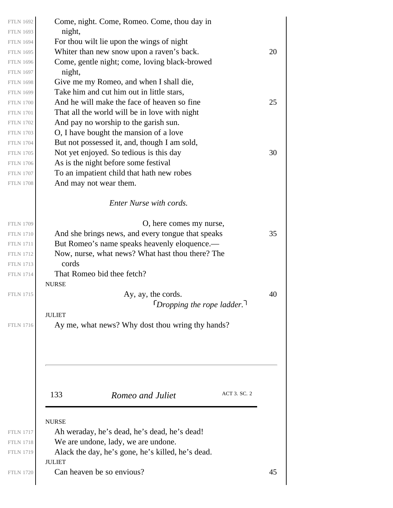| <b>FTLN 1692</b><br><b>FTLN 1693</b><br><b>FTLN 1694</b><br><b>FTLN 1695</b><br><b>FTLN 1696</b>                                                             | Come, night. Come, Romeo. Come, thou day in<br>night,<br>For thou wilt lie upon the wings of night<br>Whiter than new snow upon a raven's back.<br>Come, gentle night; come, loving black-browed                                                                                                                                                                         | 20       |
|--------------------------------------------------------------------------------------------------------------------------------------------------------------|--------------------------------------------------------------------------------------------------------------------------------------------------------------------------------------------------------------------------------------------------------------------------------------------------------------------------------------------------------------------------|----------|
| <b>FTLN 1697</b><br><b>FTLN 1698</b><br><b>FTLN 1699</b><br><b>FTLN 1700</b><br><b>FTLN 1701</b><br><b>FTLN 1702</b><br><b>FTLN 1703</b>                     | night,<br>Give me my Romeo, and when I shall die,<br>Take him and cut him out in little stars,<br>And he will make the face of heaven so fine<br>That all the world will be in love with night<br>And pay no worship to the garish sun.<br>O, I have bought the mansion of a love                                                                                        | 25       |
| <b>FTLN 1704</b><br><b>FTLN 1705</b><br><b>FTLN 1706</b><br><b>FTLN 1707</b><br><b>FTLN 1708</b>                                                             | But not possessed it, and, though I am sold,<br>Not yet enjoyed. So tedious is this day<br>As is the night before some festival<br>To an impatient child that hath new robes<br>And may not wear them.                                                                                                                                                                   | 30       |
|                                                                                                                                                              | Enter Nurse with cords.                                                                                                                                                                                                                                                                                                                                                  |          |
| <b>FTLN 1709</b><br><b>FTLN 1710</b><br><b>FTLN 1711</b><br><b>FTLN 1712</b><br><b>FTLN 1713</b><br><b>FTLN 1714</b><br><b>FTLN 1715</b><br><b>FTLN 1716</b> | O, here comes my nurse,<br>And she brings news, and every tongue that speaks<br>But Romeo's name speaks heavenly eloquence.-<br>Now, nurse, what news? What hast thou there? The<br>cords<br>That Romeo bid thee fetch?<br><b>NURSE</b><br>Ay, ay, the cords.<br>$\lceil$ Dropping the rope ladder.<br><b>JULIET</b><br>Ay me, what news? Why dost thou wring thy hands? | 35<br>40 |
| <b>FTLN 1717</b><br><b>FTLN 1718</b><br><b>FTLN 1719</b>                                                                                                     | ACT 3. SC. 2<br>133<br>Romeo and Juliet<br><b>NURSE</b><br>Ah weraday, he's dead, he's dead, he's dead!<br>We are undone, lady, we are undone.<br>Alack the day, he's gone, he's killed, he's dead.<br><b>JULIET</b>                                                                                                                                                     |          |
| <b>FTLN 1720</b>                                                                                                                                             | Can heaven be so envious?                                                                                                                                                                                                                                                                                                                                                | 45       |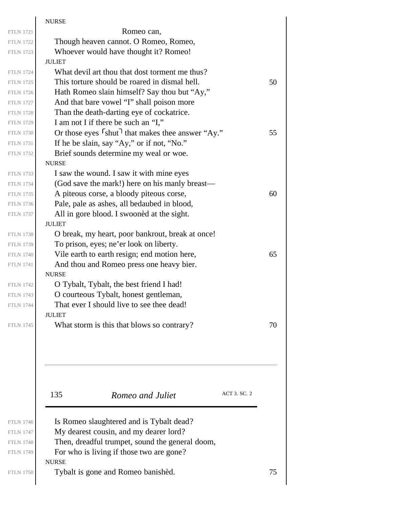|                  | <b>NURSE</b>                                                                             |    |
|------------------|------------------------------------------------------------------------------------------|----|
| <b>FTLN 1721</b> | Romeo can,                                                                               |    |
| <b>FTLN 1722</b> | Though heaven cannot. O Romeo, Romeo,                                                    |    |
| <b>FTLN 1723</b> | Whoever would have thought it? Romeo!                                                    |    |
|                  | <b>JULIET</b>                                                                            |    |
|                  | What devil art thou that dost torment me thus?                                           |    |
|                  | This torture should be roared in dismal hell.                                            | 50 |
|                  | Hath Romeo slain himself? Say thou but "Ay,"                                             |    |
|                  | And that bare vowel "I" shall poison more                                                |    |
|                  | Than the death-darting eye of cockatrice.                                                |    |
|                  | I am not I if there be such an "I,"                                                      |    |
|                  | Or those eyes <sup>Shut</sup> that makes thee answer "Ay."                               | 55 |
|                  | If he be slain, say "Ay," or if not, "No."                                               |    |
|                  | Brief sounds determine my weal or woe.                                                   |    |
|                  | <b>NURSE</b>                                                                             |    |
|                  | I saw the wound. I saw it with mine eyes                                                 |    |
|                  | (God save the mark!) here on his manly breast—                                           |    |
|                  | A piteous corse, a bloody piteous corse,                                                 | 60 |
|                  | Pale, pale as ashes, all bedaubed in blood,                                              |    |
|                  | All in gore blood. I swooned at the sight.                                               |    |
|                  | <b>JULIET</b>                                                                            |    |
|                  | O break, my heart, poor bankrout, break at once!                                         |    |
|                  | To prison, eyes; ne'er look on liberty.                                                  |    |
|                  | Vile earth to earth resign; end motion here,<br>And thou and Romeo press one heavy bier. | 65 |
|                  | <b>NURSE</b>                                                                             |    |
|                  | O Tybalt, Tybalt, the best friend I had!                                                 |    |
|                  | O courteous Tybalt, honest gentleman,                                                    |    |
|                  | That ever I should live to see thee dead!                                                |    |
|                  | <b>JULIET</b>                                                                            |    |
|                  | What storm is this that blows so contrary?                                               | 70 |
|                  |                                                                                          |    |
|                  |                                                                                          |    |
|                  | ACT 3. SC. 2<br>135<br>Romeo and Juliet                                                  |    |
|                  | Is Romeo slaughtered and is Tybalt dead?                                                 |    |
|                  | My dearest cousin, and my dearer lord?                                                   |    |
|                  |                                                                                          |    |
|                  | Then, dreadful trumpet, sound the general doom,                                          |    |
|                  | For who is living if those two are gone?                                                 |    |
|                  | <b>NURSE</b><br>Tybalt is gone and Romeo banished.                                       | 75 |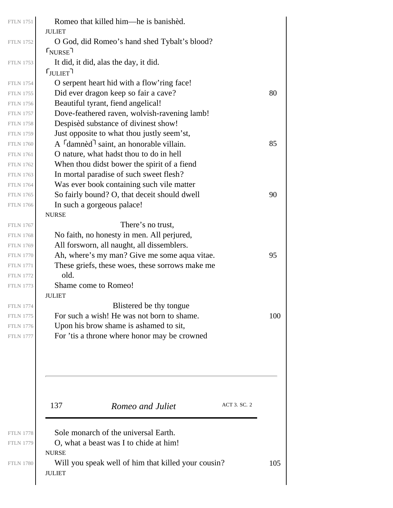| <b>FTLN 1751</b> | Romeo that killed him—he is banished.<br><b>JULIET</b>               |     |
|------------------|----------------------------------------------------------------------|-----|
| <b>FTLN 1752</b> | O God, did Romeo's hand shed Tybalt's blood?                         |     |
|                  | $\mathsf{\Gamma}_{\text{NURSE}}$                                     |     |
| <b>FTLN 1753</b> | It did, it did, alas the day, it did.                                |     |
|                  | $\mathsf{\Gamma}_{\text{JULIET}}$ ר                                  |     |
| <b>FTLN 1754</b> | O serpent heart hid with a flow'ring face!                           |     |
| <b>FTLN 1755</b> | Did ever dragon keep so fair a cave?                                 | 80  |
| <b>FTLN 1756</b> | Beautiful tyrant, fiend angelical!                                   |     |
| <b>FTLN 1757</b> | Dove-feathered raven, wolvish-ravening lamb!                         |     |
| <b>FTLN 1758</b> | Despisèd substance of divinest show!                                 |     |
| <b>FTLN 1759</b> | Just opposite to what thou justly seem'st,                           |     |
| <b>FTLN 1760</b> | A <sup>r</sup> damnèd <sup>1</sup> saint, an honorable villain.      | 85  |
| <b>FTLN 1761</b> | O nature, what hadst thou to do in hell                              |     |
| <b>FTLN 1762</b> | When thou didst bower the spirit of a fiend                          |     |
| <b>FTLN 1763</b> | In mortal paradise of such sweet flesh?                              |     |
| <b>FTLN 1764</b> | Was ever book containing such vile matter                            |     |
| <b>FTLN 1765</b> | So fairly bound? O, that deceit should dwell                         | 90  |
| <b>FTLN 1766</b> | In such a gorgeous palace!                                           |     |
|                  | <b>NURSE</b>                                                         |     |
| <b>FTLN 1767</b> | There's no trust,                                                    |     |
| <b>FTLN 1768</b> | No faith, no honesty in men. All perjured,                           |     |
| <b>FTLN 1769</b> | All forsworn, all naught, all dissemblers.                           |     |
| <b>FTLN 1770</b> | Ah, where's my man? Give me some aqua vitae.                         | 95  |
| <b>FTLN 1771</b> | These griefs, these woes, these sorrows make me                      |     |
| <b>FTLN 1772</b> | old.                                                                 |     |
| <b>FTLN 1773</b> | Shame come to Romeo!                                                 |     |
|                  | <b>JULIET</b>                                                        |     |
| <b>FTLN 1774</b> | Blistered be thy tongue                                              |     |
| <b>FTLN 1775</b> | For such a wish! He was not born to shame.                           | 100 |
| <b>FTLN 1776</b> | Upon his brow shame is ashamed to sit,                               |     |
| <b>FTLN 1777</b> | For 'tis a throne where honor may be crowned                         |     |
|                  |                                                                      |     |
|                  | ACT 3. SC. 2<br>137<br>Romeo and Juliet                              |     |
|                  |                                                                      |     |
|                  |                                                                      |     |
| <b>FTLN 1778</b> | Sole monarch of the universal Earth.                                 |     |
| <b>FTLN 1779</b> | O, what a beast was I to chide at him!                               |     |
|                  | <b>NURSE</b>                                                         |     |
| <b>FTLN 1780</b> | Will you speak well of him that killed your cousin?<br><b>JULIET</b> | 105 |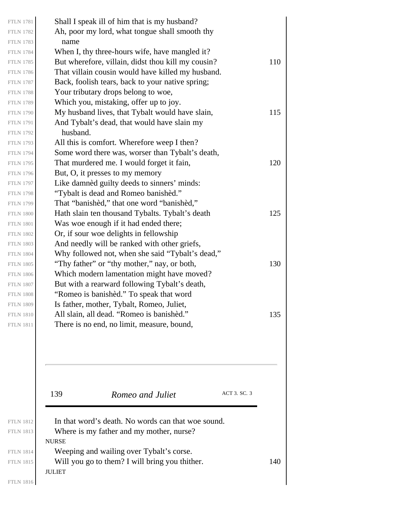|                                      | 139<br>Romeo and Juliet                                                              | ACT 3. SC. 3 |     |
|--------------------------------------|--------------------------------------------------------------------------------------|--------------|-----|
|                                      |                                                                                      |              |     |
|                                      |                                                                                      |              |     |
| <b>FTLN 1811</b>                     | There is no end, no limit, measure, bound,                                           |              |     |
| <b>FTLN 1810</b>                     | All slain, all dead. "Romeo is banished."                                            |              | 135 |
| <b>FTLN 1808</b><br><b>FTLN 1809</b> | "Romeo is banishèd." To speak that word<br>Is father, mother, Tybalt, Romeo, Juliet, |              |     |
| <b>FTLN 1807</b>                     | But with a rearward following Tybalt's death,                                        |              |     |
| <b>FTLN 1806</b>                     | Which modern lamentation might have moved?                                           |              |     |
| <b>FTLN 1805</b>                     | "Thy father" or "thy mother," nay, or both,                                          |              | 130 |
| <b>FTLN 1804</b>                     | Why followed not, when she said "Tybalt's dead,"                                     |              |     |
| <b>FTLN 1803</b>                     | And needly will be ranked with other griefs,                                         |              |     |
| <b>FTLN 1802</b>                     | Or, if sour woe delights in fellowship                                               |              |     |
| <b>FTLN 1801</b>                     | Was woe enough if it had ended there;                                                |              |     |
| <b>FTLN 1800</b>                     | Hath slain ten thousand Tybalts. Tybalt's death                                      |              | 125 |
| <b>FTLN 1799</b>                     | That "banished," that one word "banished,"                                           |              |     |
| <b>FTLN 1798</b>                     | "Tybalt is dead and Romeo banished."                                                 |              |     |
| <b>FTLN 1797</b>                     | Like damnèd guilty deeds to sinners' minds:                                          |              |     |
| <b>FTLN 1796</b>                     | But, O, it presses to my memory                                                      |              |     |
| <b>FTLN 1795</b>                     | That murdered me. I would forget it fain,                                            |              | 120 |
| <b>FTLN 1794</b>                     | Some word there was, worser than Tybalt's death,                                     |              |     |
| <b>FTLN 1793</b>                     | All this is comfort. Wherefore weep I then?                                          |              |     |
| <b>FTLN 1792</b>                     | husband.                                                                             |              |     |
| <b>FTLN 1791</b>                     | And Tybalt's dead, that would have slain my                                          |              |     |
| <b>FTLN 1790</b>                     | My husband lives, that Tybalt would have slain,                                      |              | 115 |
| <b>FTLN 1788</b><br><b>FTLN 1789</b> | Your tributary drops belong to woe,<br>Which you, mistaking, offer up to joy.        |              |     |
| <b>FTLN 1787</b>                     | Back, foolish tears, back to your native spring;                                     |              |     |
| <b>FTLN 1786</b>                     | That villain cousin would have killed my husband.                                    |              |     |
| <b>FTLN 1785</b>                     | But wherefore, villain, didst thou kill my cousin?                                   |              | 110 |
| <b>FTLN 1784</b>                     | When I, thy three-hours wife, have mangled it?                                       |              |     |
| <b>FTLN 1783</b>                     | name                                                                                 |              |     |
| <b>FTLN 1782</b>                     | Ah, poor my lord, what tongue shall smooth thy                                       |              |     |
|                                      |                                                                                      |              |     |

| <b>FTLN 1812</b> | In that word's death. No words can that woe sound. |     |
|------------------|----------------------------------------------------|-----|
| <b>FTLN 1813</b> | Where is my father and my mother, nurse?           |     |
|                  | <b>NURSE</b>                                       |     |
| <b>FTLN 1814</b> | Weeping and wailing over Tybalt's corse.           |     |
| <b>FTLN 1815</b> | Will you go to them? I will bring you thither.     | 140 |
|                  | <b>JULIET</b>                                      |     |

FTLN 1816

FTLN 1781 FTLN 1782 FTLN 1783 FTLN 1784

FTLN 1786 FTLN 1787 FTLN 1788 FTLN 1789

FTLN 1791 FTLN 1792 FTLN 1793 FTLN 1794

FTLN 1796 FTLN 1797 FTLN 1798 FTLN 1799

FTLN 1801 FTLN 1802 FTLN 1803 FTLN 1804

FTLN 1806 FTLN 1807 FTLN 1808 FTLN 1809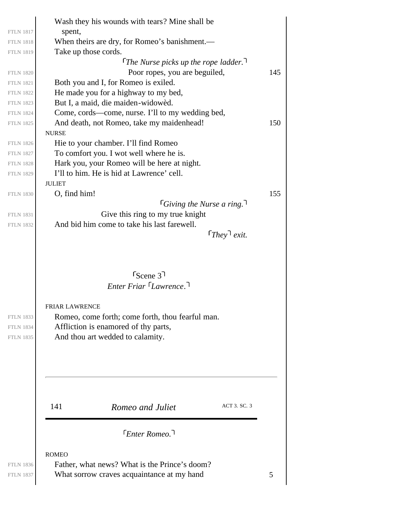|                                                          | Wash they his wounds with tears? Mine shall be                                                                                                                                                                      |     |
|----------------------------------------------------------|---------------------------------------------------------------------------------------------------------------------------------------------------------------------------------------------------------------------|-----|
| <b>FTLN 1817</b>                                         | spent,                                                                                                                                                                                                              |     |
| <b>FTLN 1818</b>                                         | When theirs are dry, for Romeo's banishment.—                                                                                                                                                                       |     |
| <b>FTLN 1819</b>                                         | Take up those cords.                                                                                                                                                                                                |     |
|                                                          | The Nurse picks up the rope ladder.                                                                                                                                                                                 |     |
| <b>FTLN 1820</b>                                         | Poor ropes, you are beguiled,                                                                                                                                                                                       | 145 |
| <b>FTLN 1821</b>                                         | Both you and I, for Romeo is exiled.                                                                                                                                                                                |     |
| <b>FTLN 1822</b>                                         | He made you for a highway to my bed,                                                                                                                                                                                |     |
| <b>FTLN 1823</b>                                         | But I, a maid, die maiden-widowèd.                                                                                                                                                                                  |     |
| <b>FTLN 1824</b>                                         | Come, cords—come, nurse. I'll to my wedding bed,                                                                                                                                                                    |     |
| <b>FTLN 1825</b>                                         | And death, not Romeo, take my maidenhead!                                                                                                                                                                           | 150 |
|                                                          | <b>NURSE</b>                                                                                                                                                                                                        |     |
| <b>FTLN 1826</b>                                         | Hie to your chamber. I'll find Romeo                                                                                                                                                                                |     |
| <b>FTLN 1827</b>                                         | To comfort you. I wot well where he is.                                                                                                                                                                             |     |
| <b>FTLN 1828</b><br><b>FTLN 1829</b>                     | Hark you, your Romeo will be here at night.<br>I'll to him. He is hid at Lawrence' cell.                                                                                                                            |     |
|                                                          | <b>JULIET</b>                                                                                                                                                                                                       |     |
| <b>FTLN 1830</b>                                         | O, find him!                                                                                                                                                                                                        | 155 |
|                                                          | <i><u>Giving the Nurse a ring.</u></i>                                                                                                                                                                              |     |
| <b>FTLN 1831</b>                                         | Give this ring to my true knight                                                                                                                                                                                    |     |
| <b>FTLN 1832</b>                                         | And bid him come to take his last farewell.                                                                                                                                                                         |     |
|                                                          | $\lceil$ They exit.                                                                                                                                                                                                 |     |
| <b>FTLN 1833</b><br><b>FTLN 1834</b><br><b>FTLN 1835</b> | $r_{\text{Scene}}$ 3 <sup>1</sup><br>Enter Friar Lawrence.<br><b>FRIAR LAWRENCE</b><br>Romeo, come forth; come forth, thou fearful man.<br>Affliction is enamored of thy parts,<br>And thou art wedded to calamity. |     |
|                                                          | ACT 3. SC. 3<br>141<br>Romeo and Juliet<br>[Enter Romeo]                                                                                                                                                            |     |
|                                                          | <b>ROMEO</b>                                                                                                                                                                                                        |     |
| <b>FTLN 1836</b><br><b>FTLN 1837</b>                     | Father, what news? What is the Prince's doom?<br>What sorrow craves acquaintance at my hand                                                                                                                         | 5   |
|                                                          |                                                                                                                                                                                                                     |     |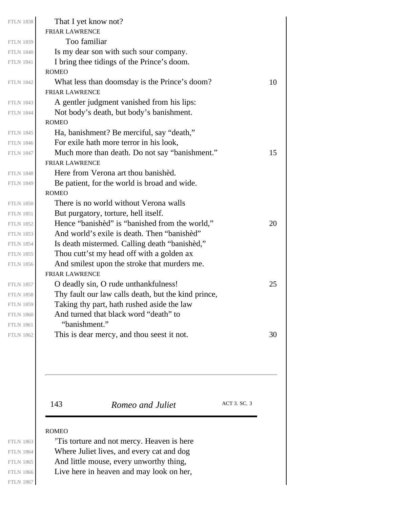| <b>FTLN 1838</b> | That I yet know not?                                |    |
|------------------|-----------------------------------------------------|----|
|                  | <b>FRIAR LAWRENCE</b>                               |    |
| <b>FTLN 1839</b> | Too familiar                                        |    |
| <b>FTLN 1840</b> | Is my dear son with such sour company.              |    |
| <b>FTLN 1841</b> | I bring thee tidings of the Prince's doom.          |    |
|                  | <b>ROMEO</b>                                        |    |
| <b>FTLN 1842</b> | What less than doomsday is the Prince's doom?       | 10 |
|                  | <b>FRIAR LAWRENCE</b>                               |    |
| <b>FTLN 1843</b> | A gentler judgment vanished from his lips:          |    |
| <b>FTLN 1844</b> | Not body's death, but body's banishment.            |    |
|                  | <b>ROMEO</b>                                        |    |
| <b>FTLN 1845</b> | Ha, banishment? Be merciful, say "death,"           |    |
| <b>FTLN 1846</b> | For exile hath more terror in his look,             |    |
| <b>FTLN 1847</b> | Much more than death. Do not say "banishment."      | 15 |
|                  | <b>FRIAR LAWRENCE</b>                               |    |
| <b>FTLN 1848</b> | Here from Verona art thou banished.                 |    |
| <b>FTLN 1849</b> | Be patient, for the world is broad and wide.        |    |
|                  | <b>ROMEO</b>                                        |    |
| <b>FTLN 1850</b> | There is no world without Verona walls              |    |
| <b>FTLN 1851</b> | But purgatory, torture, hell itself.                |    |
| <b>FTLN 1852</b> | Hence "banished" is "banished from the world,"      | 20 |
| <b>FTLN 1853</b> | And world's exile is death. Then "banished"         |    |
| <b>FTLN 1854</b> | Is death mistermed. Calling death "banished,"       |    |
| <b>FTLN 1855</b> | Thou cutt'st my head off with a golden ax           |    |
| <b>FTLN 1856</b> | And smilest upon the stroke that murders me.        |    |
|                  | <b>FRIAR LAWRENCE</b>                               |    |
| <b>FTLN 1857</b> | O deadly sin, O rude unthankfulness!                | 25 |
| <b>FTLN 1858</b> | Thy fault our law calls death, but the kind prince, |    |
| <b>FTLN 1859</b> | Taking thy part, hath rushed aside the law          |    |
| <b>FTLN 1860</b> | And turned that black word "death" to               |    |
| <b>FTLN 1861</b> | "banishment."                                       |    |
| <b>FTLN 1862</b> | This is dear mercy, and thou seest it not.          | 30 |
|                  |                                                     |    |

143 **Romeo and Juliet** ACT 3. SC. 3

### ROMEO

'Tis torture and not mercy. Heaven is here Where Juliet lives, and every cat and dog And little mouse, every unworthy thing, Live here in heaven and may look on her,

FTLN 1863 FTLN 1864 FTLN 1865 FTLN 1866 FTLN 1867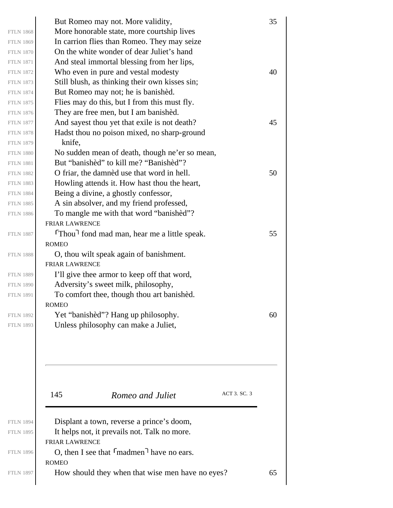| <b>FTLN 1868</b><br><b>FTLN 1869</b><br><b>FTLN 1870</b><br><b>FTLN 1871</b><br><b>FTLN 1872</b><br><b>FTLN 1873</b><br><b>FTLN 1874</b><br><b>FTLN 1875</b> | But Romeo may not. More validity,<br>More honorable state, more courtship lives<br>In carrion flies than Romeo. They may seize<br>On the white wonder of dear Juliet's hand<br>And steal immortal blessing from her lips,<br>Who even in pure and vestal modesty<br>Still blush, as thinking their own kisses sin;<br>But Romeo may not; he is banished.<br>Flies may do this, but I from this must fly. | 35<br>40 |
|--------------------------------------------------------------------------------------------------------------------------------------------------------------|----------------------------------------------------------------------------------------------------------------------------------------------------------------------------------------------------------------------------------------------------------------------------------------------------------------------------------------------------------------------------------------------------------|----------|
| <b>FTLN 1876</b><br><b>FTLN 1877</b><br><b>FTLN 1878</b><br><b>FTLN 1879</b><br><b>FTLN 1880</b>                                                             | They are free men, but I am banished.<br>And sayest thou yet that exile is not death?<br>Hadst thou no poison mixed, no sharp-ground<br>knife,<br>No sudden mean of death, though ne'er so mean,                                                                                                                                                                                                         | 45       |
| <b>FTLN 1881</b><br><b>FTLN 1882</b><br><b>FTLN 1883</b><br><b>FTLN 1884</b><br><b>FTLN 1885</b><br><b>FTLN 1886</b>                                         | But "banished" to kill me? "Banished"?<br>O friar, the damned use that word in hell.<br>Howling attends it. How hast thou the heart,<br>Being a divine, a ghostly confessor,<br>A sin absolver, and my friend professed,<br>To mangle me with that word "banished"?                                                                                                                                      | 50       |
| <b>FTLN 1887</b><br><b>FTLN 1888</b>                                                                                                                         | <b>FRIAR LAWRENCE</b><br>Thou <sup>1</sup> fond mad man, hear me a little speak.<br><b>ROMEO</b><br>O, thou wilt speak again of banishment.<br><b>FRIAR LAWRENCE</b>                                                                                                                                                                                                                                     | 55       |
| <b>FTLN 1889</b><br><b>FTLN 1890</b><br><b>FTLN 1891</b><br><b>FTLN 1892</b>                                                                                 | I'll give thee armor to keep off that word,<br>Adversity's sweet milk, philosophy,<br>To comfort thee, though thou art banished.<br><b>ROMEO</b><br>Yet "banished"? Hang up philosophy.                                                                                                                                                                                                                  | 60       |
| <b>FTLN 1893</b>                                                                                                                                             | Unless philosophy can make a Juliet,<br>ACT 3. SC. 3<br>145<br>Romeo and Juliet                                                                                                                                                                                                                                                                                                                          |          |
| <b>FTLN 1894</b><br><b>FTLN 1895</b><br><b>FTLN 1896</b>                                                                                                     | Displant a town, reverse a prince's doom,<br>It helps not, it prevails not. Talk no more.<br><b>FRIAR LAWRENCE</b><br>O, then I see that $\lceil \text{madmen} \rceil$ have no ears.                                                                                                                                                                                                                     |          |
| <b>FTLN 1897</b>                                                                                                                                             | <b>ROMEO</b><br>How should they when that wise men have no eyes?                                                                                                                                                                                                                                                                                                                                         | 65       |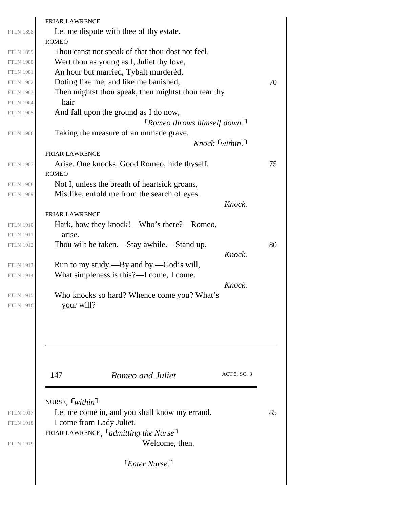|                  | <b>FRIAR LAWRENCE</b>                                   |    |
|------------------|---------------------------------------------------------|----|
| <b>FTLN 1898</b> | Let me dispute with thee of thy estate.<br><b>ROMEO</b> |    |
| <b>FTLN 1899</b> | Thou canst not speak of that thou dost not feel.        |    |
| <b>FTLN 1900</b> | Wert thou as young as I, Juliet thy love,               |    |
| <b>FTLN 1901</b> | An hour but married, Tybalt murdered,                   |    |
| <b>FTLN 1902</b> | Doting like me, and like me banishèd,                   | 70 |
| <b>FTLN 1903</b> | Then mightst thou speak, then mightst thou tear thy     |    |
| <b>FTLN 1904</b> | hair                                                    |    |
| <b>FTLN 1905</b> | And fall upon the ground as I do now,                   |    |
|                  | $\lceil$ Romeo throws himself down. <sup>1</sup>        |    |
| <b>FTLN 1906</b> | Taking the measure of an unmade grave.                  |    |
|                  | $Knock$ [within.]                                       |    |
|                  | <b>FRIAR LAWRENCE</b>                                   |    |
| <b>FTLN 1907</b> | Arise. One knocks. Good Romeo, hide thyself.            | 75 |
|                  | <b>ROMEO</b>                                            |    |
| <b>FTLN 1908</b> | Not I, unless the breath of heartsick groans,           |    |
| <b>FTLN 1909</b> | Mistlike, enfold me from the search of eyes.            |    |
|                  | Knock.                                                  |    |
|                  | FRIAR LAWRENCE                                          |    |
| <b>FTLN 1910</b> | Hark, how they knock!—Who's there?—Romeo,               |    |
| <b>FTLN 1911</b> | arise.                                                  |    |
| <b>FTLN 1912</b> | Thou wilt be taken.—Stay awhile.—Stand up.              | 80 |
|                  | Knock.                                                  |    |
| <b>FTLN 1913</b> | Run to my study.—By and by.—God's will,                 |    |
| <b>FTLN 1914</b> | What simpleness is this?—I come, I come.                |    |
|                  | Knock.                                                  |    |
| <b>FTLN 1915</b> | Who knocks so hard? Whence come you? What's             |    |
| <b>FTLN 1916</b> | your will?                                              |    |
|                  |                                                         |    |
|                  |                                                         |    |
|                  |                                                         |    |
|                  | ACT 3. SC. 3                                            |    |
|                  | 147<br>Romeo and Juliet                                 |    |
|                  |                                                         |    |
|                  | NURSE, $\lceil$ <i>within</i> $\lceil$                  |    |
| <b>FTLN 1917</b> | Let me come in, and you shall know my errand.           | 85 |
| <b>FTLN 1918</b> | I come from Lady Juliet.                                |    |
|                  | FRIAR LAWRENCE, $\int$ <i>admitting the Nurse</i>       |    |
| <b>FTLN 1919</b> | Welcome, then.                                          |    |
|                  | [Enter Nurse.]                                          |    |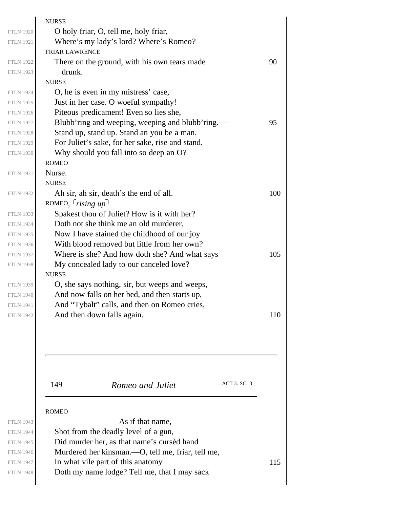|                  | <b>NURSE</b>                                      |     |
|------------------|---------------------------------------------------|-----|
| <b>FTLN 1920</b> | O holy friar, O, tell me, holy friar,             |     |
| <b>FTLN 1921</b> | Where's my lady's lord? Where's Romeo?            |     |
|                  | <b>FRIAR LAWRENCE</b>                             |     |
| <b>FTLN 1922</b> | There on the ground, with his own tears made      | 90  |
| <b>FTLN 1923</b> | drunk.                                            |     |
|                  | <b>NURSE</b>                                      |     |
| <b>FTLN 1924</b> | O, he is even in my mistress' case,               |     |
| <b>FTLN 1925</b> | Just in her case. O woeful sympathy!              |     |
| <b>FTLN 1926</b> | Piteous predicament! Even so lies she,            |     |
| <b>FTLN 1927</b> | Blubb'ring and weeping, weeping and blubb'ring.—  | 95  |
| <b>FTLN 1928</b> | Stand up, stand up. Stand an you be a man.        |     |
| <b>FTLN 1929</b> | For Juliet's sake, for her sake, rise and stand.  |     |
| <b>FTLN 1930</b> | Why should you fall into so deep an O?            |     |
|                  | <b>ROMEO</b>                                      |     |
| <b>FTLN 1931</b> | Nurse.                                            |     |
|                  | <b>NURSE</b>                                      |     |
| <b>FTLN 1932</b> | Ah sir, ah sir, death's the end of all.           | 100 |
|                  | ROMEO, $rising up$                                |     |
| <b>FTLN 1933</b> | Spakest thou of Juliet? How is it with her?       |     |
| <b>FTLN 1934</b> | Doth not she think me an old murderer,            |     |
| <b>FTLN 1935</b> | Now I have stained the childhood of our joy       |     |
| <b>FTLN 1936</b> | With blood removed but little from her own?       |     |
| <b>FTLN 1937</b> | Where is she? And how doth she? And what says     | 105 |
| <b>FTLN 1938</b> | My concealed lady to our canceled love?           |     |
|                  | <b>NURSE</b>                                      |     |
| <b>FTLN 1939</b> | O, she says nothing, sir, but weeps and weeps,    |     |
| <b>FTLN 1940</b> | And now falls on her bed, and then starts up,     |     |
| <b>FTLN 1941</b> | And "Tybalt" calls, and then on Romeo cries,      |     |
| <b>FTLN 1942</b> | And then down falls again.                        | 110 |
|                  |                                                   |     |
|                  | ACT 3. SC. 3<br>149<br>Romeo and Juliet           |     |
|                  | <b>ROMEO</b>                                      |     |
| <b>FTLN 1943</b> | As if that name,                                  |     |
| <b>FTLN 1944</b> | Shot from the deadly level of a gun,              |     |
| <b>FTLN 1945</b> | Did murder her, as that name's cursed hand        |     |
| <b>FTLN 1946</b> | Murdered her kinsman.—O, tell me, friar, tell me, |     |
| <b>FTLN 1947</b> | In what vile part of this anatomy                 | 115 |
| <b>FTLN 1948</b> | Doth my name lodge? Tell me, that I may sack      |     |
|                  |                                                   |     |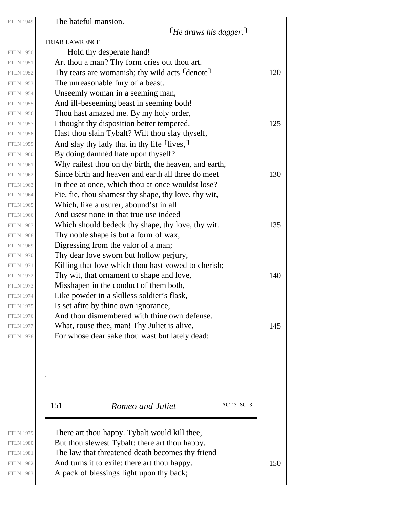The hateful mansion.

*He draws his dagger.*

|                  | <b>FRIAR LAWRENCE</b>                                                  |     |
|------------------|------------------------------------------------------------------------|-----|
| <b>FTLN 1950</b> | Hold thy desperate hand!                                               |     |
| <b>FTLN 1951</b> | Art thou a man? Thy form cries out thou art.                           |     |
| <b>FTLN 1952</b> | Thy tears are womanish; thy wild acts <sup>r</sup> denote <sup>1</sup> | 120 |
| <b>FTLN 1953</b> | The unreasonable fury of a beast.                                      |     |
| <b>FTLN 1954</b> | Unseemly woman in a seeming man,                                       |     |
| <b>FTLN 1955</b> | And ill-beseeming beast in seeming both!                               |     |
| <b>FTLN 1956</b> | Thou hast amazed me. By my holy order,                                 |     |
| <b>FTLN 1957</b> | I thought thy disposition better tempered.                             | 125 |
| <b>FTLN 1958</b> | Hast thou slain Tybalt? Wilt thou slay thyself,                        |     |
| <b>FTLN 1959</b> | And slay thy lady that in thy life $\lceil$ lives, $\rceil$            |     |
| <b>FTLN 1960</b> | By doing damnèd hate upon thyself?                                     |     |
| <b>FTLN 1961</b> | Why railest thou on thy birth, the heaven, and earth,                  |     |
| <b>FTLN 1962</b> | Since birth and heaven and earth all three do meet                     | 130 |
| <b>FTLN 1963</b> | In thee at once, which thou at once wouldst lose?                      |     |
| <b>FTLN 1964</b> | Fie, fie, thou shamest thy shape, thy love, thy wit,                   |     |
| <b>FTLN 1965</b> | Which, like a usurer, abound'st in all                                 |     |
| <b>FTLN 1966</b> | And usest none in that true use indeed                                 |     |
| <b>FTLN 1967</b> | Which should bedeck thy shape, thy love, thy wit.                      | 135 |
| <b>FTLN 1968</b> | Thy noble shape is but a form of wax,                                  |     |
| <b>FTLN 1969</b> | Digressing from the valor of a man;                                    |     |
| <b>FTLN 1970</b> | Thy dear love sworn but hollow perjury,                                |     |
| <b>FTLN 1971</b> | Killing that love which thou hast vowed to cherish;                    |     |
| <b>FTLN 1972</b> | Thy wit, that ornament to shape and love,                              | 140 |
| <b>FTLN 1973</b> | Misshapen in the conduct of them both,                                 |     |
| <b>FTLN 1974</b> | Like powder in a skilless soldier's flask,                             |     |
| <b>FTLN 1975</b> | Is set afire by thine own ignorance,                                   |     |
| <b>FTLN 1976</b> | And thou dismembered with thine own defense.                           |     |
| <b>FTLN 1977</b> | What, rouse thee, man! Thy Juliet is alive,                            | 145 |
| <b>FTLN 1978</b> | For whose dear sake thou wast but lately dead:                         |     |
|                  |                                                                        |     |

FTLN 1979 FTLN 1980 FTLN 1981

FTLN 1983

151 *Romeo and Juliet* ACT 3. SC. 3

There art thou happy. Tybalt would kill thee, But thou slewest Tybalt: there art thou happy. The law that threatened death becomes thy friend FTLN 1982  $\vert$  And turns it to exile: there art thou happy. 150 A pack of blessings light upon thy back;

FTLN 1949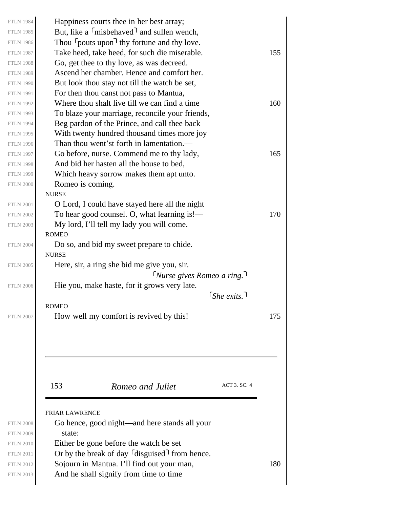| <b>FTLN 1984</b> | Happiness courts thee in her best array;                            |     |
|------------------|---------------------------------------------------------------------|-----|
| <b>FTLN 1985</b> | But, like a <sup>r</sup> misbehaved <sup>1</sup> and sullen wench,  |     |
| <b>FTLN 1986</b> | Thou <sup>r</sup> pouts upon <sup>1</sup> thy fortune and thy love. |     |
| <b>FTLN 1987</b> | Take heed, take heed, for such die miserable.                       | 155 |
| <b>FTLN 1988</b> | Go, get thee to thy love, as was decreed.                           |     |
| <b>FTLN 1989</b> | Ascend her chamber. Hence and comfort her.                          |     |
| <b>FTLN 1990</b> | But look thou stay not till the watch be set,                       |     |
| <b>FTLN 1991</b> | For then thou canst not pass to Mantua,                             |     |
| <b>FTLN 1992</b> | Where thou shalt live till we can find a time                       | 160 |
| <b>FTLN 1993</b> | To blaze your marriage, reconcile your friends,                     |     |
| <b>FTLN 1994</b> | Beg pardon of the Prince, and call thee back                        |     |
| <b>FTLN 1995</b> | With twenty hundred thousand times more joy                         |     |
| <b>FTLN 1996</b> | Than thou went'st forth in lamentation.—                            |     |
| <b>FTLN 1997</b> | Go before, nurse. Commend me to thy lady,                           | 165 |
| <b>FTLN 1998</b> | And bid her hasten all the house to bed,                            |     |
| <b>FTLN 1999</b> | Which heavy sorrow makes them apt unto.                             |     |
| <b>FTLN 2000</b> | Romeo is coming.                                                    |     |
|                  | <b>NURSE</b>                                                        |     |
| <b>FTLN 2001</b> | O Lord, I could have stayed here all the night                      |     |
| <b>FTLN 2002</b> | To hear good counsel. O, what learning is!—                         | 170 |
| <b>FTLN 2003</b> | My lord, I'll tell my lady you will come.                           |     |
|                  | <b>ROMEO</b>                                                        |     |
| <b>FTLN 2004</b> | Do so, and bid my sweet prepare to chide.                           |     |
|                  | <b>NURSE</b>                                                        |     |
| <b>FTLN 2005</b> | Here, sir, a ring she bid me give you, sir.                         |     |
|                  | $\lceil$ Nurse gives Romeo a ring.                                  |     |
| <b>FTLN 2006</b> | Hie you, make haste, for it grows very late.                        |     |
|                  | $\lceil$ She exits. $\lceil$                                        |     |
|                  | <b>ROMEO</b>                                                        |     |
| <b>FTLN 2007</b> | How well my comfort is revived by this!                             | 175 |
|                  |                                                                     |     |
|                  |                                                                     |     |
|                  |                                                                     |     |
|                  | ACT 3. SC. 4<br>153<br>Romeo and Juliet                             |     |
|                  |                                                                     |     |
|                  |                                                                     |     |
|                  | <b>FRIAR LAWRENCE</b>                                               |     |
| <b>FTLN 2008</b> | Go hence, good night—and here stands all your                       |     |
| <b>FTLN 2009</b> | state:                                                              |     |
| <b>FTLN 2010</b> | Either be gone before the watch be set                              |     |
| <b>FTLN 2011</b> | Or by the break of day $\lceil$ disguised $\rceil$ from hence.      |     |
| <b>FTLN 2012</b> | Sojourn in Mantua. I'll find out your man,                          | 180 |
| <b>FTLN 2013</b> | And he shall signify from time to time                              |     |
|                  |                                                                     |     |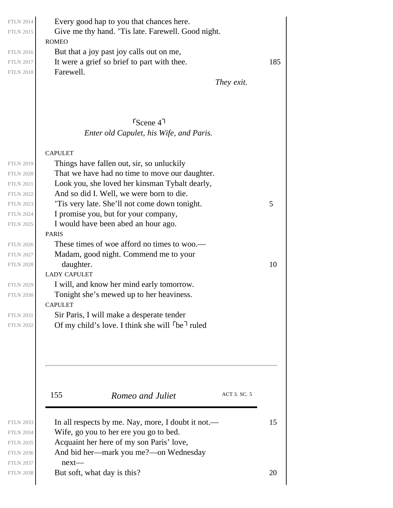ROMEO Every good hap to you that chances here. Give me thy hand. 'Tis late. Farewell. Good night. But that a joy past joy calls out on me, FTLN 2017 It were a grief so brief to part with thee.  $185$ Farewell.

*They exit.*

## *Enter old Capulet, his Wife, and Paris.* Scene 4

#### CAPULET

| <b>FTLN 2019</b> | Things have fallen out, sir, so unluckily      |    |
|------------------|------------------------------------------------|----|
| <b>FTLN 2020</b> | That we have had no time to move our daughter. |    |
| <b>FTLN 2021</b> | Look you, she loved her kinsman Tybalt dearly, |    |
| <b>FTLN 2022</b> | And so did I. Well, we were born to die.       |    |
| <b>FTLN 2023</b> | Tis very late. She'll not come down tonight.   | 5  |
| <b>FTLN 2024</b> | I promise you, but for your company,           |    |
| <b>FTLN 2025</b> | I would have been abed an hour ago.            |    |
|                  | <b>PARIS</b>                                   |    |
| <b>FTLN 2026</b> | These times of woe afford no times to woo.—    |    |
| <b>FTLN 2027</b> | Madam, good night. Commend me to your          |    |
| <b>FTLN 2028</b> | daughter.                                      | 10 |
|                  | <b>LADY CAPULET</b>                            |    |
| <b>FTLN 2029</b> | I will, and know her mind early tomorrow.      |    |
| <b>FTLN 2030</b> | Tonight she's mewed up to her heaviness.       |    |
|                  | <b>CAPULET</b>                                 |    |
| <b>FTLN 2031</b> | Sir Paris, I will make a desperate tender      |    |

Of my child's love. I think she will  $\lceil$  be $\rceil$  ruled

155 **Romeo and Juliet** ACT 3. SC. 5

| <b>FTLN 2033</b> | In all respects by me. Nay, more, I doubt it not.— | 15 |
|------------------|----------------------------------------------------|----|
| <b>FTLN 2034</b> | Wife, go you to her ere you go to bed.             |    |
| <b>FTLN 2035</b> | Acquaint her here of my son Paris' love,           |    |
| <b>FTLN 2036</b> | And bid her—mark you me?—on Wednesday              |    |
| <b>FTLN 2037</b> | $next-$                                            |    |
| <b>FTLN 2038</b> | But soft, what day is this?                        | 20 |

FTLN 2014 FTLN 2015

FTLN 2016 FTLN 2018

FTLN 2031 FTLN 2032

FTLN 2034 FTLN 2035 FTLN 2036 FTLN 2037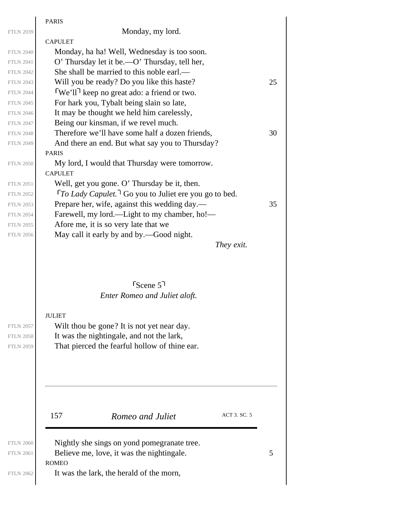|                  | <b>PARIS</b>                                                                 |    |
|------------------|------------------------------------------------------------------------------|----|
| <b>FTLN 2039</b> | Monday, my lord.                                                             |    |
|                  | <b>CAPULET</b>                                                               |    |
| <b>FTLN 2040</b> | Monday, ha ha! Well, Wednesday is too soon.                                  |    |
| <b>FTLN 2041</b> | O' Thursday let it be.—O' Thursday, tell her,                                |    |
| <b>FTLN 2042</b> | She shall be married to this noble earl.—                                    |    |
| <b>FTLN 2043</b> | Will you be ready? Do you like this haste?                                   | 25 |
| <b>FTLN 2044</b> | We'll <sup>1</sup> keep no great ado: a friend or two.                       |    |
| <b>FTLN 2045</b> | For hark you, Tybalt being slain so late,                                    |    |
| <b>FTLN 2046</b> | It may be thought we held him carelessly,                                    |    |
| <b>FTLN 2047</b> | Being our kinsman, if we revel much.                                         |    |
| <b>FTLN 2048</b> | Therefore we'll have some half a dozen friends,                              | 30 |
| <b>FTLN 2049</b> | And there an end. But what say you to Thursday?                              |    |
|                  | <b>PARIS</b>                                                                 |    |
| <b>FTLN 2050</b> | My lord, I would that Thursday were tomorrow.                                |    |
|                  | <b>CAPULET</b>                                                               |    |
| <b>FTLN 2051</b> | Well, get you gone. O' Thursday be it, then.                                 |    |
| <b>FTLN 2052</b> | $\lceil To \text{ Lady Capulet.} \rceil$ Go you to Juliet ere you go to bed. |    |
| <b>FTLN 2053</b> | Prepare her, wife, against this wedding day.—                                | 35 |
| <b>FTLN 2054</b> | Farewell, my lord.—Light to my chamber, ho!—                                 |    |
| <b>FTLN 2055</b> | Afore me, it is so very late that we                                         |    |
| <b>FTLN 2056</b> | May call it early by and by.—Good night.                                     |    |
|                  | They exit.                                                                   |    |
|                  | $r_{\text{Scene}}$ 5                                                         |    |
|                  | <b>Enter Romeo and Juliet aloft.</b>                                         |    |
|                  | <b>JULIET</b>                                                                |    |
| <b>FTLN 2057</b> | Wilt thou be gone? It is not yet near day.                                   |    |
| <b>FTLN 2058</b> | It was the nightingale, and not the lark,                                    |    |
| <b>FTLN 2059</b> | That pierced the fearful hollow of thine ear.                                |    |
|                  |                                                                              |    |
|                  |                                                                              |    |
|                  |                                                                              |    |
|                  | ACT 3. SC. 5<br>157<br>Romeo and Juliet                                      |    |
| <b>FTLN 2060</b> | Nightly she sings on yond pomegranate tree.                                  |    |
| <b>FTLN 2061</b> | Believe me, love, it was the nightingale.                                    | 5  |
|                  | <b>ROMEO</b>                                                                 |    |
| <b>FTLN 2062</b> | It was the lark, the herald of the morn,                                     |    |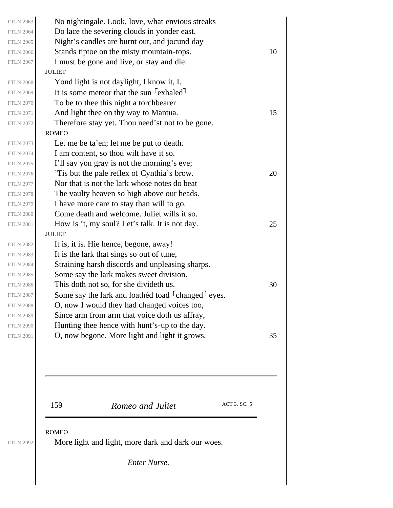| <b>FTLN 2063</b> | No nightingale. Look, love, what envious streaks                           |    |
|------------------|----------------------------------------------------------------------------|----|
| <b>FTLN 2064</b> | Do lace the severing clouds in yonder east.                                |    |
| <b>FTLN 2065</b> | Night's candles are burnt out, and jocund day                              |    |
| <b>FTLN 2066</b> | Stands tiptoe on the misty mountain-tops.                                  | 10 |
| <b>FTLN 2067</b> | I must be gone and live, or stay and die.                                  |    |
|                  | <b>JULIET</b>                                                              |    |
| <b>FTLN 2068</b> | Yond light is not daylight, I know it, I.                                  |    |
| <b>FTLN 2069</b> | It is some meteor that the sun <sup>r</sup> exhaled <sup>1</sup>           |    |
| <b>FTLN 2070</b> | To be to thee this night a torchbearer                                     |    |
| <b>FTLN 2071</b> | And light thee on thy way to Mantua.                                       | 15 |
| <b>FTLN 2072</b> | Therefore stay yet. Thou need'st not to be gone.                           |    |
|                  | <b>ROMEO</b>                                                               |    |
| <b>FTLN 2073</b> | Let me be ta'en; let me be put to death.                                   |    |
| <b>FTLN 2074</b> | I am content, so thou wilt have it so.                                     |    |
| <b>FTLN 2075</b> | I'll say yon gray is not the morning's eye;                                |    |
| <b>FTLN 2076</b> | 'Tis but the pale reflex of Cynthia's brow.                                | 20 |
| <b>FTLN 2077</b> | Nor that is not the lark whose notes do beat                               |    |
| <b>FTLN 2078</b> | The vaulty heaven so high above our heads.                                 |    |
| <b>FTLN 2079</b> | I have more care to stay than will to go.                                  |    |
| <b>FTLN 2080</b> | Come death and welcome. Juliet wills it so.                                |    |
| <b>FTLN 2081</b> | How is 't, my soul? Let's talk. It is not day.                             | 25 |
|                  | <b>JULIET</b>                                                              |    |
| <b>FTLN 2082</b> | It is, it is. Hie hence, begone, away!                                     |    |
| <b>FTLN 2083</b> | It is the lark that sings so out of tune,                                  |    |
| <b>FTLN 2084</b> | Straining harsh discords and unpleasing sharps.                            |    |
| <b>FTLN 2085</b> | Some say the lark makes sweet division.                                    |    |
| <b>FTLN 2086</b> | This doth not so, for she divideth us.                                     | 30 |
| <b>FTLN 2087</b> | Some say the lark and loathed toad <sup>r</sup> changed <sup>1</sup> eyes. |    |
| <b>FTLN 2088</b> | O, now I would they had changed voices too,                                |    |
| <b>FTLN 2089</b> | Since arm from arm that voice doth us affray,                              |    |
| <b>FTLN 2090</b> | Hunting thee hence with hunt's-up to the day.                              |    |
| <b>FTLN 2091</b> | O, now begone. More light and light it grows.                              | 35 |
|                  |                                                                            |    |
|                  |                                                                            |    |

159 **Romeo and Juliet** ACT 3. SC. 5

ROMEO

More light and light, more dark and dark our woes.

*Enter Nurse.*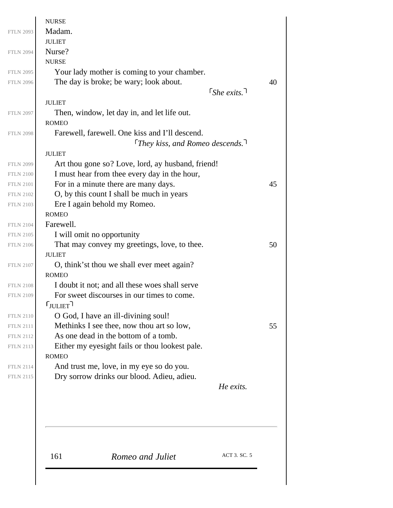| <b>NURSE</b>                     |                                                                                              |                              |
|----------------------------------|----------------------------------------------------------------------------------------------|------------------------------|
| Madam.                           |                                                                                              |                              |
| <b>JULIET</b>                    |                                                                                              |                              |
| Nurse?                           |                                                                                              |                              |
| <b>NURSE</b>                     |                                                                                              |                              |
|                                  | Your lady mother is coming to your chamber.<br>The day is broke; be wary; look about.        |                              |
|                                  |                                                                                              | $\lceil$ She exits. $\lceil$ |
| <b>JULIET</b>                    |                                                                                              |                              |
|                                  | Then, window, let day in, and let life out.                                                  |                              |
| <b>ROMEO</b>                     |                                                                                              |                              |
|                                  | Farewell, farewell. One kiss and I'll descend.                                               |                              |
|                                  | They kiss, and Romeo descends. $\overline{1}$                                                |                              |
| <b>JULIET</b>                    |                                                                                              |                              |
|                                  | Art thou gone so? Love, lord, ay husband, friend!                                            |                              |
|                                  | I must hear from thee every day in the hour,                                                 |                              |
|                                  | For in a minute there are many days.                                                         |                              |
|                                  | O, by this count I shall be much in years                                                    |                              |
|                                  | Ere I again behold my Romeo.                                                                 |                              |
| <b>ROMEO</b>                     |                                                                                              |                              |
| Farewell.                        |                                                                                              |                              |
|                                  | I will omit no opportunity                                                                   |                              |
|                                  | That may convey my greetings, love, to thee.                                                 |                              |
| <b>JULIET</b>                    |                                                                                              |                              |
|                                  | O, think'st thou we shall ever meet again?                                                   |                              |
| <b>ROMEO</b>                     |                                                                                              |                              |
|                                  | I doubt it not; and all these woes shall serve<br>For sweet discourses in our times to come. |                              |
| $\mathsf{r}_{\mathsf{JULIET}}$ ר |                                                                                              |                              |
|                                  |                                                                                              |                              |
|                                  | O God, I have an ill-divining soul!<br>Methinks I see thee, now thou art so low,             |                              |
|                                  | As one dead in the bottom of a tomb.                                                         |                              |
|                                  | Either my eyesight fails or thou lookest pale.                                               |                              |
| <b>ROMEO</b>                     |                                                                                              |                              |
|                                  | And trust me, love, in my eye so do you.                                                     |                              |
|                                  | Dry sorrow drinks our blood. Adieu, adieu.                                                   |                              |
|                                  |                                                                                              | He exits.                    |
|                                  |                                                                                              |                              |
|                                  |                                                                                              |                              |
|                                  |                                                                                              |                              |
| 161                              | Romeo and Juliet                                                                             | ACT 3. SC. 5                 |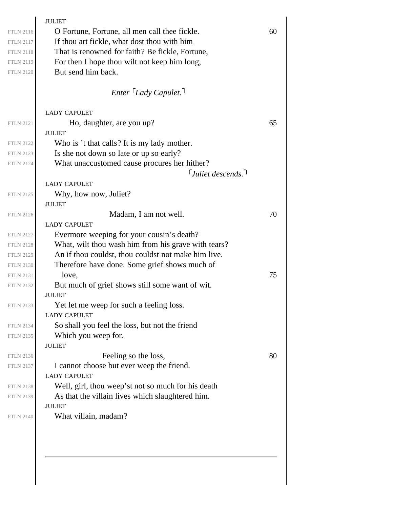|                  | <b>JULIET</b>                                       |    |
|------------------|-----------------------------------------------------|----|
| <b>FTLN 2116</b> | O Fortune, Fortune, all men call thee fickle.       | 60 |
| <b>FTLN 2117</b> | If thou art fickle, what dost thou with him         |    |
| <b>FTLN 2118</b> | That is renowned for faith? Be fickle, Fortune,     |    |
| <b>FTLN 2119</b> | For then I hope thou wilt not keep him long,        |    |
| <b>FTLN 2120</b> | But send him back.                                  |    |
|                  | Enter Lady Capulet. <sup>1</sup>                    |    |
|                  | <b>LADY CAPULET</b>                                 |    |
| <b>FTLN 2121</b> | Ho, daughter, are you up?                           | 65 |
|                  | <b>JULIET</b>                                       |    |
| <b>FTLN 2122</b> | Who is 't that calls? It is my lady mother.         |    |
| <b>FTLN 2123</b> | Is she not down so late or up so early?             |    |
| <b>FTLN 2124</b> | What unaccustomed cause procures her hither?        |    |
|                  | $\lceil$ Juliet descends. $\lceil$                  |    |
|                  | <b>LADY CAPULET</b>                                 |    |
| <b>FTLN 2125</b> | Why, how now, Juliet?                               |    |
|                  | <b>JULIET</b>                                       |    |
| <b>FTLN 2126</b> | Madam, I am not well.                               | 70 |
|                  | <b>LADY CAPULET</b>                                 |    |
| <b>FTLN 2127</b> | Evermore weeping for your cousin's death?           |    |
| <b>FTLN 2128</b> | What, wilt thou wash him from his grave with tears? |    |
| <b>FTLN 2129</b> | An if thou couldst, thou couldst not make him live. |    |
| <b>FTLN 2130</b> | Therefore have done. Some grief shows much of       |    |
| <b>FTLN 2131</b> | love,                                               | 75 |
| <b>FTLN 2132</b> | But much of grief shows still some want of wit.     |    |
|                  | <b>JULIET</b>                                       |    |
| <b>FTLN 2133</b> | Yet let me weep for such a feeling loss.            |    |
|                  | <b>LADY CAPULET</b>                                 |    |
| <b>FTLN 2134</b> | So shall you feel the loss, but not the friend      |    |
| <b>FTLN 2135</b> | Which you weep for.                                 |    |
|                  | <b>JULIET</b>                                       |    |
| <b>FTLN 2136</b> | Feeling so the loss,                                | 80 |
| <b>FTLN 2137</b> | I cannot choose but ever weep the friend.           |    |
|                  | <b>LADY CAPULET</b>                                 |    |
| <b>FTLN 2138</b> | Well, girl, thou weep'st not so much for his death  |    |
|                  | As that the villain lives which slaughtered him.    |    |
| <b>FTLN 2139</b> | <b>JULIET</b>                                       |    |
|                  |                                                     |    |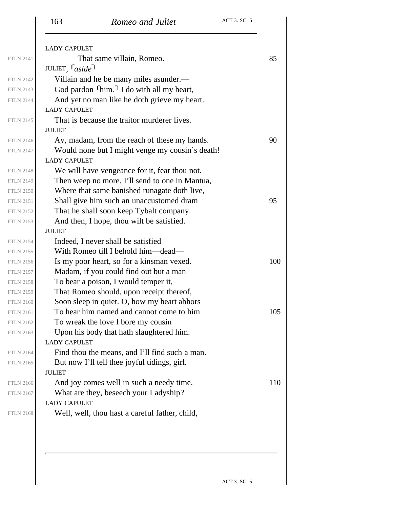|                  | <b>LADY CAPULET</b>                                            |     |
|------------------|----------------------------------------------------------------|-----|
| <b>FTLN 2141</b> | That same villain, Romeo.                                      | 85  |
|                  | JULIET, $\lceil$ aside                                         |     |
| <b>FTLN 2142</b> | Villain and he be many miles asunder.—                         |     |
| <b>FTLN 2143</b> | God pardon $\lceil \text{him.} \rceil$ I do with all my heart, |     |
| <b>FTLN 2144</b> | And yet no man like he doth grieve my heart.                   |     |
|                  | <b>LADY CAPULET</b>                                            |     |
| <b>FTLN 2145</b> | That is because the traitor murderer lives.                    |     |
|                  | <b>JULIET</b>                                                  |     |
| <b>FTLN 2146</b> | Ay, madam, from the reach of these my hands.                   | 90  |
| <b>FTLN 2147</b> | Would none but I might venge my cousin's death!                |     |
|                  | <b>LADY CAPULET</b>                                            |     |
| <b>FTLN 2148</b> | We will have vengeance for it, fear thou not.                  |     |
| <b>FTLN 2149</b> | Then weep no more. I'll send to one in Mantua,                 |     |
| <b>FTLN 2150</b> | Where that same banished runagate doth live,                   |     |
| <b>FTLN 2151</b> | Shall give him such an unaccustomed dram                       | 95  |
| <b>FTLN 2152</b> | That he shall soon keep Tybalt company.                        |     |
| <b>FTLN 2153</b> | And then, I hope, thou wilt be satisfied.                      |     |
|                  | <b>JULIET</b>                                                  |     |
| <b>FTLN 2154</b> | Indeed, I never shall be satisfied                             |     |
| <b>FTLN 2155</b> | With Romeo till I behold him—dead—                             |     |
| <b>FTLN 2156</b> | Is my poor heart, so for a kinsman vexed.                      | 100 |
| <b>FTLN 2157</b> | Madam, if you could find out but a man                         |     |
| <b>FTLN 2158</b> | To bear a poison, I would temper it,                           |     |
| <b>FTLN 2159</b> | That Romeo should, upon receipt thereof,                       |     |
| <b>FTLN 2160</b> | Soon sleep in quiet. O, how my heart abhors                    |     |
| <b>FTLN 2161</b> | To hear him named and cannot come to him                       | 105 |
| <b>FTLN 2162</b> | To wreak the love I bore my cousin                             |     |
| <b>FTLN 2163</b> | Upon his body that hath slaughtered him.                       |     |
|                  | <b>LADY CAPULET</b>                                            |     |
| <b>FTLN 2164</b> | Find thou the means, and I'll find such a man.                 |     |
| <b>FTLN 2165</b> | But now I'll tell thee joyful tidings, girl.                   |     |
|                  | <b>JULIET</b>                                                  |     |
| <b>FTLN 2166</b> | And joy comes well in such a needy time.                       | 110 |
| <b>FTLN 2167</b> | What are they, beseech your Ladyship?                          |     |
|                  | <b>LADY CAPULET</b>                                            |     |
| <b>FTLN 2168</b> | Well, well, thou hast a careful father, child,                 |     |
|                  |                                                                |     |
|                  |                                                                |     |
|                  |                                                                |     |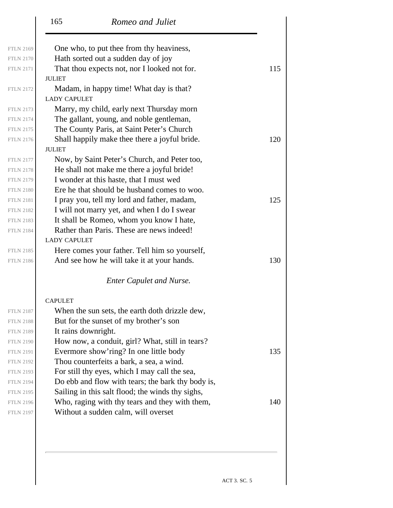|                  | 165<br>Romeo and Juliet                                        |     |
|------------------|----------------------------------------------------------------|-----|
| <b>FTLN 2169</b> | One who, to put thee from thy heaviness,                       |     |
| <b>FTLN 2170</b> | Hath sorted out a sudden day of joy                            |     |
| <b>FTLN 2171</b> | That thou expects not, nor I looked not for.                   | 115 |
|                  | <b>JULIET</b>                                                  |     |
| <b>FTLN 2172</b> | Madam, in happy time! What day is that?<br><b>LADY CAPULET</b> |     |
| <b>FTLN 2173</b> | Marry, my child, early next Thursday morn                      |     |
| <b>FTLN 2174</b> | The gallant, young, and noble gentleman,                       |     |
| <b>FTLN 2175</b> | The County Paris, at Saint Peter's Church                      |     |
| <b>FTLN 2176</b> | Shall happily make thee there a joyful bride.                  | 120 |
|                  | <b>JULIET</b>                                                  |     |
| <b>FTLN 2177</b> | Now, by Saint Peter's Church, and Peter too,                   |     |
| <b>FTLN 2178</b> | He shall not make me there a joyful bride!                     |     |
| <b>FTLN 2179</b> | I wonder at this haste, that I must wed                        |     |
| <b>FTLN 2180</b> | Ere he that should be husband comes to woo.                    |     |
| <b>FTLN 2181</b> | I pray you, tell my lord and father, madam,                    | 125 |
| <b>FTLN 2182</b> | I will not marry yet, and when I do I swear                    |     |
| <b>FTLN 2183</b> | It shall be Romeo, whom you know I hate,                       |     |
| <b>FTLN 2184</b> | Rather than Paris. These are news indeed!                      |     |
|                  | <b>LADY CAPULET</b>                                            |     |
| <b>FTLN 2185</b> | Here comes your father. Tell him so yourself,                  |     |
| <b>FTLN 2186</b> | And see how he will take it at your hands.                     | 130 |
|                  | <b>Enter Capulet and Nurse.</b>                                |     |
|                  | <b>CAPULET</b>                                                 |     |
| <b>FTLN 2187</b> | When the sun sets, the earth doth drizzle dew,                 |     |
| <b>FTLN 2188</b> | But for the sunset of my brother's son                         |     |
| <b>FTLN 2189</b> | It rains downright.                                            |     |
| <b>FTLN 2190</b> | How now, a conduit, girl? What, still in tears?                |     |
| <b>FTLN 2191</b> | Evermore show'ring? In one little body                         | 135 |
| <b>FTLN 2192</b> | Thou counterfeits a bark, a sea, a wind.                       |     |
| <b>FTLN 2193</b> | For still thy eyes, which I may call the sea,                  |     |
| <b>FTLN 2194</b> | Do ebb and flow with tears; the bark thy body is,              |     |
| <b>FTLN 2195</b> | Sailing in this salt flood; the winds thy sighs,               |     |
| <b>FTLN 2196</b> | Who, raging with thy tears and they with them,                 | 140 |
| <b>FTLN 2197</b> | Without a sudden calm, will overset                            |     |
|                  |                                                                |     |

ACT 3. SC. 5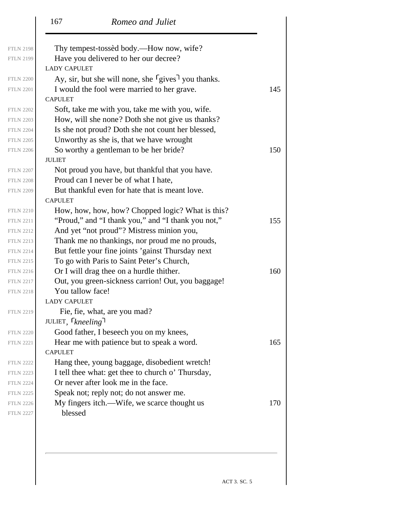|                  | 167<br>Romeo and Juliet                                             |     |
|------------------|---------------------------------------------------------------------|-----|
| <b>FTLN 2198</b> | Thy tempest-tossed body.—How now, wife?                             |     |
| <b>FTLN 2199</b> | Have you delivered to her our decree?                               |     |
|                  | <b>LADY CAPULET</b>                                                 |     |
| <b>FTLN 2200</b> | Ay, sir, but she will none, she $\lceil$ gives $\rceil$ you thanks. |     |
| <b>FTLN 2201</b> | I would the fool were married to her grave.                         | 145 |
|                  | <b>CAPULET</b>                                                      |     |
| <b>FTLN 2202</b> | Soft, take me with you, take me with you, wife.                     |     |
| <b>FTLN 2203</b> | How, will she none? Doth she not give us thanks?                    |     |
| <b>FTLN 2204</b> | Is she not proud? Doth she not count her blessed,                   |     |
| <b>FTLN 2205</b> | Unworthy as she is, that we have wrought                            |     |
| <b>FTLN 2206</b> | So worthy a gentleman to be her bride?                              | 150 |
|                  | <b>JULIET</b>                                                       |     |
| <b>FTLN 2207</b> | Not proud you have, but thankful that you have.                     |     |
| <b>FTLN 2208</b> | Proud can I never be of what I hate,                                |     |
| <b>FTLN 2209</b> | But thankful even for hate that is meant love.                      |     |
|                  | <b>CAPULET</b>                                                      |     |
| <b>FTLN 2210</b> | How, how, how, how? Chopped logic? What is this?                    |     |
| <b>FTLN 2211</b> | "Proud," and "I thank you," and "I thank you not,"                  | 155 |
| <b>FTLN 2212</b> | And yet "not proud"? Mistress minion you,                           |     |
| <b>FTLN 2213</b> | Thank me no thankings, nor proud me no prouds,                      |     |
| <b>FTLN 2214</b> | But fettle your fine joints 'gainst Thursday next                   |     |
| <b>FTLN 2215</b> | To go with Paris to Saint Peter's Church,                           |     |
| <b>FTLN 2216</b> | Or I will drag thee on a hurdle thither.                            | 160 |
| <b>FTLN 2217</b> | Out, you green-sickness carrion! Out, you baggage!                  |     |
| <b>FTLN 2218</b> | You tallow face!                                                    |     |
|                  | <b>LADY CAPULET</b>                                                 |     |
| <b>FTLN 2219</b> | Fie, fie, what, are you mad?                                        |     |
|                  | JULIET, <i>kneeling</i>                                             |     |
| <b>FTLN 2220</b> | Good father, I beseech you on my knees,                             |     |
| <b>FTLN 2221</b> | Hear me with patience but to speak a word.                          | 165 |
|                  | <b>CAPULET</b>                                                      |     |
| <b>FTLN 2222</b> | Hang thee, young baggage, disobedient wretch!                       |     |
| <b>FTLN 2223</b> | I tell thee what: get thee to church o' Thursday,                   |     |
| <b>FTLN 2224</b> | Or never after look me in the face.                                 |     |
| <b>FTLN 2225</b> | Speak not; reply not; do not answer me.                             |     |
| <b>FTLN 2226</b> | My fingers itch.—Wife, we scarce thought us                         | 170 |
| <b>FTLN 2227</b> | blessed                                                             |     |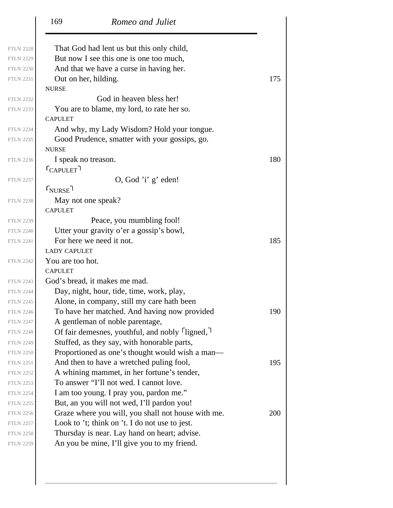|                                      | 169<br>Romeo and Juliet                                                                    |            |
|--------------------------------------|--------------------------------------------------------------------------------------------|------------|
| <b>FTLN 2228</b>                     | That God had lent us but this only child,                                                  |            |
| <b>FTLN 2229</b>                     | But now I see this one is one too much,                                                    |            |
| <b>FTLN 2230</b>                     | And that we have a curse in having her.                                                    |            |
| <b>FTLN 2231</b>                     | Out on her, hilding.                                                                       | 175        |
|                                      | <b>NURSE</b>                                                                               |            |
| <b>FTLN 2232</b>                     | God in heaven bless her!                                                                   |            |
| <b>FTLN 2233</b>                     | You are to blame, my lord, to rate her so.                                                 |            |
|                                      | <b>CAPULET</b>                                                                             |            |
| <b>FTLN 2234</b>                     | And why, my Lady Wisdom? Hold your tongue.                                                 |            |
| <b>FTLN 2235</b>                     | Good Prudence, smatter with your gossips, go.                                              |            |
|                                      | <b>NURSE</b>                                                                               |            |
| <b>FTLN 2236</b>                     | I speak no treason.                                                                        | 180        |
|                                      | $\mathsf{\Gamma}_{\mathrm{CAPULET}}$ ר                                                     |            |
| <b>FTLN 2237</b>                     | O, God'i' g' eden!                                                                         |            |
|                                      | $r_{\text{NURSE}}$                                                                         |            |
| <b>FTLN 2238</b>                     | May not one speak?                                                                         |            |
|                                      | <b>CAPULET</b>                                                                             |            |
| <b>FTLN 2239</b>                     | Peace, you mumbling fool!                                                                  |            |
| <b>FTLN 2240</b>                     | Utter your gravity o'er a gossip's bowl,                                                   |            |
| <b>FTLN 2241</b>                     | For here we need it not.                                                                   | 185        |
|                                      | <b>LADY CAPULET</b>                                                                        |            |
| <b>FTLN 2242</b>                     | You are too hot.                                                                           |            |
|                                      | <b>CAPULET</b>                                                                             |            |
| <b>FTLN 2243</b>                     | God's bread, it makes me mad.                                                              |            |
| <b>FTLN 2244</b>                     | Day, night, hour, tide, time, work, play,                                                  |            |
| <b>FTLN 2245</b><br><b>FTLN 2246</b> | Alone, in company, still my care hath been<br>To have her matched. And having now provided | 190        |
| <b>FTLN 2247</b>                     | A gentleman of noble parentage,                                                            |            |
| <b>FTLN 2248</b>                     | Of fair demesnes, youthful, and nobly <i>fligned</i> ,                                     |            |
| <b>FTLN 2249</b>                     | Stuffed, as they say, with honorable parts,                                                |            |
| <b>FTLN 2250</b>                     | Proportioned as one's thought would wish a man-                                            |            |
| <b>FTLN 2251</b>                     | And then to have a wretched puling fool,                                                   | 195        |
| <b>FTLN 2252</b>                     | A whining mammet, in her fortune's tender,                                                 |            |
| <b>FTLN 2253</b>                     | To answer "I'll not wed. I cannot love.                                                    |            |
| <b>FTLN 2254</b>                     | I am too young. I pray you, pardon me."                                                    |            |
| <b>FTLN 2255</b>                     | But, an you will not wed, I'll pardon you!                                                 |            |
| <b>FTLN 2256</b>                     | Graze where you will, you shall not house with me.                                         | <b>200</b> |
| <b>FTLN 2257</b>                     | Look to 't; think on 't. I do not use to jest.                                             |            |
| <b>FTLN 2258</b>                     | Thursday is near. Lay hand on heart; advise.                                               |            |
| <b>FTLN 2259</b>                     | An you be mine, I'll give you to my friend.                                                |            |
|                                      |                                                                                            |            |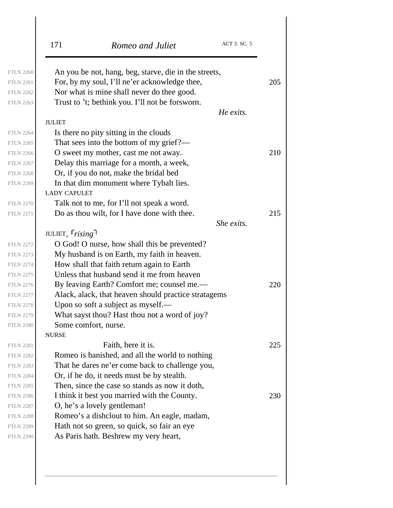| An you be not, hang, beg, starve, die in the streets,<br>For, by my soul, I'll ne'er acknowledge thee,<br>Nor what is mine shall never do thee good.<br>Trust to 't; bethink you. I'll not be forsworn.<br><b>JULIET</b><br>Is there no pity sitting in the clouds | He exits.                                                                                                                                                                                                                                                                                                                                                                                                                                                                                                                                                                                                                                                                                                                                                                                                                                                                                | 205                                                                |
|--------------------------------------------------------------------------------------------------------------------------------------------------------------------------------------------------------------------------------------------------------------------|------------------------------------------------------------------------------------------------------------------------------------------------------------------------------------------------------------------------------------------------------------------------------------------------------------------------------------------------------------------------------------------------------------------------------------------------------------------------------------------------------------------------------------------------------------------------------------------------------------------------------------------------------------------------------------------------------------------------------------------------------------------------------------------------------------------------------------------------------------------------------------------|--------------------------------------------------------------------|
|                                                                                                                                                                                                                                                                    |                                                                                                                                                                                                                                                                                                                                                                                                                                                                                                                                                                                                                                                                                                                                                                                                                                                                                          |                                                                    |
|                                                                                                                                                                                                                                                                    |                                                                                                                                                                                                                                                                                                                                                                                                                                                                                                                                                                                                                                                                                                                                                                                                                                                                                          |                                                                    |
|                                                                                                                                                                                                                                                                    |                                                                                                                                                                                                                                                                                                                                                                                                                                                                                                                                                                                                                                                                                                                                                                                                                                                                                          |                                                                    |
|                                                                                                                                                                                                                                                                    |                                                                                                                                                                                                                                                                                                                                                                                                                                                                                                                                                                                                                                                                                                                                                                                                                                                                                          |                                                                    |
|                                                                                                                                                                                                                                                                    |                                                                                                                                                                                                                                                                                                                                                                                                                                                                                                                                                                                                                                                                                                                                                                                                                                                                                          |                                                                    |
|                                                                                                                                                                                                                                                                    |                                                                                                                                                                                                                                                                                                                                                                                                                                                                                                                                                                                                                                                                                                                                                                                                                                                                                          |                                                                    |
|                                                                                                                                                                                                                                                                    |                                                                                                                                                                                                                                                                                                                                                                                                                                                                                                                                                                                                                                                                                                                                                                                                                                                                                          |                                                                    |
| That sees into the bottom of my grief?—                                                                                                                                                                                                                            |                                                                                                                                                                                                                                                                                                                                                                                                                                                                                                                                                                                                                                                                                                                                                                                                                                                                                          |                                                                    |
| O sweet my mother, cast me not away.                                                                                                                                                                                                                               |                                                                                                                                                                                                                                                                                                                                                                                                                                                                                                                                                                                                                                                                                                                                                                                                                                                                                          | 210                                                                |
| Delay this marriage for a month, a week,                                                                                                                                                                                                                           |                                                                                                                                                                                                                                                                                                                                                                                                                                                                                                                                                                                                                                                                                                                                                                                                                                                                                          |                                                                    |
| Or, if you do not, make the bridal bed                                                                                                                                                                                                                             |                                                                                                                                                                                                                                                                                                                                                                                                                                                                                                                                                                                                                                                                                                                                                                                                                                                                                          |                                                                    |
| In that dim monument where Tybalt lies.                                                                                                                                                                                                                            |                                                                                                                                                                                                                                                                                                                                                                                                                                                                                                                                                                                                                                                                                                                                                                                                                                                                                          |                                                                    |
| <b>LADY CAPULET</b>                                                                                                                                                                                                                                                |                                                                                                                                                                                                                                                                                                                                                                                                                                                                                                                                                                                                                                                                                                                                                                                                                                                                                          |                                                                    |
|                                                                                                                                                                                                                                                                    |                                                                                                                                                                                                                                                                                                                                                                                                                                                                                                                                                                                                                                                                                                                                                                                                                                                                                          |                                                                    |
|                                                                                                                                                                                                                                                                    |                                                                                                                                                                                                                                                                                                                                                                                                                                                                                                                                                                                                                                                                                                                                                                                                                                                                                          | 215                                                                |
|                                                                                                                                                                                                                                                                    |                                                                                                                                                                                                                                                                                                                                                                                                                                                                                                                                                                                                                                                                                                                                                                                                                                                                                          |                                                                    |
|                                                                                                                                                                                                                                                                    |                                                                                                                                                                                                                                                                                                                                                                                                                                                                                                                                                                                                                                                                                                                                                                                                                                                                                          |                                                                    |
| O God! O nurse, how shall this be prevented?                                                                                                                                                                                                                       |                                                                                                                                                                                                                                                                                                                                                                                                                                                                                                                                                                                                                                                                                                                                                                                                                                                                                          |                                                                    |
|                                                                                                                                                                                                                                                                    |                                                                                                                                                                                                                                                                                                                                                                                                                                                                                                                                                                                                                                                                                                                                                                                                                                                                                          |                                                                    |
|                                                                                                                                                                                                                                                                    |                                                                                                                                                                                                                                                                                                                                                                                                                                                                                                                                                                                                                                                                                                                                                                                                                                                                                          |                                                                    |
|                                                                                                                                                                                                                                                                    |                                                                                                                                                                                                                                                                                                                                                                                                                                                                                                                                                                                                                                                                                                                                                                                                                                                                                          |                                                                    |
|                                                                                                                                                                                                                                                                    |                                                                                                                                                                                                                                                                                                                                                                                                                                                                                                                                                                                                                                                                                                                                                                                                                                                                                          | 220                                                                |
|                                                                                                                                                                                                                                                                    |                                                                                                                                                                                                                                                                                                                                                                                                                                                                                                                                                                                                                                                                                                                                                                                                                                                                                          |                                                                    |
|                                                                                                                                                                                                                                                                    |                                                                                                                                                                                                                                                                                                                                                                                                                                                                                                                                                                                                                                                                                                                                                                                                                                                                                          |                                                                    |
|                                                                                                                                                                                                                                                                    |                                                                                                                                                                                                                                                                                                                                                                                                                                                                                                                                                                                                                                                                                                                                                                                                                                                                                          |                                                                    |
|                                                                                                                                                                                                                                                                    |                                                                                                                                                                                                                                                                                                                                                                                                                                                                                                                                                                                                                                                                                                                                                                                                                                                                                          |                                                                    |
|                                                                                                                                                                                                                                                                    |                                                                                                                                                                                                                                                                                                                                                                                                                                                                                                                                                                                                                                                                                                                                                                                                                                                                                          |                                                                    |
|                                                                                                                                                                                                                                                                    |                                                                                                                                                                                                                                                                                                                                                                                                                                                                                                                                                                                                                                                                                                                                                                                                                                                                                          | 225                                                                |
|                                                                                                                                                                                                                                                                    |                                                                                                                                                                                                                                                                                                                                                                                                                                                                                                                                                                                                                                                                                                                                                                                                                                                                                          |                                                                    |
|                                                                                                                                                                                                                                                                    |                                                                                                                                                                                                                                                                                                                                                                                                                                                                                                                                                                                                                                                                                                                                                                                                                                                                                          |                                                                    |
|                                                                                                                                                                                                                                                                    |                                                                                                                                                                                                                                                                                                                                                                                                                                                                                                                                                                                                                                                                                                                                                                                                                                                                                          |                                                                    |
|                                                                                                                                                                                                                                                                    |                                                                                                                                                                                                                                                                                                                                                                                                                                                                                                                                                                                                                                                                                                                                                                                                                                                                                          |                                                                    |
|                                                                                                                                                                                                                                                                    |                                                                                                                                                                                                                                                                                                                                                                                                                                                                                                                                                                                                                                                                                                                                                                                                                                                                                          | 230                                                                |
|                                                                                                                                                                                                                                                                    |                                                                                                                                                                                                                                                                                                                                                                                                                                                                                                                                                                                                                                                                                                                                                                                                                                                                                          |                                                                    |
|                                                                                                                                                                                                                                                                    |                                                                                                                                                                                                                                                                                                                                                                                                                                                                                                                                                                                                                                                                                                                                                                                                                                                                                          |                                                                    |
|                                                                                                                                                                                                                                                                    |                                                                                                                                                                                                                                                                                                                                                                                                                                                                                                                                                                                                                                                                                                                                                                                                                                                                                          |                                                                    |
|                                                                                                                                                                                                                                                                    |                                                                                                                                                                                                                                                                                                                                                                                                                                                                                                                                                                                                                                                                                                                                                                                                                                                                                          |                                                                    |
|                                                                                                                                                                                                                                                                    | Talk not to me, for I'll not speak a word.<br>Do as thou wilt, for I have done with thee.<br>JULIET, $rising$<br>My husband is on Earth, my faith in heaven.<br>How shall that faith return again to Earth<br>Unless that husband send it me from heaven<br>By leaving Earth? Comfort me; counsel me.—<br>Upon so soft a subject as myself.—<br>What sayst thou? Hast thou not a word of joy?<br>Some comfort, nurse.<br><b>NURSE</b><br>Faith, here it is.<br>Romeo is banished, and all the world to nothing<br>That he dares ne'er come back to challenge you,<br>Or, if he do, it needs must be by stealth.<br>Then, since the case so stands as now it doth,<br>I think it best you married with the County.<br>O, he's a lovely gentleman!<br>Romeo's a dishclout to him. An eagle, madam,<br>Hath not so green, so quick, so fair an eye<br>As Paris hath. Beshrew my very heart, | She exits.<br>Alack, alack, that heaven should practice stratagems |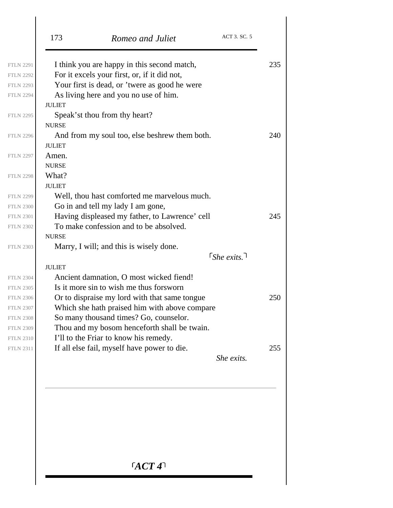|                  | ACT 3. SC. 5<br>173<br>Romeo and Juliet        |     |
|------------------|------------------------------------------------|-----|
| <b>FTLN 2291</b> | I think you are happy in this second match,    | 235 |
| <b>FTLN 2292</b> | For it excels your first, or, if it did not,   |     |
| <b>FTLN 2293</b> | Your first is dead, or 'twere as good he were  |     |
| <b>FTLN 2294</b> | As living here and you no use of him.          |     |
|                  | <b>JULIET</b>                                  |     |
| <b>FTLN 2295</b> | Speak'st thou from thy heart?                  |     |
|                  | <b>NURSE</b>                                   |     |
| <b>FTLN 2296</b> | And from my soul too, else beshrew them both.  | 240 |
|                  | <b>JULIET</b>                                  |     |
| <b>FTLN 2297</b> | Amen.                                          |     |
|                  | <b>NURSE</b>                                   |     |
| <b>FTLN 2298</b> | What?                                          |     |
|                  | <b>JULIET</b>                                  |     |
| <b>FTLN 2299</b> | Well, thou hast comforted me marvelous much.   |     |
| <b>FTLN 2300</b> | Go in and tell my lady I am gone,              |     |
| <b>FTLN 2301</b> | Having displeased my father, to Lawrence' cell | 245 |
| <b>FTLN 2302</b> | To make confession and to be absolved.         |     |
|                  | <b>NURSE</b>                                   |     |
| <b>FTLN 2303</b> | Marry, I will; and this is wisely done.        |     |
|                  | $\lceil$ She exits. $\lceil$                   |     |
|                  | <b>JULIET</b>                                  |     |
| <b>FTLN 2304</b> | Ancient damnation, O most wicked fiend!        |     |
| <b>FTLN 2305</b> | Is it more sin to wish me thus for sworn       |     |
| <b>FTLN 2306</b> | Or to dispraise my lord with that same tongue  | 250 |
| <b>FTLN 2307</b> | Which she hath praised him with above compare  |     |
| <b>FTLN 2308</b> | So many thousand times? Go, counselor.         |     |
| <b>FTLN 2309</b> | Thou and my bosom henceforth shall be twain.   |     |
| <b>FTLN 2310</b> | I'll to the Friar to know his remedy.          |     |
| <b>FTLN 2311</b> | If all else fail, myself have power to die.    | 255 |
|                  | She exits.                                     |     |
|                  |                                                |     |
|                  |                                                |     |

*ACT 4*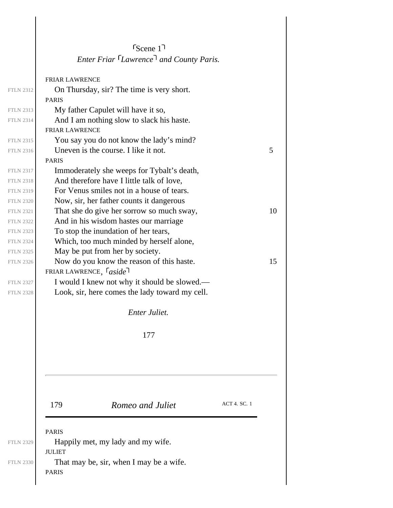|                  | S <sub>cence</sub> 1                                             |    |
|------------------|------------------------------------------------------------------|----|
|                  | Enter Friar <sup>[</sup> Lawrence <sup>]</sup> and County Paris. |    |
|                  | <b>FRIAR LAWRENCE</b>                                            |    |
| <b>FTLN 2312</b> | On Thursday, sir? The time is very short.                        |    |
|                  | <b>PARIS</b>                                                     |    |
| <b>FTLN 2313</b> | My father Capulet will have it so,                               |    |
| <b>FTLN 2314</b> | And I am nothing slow to slack his haste.                        |    |
|                  | <b>FRIAR LAWRENCE</b>                                            |    |
| <b>FTLN 2315</b> | You say you do not know the lady's mind?                         |    |
| <b>FTLN 2316</b> | Uneven is the course. I like it not.                             | 5  |
|                  | <b>PARIS</b>                                                     |    |
| <b>FTLN 2317</b> | Immoderately she weeps for Tybalt's death,                       |    |
| <b>FTLN 2318</b> | And therefore have I little talk of love,                        |    |
| <b>FTLN 2319</b> | For Venus smiles not in a house of tears.                        |    |
| <b>FTLN 2320</b> | Now, sir, her father counts it dangerous                         |    |
| <b>FTLN 2321</b> | That she do give her sorrow so much sway,                        | 10 |
| <b>FTLN 2322</b> | And in his wisdom hastes our marriage                            |    |
| <b>FTLN 2323</b> | To stop the inundation of her tears,                             |    |
| <b>FTLN 2324</b> | Which, too much minded by herself alone,                         |    |
| <b>FTLN 2325</b> | May be put from her by society.                                  |    |
| <b>FTLN 2326</b> | Now do you know the reason of this haste.                        | 15 |
|                  | FRIAR LAWRENCE, $\lceil$ aside                                   |    |
| <b>FTLN 2327</b> | I would I knew not why it should be slowed.—                     |    |
| <b>FTLN 2328</b> | Look, sir, here comes the lady toward my cell.                   |    |
|                  | Enter Juliet.                                                    |    |
|                  | 177                                                              |    |
|                  |                                                                  |    |
|                  |                                                                  |    |
|                  | ACT 4. SC. 1                                                     |    |
|                  | 179<br>Romeo and Juliet                                          |    |
|                  | <b>PARIS</b>                                                     |    |
| <b>FTLN 2329</b> | Happily met, my lady and my wife.<br><b>JULIET</b>               |    |
| <b>FTLN 2330</b> | That may be, sir, when I may be a wife.<br><b>PARIS</b>          |    |
|                  |                                                                  |    |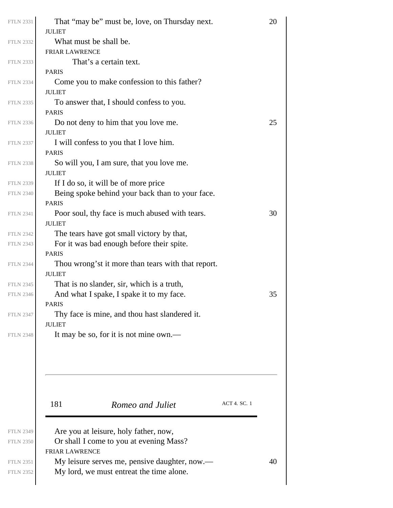| <b>FTLN 2331</b>                     | That "may be" must be, love, on Thursday next.                                          | 20           |  |
|--------------------------------------|-----------------------------------------------------------------------------------------|--------------|--|
| <b>FTLN 2332</b>                     | <b>JULIET</b><br>What must be shall be.                                                 |              |  |
|                                      | <b>FRIAR LAWRENCE</b>                                                                   |              |  |
| <b>FTLN 2333</b>                     | That's a certain text.                                                                  |              |  |
|                                      | <b>PARIS</b>                                                                            |              |  |
| <b>FTLN 2334</b>                     | Come you to make confession to this father?                                             |              |  |
|                                      | <b>JULIET</b>                                                                           |              |  |
| <b>FTLN 2335</b>                     | To answer that, I should confess to you.                                                |              |  |
|                                      | <b>PARIS</b>                                                                            |              |  |
| <b>FTLN 2336</b>                     | Do not deny to him that you love me.                                                    | 25           |  |
|                                      | <b>JULIET</b>                                                                           |              |  |
| <b>FTLN 2337</b>                     | I will confess to you that I love him.                                                  |              |  |
|                                      | <b>PARIS</b>                                                                            |              |  |
| <b>FTLN 2338</b>                     | So will you, I am sure, that you love me.                                               |              |  |
|                                      | <b>JULIET</b>                                                                           |              |  |
| <b>FTLN 2339</b>                     | If I do so, it will be of more price<br>Being spoke behind your back than to your face. |              |  |
| <b>FTLN 2340</b>                     | <b>PARIS</b>                                                                            |              |  |
| <b>FTLN 2341</b>                     | Poor soul, thy face is much abused with tears.                                          | 30           |  |
|                                      | <b>JULIET</b>                                                                           |              |  |
| <b>FTLN 2342</b>                     | The tears have got small victory by that,                                               |              |  |
| <b>FTLN 2343</b>                     | For it was bad enough before their spite.                                               |              |  |
|                                      | <b>PARIS</b>                                                                            |              |  |
| <b>FTLN 2344</b>                     | Thou wrong'st it more than tears with that report.                                      |              |  |
|                                      | <b>JULIET</b>                                                                           |              |  |
| <b>FTLN 2345</b>                     | That is no slander, sir, which is a truth,                                              |              |  |
| <b>FTLN 2346</b>                     | And what I spake, I spake it to my face.                                                | 35           |  |
|                                      | <b>PARIS</b>                                                                            |              |  |
| <b>FTLN 2347</b>                     | Thy face is mine, and thou hast slandered it.                                           |              |  |
|                                      | <b>JULIET</b>                                                                           |              |  |
| <b>FTLN 2348</b>                     | It may be so, for it is not mine own.—                                                  |              |  |
|                                      |                                                                                         |              |  |
|                                      |                                                                                         |              |  |
|                                      |                                                                                         |              |  |
|                                      |                                                                                         |              |  |
|                                      |                                                                                         |              |  |
|                                      | 181<br>Romeo and Juliet                                                                 | ACT 4. SC. 1 |  |
|                                      |                                                                                         |              |  |
|                                      |                                                                                         |              |  |
| <b>FTLN 2349</b><br><b>FTLN 2350</b> | Are you at leisure, holy father, now,<br>Or shall I come to you at evening Mass?        |              |  |
|                                      | <b>FRIAR LAWRENCE</b>                                                                   |              |  |
| <b>FTLN 2351</b>                     | My leisure serves me, pensive daughter, now.—                                           | 40           |  |
| <b>FTLN 2352</b>                     | My lord, we must entreat the time alone.                                                |              |  |
|                                      |                                                                                         |              |  |
|                                      |                                                                                         |              |  |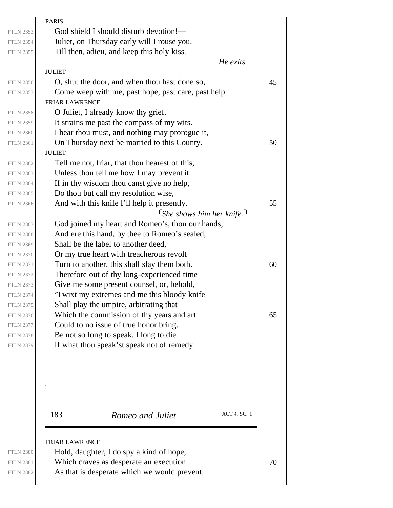|                  | <b>PARIS</b>                                        |
|------------------|-----------------------------------------------------|
| <b>FTLN 2353</b> | God shield I should disturb devotion!—              |
| <b>FTLN 2354</b> | Juliet, on Thursday early will I rouse you.         |
| <b>FTLN 2355</b> | Till then, adieu, and keep this holy kiss.          |
|                  | He exits.                                           |
|                  | <b>JULIET</b>                                       |
| <b>FTLN 2356</b> | O, shut the door, and when thou hast done so,       |
| <b>FTLN 2357</b> | Come weep with me, past hope, past care, past help. |
|                  | <b>FRIAR LAWRENCE</b>                               |
| <b>FTLN 2358</b> | O Juliet, I already know thy grief.                 |
| <b>FTLN 2359</b> | It strains me past the compass of my wits.          |
| <b>FTLN 2360</b> | I hear thou must, and nothing may prorogue it,      |
| <b>FTLN 2361</b> | On Thursday next be married to this County.         |
|                  | <b>JULIET</b>                                       |
| <b>FTLN 2362</b> | Tell me not, friar, that thou hearest of this,      |
| <b>FTLN 2363</b> | Unless thou tell me how I may prevent it.           |
| <b>FTLN 2364</b> | If in thy wisdom thou canst give no help,           |
| <b>FTLN 2365</b> | Do thou but call my resolution wise,                |
| <b>FTLN 2366</b> | And with this knife I'll help it presently.         |
|                  | $\lceil$ She shows him her knife. $\lceil$          |
| <b>FTLN 2367</b> | God joined my heart and Romeo's, thou our hands;    |
| <b>FTLN 2368</b> | And ere this hand, by thee to Romeo's sealed,       |
| <b>FTLN 2369</b> | Shall be the label to another deed,                 |
| <b>FTLN 2370</b> | Or my true heart with treacherous revolt            |
| <b>FTLN 2371</b> | Turn to another, this shall slay them both.         |
| <b>FTLN 2372</b> | Therefore out of thy long-experienced time          |
| <b>FTLN 2373</b> | Give me some present counsel, or, behold,           |
| <b>FTLN 2374</b> | 'Twixt my extremes and me this bloody knife         |
| <b>FTLN 2375</b> | Shall play the umpire, arbitrating that             |
| <b>FTLN 2376</b> | Which the commission of thy years and art           |
| <b>FTLN 2377</b> | Could to no issue of true honor bring.              |
| <b>FTLN 2378</b> | Be not so long to speak. I long to die              |
| <b>FTLN 2379</b> | If what thou speak'st speak not of remedy.          |
|                  |                                                     |
|                  | <b>ACT 4. SC. 1</b><br>183<br>Romeo and Juliet      |

FTLN 2381 Which craves as desperate an execution  $70$ 

As that is desperate which we would prevent.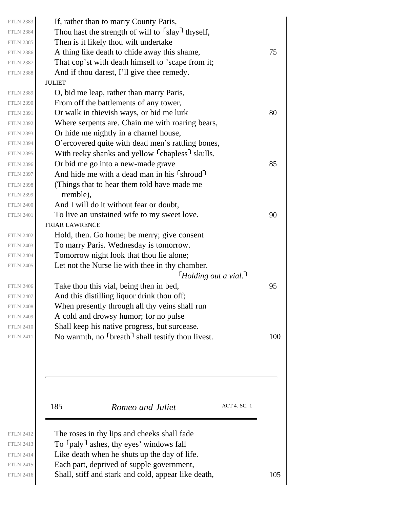| <b>FTLN 2383</b> | If, rather than to marry County Paris,                                  |     |
|------------------|-------------------------------------------------------------------------|-----|
| <b>FTLN 2384</b> | Thou hast the strength of will to $\lceil \text{slay} \rceil$ thyself,  |     |
| <b>FTLN 2385</b> | Then is it likely thou wilt undertake                                   |     |
| <b>FTLN 2386</b> | A thing like death to chide away this shame,                            | 75  |
| <b>FTLN 2387</b> | That cop'st with death himself to 'scape from it;                       |     |
| <b>FTLN 2388</b> | And if thou darest, I'll give thee remedy.                              |     |
|                  | <b>JULIET</b>                                                           |     |
| <b>FTLN 2389</b> | O, bid me leap, rather than marry Paris,                                |     |
| <b>FTLN 2390</b> | From off the battlements of any tower,                                  |     |
| <b>FTLN 2391</b> | Or walk in thievish ways, or bid me lurk                                | 80  |
| <b>FTLN 2392</b> | Where serpents are. Chain me with roaring bears,                        |     |
| <b>FTLN 2393</b> | Or hide me nightly in a charnel house,                                  |     |
| <b>FTLN 2394</b> | O'ercovered quite with dead men's rattling bones,                       |     |
| <b>FTLN 2395</b> | With reeky shanks and yellow <sup>[</sup> chapless <sup>]</sup> skulls. |     |
| <b>FTLN 2396</b> | Or bid me go into a new-made grave                                      | 85  |
| <b>FTLN 2397</b> | And hide me with a dead man in his [shroud]                             |     |
| <b>FTLN 2398</b> | (Things that to hear them told have made me                             |     |
| <b>FTLN 2399</b> | tremble),                                                               |     |
| <b>FTLN 2400</b> | And I will do it without fear or doubt,                                 |     |
| <b>FTLN 2401</b> | To live an unstained wife to my sweet love.                             | 90  |
|                  | <b>FRIAR LAWRENCE</b>                                                   |     |
| <b>FTLN 2402</b> | Hold, then. Go home; be merry; give consent                             |     |
| <b>FTLN 2403</b> | To marry Paris. Wednesday is tomorrow.                                  |     |
| <b>FTLN 2404</b> | Tomorrow night look that thou lie alone;                                |     |
| <b>FTLN 2405</b> | Let not the Nurse lie with thee in thy chamber.                         |     |
|                  | $\lceil$ Holding out a vial.                                            |     |
| <b>FTLN 2406</b> | Take thou this vial, being then in bed,                                 | 95  |
| <b>FTLN 2407</b> | And this distilling liquor drink thou off;                              |     |
| <b>FTLN 2408</b> | When presently through all thy veins shall run                          |     |
| <b>FTLN 2409</b> | A cold and drowsy humor; for no pulse                                   |     |
| <b>FTLN 2410</b> | Shall keep his native progress, but surcease.                           |     |
| <b>FTLN 2411</b> | No warmth, no $\lceil \text{break} \rceil$ shall testify thou livest.   | 100 |
|                  |                                                                         |     |
|                  |                                                                         |     |
|                  |                                                                         |     |
|                  |                                                                         |     |

185 **Romeo and Juliet** ACT 4. SC. 1

FTLN 2412 FTLN 2413 FTLN 2414 FTLN 2415

 ${\rm FTLN}$  ${\rm FTLN}$  $FTLN$ 

 ${\hbox{FTLN}}$  ${\hbox{FTLN}}$ 

 ${\hbox{FTLN}}$  ${\rm FTLN}$ 

 ${\rm FTLN}$  ${\rm FTLN}$  ${\hbox{FTLN}}$  ${\rm FTLN}$ 

 ${\hbox{FTLN}}$ FTLN  ${\hbox{FTLN}}$  $FTLN$ 

 ${\hbox{FTLN}}$  ${\hbox{FTLN}}$  ${\hbox{FTLN}}$  ${\rm FTLN}$ 

 $FTLN$  $FTLN$  ${\hbox{FTLN}}$  ${\hbox{FTLN}}$ 

The roses in thy lips and cheeks shall fade To  $\lceil$  paly  $\rceil$  ashes, thy eyes' windows fall Like death when he shuts up the day of life. Each part, deprived of supple government, FTLN 2416 Shall, stiff and stark and cold, appear like death,  $105$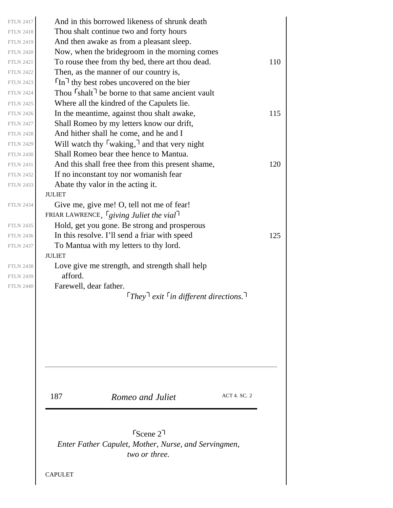| <b>FTLN 2417</b> |               | And in this borrowed likeness of shrunk death                                                 |                     |
|------------------|---------------|-----------------------------------------------------------------------------------------------|---------------------|
| <b>FTLN 2418</b> |               | Thou shalt continue two and forty hours                                                       |                     |
| <b>FTLN 2419</b> |               | And then awake as from a pleasant sleep.                                                      |                     |
| <b>FTLN 2420</b> |               | Now, when the bridegroom in the morning comes                                                 |                     |
| <b>FTLN 2421</b> |               | To rouse thee from thy bed, there art thou dead.                                              |                     |
| <b>FTLN 2422</b> |               | Then, as the manner of our country is,                                                        |                     |
| <b>FTLN 2423</b> |               | $\lceil \ln \rceil$ thy best robes uncovered on the bier                                      |                     |
| <b>FTLN 2424</b> |               | Thou $\lceil$ shalt $\rceil$ be borne to that same ancient vault                              |                     |
| <b>FTLN 2425</b> |               | Where all the kindred of the Capulets lie.                                                    |                     |
| <b>FTLN 2426</b> |               | In the meantime, against thou shalt awake,                                                    |                     |
| <b>FTLN 2427</b> |               | Shall Romeo by my letters know our drift,                                                     |                     |
| <b>FTLN 2428</b> |               | And hither shall he come, and he and I                                                        |                     |
| <b>FTLN 2429</b> |               | Will watch thy $\lceil$ waking, $\lceil$ and that very night                                  |                     |
| <b>FTLN 2430</b> |               | Shall Romeo bear thee hence to Mantua.                                                        |                     |
| <b>FTLN 2431</b> |               | And this shall free thee from this present shame,                                             |                     |
| <b>FTLN 2432</b> |               | If no inconstant toy nor womanish fear                                                        |                     |
| <b>FTLN 2433</b> |               | Abate thy valor in the acting it.                                                             |                     |
|                  | <b>JULIET</b> |                                                                                               |                     |
| <b>FTLN 2434</b> |               | Give me, give me! O, tell not me of fear!                                                     |                     |
|                  |               | FRIAR LAWRENCE, $\int$ giving Juliet the vial                                                 |                     |
| <b>FTLN 2435</b> |               | Hold, get you gone. Be strong and prosperous                                                  |                     |
| <b>FTLN 2436</b> |               | In this resolve. I'll send a friar with speed                                                 |                     |
| <b>FTLN 2437</b> |               | To Mantua with my letters to thy lord.                                                        |                     |
|                  | <b>JULIET</b> |                                                                                               |                     |
| <b>FTLN 2438</b> |               | Love give me strength, and strength shall help                                                |                     |
| <b>FTLN 2439</b> | afford.       |                                                                                               |                     |
| <b>FTLN 2440</b> |               | Farewell, dear father.                                                                        |                     |
|                  |               | $\lceil$ They $\rceil$ exit $\lceil$ in different directions.                                 |                     |
|                  |               |                                                                                               |                     |
|                  | 187           | Romeo and Juliet                                                                              | <b>ACT 4. SC. 2</b> |
|                  |               | $r_{\text{Scene}}$ 2<br>Enter Father Capulet, Mother, Nurse, and Servingmen,<br>two or three. |                     |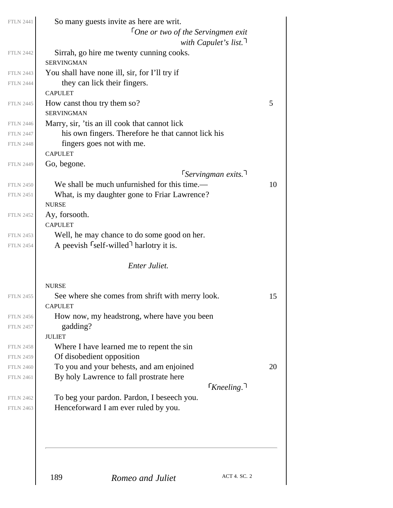| <b>FTLN 2441</b> |                                                  | So many guests invite as here are writ.            |                                     |    |
|------------------|--------------------------------------------------|----------------------------------------------------|-------------------------------------|----|
|                  |                                                  | $\lceil$ One or two of the Servingmen exit         |                                     |    |
|                  |                                                  |                                                    | with Capulet's list.                |    |
| <b>FTLN 2442</b> | <b>SERVINGMAN</b>                                | Sirrah, go hire me twenty cunning cooks.           |                                     |    |
| <b>FTLN 2443</b> |                                                  | You shall have none ill, sir, for I'll try if      |                                     |    |
| <b>FTLN 2444</b> | they can lick their fingers.<br><b>CAPULET</b>   |                                                    |                                     |    |
| <b>FTLN 2445</b> | How canst thou try them so?<br><b>SERVINGMAN</b> |                                                    |                                     | 5  |
| <b>FTLN 2446</b> |                                                  | Marry, sir, 'tis an ill cook that cannot lick      |                                     |    |
| <b>FTLN 2447</b> |                                                  | his own fingers. Therefore he that cannot lick his |                                     |    |
| <b>FTLN 2448</b> | fingers goes not with me.                        |                                                    |                                     |    |
|                  | <b>CAPULET</b>                                   |                                                    |                                     |    |
| <b>FTLN 2449</b> | Go, begone.                                      |                                                    |                                     |    |
|                  |                                                  |                                                    | $\lceil$ Servingman exits. $\lceil$ |    |
| <b>FTLN 2450</b> |                                                  | We shall be much unfurnished for this time.—       |                                     | 10 |
| <b>FTLN 2451</b> | <b>NURSE</b>                                     | What, is my daughter gone to Friar Lawrence?       |                                     |    |
| <b>FTLN 2452</b> | Ay, forsooth.<br><b>CAPULET</b>                  |                                                    |                                     |    |
| <b>FTLN 2453</b> |                                                  | Well, he may chance to do some good on her.        |                                     |    |
| <b>FTLN 2454</b> |                                                  | A peevish <i>self-willed</i> harlotry it is.       |                                     |    |
|                  |                                                  | <b>Enter Juliet.</b>                               |                                     |    |
|                  | <b>NURSE</b>                                     |                                                    |                                     |    |
| <b>FTLN 2455</b> | <b>CAPULET</b>                                   | See where she comes from shrift with merry look.   |                                     | 15 |
| <b>FTLN 2456</b> |                                                  | How now, my headstrong, where have you been        |                                     |    |
| <b>FTLN 2457</b> | gadding?                                         |                                                    |                                     |    |
|                  | <b>JULIET</b>                                    |                                                    |                                     |    |
| <b>FTLN 2458</b> |                                                  | Where I have learned me to repent the sin          |                                     |    |
| <b>FTLN 2459</b> | Of disobedient opposition                        |                                                    |                                     |    |
| <b>FTLN 2460</b> |                                                  | To you and your behests, and am enjoined           |                                     | 20 |
| <b>FTLN 2461</b> |                                                  | By holy Lawrence to fall prostrate here            |                                     |    |
|                  |                                                  |                                                    | $\lceil$ Kneeling. $\lceil$         |    |
| <b>FTLN 2462</b> |                                                  | To beg your pardon. Pardon, I beseech you.         |                                     |    |
| <b>FTLN 2463</b> |                                                  | Henceforward I am ever ruled by you.               |                                     |    |
|                  |                                                  |                                                    |                                     |    |
|                  | 189                                              | Romeo and Juliet                                   | ACT 4. SC. 2                        |    |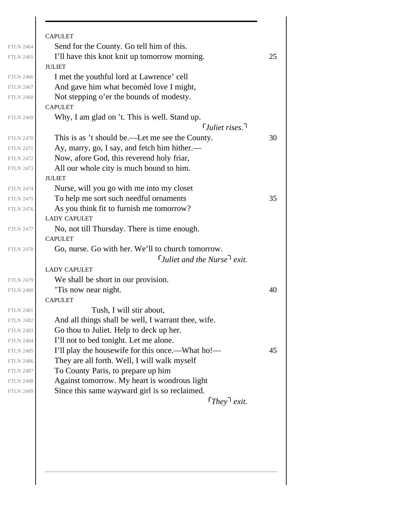|                  | <b>CAPULET</b>                                      |    |
|------------------|-----------------------------------------------------|----|
| <b>FTLN 2464</b> | Send for the County. Go tell him of this.           |    |
| <b>FTLN 2465</b> | I'll have this knot knit up tomorrow morning.       | 25 |
|                  | <b>JULIET</b>                                       |    |
| <b>FTLN 2466</b> | I met the youthful lord at Lawrence' cell           |    |
| <b>FTLN 2467</b> | And gave him what becomed love I might,             |    |
| <b>FTLN 2468</b> | Not stepping o'er the bounds of modesty.            |    |
|                  | <b>CAPULET</b>                                      |    |
| <b>FTLN 2469</b> | Why, I am glad on 't. This is well. Stand up.       |    |
|                  | $\lceil$ Juliet rises.                              |    |
| <b>FTLN 2470</b> | This is as 't should be.—Let me see the County.     | 30 |
| <b>FTLN 2471</b> | Ay, marry, go, I say, and fetch him hither.—        |    |
| <b>FTLN 2472</b> | Now, afore God, this reverend holy friar,           |    |
| <b>FTLN 2473</b> | All our whole city is much bound to him.            |    |
|                  | <b>JULIET</b>                                       |    |
| <b>FTLN 2474</b> | Nurse, will you go with me into my closet           |    |
| <b>FTLN 2475</b> | To help me sort such needful ornaments              | 35 |
| <b>FTLN 2476</b> | As you think fit to furnish me tomorrow?            |    |
|                  | <b>LADY CAPULET</b>                                 |    |
| <b>FTLN 2477</b> | No, not till Thursday. There is time enough.        |    |
|                  | <b>CAPULET</b>                                      |    |
| <b>FTLN 2478</b> | Go, nurse. Go with her. We'll to church tomorrow.   |    |
|                  | <i>Luliet and the Nurse</i> $\ell$ <i>exit.</i>     |    |
|                  | <b>LADY CAPULET</b>                                 |    |
| <b>FTLN 2479</b> | We shall be short in our provision.                 |    |
| <b>FTLN 2480</b> | 'Tis now near night.                                | 40 |
|                  | <b>CAPULET</b>                                      |    |
| <b>FTLN 2481</b> | Tush, I will stir about,                            |    |
| <b>FTLN 2482</b> | And all things shall be well, I warrant thee, wife. |    |
| <b>FTLN 2483</b> | Go thou to Juliet. Help to deck up her.             |    |
| <b>FTLN 2484</b> | I'll not to bed tonight. Let me alone.              |    |
| <b>FTLN 2485</b> | I'll play the housewife for this once.—What ho!—    | 45 |
| <b>FTLN 2486</b> | They are all forth. Well, I will walk myself        |    |
| <b>FTLN 2487</b> | To County Paris, to prepare up him                  |    |
| <b>FTLN 2488</b> | Against tomorrow. My heart is wondrous light        |    |
| <b>FTLN 2489</b> | Since this same wayward girl is so reclaimed.       |    |
|                  | $[They]$ exit.                                      |    |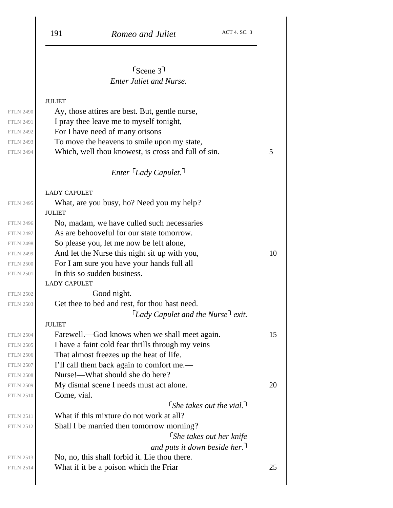# *Enter Juliet and Nurse.* Scene 3

## JULIET

|                  | JULIEI                                              |    |
|------------------|-----------------------------------------------------|----|
| <b>FTLN 2490</b> | Ay, those attires are best. But, gentle nurse,      |    |
| <b>FTLN 2491</b> | I pray thee leave me to myself tonight,             |    |
| <b>FTLN 2492</b> | For I have need of many orisons                     |    |
| <b>FTLN 2493</b> | To move the heavens to smile upon my state,         |    |
| <b>FTLN 2494</b> | Which, well thou knowest, is cross and full of sin. | 5  |
|                  | $Enter \, \, \ulcorner$ Lady Capulet.               |    |
|                  |                                                     |    |
|                  | <b>LADY CAPULET</b>                                 |    |
| <b>FTLN 2495</b> | What, are you busy, ho? Need you my help?           |    |
|                  | <b>JULIET</b>                                       |    |
| <b>FTLN 2496</b> | No, madam, we have culled such necessaries          |    |
| <b>FTLN 2497</b> | As are behooveful for our state tomorrow.           |    |
| <b>FTLN 2498</b> | So please you, let me now be left alone,            |    |
| <b>FTLN 2499</b> | And let the Nurse this night sit up with you,       | 10 |
| <b>FTLN 2500</b> | For I am sure you have your hands full all          |    |
| <b>FTLN 2501</b> | In this so sudden business.                         |    |
|                  | <b>LADY CAPULET</b>                                 |    |
| <b>FTLN 2502</b> | Good night.                                         |    |
| <b>FTLN 2503</b> | Get thee to bed and rest, for thou hast need.       |    |
|                  | $\lceil$ Lady Capulet and the Nurse $\lceil$ exit.  |    |
|                  | <b>JULIET</b>                                       |    |
| <b>FTLN 2504</b> | Farewell.—God knows when we shall meet again.       | 15 |
| <b>FTLN 2505</b> | I have a faint cold fear thrills through my veins   |    |
| <b>FTLN 2506</b> | That almost freezes up the heat of life.            |    |
| <b>FTLN 2507</b> | I'll call them back again to comfort me.—           |    |
| <b>FTLN 2508</b> | Nurse!—What should she do here?                     |    |
| <b>FTLN 2509</b> | My dismal scene I needs must act alone.             | 20 |
| <b>FTLN 2510</b> | Come, vial.                                         |    |
|                  | $\int$ She takes out the vial.                      |    |
| <b>FTLN 2511</b> | What if this mixture do not work at all?            |    |
| <b>FTLN 2512</b> | Shall I be married then tomorrow morning?           |    |
|                  | <b>She takes out her knife</b>                      |    |
|                  | and puts it down beside her.                        |    |
| <b>FTLN 2513</b> | No, no, this shall forbid it. Lie thou there.       |    |
| <b>FTLN 2514</b> | What if it be a poison which the Friar              | 25 |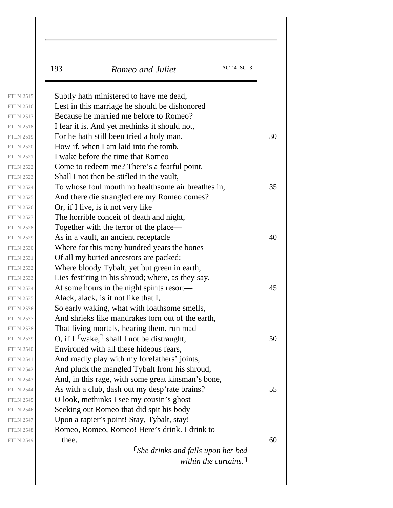| 193   | Romeo and Juliet                                                | ACT 4. SC. 3 |
|-------|-----------------------------------------------------------------|--------------|
|       | Subtly hath ministered to have me dead,                         |              |
|       | Lest in this marriage he should be dishonored                   |              |
|       | Because he married me before to Romeo?                          |              |
|       | I fear it is. And yet methinks it should not,                   |              |
|       | For he hath still been tried a holy man.                        |              |
|       | How if, when I am laid into the tomb,                           |              |
|       | I wake before the time that Romeo                               |              |
|       | Come to redeem me? There's a fearful point.                     |              |
|       | Shall I not then be stifled in the vault,                       |              |
|       | To whose foul mouth no healthsome air breathes in,              |              |
|       | And there die strangled ere my Romeo comes?                     |              |
|       | Or, if I live, is it not very like                              |              |
|       | The horrible conceit of death and night,                        |              |
|       | Together with the terror of the place—                          |              |
|       | As in a vault, an ancient receptacle                            |              |
|       | Where for this many hundred years the bones                     |              |
|       | Of all my buried ancestors are packed;                          |              |
|       | Where bloody Tybalt, yet but green in earth,                    |              |
|       | Lies fest'ring in his shroud; where, as they say,               |              |
|       | At some hours in the night spirits resort—                      |              |
|       | Alack, alack, is it not like that I,                            |              |
|       | So early waking, what with loathsome smells,                    |              |
|       | And shrieks like mandrakes torn out of the earth,               |              |
|       | That living mortals, hearing them, run mad—                     |              |
|       | O, if I $\lceil \text{wake}, \rceil$ shall I not be distraught, |              |
|       | Environed with all these hideous fears,                         |              |
|       | And madly play with my forefathers' joints,                     |              |
|       | And pluck the mangled Tybalt from his shroud,                   |              |
|       | And, in this rage, with some great kinsman's bone,              |              |
|       | As with a club, dash out my desp'rate brains?                   |              |
|       | O look, methinks I see my cousin's ghost                        |              |
|       | Seeking out Romeo that did spit his body                        |              |
|       | Upon a rapier's point! Stay, Tybalt, stay!                      |              |
| thee. | Romeo, Romeo, Romeo! Here's drink. I drink to                   |              |

*within the curtains.*

FTLN 2515 FTLN 2516 FTLN 2517 FTLN 2518

FTLN 2520 FTLN 2521 FTLN 2522 FTLN 2523

FTLN 2525 FTLN 2526 FTLN 2527 FTLN 2528

FTLN 2530 FTLN 2531 FTLN 2532 FTLN 2533

FTLN 2535 FTLN 2536 FTLN 2537 FTLN 2538

FTLN 2540 FTLN 2541 FTLN 2542 FTLN 2543

FTLN 2545 FTLN 2546 FTLN 2547 FTLN 2548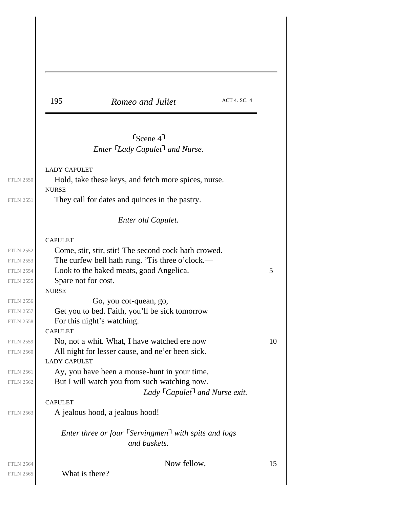| 195                                 | Romeo and Juliet                                                                                        | ACT 4. SC. 4 |    |
|-------------------------------------|---------------------------------------------------------------------------------------------------------|--------------|----|
|                                     | $Scence$ 4 <sup>1</sup><br>Enter Lady Capulet and Nurse.                                                |              |    |
|                                     |                                                                                                         |              |    |
| <b>LADY CAPULET</b><br><b>NURSE</b> | Hold, take these keys, and fetch more spices, nurse.                                                    |              |    |
|                                     | They call for dates and quinces in the pastry.                                                          |              |    |
|                                     | Enter old Capulet.                                                                                      |              |    |
| <b>CAPULET</b>                      |                                                                                                         |              |    |
|                                     | Come, stir, stir, stir! The second cock hath crowed.<br>The curfew bell hath rung. 'Tis three o'clock.— |              |    |
|                                     | Look to the baked meats, good Angelica.                                                                 |              | 5  |
| Spare not for cost.<br><b>NURSE</b> |                                                                                                         |              |    |
|                                     | Go, you cot-quean, go,                                                                                  |              |    |
|                                     | Get you to bed. Faith, you'll be sick tomorrow                                                          |              |    |
| <b>CAPULET</b>                      | For this night's watching.                                                                              |              |    |
|                                     | No, not a whit. What, I have watched ere now                                                            |              | 10 |
| <b>LADY CAPULET</b>                 | All night for lesser cause, and ne'er been sick.                                                        |              |    |
|                                     | Ay, you have been a mouse-hunt in your time,                                                            |              |    |
|                                     | But I will watch you from such watching now.<br>Lady $\lceil \text{Capulet} \rceil$ and Nurse exit.     |              |    |
| <b>CAPULET</b>                      |                                                                                                         |              |    |
|                                     | A jealous hood, a jealous hood!                                                                         |              |    |
|                                     | Enter three or four $\lceil$ Servingmen $\rceil$ with spits and logs<br>and baskets.                    |              |    |
|                                     | Now fellow,                                                                                             |              | 15 |
| What is there?                      |                                                                                                         |              |    |

 $\overline{\phantom{a}}$ 

 $\begin{array}{c} \hline \end{array}$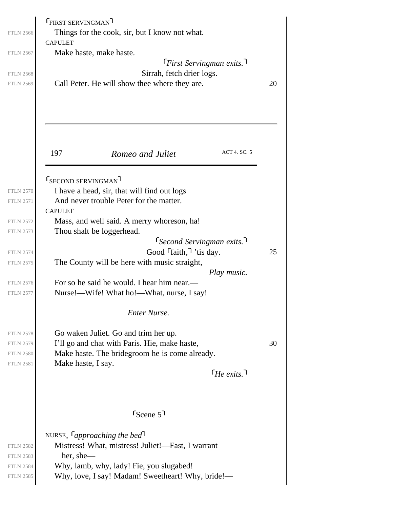| <b>FTLN 2566</b><br><b>FTLN 2567</b><br><b>FTLN 2568</b><br><b>FTLN 2569</b> | <b>FIRST SERVINGMAN</b><br>Things for the cook, sir, but I know not what.<br><b>CAPULET</b><br>Make haste, make haste.<br>$F$ First Servingman exits.<br>Sirrah, fetch drier logs.<br>Call Peter. He will show thee where they are. | 20 |
|------------------------------------------------------------------------------|-------------------------------------------------------------------------------------------------------------------------------------------------------------------------------------------------------------------------------------|----|
|                                                                              | ACT 4. SC. 5<br>197<br>Romeo and Juliet                                                                                                                                                                                             |    |
| <b>FTLN 2570</b><br><b>FTLN 2571</b><br><b>FTLN 2572</b>                     | <b>FSECOND SERVINGMAN</b><br>I have a head, sir, that will find out logs<br>And never trouble Peter for the matter.<br><b>CAPULET</b><br>Mass, and well said. A merry whoreson, ha!                                                 |    |
| <b>FTLN 2573</b><br><b>FTLN 2574</b><br><b>FTLN 2575</b>                     | Thou shalt be loggerhead.<br>$\lceil$ Second Servingman exits.<br>Good <i>faith</i> , <i>its day</i> .<br>The County will be here with music straight,<br>Play music.                                                               | 25 |
| <b>FTLN 2576</b><br><b>FTLN 2577</b>                                         | For so he said he would. I hear him near.—<br>Nurse!—Wife! What ho!—What, nurse, I say!<br><b>Enter Nurse.</b>                                                                                                                      |    |
| <b>FTLN 2578</b><br><b>FTLN 2579</b><br><b>FTLN 2580</b><br><b>FTLN 2581</b> | Go waken Juliet. Go and trim her up.<br>I'll go and chat with Paris. Hie, make haste,<br>Make haste. The bridegroom he is come already.<br>Make haste, I say.<br>$\lceil H_e \text{ exits.} \rceil$                                 | 30 |
|                                                                              | $S_{\text{Cene}}$ 5 <sup>1</sup>                                                                                                                                                                                                    |    |
| <b>FTLN 2582</b><br><b>FTLN 2583</b><br><b>FTLN 2584</b><br><b>FTLN 2585</b> | NURSE, $\lceil$ approaching the bed <sup>1</sup><br>Mistress! What, mistress! Juliet!—Fast, I warrant<br>her, she—<br>Why, lamb, why, lady! Fie, you slugabed!<br>Why, love, I say! Madam! Sweetheart! Why, bride!—                 |    |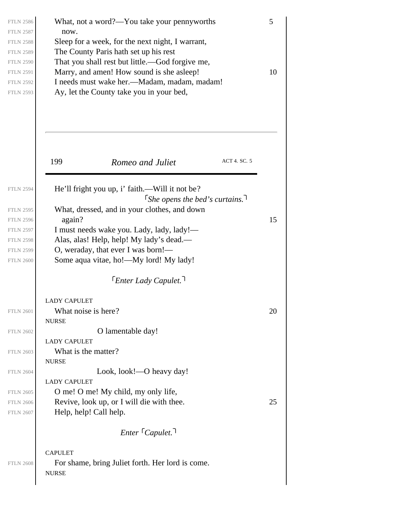| <b>FTLN 2586</b>                     | What, not a word?—You take your pennyworths                                   | 5  |
|--------------------------------------|-------------------------------------------------------------------------------|----|
| <b>FTLN 2587</b><br><b>FTLN 2588</b> | now.<br>Sleep for a week, for the next night, I warrant,                      |    |
| <b>FTLN 2589</b>                     | The County Paris hath set up his rest                                         |    |
| <b>FTLN 2590</b>                     | That you shall rest but little.—God forgive me,                               |    |
| <b>FTLN 2591</b>                     | Marry, and amen! How sound is she asleep!                                     | 10 |
| <b>FTLN 2592</b>                     | I needs must wake her.—Madam, madam, madam!                                   |    |
| <b>FTLN 2593</b>                     | Ay, let the County take you in your bed,                                      |    |
|                                      | ACT 4. SC. 5<br>199<br>Romeo and Juliet                                       |    |
|                                      |                                                                               |    |
| <b>FTLN 2594</b>                     | He'll fright you up, i' faith.—Will it not be?                                |    |
| <b>FTLN 2595</b>                     | She opens the bed's curtains.<br>What, dressed, and in your clothes, and down |    |
| <b>FTLN 2596</b>                     | again?                                                                        | 15 |
| <b>FTLN 2597</b>                     | I must needs wake you. Lady, lady, lady!-                                     |    |
| <b>FTLN 2598</b>                     | Alas, alas! Help, help! My lady's dead.-                                      |    |
| <b>FTLN 2599</b>                     | O, weraday, that ever I was born!-                                            |    |
| <b>FTLN 2600</b>                     | Some aqua vitae, ho!—My lord! My lady!                                        |    |
|                                      | <sup>T</sup> Enter Lady Capulet. <sup>1</sup>                                 |    |
|                                      | <b>LADY CAPULET</b>                                                           |    |
| <b>FTLN 2601</b>                     | What noise is here?                                                           | 20 |
|                                      | <b>NURSE</b>                                                                  |    |
| <b>FTLN 2602</b>                     | O lamentable day!                                                             |    |
| <b>FTLN 2603</b>                     | <b>LADY CAPULET</b><br>What is the matter?                                    |    |
|                                      | <b>NURSE</b>                                                                  |    |
| <b>FTLN 2604</b>                     | Look, look!—O heavy day!                                                      |    |
|                                      | <b>LADY CAPULET</b>                                                           |    |
| <b>FTLN 2605</b>                     | O me! O me! My child, my only life,                                           |    |
| <b>FTLN 2606</b>                     | Revive, look up, or I will die with thee.                                     | 25 |
| <b>FTLN 2607</b>                     | Help, help! Call help.                                                        |    |
|                                      | $Enter \top Capulet.$                                                         |    |
|                                      | <b>CAPULET</b>                                                                |    |
| <b>FTLN 2608</b>                     | For shame, bring Juliet forth. Her lord is come.<br><b>NURSE</b>              |    |
|                                      |                                                                               |    |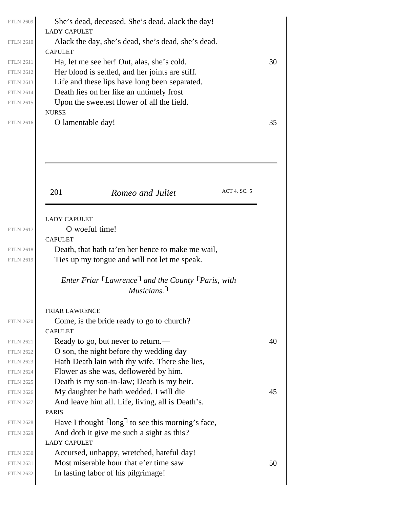|                                      | She's dead, deceased. She's dead, alack the day!                          |    |
|--------------------------------------|---------------------------------------------------------------------------|----|
| <b>FTLN 2610</b>                     | <b>LADY CAPULET</b><br>Alack the day, she's dead, she's dead, she's dead. |    |
|                                      | <b>CAPULET</b>                                                            |    |
| <b>FTLN 2611</b>                     | Ha, let me see her! Out, alas, she's cold.                                | 30 |
| <b>FTLN 2612</b>                     | Her blood is settled, and her joints are stiff.                           |    |
| <b>FTLN 2613</b>                     | Life and these lips have long been separated.                             |    |
| <b>FTLN 2614</b>                     | Death lies on her like an untimely frost                                  |    |
| <b>FTLN 2615</b>                     | Upon the sweetest flower of all the field.                                |    |
|                                      | <b>NURSE</b>                                                              |    |
| <b>FTLN 2616</b>                     | O lamentable day!                                                         | 35 |
|                                      |                                                                           |    |
|                                      |                                                                           |    |
|                                      |                                                                           |    |
|                                      |                                                                           |    |
|                                      | ACT 4. SC. 5<br>201<br>Romeo and Juliet                                   |    |
|                                      |                                                                           |    |
|                                      | <b>LADY CAPULET</b>                                                       |    |
| <b>FTLN 2617</b>                     | O woeful time!                                                            |    |
|                                      | <b>CAPULET</b>                                                            |    |
|                                      |                                                                           |    |
|                                      | Death, that hath ta'en her hence to make me wail,                         |    |
| <b>FTLN 2618</b><br><b>FTLN 2619</b> | Ties up my tongue and will not let me speak.                              |    |
|                                      | Enter Friar Lawrence and the County Paris, with                           |    |
|                                      | Musicians.                                                                |    |
|                                      | <b>FRIAR LAWRENCE</b>                                                     |    |
|                                      |                                                                           |    |
| <b>FTLN 2620</b>                     | Come, is the bride ready to go to church?<br><b>CAPULET</b>               |    |
| <b>FTLN 2621</b>                     | Ready to go, but never to return.—                                        | 40 |
| <b>FTLN 2622</b>                     | O son, the night before thy wedding day                                   |    |
| <b>FTLN 2623</b>                     | Hath Death lain with thy wife. There she lies,                            |    |
| <b>FTLN 2624</b>                     | Flower as she was, deflowered by him.                                     |    |
| <b>FTLN 2625</b>                     | Death is my son-in-law; Death is my heir.                                 |    |
| <b>FTLN 2626</b>                     | My daughter he hath wedded. I will die                                    | 45 |
| <b>FTLN 2627</b>                     | And leave him all. Life, living, all is Death's.                          |    |
|                                      | <b>PARIS</b>                                                              |    |
| <b>FTLN 2628</b>                     | Have I thought long to see this morning's face,                           |    |
| <b>FTLN 2629</b>                     | And doth it give me such a sight as this?                                 |    |
|                                      | <b>LADY CAPULET</b>                                                       |    |
| <b>FTLN 2630</b>                     | Accursed, unhappy, wretched, hateful day!                                 |    |
| <b>FTLN 2631</b>                     | Most miserable hour that e'er time saw                                    | 50 |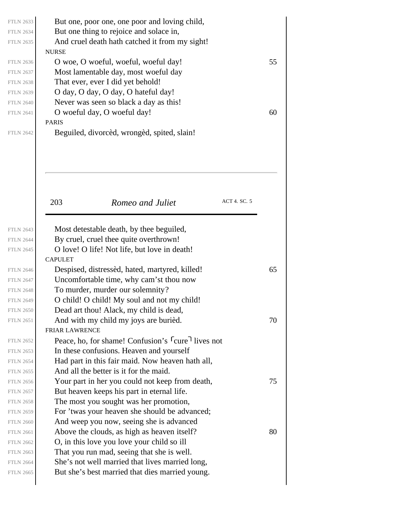| <b>NURSE</b>   | But one, poor one, one poor and loving child,<br>But one thing to rejoice and solace in,<br>And cruel death hath catched it from my sight! |              |    |
|----------------|--------------------------------------------------------------------------------------------------------------------------------------------|--------------|----|
|                | O woe, O woeful, woeful, woeful day!                                                                                                       |              | 55 |
|                | Most lamentable day, most woeful day                                                                                                       |              |    |
|                | That ever, ever I did yet behold!                                                                                                          |              |    |
|                | O day, O day, O day, O hateful day!                                                                                                        |              |    |
|                | Never was seen so black a day as this!                                                                                                     |              |    |
|                | O woeful day, O woeful day!                                                                                                                |              | 60 |
| <b>PARIS</b>   | Beguiled, divorcèd, wrongèd, spited, slain!                                                                                                |              |    |
| 203            | Romeo and Juliet                                                                                                                           | ACT 4. SC. 5 |    |
|                | Most detestable death, by thee beguiled,                                                                                                   |              |    |
|                | By cruel, cruel thee quite overthrown!                                                                                                     |              |    |
|                | O love! O life! Not life, but love in death!                                                                                               |              |    |
| <b>CAPULET</b> |                                                                                                                                            |              |    |
|                | Despised, distressed, hated, martyred, killed!                                                                                             |              | 65 |
|                | Uncomfortable time, why cam'st thou now                                                                                                    |              |    |
|                |                                                                                                                                            |              |    |
|                |                                                                                                                                            |              |    |
|                | To murder, murder our solemnity?<br>O child! O child! My soul and not my child!                                                            |              |    |
|                | Dead art thou! Alack, my child is dead,                                                                                                    |              |    |
|                | And with my child my joys are buried.                                                                                                      |              | 70 |
| FRIAR LAWRENCE |                                                                                                                                            |              |    |
|                | Peace, ho, for shame! Confusion's <sup>r</sup> cure <sup>1</sup> lives not                                                                 |              |    |
|                | In these confusions. Heaven and yourself                                                                                                   |              |    |
|                | Had part in this fair maid. Now heaven hath all,                                                                                           |              |    |
|                | And all the better is it for the maid.                                                                                                     |              |    |
|                | Your part in her you could not keep from death,                                                                                            |              | 75 |
|                | But heaven keeps his part in eternal life.                                                                                                 |              |    |
|                | The most you sought was her promotion,                                                                                                     |              |    |
|                | For 'twas your heaven she should be advanced;                                                                                              |              |    |
|                | And weep you now, seeing she is advanced                                                                                                   |              |    |
|                | Above the clouds, as high as heaven itself?                                                                                                |              | 80 |
|                | O, in this love you love your child so ill                                                                                                 |              |    |
|                | That you run mad, seeing that she is well.<br>She's not well married that lives married long,                                              |              |    |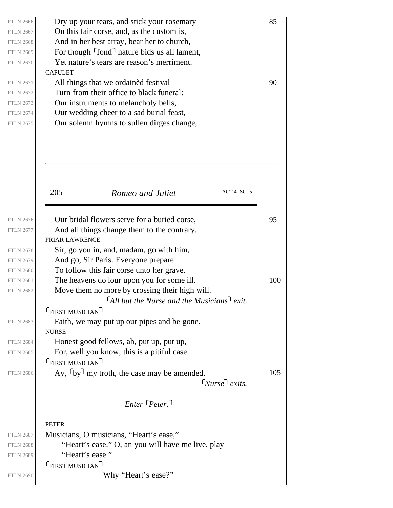| <b>FTLN 2666</b><br><b>FTLN 2667</b> | Dry up your tears, and stick your rosemary<br>On this fair corse, and, as the custom is, | 85  |
|--------------------------------------|------------------------------------------------------------------------------------------|-----|
| <b>FTLN 2668</b>                     | And in her best array, bear her to church,                                               |     |
| <b>FTLN 2669</b>                     | For though $\lceil$ fond $\rceil$ nature bids us all lament,                             |     |
| <b>FTLN 2670</b>                     | Yet nature's tears are reason's merriment.                                               |     |
|                                      | <b>CAPULET</b>                                                                           |     |
| <b>FTLN 2671</b>                     | All things that we ordained festival                                                     | 90  |
| <b>FTLN 2672</b>                     | Turn from their office to black funeral:                                                 |     |
| <b>FTLN 2673</b>                     | Our instruments to melancholy bells,                                                     |     |
| <b>FTLN 2674</b>                     | Our wedding cheer to a sad burial feast,                                                 |     |
| <b>FTLN 2675</b>                     | Our solemn hymns to sullen dirges change,                                                |     |
|                                      | ACT 4. SC. 5                                                                             |     |
|                                      | 205<br>Romeo and Juliet                                                                  |     |
|                                      |                                                                                          |     |
| <b>FTLN 2676</b>                     | Our bridal flowers serve for a buried corse,                                             | 95  |
| <b>FTLN 2677</b>                     | And all things change them to the contrary.                                              |     |
|                                      | <b>FRIAR LAWRENCE</b>                                                                    |     |
| <b>FTLN 2678</b><br><b>FTLN 2679</b> | Sir, go you in, and, madam, go with him,<br>And go, Sir Paris. Everyone prepare          |     |
| <b>FTLN 2680</b>                     | To follow this fair corse unto her grave.                                                |     |
| <b>FTLN 2681</b>                     | The heavens do lour upon you for some ill.                                               | 100 |
| <b>FTLN 2682</b>                     | Move them no more by crossing their high will.                                           |     |
|                                      | $\lceil$ All but the Nurse and the Musicians $\lceil$ exit.                              |     |
|                                      | <b>FIRST MUSICIAN</b>                                                                    |     |
| <b>FTLN 2683</b>                     | Faith, we may put up our pipes and be gone.                                              |     |
|                                      | <b>NURSE</b>                                                                             |     |
| <b>FTLN 2684</b>                     | Honest good fellows, ah, put up, put up,                                                 |     |
| <b>FTLN 2685</b>                     | For, well you know, this is a pitiful case.                                              |     |
|                                      | <b>FIRST MUSICIAN</b>                                                                    |     |
| <b>FTLN 2686</b>                     | Ay, $\lceil by \rceil$ my troth, the case may be amended.                                | 105 |
|                                      | $\lceil Nurse \rceil exists.$                                                            |     |
|                                      | $Enter$ $Peter$ <sup><math>\lceil</math></sup>                                           |     |
|                                      |                                                                                          |     |
|                                      | <b>PETER</b>                                                                             |     |
| <b>FTLN 2687</b>                     | Musicians, O musicians, "Heart's ease,"                                                  |     |
| <b>FTLN 2688</b>                     | "Heart's ease." O, an you will have me live, play                                        |     |
| <b>FTLN 2689</b>                     | "Heart's ease."                                                                          |     |
|                                      | <b>FIRST MUSICIAN</b>                                                                    |     |
| <b>FTLN 2690</b>                     | Why "Heart's ease?"                                                                      |     |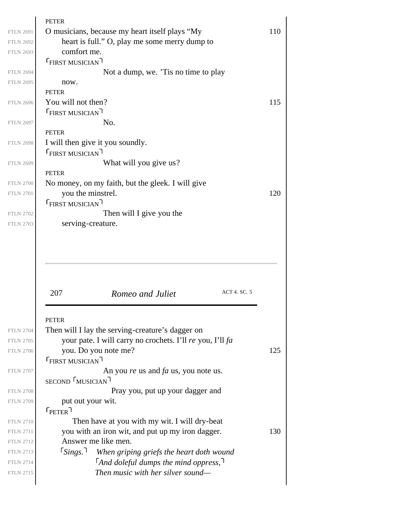| O musicians, because my heart itself plays "My                                             | 110 |
|--------------------------------------------------------------------------------------------|-----|
| heart is full." O, play me some merry dump to                                              |     |
| comfort me.                                                                                |     |
| <b>FIRST MUSICIAN</b>                                                                      |     |
| Not a dump, we. 'Tis no time to play                                                       |     |
| now.                                                                                       |     |
| <b>PETER</b>                                                                               |     |
| You will not then?                                                                         | 115 |
| <b>FIRST MUSICIAN</b>                                                                      |     |
| No.                                                                                        |     |
| <b>PETER</b>                                                                               |     |
| I will then give it you soundly.                                                           |     |
| <b>FIRST MUSICIAN</b>                                                                      |     |
| What will you give us?                                                                     |     |
| <b>PETER</b>                                                                               |     |
| No money, on my faith, but the gleek. I will give                                          |     |
| you the minstrel.                                                                          | 120 |
| <b>FIRST MUSICIAN</b>                                                                      |     |
| Then will I give you the<br>serving-creature.                                              |     |
|                                                                                            |     |
|                                                                                            |     |
| ACT 4. SC. 5<br>207<br>Romeo and Juliet                                                    |     |
| <b>PETER</b>                                                                               |     |
| Then will I lay the serving-creature's dagger on                                           |     |
| your pate. I will carry no crochets. I'll re you, I'll fa                                  |     |
| you. Do you note me?                                                                       | 125 |
| <b>FIRST MUSICIAN</b>                                                                      |     |
| An you re us and $fa$ us, you note us.                                                     |     |
| SECOND MUSICIAN                                                                            |     |
| Pray you, put up your dagger and                                                           |     |
| put out your wit.                                                                          |     |
| $\mathsf{F}_{\sf PETER}$ ר                                                                 |     |
| Then have at you with my wit. I will dry-beat                                              |     |
| you with an iron wit, and put up my iron dagger.                                           | 130 |
| Answer me like men.                                                                        |     |
| $\lceil$ Sings.<br>When griping griefs the heart doth wound                                |     |
| $\lceil$ And doleful dumps the mind oppress, $\lceil$<br>Then music with her silver sound— |     |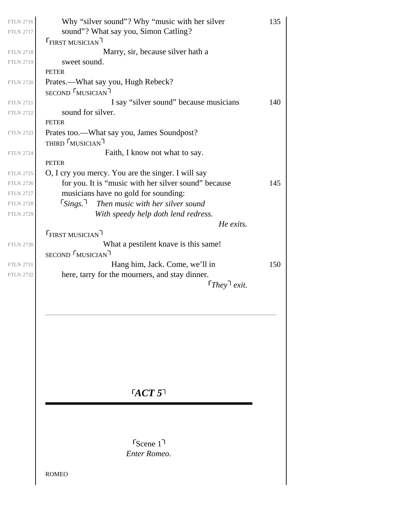| <b>FTLN 2716</b> | Why "silver sound"? Why "music with her silver       | 135 |
|------------------|------------------------------------------------------|-----|
| <b>FTLN 2717</b> | sound"? What say you, Simon Catling?                 |     |
|                  | <b>FIRST MUSICIAN</b>                                |     |
| <b>FTLN 2718</b> | Marry, sir, because silver hath a                    |     |
| <b>FTLN 2719</b> | sweet sound.                                         |     |
|                  | <b>PETER</b>                                         |     |
| <b>FTLN 2720</b> | Prates.—What say you, Hugh Rebeck?                   |     |
|                  | SECOND MUSICIAN                                      |     |
| <b>FTLN 2721</b> | I say "silver sound" because musicians               | 140 |
| <b>FTLN 2722</b> | sound for silver.                                    |     |
|                  | <b>PETER</b>                                         |     |
| <b>FTLN 2723</b> | Prates too.—What say you, James Soundpost?           |     |
|                  | THIRD MUSICIAN                                       |     |
| <b>FTLN 2724</b> | Faith, I know not what to say.                       |     |
|                  | <b>PETER</b>                                         |     |
| <b>FTLN 2725</b> | O, I cry you mercy. You are the singer. I will say   |     |
| <b>FTLN 2726</b> | for you. It is "music with her silver sound" because | 145 |
| <b>FTLN 2727</b> | musicians have no gold for sounding:                 |     |
| <b>FTLN 2728</b> | $5 \times 7$ Then music with her silver sound        |     |
| <b>FTLN 2729</b> | With speedy help doth lend redress.                  |     |
|                  | He exits.                                            |     |
|                  | <b>FIRST MUSICIAN</b>                                |     |
| <b>FTLN 2730</b> | What a pestilent knave is this same!                 |     |
|                  | SECOND MUSICIAN                                      |     |
| <b>FTLN 2731</b> | Hang him, Jack. Come, we'll in                       | 150 |
| <b>FTLN 2732</b> | here, tarry for the mourners, and stay dinner.       |     |
|                  | $[They]$ exit.                                       |     |
|                  |                                                      |     |
|                  |                                                      |     |
|                  |                                                      |     |
|                  |                                                      |     |
|                  |                                                      |     |
|                  |                                                      |     |
|                  |                                                      |     |
|                  |                                                      |     |
|                  |                                                      |     |
|                  | GCT5                                                 |     |
|                  |                                                      |     |
|                  |                                                      |     |
|                  |                                                      |     |
|                  |                                                      |     |

*Enter Romeo.* Scene 1

ROMEO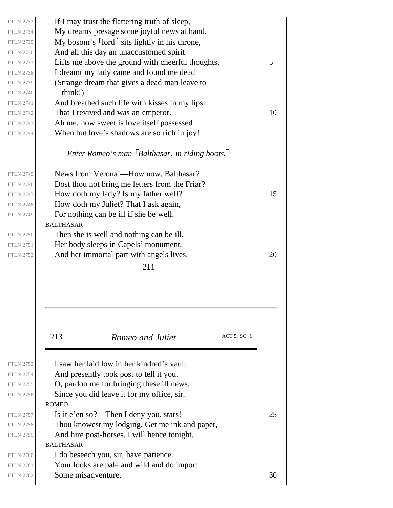| <b>FTLN 2733</b><br><b>FTLN 2734</b><br><b>FTLN 2735</b> | If I may trust the flattering truth of sleep,<br>My dreams presage some joyful news at hand.<br>My bosom's $\lceil \text{ord} \rceil$ sits lightly in his throne, |    |
|----------------------------------------------------------|-------------------------------------------------------------------------------------------------------------------------------------------------------------------|----|
| <b>FTLN 2736</b>                                         | And all this day an unaccustomed spirit                                                                                                                           |    |
| <b>FTLN 2737</b>                                         | Lifts me above the ground with cheerful thoughts.                                                                                                                 | 5  |
| <b>FTLN 2738</b>                                         | I dreamt my lady came and found me dead                                                                                                                           |    |
| <b>FTLN 2739</b>                                         | (Strange dream that gives a dead man leave to                                                                                                                     |    |
| <b>FTLN 2740</b>                                         | think!)                                                                                                                                                           |    |
| <b>FTLN 2741</b>                                         | And breathed such life with kisses in my lips                                                                                                                     |    |
| <b>FTLN 2742</b>                                         | That I revived and was an emperor.                                                                                                                                | 10 |
| <b>FTLN 2743</b>                                         | Ah me, how sweet is love itself possessed                                                                                                                         |    |
| <b>FTLN 2744</b>                                         | When but love's shadows are so rich in joy!                                                                                                                       |    |
|                                                          | Enter Romeo's man $\lceil$ Balthasar, in riding boots. $\lceil$                                                                                                   |    |
| <b>FTLN 2745</b>                                         | News from Verona!—How now, Balthasar?                                                                                                                             |    |
| <b>FTLN 2746</b>                                         | Dost thou not bring me letters from the Friar?                                                                                                                    |    |
| <b>FTLN 2747</b>                                         | How doth my lady? Is my father well?                                                                                                                              | 15 |
| <b>FTLN 2748</b>                                         | How doth my Juliet? That I ask again,                                                                                                                             |    |
| <b>FTLN 2749</b>                                         | For nothing can be ill if she be well.                                                                                                                            |    |
|                                                          | <b>BALTHASAR</b>                                                                                                                                                  |    |
| <b>FTLN 2750</b>                                         | Then she is well and nothing can be ill.                                                                                                                          |    |
| <b>FTLN 2751</b>                                         | Her body sleeps in Capels' monument,                                                                                                                              |    |
| <b>FTLN 2752</b>                                         | And her immortal part with angels lives.                                                                                                                          | 20 |
|                                                          | 211                                                                                                                                                               |    |
|                                                          |                                                                                                                                                                   |    |
|                                                          | ACT 5. SC. 1<br>213<br>Romeo and Juliet                                                                                                                           |    |
| <b>FTLN 2753</b>                                         | I saw her laid low in her kindred's vault                                                                                                                         |    |
| <b>FTLN 2754</b>                                         | And presently took post to tell it you.                                                                                                                           |    |
| <b>FTLN 2755</b>                                         | O, pardon me for bringing these ill news,                                                                                                                         |    |
| <b>FTLN 2756</b>                                         | Since you did leave it for my office, sir.                                                                                                                        |    |
|                                                          | <b>ROMEO</b>                                                                                                                                                      |    |
| <b>FTLN 2757</b>                                         | Is it e'en so?—Then I deny you, stars!—                                                                                                                           | 25 |
| <b>FTLN 2758</b>                                         | Thou knowest my lodging. Get me ink and paper,                                                                                                                    |    |
| <b>FTLN 2759</b>                                         | And hire post-horses. I will hence tonight.                                                                                                                       |    |
|                                                          | <b>BALTHASAR</b>                                                                                                                                                  |    |
| <b>FTLN 2760</b>                                         | I do beseech you, sir, have patience.                                                                                                                             |    |
| <b>FTLN 2761</b>                                         | Your looks are pale and wild and do import                                                                                                                        |    |
| <b>FTLN 2762</b>                                         | Some misadventure.                                                                                                                                                | 30 |
|                                                          |                                                                                                                                                                   |    |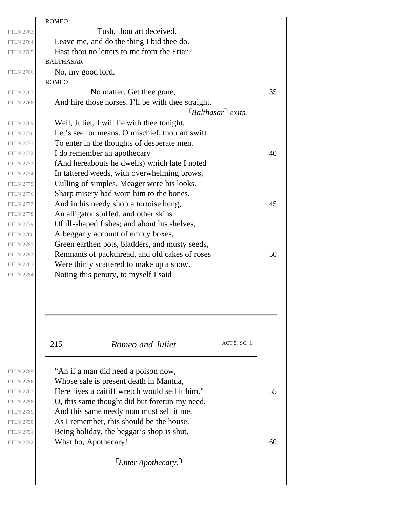|                  | <b>ROMEO</b>                                       |    |
|------------------|----------------------------------------------------|----|
| <b>FTLN 2763</b> | Tush, thou art deceived.                           |    |
| <b>FTLN 2764</b> | Leave me, and do the thing I bid thee do.          |    |
| <b>FTLN 2765</b> | Hast thou no letters to me from the Friar?         |    |
|                  | <b>BALTHASAR</b>                                   |    |
| <b>FTLN 2766</b> | No, my good lord.                                  |    |
|                  | <b>ROMEO</b>                                       |    |
| <b>FTLN 2767</b> | No matter. Get thee gone,                          | 35 |
| <b>FTLN 2768</b> | And hire those horses. I'll be with thee straight. |    |
|                  | $\lceil$ Balthasar $\lceil$ exits.                 |    |
| <b>FTLN 2769</b> | Well, Juliet, I will lie with thee tonight.        |    |
| <b>FTLN 2770</b> | Let's see for means. O mischief, thou art swift    |    |
| <b>FTLN 2771</b> | To enter in the thoughts of desperate men.         |    |
| <b>FTLN 2772</b> | I do remember an apothecary                        | 40 |
| <b>FTLN 2773</b> | (And hereabouts he dwells) which late I noted      |    |
| <b>FTLN 2774</b> | In tattered weeds, with overwhelming brows,        |    |
| <b>FTLN 2775</b> | Culling of simples. Meager were his looks.         |    |
| <b>FTLN 2776</b> | Sharp misery had worn him to the bones.            |    |
| <b>FTLN 2777</b> | And in his needy shop a tortoise hung,             | 45 |
| <b>FTLN 2778</b> | An alligator stuffed, and other skins              |    |
| <b>FTLN 2779</b> | Of ill-shaped fishes; and about his shelves,       |    |
| <b>FTLN 2780</b> | A beggarly account of empty boxes,                 |    |
| <b>FTLN 2781</b> | Green earthen pots, bladders, and musty seeds,     |    |
| <b>FTLN 2782</b> | Remnants of packthread, and old cakes of roses     | 50 |
| <b>FTLN 2783</b> | Were thinly scattered to make up a show.           |    |
| <b>FTLN 2784</b> | Noting this penury, to myself I said               |    |
|                  |                                                    |    |
|                  |                                                    |    |
|                  | ACT 5. SC. 1<br>215<br>Romeo and Juliet            |    |
|                  |                                                    |    |
| <b>FTLN 2785</b> | "An if a man did need a poison now,                |    |
| <b>FTLN 2786</b> | Whose sale is present death in Mantua,             |    |
| <b>FTLN 2787</b> | Here lives a caitiff wretch would sell it him."    | 55 |
| <b>FTLN 2788</b> | O, this same thought did but forerun my need,      |    |
| <b>FTLN 2789</b> | And this same needy man must sell it me.           |    |
| <b>FTLN 2790</b> | As I remember, this should be the house.           |    |
| <b>FTLN 2791</b> | Being holiday, the beggar's shop is shut.—         |    |
| <b>FTLN 2792</b> | What ho, Apothecary!                               | 60 |
|                  |                                                    |    |
|                  | <b>Enter Apothecary.</b>                           |    |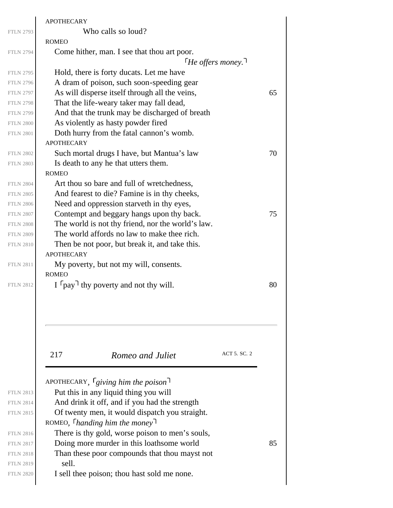|                  | <b>APOTHECARY</b>                                 |    |
|------------------|---------------------------------------------------|----|
| <b>FTLN 2793</b> | Who calls so loud?                                |    |
|                  | <b>ROMEO</b>                                      |    |
| <b>FTLN 2794</b> | Come hither, man. I see that thou art poor.       |    |
|                  | <i>He offers money.</i> <sup>1</sup>              |    |
| <b>FTLN 2795</b> | Hold, there is forty ducats. Let me have          |    |
| <b>FTLN 2796</b> | A dram of poison, such soon-speeding gear         |    |
| <b>FTLN 2797</b> | As will disperse itself through all the veins,    | 65 |
| <b>FTLN 2798</b> | That the life-weary taker may fall dead,          |    |
| <b>FTLN 2799</b> | And that the trunk may be discharged of breath    |    |
| <b>FTLN 2800</b> | As violently as hasty powder fired                |    |
| <b>FTLN 2801</b> | Doth hurry from the fatal cannon's womb.          |    |
|                  | <b>APOTHECARY</b>                                 |    |
| <b>FTLN 2802</b> | Such mortal drugs I have, but Mantua's law        | 70 |
| <b>FTLN 2803</b> | Is death to any he that utters them.              |    |
|                  | <b>ROMEO</b>                                      |    |
| <b>FTLN 2804</b> | Art thou so bare and full of wretchedness,        |    |
| <b>FTLN 2805</b> | And fearest to die? Famine is in thy cheeks,      |    |
| <b>FTLN 2806</b> | Need and oppression starveth in thy eyes,         |    |
| <b>FTLN 2807</b> | Contempt and beggary hangs upon thy back.         | 75 |
| <b>FTLN 2808</b> | The world is not thy friend, nor the world's law. |    |
| <b>FTLN 2809</b> | The world affords no law to make thee rich.       |    |
| <b>FTLN 2810</b> | Then be not poor, but break it, and take this.    |    |
|                  | <b>APOTHECARY</b>                                 |    |
| <b>FTLN 2811</b> | My poverty, but not my will, consents.            |    |
|                  | <b>ROMEO</b>                                      |    |
| <b>FTLN 2812</b> | $I \cap \text{pay}$ thy poverty and not thy will. | 80 |
|                  |                                                   |    |
|                  |                                                   |    |
|                  | ACT 5. SC. 2<br>217<br>Romeo and Juliet           |    |
|                  | APOTHECARY, $\lceil$ giving him the poison        |    |
| <b>FTLN 2813</b> | Put this in any liquid thing you will             |    |
| <b>FTLN 2814</b> | And drink it off, and if you had the strength     |    |
| <b>FTLN 2815</b> | Of twenty men, it would dispatch you straight.    |    |
|                  | ROMEO, $\lceil$ <i>handing him the money</i>      |    |
|                  |                                                   |    |

There is thy gold, worse poison to men's souls,

- FTLN 2817 Doing more murder in this loathsome world  $85$ 
	- Than these poor compounds that thou mayst not sell.
		- I sell thee poison; thou hast sold me none.

FTLN 2815 FTLN 2816

FTLN 2818 FTLN 2819 FTLN 2820

FTLN FTLN 2814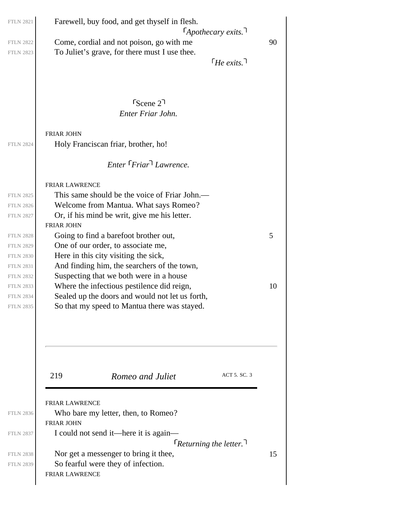| Farewell, buy food, and get thyself in flesh.                                                                                                                                                                                                                                                                                                                                                                                         |                                           | $\lceil$ Apothecary exits. $\lceil$     |         |
|---------------------------------------------------------------------------------------------------------------------------------------------------------------------------------------------------------------------------------------------------------------------------------------------------------------------------------------------------------------------------------------------------------------------------------------|-------------------------------------------|-----------------------------------------|---------|
| Come, cordial and not poison, go with me<br>To Juliet's grave, for there must I use thee.                                                                                                                                                                                                                                                                                                                                             |                                           | $\lceil$ He exits. $\lceil$             | 90      |
|                                                                                                                                                                                                                                                                                                                                                                                                                                       | $r_{\text{Scene}}$ 2<br>Enter Friar John. |                                         |         |
| FRIAR JOHN<br>Holy Franciscan friar, brother, ho!                                                                                                                                                                                                                                                                                                                                                                                     |                                           |                                         |         |
|                                                                                                                                                                                                                                                                                                                                                                                                                                       | Enter Friar Lawrence.                     |                                         |         |
| FRIAR LAWRENCE<br>This same should be the voice of Friar John.—<br>Welcome from Mantua. What says Romeo?<br>Or, if his mind be writ, give me his letter.<br>FRIAR JOHN<br>Going to find a barefoot brother out,<br>One of our order, to associate me,<br>Here in this city visiting the sick,<br>And finding him, the searchers of the town,<br>Suspecting that we both were in a house<br>Where the infectious pestilence did reign, |                                           |                                         | 5<br>10 |
| Sealed up the doors and would not let us forth,<br>So that my speed to Mantua there was stayed.                                                                                                                                                                                                                                                                                                                                       |                                           |                                         |         |
| 219                                                                                                                                                                                                                                                                                                                                                                                                                                   | Romeo and Juliet                          | ACT 5. SC. 3                            |         |
| FRIAR LAWRENCE<br>Who bare my letter, then, to Romeo?<br><b>FRIAR JOHN</b>                                                                                                                                                                                                                                                                                                                                                            |                                           |                                         |         |
| I could not send it—here it is again—                                                                                                                                                                                                                                                                                                                                                                                                 |                                           | $\lceil$ Returning the letter. $\lceil$ |         |
| Nor get a messenger to bring it thee,<br>So fearful were they of infection.<br>FRIAR LAWRENCE                                                                                                                                                                                                                                                                                                                                         |                                           |                                         | 15      |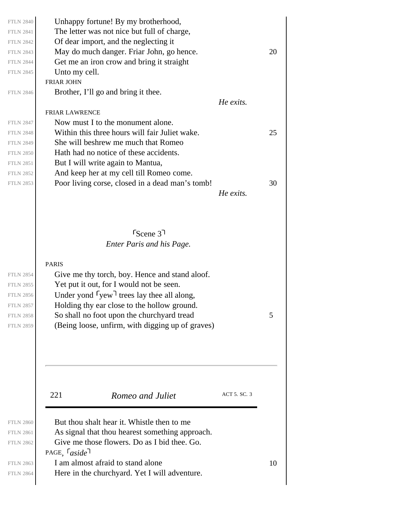| <b>FTLN 2840</b> | Unhappy fortune! By my brotherhood,             |           |    |
|------------------|-------------------------------------------------|-----------|----|
| <b>FTLN 2841</b> | The letter was not nice but full of charge,     |           |    |
| <b>FTLN 2842</b> | Of dear import, and the neglecting it           |           |    |
| <b>FTLN 2843</b> | May do much danger. Friar John, go hence.       |           | 20 |
| <b>FTLN 2844</b> | Get me an iron crow and bring it straight       |           |    |
| <b>FTLN 2845</b> | Unto my cell.                                   |           |    |
|                  | <b>FRIAR JOHN</b>                               |           |    |
| <b>FTLN 2846</b> | Brother, I'll go and bring it thee.             |           |    |
|                  |                                                 | He exits. |    |
|                  | <b>FRIAR LAWRENCE</b>                           |           |    |
| <b>FTLN 2847</b> | Now must I to the monument alone.               |           |    |
| <b>FTLN 2848</b> | Within this three hours will fair Juliet wake.  |           | 25 |
| <b>FTLN 2849</b> | She will beshrew me much that Romeo             |           |    |
| <b>FTLN 2850</b> | Hath had no notice of these accidents.          |           |    |
| <b>FTLN 2851</b> | But I will write again to Mantua,               |           |    |
| <b>FTLN 2852</b> | And keep her at my cell till Romeo come.        |           |    |
| <b>FTLN 2853</b> | Poor living corse, closed in a dead man's tomb! |           | 30 |
|                  |                                                 | He exits. |    |
|                  |                                                 |           |    |
|                  |                                                 |           |    |
|                  |                                                 |           |    |
|                  | $S_{\text{Cene}}$ 3 <sup>1</sup>                |           |    |
|                  | <b>Enter Paris and his Page.</b>                |           |    |
|                  |                                                 |           |    |
|                  | <b>PARIS</b>                                    |           |    |

FTLN 2858  $\sim$  So shall no foot upon the churchyard tread 5 FTLN 2854 FTLN 2855 FTLN 2856 FTLN 2857 FTLN 2859

221 *Romeo and Juliet* ACT 5. SC. 3

Give me thy torch, boy. Hence and stand aloof.

(Being loose, unfirm, with digging up of graves)

Yet put it out, for I would not be seen. Under yond  $\lceil \text{v} \cdot \text{v} \rceil$  trees lay thee all along, Holding thy ear close to the hollow ground.

| <b>FTLN 2860</b> | But thou shalt hear it. Whistle then to me      |    |
|------------------|-------------------------------------------------|----|
| <b>FTLN 2861</b> | As signal that thou hearest something approach. |    |
| <b>FTLN 2862</b> | Give me those flowers. Do as I bid thee. Go.    |    |
|                  | PAGE, $\lceil \text{aside} \rceil$              |    |
| <b>FTLN 2863</b> | I am almost afraid to stand alone               | 10 |
| <b>FTLN 2864</b> | Here in the churchyard. Yet I will adventure.   |    |

FTLN 2864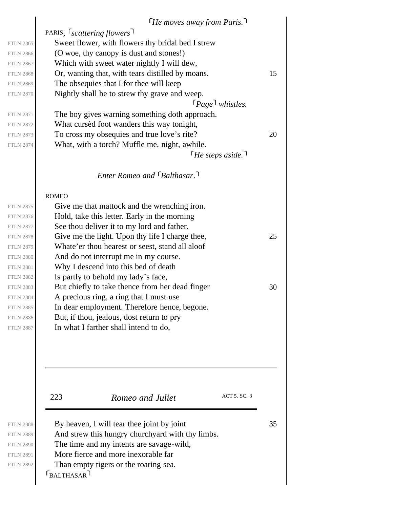|                  | $\lceil$ He moves away from Paris.                    |    |
|------------------|-------------------------------------------------------|----|
|                  | PARIS, <i>Scattering flowers</i>                      |    |
| <b>FTLN 2865</b> | Sweet flower, with flowers thy bridal bed I strew     |    |
| <b>FTLN 2866</b> | (O woe, thy canopy is dust and stones!)               |    |
| <b>FTLN 2867</b> | Which with sweet water nightly I will dew,            |    |
| <b>FTLN 2868</b> | Or, wanting that, with tears distilled by moans.      | 15 |
| <b>FTLN 2869</b> | The obsequies that I for thee will keep               |    |
| <b>FTLN 2870</b> | Nightly shall be to strew thy grave and weep.         |    |
|                  | $\lceil \textit{Page} \rceil$ whistles.               |    |
| <b>FTLN 2871</b> | The boy gives warning something doth approach.        |    |
| <b>FTLN 2872</b> | What cursed foot wanders this way tonight,            |    |
| <b>FTLN 2873</b> | To cross my obsequies and true love's rite?           | 20 |
| <b>FTLN 2874</b> | What, with a torch? Muffle me, night, awhile.         |    |
|                  | $\lceil$ He steps aside. $\lceil$                     |    |
|                  | <b>Enter Romeo and <math>\lceil</math> Balthasar.</b> |    |
|                  | <b>ROMEO</b>                                          |    |
| <b>FTLN 2875</b> | Give me that mattock and the wrenching iron.          |    |
| <b>FTLN 2876</b> | Hold, take this letter. Early in the morning          |    |
| <b>FTLN 2877</b> | See thou deliver it to my lord and father.            |    |
| <b>FTLN 2878</b> | Give me the light. Upon thy life I charge thee,       | 25 |
| <b>FTLN 2879</b> | Whate'er thou hearest or seest, stand all aloof       |    |
| <b>FTLN 2880</b> | And do not interrupt me in my course.                 |    |
| <b>FTLN 2881</b> | Why I descend into this bed of death                  |    |
| <b>FTLN 2882</b> | Is partly to behold my lady's face,                   |    |
| <b>FTLN 2883</b> | But chiefly to take thence from her dead finger       | 30 |
| <b>FTLN 2884</b> | A precious ring, a ring that I must use               |    |
| <b>FTLN 2885</b> | In dear employment. Therefore hence, begone.          |    |
| <b>FTLN 2886</b> | But, if thou, jealous, dost return to pry             |    |
| <b>FTLN 2887</b> | In what I farther shall intend to do,                 |    |
|                  |                                                       |    |
|                  |                                                       |    |
|                  |                                                       |    |
|                  |                                                       |    |
|                  |                                                       |    |
|                  |                                                       |    |

FTLN 2889 FTLN 2890 FTLN 2891 FTLN 2892

 $\Gamma_{\text{BALTHASAR}}$ FTLN 2888 By heaven, I will tear thee joint by joint  $35$ And strew this hungry churchyard with thy limbs. The time and my intents are savage-wild, More fierce and more inexorable far Than empty tigers or the roaring sea.

223 **Romeo and Juliet** ACT 5. SC. 3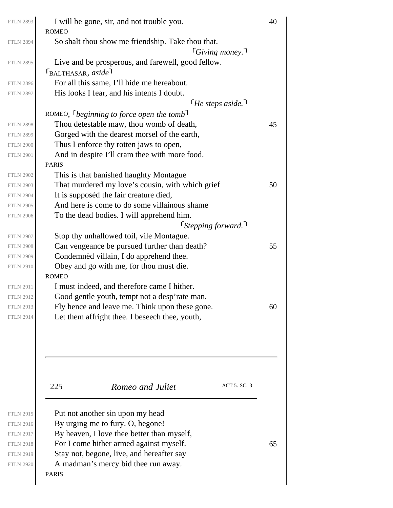| <b>FTLN 2893</b> | I will be gone, sir, and not trouble you.<br><b>ROMEO</b>                   | 40 |
|------------------|-----------------------------------------------------------------------------|----|
| <b>FTLN 2894</b> | So shalt thou show me friendship. Take thou that.<br>$\lceil$ Giving money. |    |
| <b>FTLN 2895</b> | Live and be prosperous, and farewell, good fellow.                          |    |
|                  | $\Gamma_{\text{BALTHASAR}, \; aside}$                                       |    |
| <b>FTLN 2896</b> | For all this same, I'll hide me hereabout.                                  |    |
| <b>FTLN 2897</b> | His looks I fear, and his intents I doubt.                                  |    |
|                  | $\lceil$ He steps aside. $\lceil$                                           |    |
|                  | ROMEO, <i>beginning to force open the tomb</i> <sup>1</sup>                 |    |
| <b>FTLN 2898</b> | Thou detestable maw, thou womb of death,                                    | 45 |
| <b>FTLN 2899</b> | Gorged with the dearest morsel of the earth,                                |    |
| <b>FTLN 2900</b> | Thus I enforce thy rotten jaws to open,                                     |    |
| <b>FTLN 2901</b> | And in despite I'll cram thee with more food.                               |    |
|                  | <b>PARIS</b>                                                                |    |
| <b>FTLN 2902</b> | This is that banished haughty Montague                                      |    |
| <b>FTLN 2903</b> | That murdered my love's cousin, with which grief                            | 50 |
| <b>FTLN 2904</b> | It is supposed the fair creature died,                                      |    |
| <b>FTLN 2905</b> | And here is come to do some villainous shame                                |    |
| <b>FTLN 2906</b> | To the dead bodies. I will apprehend him.                                   |    |
|                  | $\lceil$ Stepping forward.                                                  |    |
| <b>FTLN 2907</b> | Stop thy unhallowed toil, vile Montague.                                    |    |
| <b>FTLN 2908</b> | Can vengeance be pursued further than death?                                | 55 |
| <b>FTLN 2909</b> | Condemnèd villain, I do apprehend thee.                                     |    |
| <b>FTLN 2910</b> | Obey and go with me, for thou must die.                                     |    |
|                  | <b>ROMEO</b>                                                                |    |
| <b>FTLN 2911</b> | I must indeed, and therefore came I hither.                                 |    |
| <b>FTLN 2912</b> | Good gentle youth, tempt not a desp'rate man.                               |    |
| <b>FTLN 2913</b> | Fly hence and leave me. Think upon these gone.                              | 60 |
| <b>FTLN 2914</b> | Let them affright thee. I beseech thee, youth,                              |    |
|                  |                                                                             |    |
|                  |                                                                             |    |
|                  |                                                                             |    |

225 *Romeo and Juliet* ACT 5. SC. 3

PARIS Put not another sin upon my head By urging me to fury. O, begone! By heaven, I love thee better than myself, FTLN 2918  $\vert$  For I come hither armed against myself. 65 Stay not, begone, live, and hereafter say A madman's mercy bid thee run away.

FTLN 2920

FTLN 2915 FTLN 2916 FTLN 2917

FTLN 2919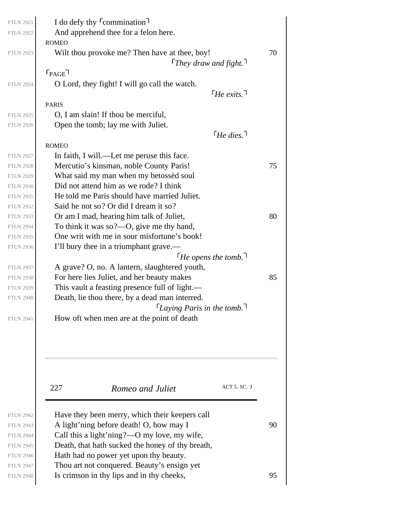| <b>FTLN 2921</b><br><b>FTLN 2922</b> | I do defy thy <sup>C</sup> commination <sup>1</sup><br>And apprehend thee for a felon here. |    |
|--------------------------------------|---------------------------------------------------------------------------------------------|----|
|                                      | <b>ROMEO</b>                                                                                |    |
| <b>FTLN 2923</b>                     | Wilt thou provoke me? Then have at thee, boy!                                               | 70 |
|                                      | They draw and fight.                                                                        |    |
|                                      | $r_{\text{PAGE}}$                                                                           |    |
| <b>FTLN 2924</b>                     | O Lord, they fight! I will go call the watch.                                               |    |
|                                      | $\lceil$ He exits. $\lceil$                                                                 |    |
|                                      | <b>PARIS</b>                                                                                |    |
| <b>FTLN 2925</b>                     | O, I am slain! If thou be merciful,                                                         |    |
| <b>FTLN 2926</b>                     | Open the tomb; lay me with Juliet.                                                          |    |
|                                      | $\lceil$ He dies. $\lceil$                                                                  |    |
|                                      | <b>ROMEO</b>                                                                                |    |
| <b>FTLN 2927</b>                     | In faith, I will.—Let me peruse this face.                                                  |    |
| <b>FTLN 2928</b>                     | Mercutio's kinsman, noble County Paris!                                                     | 75 |
| <b>FTLN 2929</b>                     | What said my man when my betossed soul                                                      |    |
| <b>FTLN 2930</b>                     | Did not attend him as we rode? I think                                                      |    |
| <b>FTLN 2931</b>                     | He told me Paris should have married Juliet.                                                |    |
| <b>FTLN 2932</b>                     | Said he not so? Or did I dream it so?                                                       |    |
| <b>FTLN 2933</b>                     | Or am I mad, hearing him talk of Juliet,                                                    | 80 |
| <b>FTLN 2934</b>                     | To think it was so?—O, give me thy hand,                                                    |    |
| <b>FTLN 2935</b>                     | One writ with me in sour misfortune's book!                                                 |    |
| <b>FTLN 2936</b>                     | I'll bury thee in a triumphant grave.—                                                      |    |
|                                      | $\lceil$ He opens the tomb.                                                                 |    |
| <b>FTLN 2937</b>                     | A grave? O, no. A lantern, slaughtered youth,                                               |    |
| <b>FTLN 2938</b>                     | For here lies Juliet, and her beauty makes                                                  | 85 |
| <b>FTLN 2939</b>                     | This vault a feasting presence full of light.—                                              |    |
| <b>FTLN 2940</b>                     | Death, lie thou there, by a dead man interred.                                              |    |
|                                      | Laying Paris in the tomb.                                                                   |    |
| <b>FTLN 2941</b>                     | How oft when men are at the point of death                                                  |    |
|                                      |                                                                                             |    |
|                                      |                                                                                             |    |
|                                      | ACT 5. SC. 3<br>227<br>Romeo and Juliet                                                     |    |
| <b>FTLN 2942</b>                     | Have they been merry, which their keepers call                                              |    |
| <b>FTLN 2943</b>                     | A light'ning before death! O, how may I                                                     | 90 |
| <b>FTLN 2944</b>                     | Call this a light'ning?—O my love, my wife,                                                 |    |
| <b>FTLN 2945</b>                     | Death, that hath sucked the honey of thy breath,                                            |    |

Hath had no power yet upon thy beauty.

Thou art not conquered. Beauty's ensign yet FTLN 2948  $\vert$  Is crimson in thy lips and in thy cheeks,  $\vert$ 95

FTLN 2946 FTLN 2947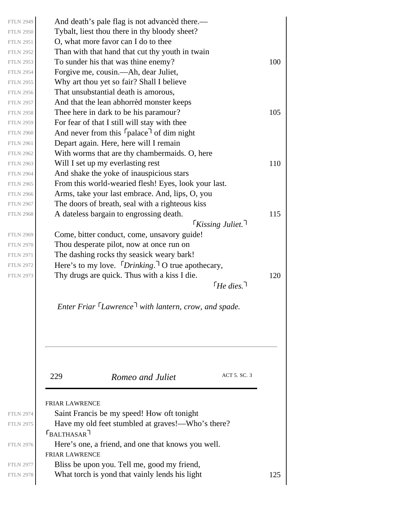| <b>FTLN 2949</b> | And death's pale flag is not advanced there.—                          |     |
|------------------|------------------------------------------------------------------------|-----|
| <b>FTLN 2950</b> | Tybalt, liest thou there in thy bloody sheet?                          |     |
| <b>FTLN 2951</b> | O, what more favor can I do to thee                                    |     |
| <b>FTLN 2952</b> | Than with that hand that cut thy youth in twain                        |     |
| <b>FTLN 2953</b> | To sunder his that was thine enemy?                                    | 100 |
| <b>FTLN 2954</b> | Forgive me, cousin.—Ah, dear Juliet,                                   |     |
| <b>FTLN 2955</b> | Why art thou yet so fair? Shall I believe                              |     |
| <b>FTLN 2956</b> | That unsubstantial death is amorous,                                   |     |
| <b>FTLN 2957</b> | And that the lean abhorred monster keeps                               |     |
| <b>FTLN 2958</b> | Thee here in dark to be his paramour?                                  | 105 |
| <b>FTLN 2959</b> | For fear of that I still will stay with thee                           |     |
| <b>FTLN 2960</b> | And never from this <sup>r</sup> palace <sup>1</sup> of dim night      |     |
| <b>FTLN 2961</b> | Depart again. Here, here will I remain                                 |     |
| <b>FTLN 2962</b> | With worms that are thy chambermaids. O, here                          |     |
| <b>FTLN 2963</b> | Will I set up my everlasting rest                                      | 110 |
| <b>FTLN 2964</b> | And shake the yoke of inauspicious stars                               |     |
| <b>FTLN 2965</b> | From this world-wearied flesh! Eyes, look your last.                   |     |
| <b>FTLN 2966</b> | Arms, take your last embrace. And, lips, O, you                        |     |
| <b>FTLN 2967</b> | The doors of breath, seal with a righteous kiss                        |     |
| <b>FTLN 2968</b> | A dateless bargain to engrossing death.                                | 115 |
|                  | <b>Kissing Juliet.</b>                                                 |     |
| <b>FTLN 2969</b> | Come, bitter conduct, come, unsavory guide!                            |     |
| <b>FTLN 2970</b> | Thou desperate pilot, now at once run on                               |     |
| <b>FTLN 2971</b> | The dashing rocks thy seasick weary bark!                              |     |
| <b>FTLN 2972</b> | Here's to my love. $\lceil \text{Drinking.} \rceil$ O true apothecary, |     |
| <b>FTLN 2973</b> | Thy drugs are quick. Thus with a kiss I die.                           | 120 |
|                  | $\lceil$ He dies.                                                      |     |
|                  | Enter Friar Lawrence <sup>1</sup> with lantern, crow, and spade.       |     |
|                  | ACT 5. SC. 3<br>229<br>Romeo and Juliet                                |     |
|                  | <b>FRIAR LAWRENCE</b>                                                  |     |
| <b>FTLN 2974</b> | Saint Francis be my speed! How oft tonight                             |     |
| <b>FTLN 2975</b> | Have my old feet stumbled at graves!—Who's there?                      |     |
|                  | $r_{BALTHASAR}$                                                        |     |
| <b>FTLN 2976</b> | Here's one, a friend, and one that knows you well.                     |     |
|                  | <b>FRIAR LAWRENCE</b>                                                  |     |
| <b>FTLN 2977</b> | Bliss be upon you. Tell me, good my friend,                            | 125 |
| <b>FTLN 2978</b> | What torch is yond that vainly lends his light                         |     |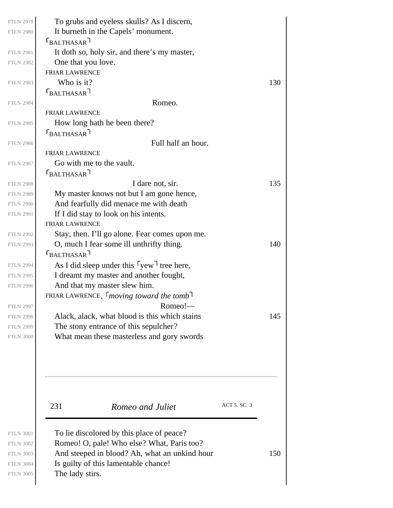| <b>FTLN 2979</b><br><b>FTLN 2980</b><br><b>FTLN 2981</b><br><b>FTLN 2982</b><br><b>FTLN 2983</b><br><b>FTLN 2984</b> | To grubs and eyeless skulls? As I discern,<br>It burneth in the Capels' monument.<br>$\Gamma_{\text{BALTHASAR}}$<br>It doth so, holy sir, and there's my master,<br>One that you love.<br><b>FRIAR LAWRENCE</b><br>Who is it?<br>$\Gamma_{\text{BALTHASAR}}$<br>Romeo. | 130 |
|----------------------------------------------------------------------------------------------------------------------|------------------------------------------------------------------------------------------------------------------------------------------------------------------------------------------------------------------------------------------------------------------------|-----|
|                                                                                                                      | <b>FRIAR LAWRENCE</b>                                                                                                                                                                                                                                                  |     |
| <b>FTLN 2985</b>                                                                                                     | How long hath he been there?                                                                                                                                                                                                                                           |     |
|                                                                                                                      | $r_{BALTHASAR}$                                                                                                                                                                                                                                                        |     |
| <b>FTLN 2986</b>                                                                                                     | Full half an hour.                                                                                                                                                                                                                                                     |     |
|                                                                                                                      | <b>FRIAR LAWRENCE</b>                                                                                                                                                                                                                                                  |     |
| <b>FTLN 2987</b>                                                                                                     | Go with me to the vault.                                                                                                                                                                                                                                               |     |
|                                                                                                                      | $\Gamma_{\text{BALTHASAR}}$ ר                                                                                                                                                                                                                                          |     |
| <b>FTLN 2988</b>                                                                                                     | I dare not, sir.                                                                                                                                                                                                                                                       | 135 |
| <b>FTLN 2989</b>                                                                                                     | My master knows not but I am gone hence,                                                                                                                                                                                                                               |     |
| <b>FTLN 2990</b>                                                                                                     | And fearfully did menace me with death                                                                                                                                                                                                                                 |     |
| <b>FTLN 2991</b>                                                                                                     | If I did stay to look on his intents.<br><b>FRIAR LAWRENCE</b>                                                                                                                                                                                                         |     |
| <b>FTLN 2992</b>                                                                                                     | Stay, then. I'll go alone. Fear comes upon me.                                                                                                                                                                                                                         |     |
| <b>FTLN 2993</b>                                                                                                     | O, much I fear some ill unthrifty thing.                                                                                                                                                                                                                               | 140 |
|                                                                                                                      | $\Gamma_{\text{BALTHASAR}}$                                                                                                                                                                                                                                            |     |
| <b>FTLN 2994</b>                                                                                                     | As I did sleep under this $\lceil \text{yew} \rceil$ tree here,                                                                                                                                                                                                        |     |
| <b>FTLN 2995</b>                                                                                                     | I dreamt my master and another fought,                                                                                                                                                                                                                                 |     |
| <b>FTLN 2996</b>                                                                                                     | And that my master slew him.                                                                                                                                                                                                                                           |     |
|                                                                                                                      | FRIAR LAWRENCE, $\lceil$ moving toward the tomb                                                                                                                                                                                                                        |     |
| <b>FTLN 2997</b>                                                                                                     | Romeo!-                                                                                                                                                                                                                                                                |     |
| <b>FTLN 2998</b>                                                                                                     | Alack, alack, what blood is this which stains                                                                                                                                                                                                                          | 145 |
| <b>FTLN 2999</b>                                                                                                     | The stony entrance of this sepulcher?                                                                                                                                                                                                                                  |     |
| <b>FTLN 3000</b>                                                                                                     | What mean these masterless and gory swords                                                                                                                                                                                                                             |     |
|                                                                                                                      |                                                                                                                                                                                                                                                                        |     |
|                                                                                                                      | ACT 5. SC. 3<br>231<br>Romeo and Juliet                                                                                                                                                                                                                                |     |
| <b>FTLN 3001</b><br><b>FTLN 3002</b><br><b>FTLN 3003</b><br><b>FTLN 3004</b><br><b>FTLN 3005</b>                     | To lie discolored by this place of peace?<br>Romeo! O, pale! Who else? What, Paris too?<br>And steeped in blood? Ah, what an unkind hour<br>Is guilty of this lamentable chance!<br>The lady stirs.                                                                    | 150 |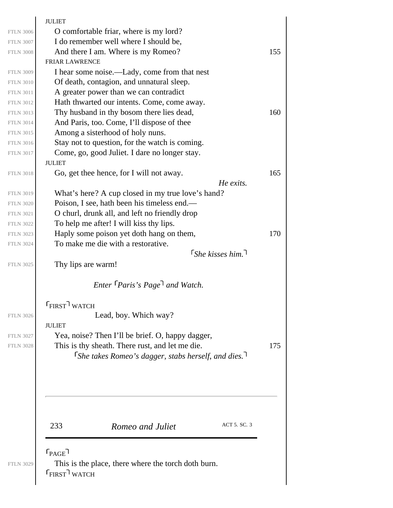|                  | <b>JULIET</b>                                                          |     |
|------------------|------------------------------------------------------------------------|-----|
| <b>FTLN 3006</b> | O comfortable friar, where is my lord?                                 |     |
| <b>FTLN 3007</b> | I do remember well where I should be,                                  |     |
| <b>FTLN 3008</b> | And there I am. Where is my Romeo?                                     | 155 |
|                  | <b>FRIAR LAWRENCE</b>                                                  |     |
| <b>FTLN 3009</b> | I hear some noise.—Lady, come from that nest                           |     |
| <b>FTLN 3010</b> | Of death, contagion, and unnatural sleep.                              |     |
| <b>FTLN 3011</b> | A greater power than we can contradict                                 |     |
| <b>FTLN 3012</b> | Hath thwarted our intents. Come, come away.                            |     |
| <b>FTLN 3013</b> | Thy husband in thy bosom there lies dead,                              | 160 |
| <b>FTLN 3014</b> | And Paris, too. Come, I'll dispose of thee                             |     |
| <b>FTLN 3015</b> | Among a sisterhood of holy nuns.                                       |     |
| <b>FTLN 3016</b> | Stay not to question, for the watch is coming.                         |     |
| <b>FTLN 3017</b> | Come, go, good Juliet. I dare no longer stay.                          |     |
|                  | <b>JULIET</b>                                                          |     |
| <b>FTLN 3018</b> | Go, get thee hence, for I will not away.                               | 165 |
|                  | He exits.                                                              |     |
| <b>FTLN 3019</b> | What's here? A cup closed in my true love's hand?                      |     |
| <b>FTLN 3020</b> | Poison, I see, hath been his timeless end.—                            |     |
| <b>FTLN 3021</b> | O churl, drunk all, and left no friendly drop                          |     |
| <b>FTLN 3022</b> | To help me after! I will kiss thy lips.                                |     |
| <b>FTLN 3023</b> | Haply some poison yet doth hang on them,                               | 170 |
| <b>FTLN 3024</b> | To make me die with a restorative.                                     |     |
|                  | $\lceil$ She kisses him.                                               |     |
| <b>FTLN 3025</b> | Thy lips are warm!                                                     |     |
|                  |                                                                        |     |
|                  | Enter <i>Paris's Page</i> and Watch.                                   |     |
|                  |                                                                        |     |
|                  | <b>FIRST</b> WATCH                                                     |     |
| <b>FTLN 3026</b> | Lead, boy. Which way?                                                  |     |
|                  | <b>JULIET</b>                                                          |     |
| <b>FTLN 3027</b> | Yea, noise? Then I'll be brief. O, happy dagger,                       |     |
| <b>FTLN 3028</b> | This is thy sheath. There rust, and let me die.                        | 175 |
|                  | <i>She takes Romeo's dagger, stabs herself, and dies.</i> <sup>1</sup> |     |
|                  |                                                                        |     |
|                  |                                                                        |     |
|                  |                                                                        |     |
|                  |                                                                        |     |
|                  |                                                                        |     |
|                  |                                                                        |     |
|                  | ACT 5. SC. 3<br>233<br>Romeo and Juliet                                |     |
|                  |                                                                        |     |
|                  |                                                                        |     |
|                  | $r_{\text{PAGE}}$                                                      |     |
| <b>FTLN 3029</b> | This is the place, there where the torch doth burn.                    |     |
|                  | <b>FIRST</b> WATCH                                                     |     |
|                  |                                                                        |     |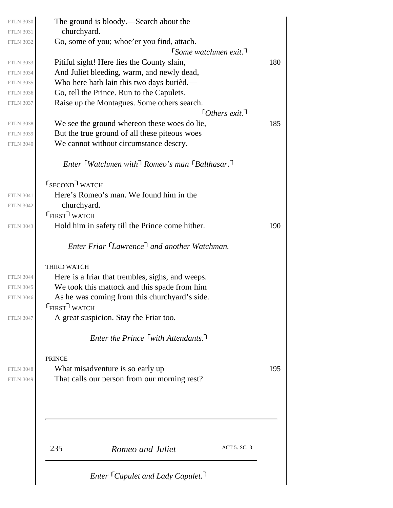| <b>FTLN 3030</b><br><b>FTLN 3031</b> | The ground is bloody.—Search about the<br>churchyard.                                   |     |
|--------------------------------------|-----------------------------------------------------------------------------------------|-----|
| <b>FTLN 3032</b>                     | Go, some of you; whoe'er you find, attach.                                              |     |
|                                      | $\lceil$ Some watchmen exit.                                                            |     |
| <b>FTLN 3033</b>                     | Pitiful sight! Here lies the County slain,                                              | 180 |
| <b>FTLN 3034</b>                     | And Juliet bleeding, warm, and newly dead,<br>Who here hath lain this two days burièd.— |     |
| <b>FTLN 3035</b><br><b>FTLN 3036</b> | Go, tell the Prince. Run to the Capulets.                                               |     |
| <b>FTLN 3037</b>                     | Raise up the Montagues. Some others search.                                             |     |
|                                      | $\lceil$ Others exit.                                                                   |     |
| <b>FTLN 3038</b>                     | We see the ground whereon these woes do lie,                                            | 185 |
| <b>FTLN 3039</b>                     | But the true ground of all these piteous woes                                           |     |
| <b>FTLN 3040</b>                     | We cannot without circumstance descry.                                                  |     |
|                                      | Enter $\lceil$ Watchmen with $\lceil$ Romeo's man $\lceil$ Balthasar.                   |     |
|                                      | <b>SECOND</b> WATCH                                                                     |     |
| <b>FTLN 3041</b>                     | Here's Romeo's man. We found him in the                                                 |     |
| <b>FTLN 3042</b>                     | churchyard.                                                                             |     |
|                                      | <b>FIRST</b> WATCH                                                                      |     |
| <b>FTLN 3043</b>                     | Hold him in safety till the Prince come hither.                                         | 190 |
|                                      | Enter Friar Lawrence <sup>1</sup> and another Watchman.                                 |     |
|                                      | <b>THIRD WATCH</b>                                                                      |     |
| <b>FTLN 3044</b>                     | Here is a friar that trembles, sighs, and weeps.                                        |     |
| <b>FTLN 3045</b>                     | We took this mattock and this spade from him                                            |     |
| <b>FTLN 3046</b>                     | As he was coming from this churchyard's side.                                           |     |
|                                      | $F$ FIRST $\overline{I}$ WATCH                                                          |     |
| <b>FTLN 3047</b>                     | A great suspicion. Stay the Friar too.                                                  |     |
|                                      | <i>Enter the Prince</i> $\lceil$ with Attendants.                                       |     |
|                                      | <b>PRINCE</b>                                                                           |     |
| <b>FTLN 3048</b>                     | What misadventure is so early up                                                        | 195 |
| <b>FTLN 3049</b>                     | That calls our person from our morning rest?                                            |     |
|                                      |                                                                                         |     |
|                                      | ACT 5. SC. 3<br>235<br>Romeo and Juliet                                                 |     |
|                                      | Enter <sup>[</sup> Capulet and Lady Capulet. <sup>]</sup>                               |     |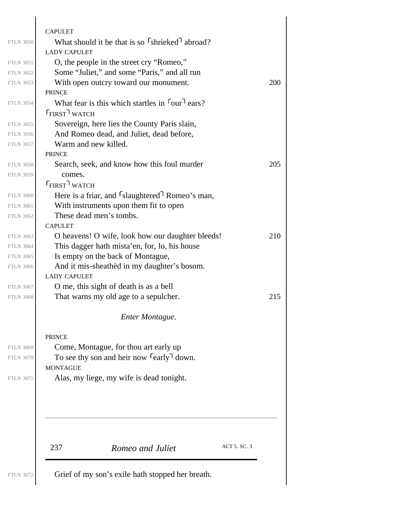| <b>FTLN 3050</b>                     | <b>CAPULET</b><br>What should it be that is so [shrieked] abroad?       |     |
|--------------------------------------|-------------------------------------------------------------------------|-----|
|                                      | <b>LADY CAPULET</b>                                                     |     |
| <b>FTLN 3051</b>                     | O, the people in the street cry "Romeo,"                                |     |
| <b>FTLN 3052</b>                     | Some "Juliet," and some "Paris," and all run                            |     |
| <b>FTLN 3053</b>                     | With open outcry toward our monument.                                   | 200 |
|                                      | <b>PRINCE</b>                                                           |     |
| <b>FTLN 3054</b>                     | What fear is this which startles in four <sup>1</sup> ears?             |     |
|                                      | <b>FIRST</b> WATCH                                                      |     |
| <b>FTLN 3055</b>                     | Sovereign, here lies the County Paris slain,                            |     |
| <b>FTLN 3056</b>                     | And Romeo dead, and Juliet, dead before,                                |     |
| <b>FTLN 3057</b>                     | Warm and new killed.                                                    |     |
|                                      | <b>PRINCE</b>                                                           |     |
| <b>FTLN 3058</b>                     | Search, seek, and know how this foul murder                             | 205 |
| <b>FTLN 3059</b>                     | comes.                                                                  |     |
|                                      | $F$ FIRST WATCH                                                         |     |
| <b>FTLN 3060</b>                     | Here is a friar, and <sup>S</sup> slaughtered <sup>1</sup> Romeo's man, |     |
| <b>FTLN 3061</b><br><b>FTLN 3062</b> | With instruments upon them fit to open<br>These dead men's tombs.       |     |
|                                      | <b>CAPULET</b>                                                          |     |
| <b>FTLN 3063</b>                     | O heavens! O wife, look how our daughter bleeds!                        | 210 |
| <b>FTLN 3064</b>                     | This dagger hath mista'en, for, lo, his house                           |     |
| <b>FTLN 3065</b>                     | Is empty on the back of Montague,                                       |     |
| <b>FTLN 3066</b>                     | And it mis-sheathed in my daughter's bosom.                             |     |
|                                      | <b>LADY CAPULET</b>                                                     |     |
| <b>FTLN 3067</b>                     | O me, this sight of death is as a bell                                  |     |
| <b>FTLN 3068</b>                     | That warns my old age to a sepulcher.                                   | 215 |
|                                      | Enter Montague.                                                         |     |
|                                      | <b>PRINCE</b>                                                           |     |
| <b>FTLN 3069</b>                     | Come, Montague, for thou art early up                                   |     |
| <b>FTLN 3070</b>                     | To see thy son and heir now <sup>r</sup> early <sup>1</sup> down.       |     |
|                                      | <b>MONTAGUE</b>                                                         |     |
| <b>FTLN 3071</b>                     | Alas, my liege, my wife is dead tonight.                                |     |
|                                      |                                                                         |     |
|                                      |                                                                         |     |
|                                      | ACT 5. SC. 3<br>237<br>Romeo and Juliet                                 |     |
| <b>FTLN 3072</b>                     | Grief of my son's exile hath stopped her breath.                        |     |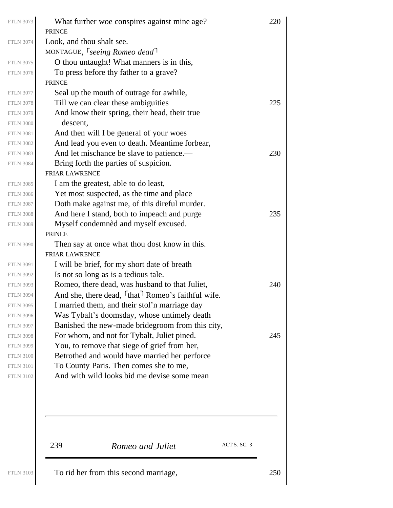| <b>FTLN 3073</b> | What further woe conspires against mine age?<br><b>PRINCE</b>              | 220 |
|------------------|----------------------------------------------------------------------------|-----|
| <b>FTLN 3074</b> | Look, and thou shalt see.                                                  |     |
|                  | MONTAGUE, <i>Seeing Romeo dead</i>                                         |     |
| <b>FTLN 3075</b> | O thou untaught! What manners is in this,                                  |     |
| <b>FTLN 3076</b> | To press before thy father to a grave?                                     |     |
|                  | <b>PRINCE</b>                                                              |     |
| <b>FTLN 3077</b> | Seal up the mouth of outrage for awhile,                                   |     |
| <b>FTLN 3078</b> | Till we can clear these ambiguities                                        | 225 |
| <b>FTLN 3079</b> | And know their spring, their head, their true                              |     |
| <b>FTLN 3080</b> | descent,                                                                   |     |
| <b>FTLN 3081</b> | And then will I be general of your woes                                    |     |
| <b>FTLN 3082</b> | And lead you even to death. Meantime forbear,                              |     |
| <b>FTLN 3083</b> | And let mischance be slave to patience.—                                   | 230 |
| <b>FTLN 3084</b> | Bring forth the parties of suspicion.                                      |     |
|                  | <b>FRIAR LAWRENCE</b>                                                      |     |
| <b>FTLN 3085</b> | I am the greatest, able to do least,                                       |     |
| <b>FTLN 3086</b> | Yet most suspected, as the time and place                                  |     |
| <b>FTLN 3087</b> | Doth make against me, of this direful murder.                              |     |
| <b>FTLN 3088</b> | And here I stand, both to impeach and purge                                | 235 |
| <b>FTLN 3089</b> | Myself condemned and myself excused.                                       |     |
|                  | <b>PRINCE</b>                                                              |     |
| <b>FTLN 3090</b> | Then say at once what thou dost know in this.                              |     |
|                  | <b>FRIAR LAWRENCE</b>                                                      |     |
| <b>FTLN 3091</b> | I will be brief, for my short date of breath                               |     |
| <b>FTLN 3092</b> | Is not so long as is a tedious tale.                                       |     |
| <b>FTLN 3093</b> | Romeo, there dead, was husband to that Juliet,                             | 240 |
| <b>FTLN 3094</b> | And she, there dead, <sup>f</sup> that <sup>7</sup> Romeo's faithful wife. |     |
| <b>FTLN 3095</b> | I married them, and their stol'n marriage day                              |     |
| <b>FTLN 3096</b> | Was Tybalt's doomsday, whose untimely death                                |     |
| <b>FTLN 3097</b> | Banished the new-made bridegroom from this city,                           |     |
| <b>FTLN 3098</b> | For whom, and not for Tybalt, Juliet pined.                                | 245 |
| <b>FTLN 3099</b> | You, to remove that siege of grief from her,                               |     |
| <b>FTLN 3100</b> | Betrothed and would have married her perforce                              |     |
| <b>FTLN 3101</b> | To County Paris. Then comes she to me,                                     |     |
| <b>FTLN 3102</b> | And with wild looks bid me devise some mean                                |     |
|                  |                                                                            |     |
|                  | ACT 5. SC. 3<br>239<br>Romeo and Juliet                                    |     |
|                  | d han fuam this secon                                                      |     |

FTLN 3103  $\vert$  To rid her from this second marriage,  $250$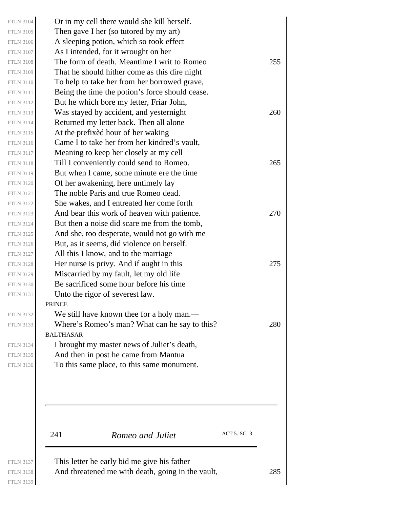241 *Romeo and Juliet* ACT 5. SC. 3 PRINCE BALTHASAR Or in my cell there would she kill herself. Then gave I her (so tutored by my art) A sleeping potion, which so took effect As I intended, for it wrought on her FTLN 3108 The form of death. Meantime I writ to Romeo 255 That he should hither come as this dire night To help to take her from her borrowed grave, Being the time the potion's force should cease. But he which bore my letter, Friar John, FTLN 3113 Was stayed by accident, and yesternight  $260$ Returned my letter back. Then all alone At the prefixèd hour of her waking Came I to take her from her kindred's vault, Meaning to keep her closely at my cell FTLN 3118 Till I conveniently could send to Romeo. 265 But when I came, some minute ere the time Of her awakening, here untimely lay The noble Paris and true Romeo dead. She wakes, and I entreated her come forth FTLN 3123  $\vert$  And bear this work of heaven with patience. 270 But then a noise did scare me from the tomb, And she, too desperate, would not go with me But, as it seems, did violence on herself. All this I know, and to the marriage FTLN 3128  $\vert$  Her nurse is privy. And if aught in this 275 Miscarried by my fault, let my old life Be sacrificed some hour before his time Unto the rigor of severest law. We still have known thee for a holy man.— FTLN 3133 Where's Romeo's man? What can he say to this?  $280$ I brought my master news of Juliet's death, And then in post he came from Mantua To this same place, to this same monument. This letter he early bid me give his father FTLN 3104 FTLN 3105 FTLN 3106 FTLN 3107 FTLN 3109 FTLN 3110 FTLN 3111 FTLN 3112 FTLN 3114 FTLN 3115 FTLN 3116 FTLN 3117 FTLN 3119 FTLN 3120 FTLN 3121 FTLN 3122 FTLN 3124 FTLN 3125 FTLN 3126 FTLN 3127 FTLN 3129 FTLN 3130 FTLN 3131 FTLN 3132 FTLN 3134 FTLN 3135 FTLN 3136 FTLN 3137

FTLN 3138  $\vert$  And threatened me with death, going in the vault, 285 FTLN 3139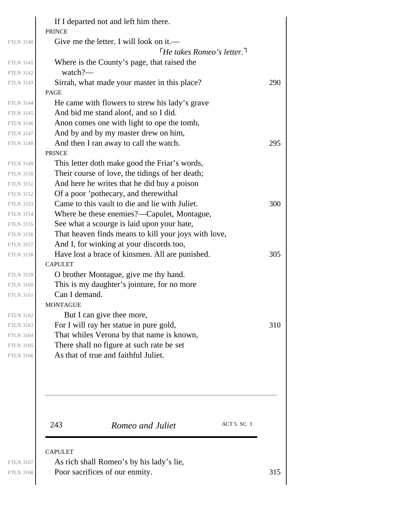|                  | If I departed not and left him there.<br><b>PRINCE</b>       |     |
|------------------|--------------------------------------------------------------|-----|
| <b>FTLN 3140</b> | Give me the letter. I will look on it.—                      |     |
|                  | $\lceil$ He takes Romeo's letter.                            |     |
| <b>FTLN 3141</b> | Where is the County's page, that raised the                  |     |
| <b>FTLN 3142</b> | watch?—                                                      |     |
| <b>FTLN 3143</b> | Sirrah, what made your master in this place?                 | 290 |
|                  | <b>PAGE</b>                                                  |     |
| <b>FTLN 3144</b> | He came with flowers to strew his lady's grave               |     |
| <b>FTLN 3145</b> | And bid me stand aloof, and so I did.                        |     |
| <b>FTLN 3146</b> | Anon comes one with light to ope the tomb,                   |     |
| <b>FTLN 3147</b> | And by and by my master drew on him,                         |     |
| <b>FTLN 3148</b> | And then I ran away to call the watch.                       | 295 |
|                  | <b>PRINCE</b>                                                |     |
| <b>FTLN 3149</b> | This letter doth make good the Friar's words,                |     |
| <b>FTLN 3150</b> | Their course of love, the tidings of her death;              |     |
| <b>FTLN 3151</b> | And here he writes that he did buy a poison                  |     |
| <b>FTLN 3152</b> | Of a poor 'pothecary, and therewithal                        |     |
| <b>FTLN 3153</b> | Came to this vault to die and lie with Juliet.               | 300 |
| <b>FTLN 3154</b> | Where be these enemies?—Capulet, Montague,                   |     |
| <b>FTLN 3155</b> | See what a scourge is laid upon your hate,                   |     |
| <b>FTLN 3156</b> | That heaven finds means to kill your joys with love,         |     |
| <b>FTLN 3157</b> | And I, for winking at your discords too,                     |     |
| <b>FTLN 3158</b> | Have lost a brace of kinsmen. All are punished.              | 305 |
|                  | <b>CAPULET</b>                                               |     |
| <b>FTLN 3159</b> | O brother Montague, give me thy hand.                        |     |
| <b>FTLN 3160</b> | This is my daughter's jointure, for no more<br>Can I demand. |     |
| <b>FTLN 3161</b> | <b>MONTAGUE</b>                                              |     |
| <b>FTLN 3162</b> | But I can give thee more,                                    |     |
| <b>FTLN 3163</b> | For I will ray her statue in pure gold,                      | 310 |
| <b>FTLN 3164</b> | That whiles Verona by that name is known,                    |     |
| <b>FTLN 3165</b> | There shall no figure at such rate be set                    |     |
| <b>FTLN 3166</b> | As that of true and faithful Juliet.                         |     |
|                  |                                                              |     |
|                  |                                                              |     |
|                  | ACT 5. SC. 3<br>243<br>Romeo and Juliet                      |     |
|                  | <b>CAPULET</b>                                               |     |
| <b>FTLN 3167</b> | As rich shall Romeo's by his lady's lie,                     |     |
| <b>FTLN 3168</b> | Poor sacrifices of our enmity.                               | 315 |